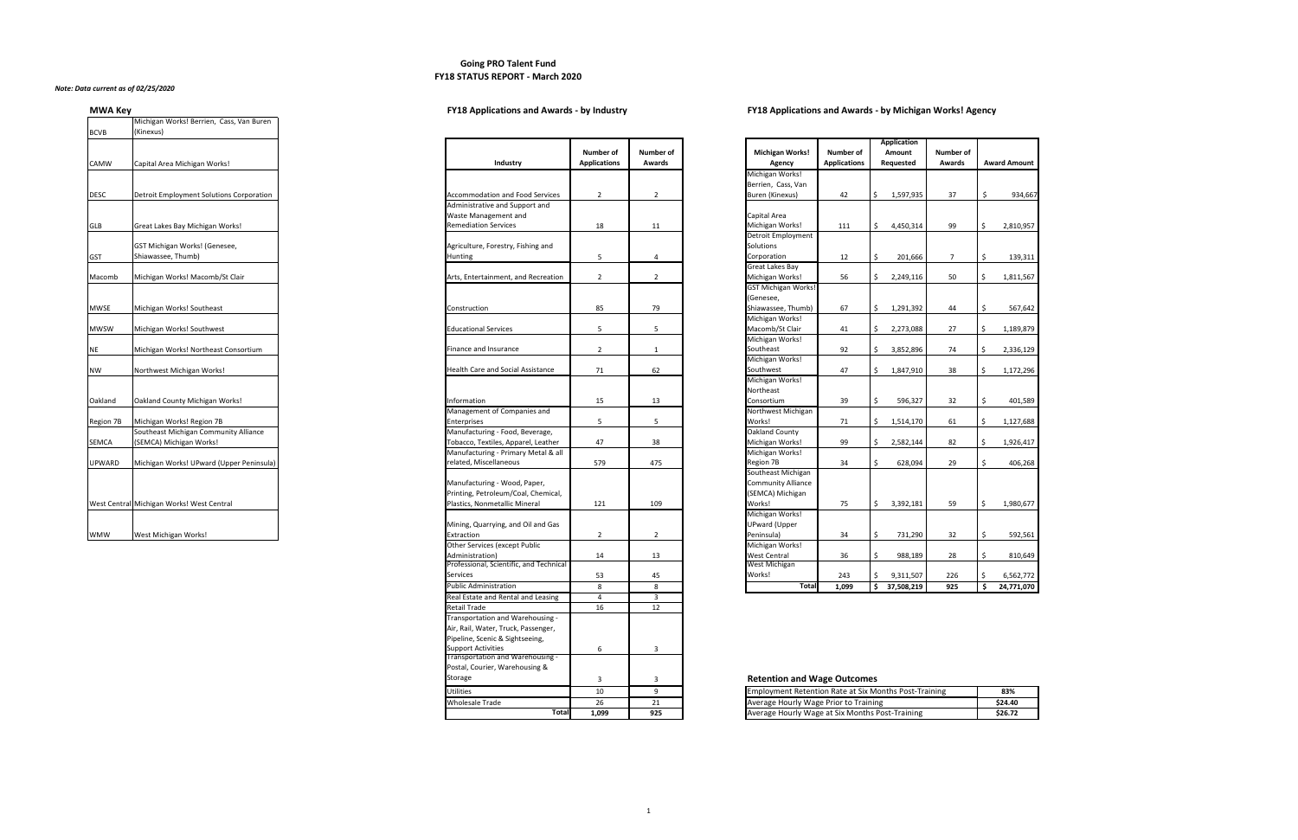## **Going PRO Talent Fund FY18 STATUS REPORT - March 2020**

### *Note: Data current as of 02/25/2020*

# **MWA Key FY18 Applications and Awards - by Industry FY18 Applications and Awards - by Michigan Works! Agency**

| <u></u>          | Michigan Works! Berrien, Cass, Van Buren                           |                                                                           |
|------------------|--------------------------------------------------------------------|---------------------------------------------------------------------------|
| <b>BCVB</b>      | (Kinexus)                                                          |                                                                           |
|                  |                                                                    |                                                                           |
| <b>CAMW</b>      | Capital Area Michigan Works!                                       | Industry                                                                  |
| <b>DESC</b>      | <b>Detroit Employment Solutions Corporation</b>                    | Accommodation and F<br>Administrative and Sup<br>Waste Management ar      |
| <b>GLB</b>       | Great Lakes Bay Michigan Works!                                    | <b>Remediation Services</b>                                               |
| <b>GST</b>       | GST Michigan Works! (Genesee,<br>Shiawassee, Thumb)                | Agriculture, Forestry, F<br>Hunting                                       |
| Macomb           | Michigan Works! Macomb/St Clair                                    | Arts, Entertainment, ar                                                   |
| <b>MWSE</b>      | Michigan Works! Southeast                                          | Construction                                                              |
| <b>MWSW</b>      | Michigan Works! Southwest                                          | <b>Educational Services</b>                                               |
| <b>NE</b>        | Michigan Works! Northeast Consortium                               | Finance and Insurance                                                     |
| <b>NW</b>        | Northwest Michigan Works!                                          | <b>Health Care and Social</b>                                             |
| Oakland          | <b>Oakland County Michigan Works!</b>                              | Information<br>Management of Compa                                        |
| <b>Region 7B</b> | Michigan Works! Region 7B<br>Southeast Michigan Community Alliance | Enterprises<br>Manufacturing - Food,                                      |
| <b>SEMCA</b>     | (SEMCA) Michigan Works!                                            | Tobacco, Textiles, Appa                                                   |
| <b>UPWARD</b>    | Michigan Works! UPward (Upper Peninsula)                           | Manufacturing - Primai<br>related, Miscellaneous                          |
|                  | West Central Michigan Works! West Central                          | Manufacturing - Wood<br>Printing, Petroleum/Co<br>Plastics, Nonmetallic M |
| <b>WMW</b>       | West Michigan Works!                                               | Mining, Quarrying, and<br>Extraction                                      |

| Industry                                 | <b>Number of</b><br><b>Applications</b> | <b>Number of</b><br><b>Awards</b> |
|------------------------------------------|-----------------------------------------|-----------------------------------|
|                                          |                                         |                                   |
|                                          |                                         |                                   |
| <b>Accommodation and Food Services</b>   | $\overline{2}$                          | $\overline{2}$                    |
| Administrative and Support and           |                                         |                                   |
| Waste Management and                     |                                         |                                   |
| <b>Remediation Services</b>              | 18                                      | 11                                |
|                                          |                                         |                                   |
| Agriculture, Forestry, Fishing and       |                                         |                                   |
| Hunting                                  | 5                                       | 4                                 |
|                                          |                                         |                                   |
| Arts, Entertainment, and Recreation      | $\overline{2}$                          | $\overline{2}$                    |
|                                          |                                         |                                   |
|                                          |                                         |                                   |
| Construction                             | 85                                      | 79                                |
|                                          |                                         |                                   |
| <b>Educational Services</b>              | 5                                       | 5                                 |
|                                          |                                         |                                   |
| Finance and Insurance                    | $\overline{2}$                          | $\mathbf{1}$                      |
|                                          |                                         |                                   |
| <b>Health Care and Social Assistance</b> | 71                                      | 62                                |
|                                          |                                         |                                   |
|                                          |                                         |                                   |
| Information                              | 15                                      | 13                                |
| Management of Companies and              |                                         |                                   |
| Enterprises                              | 5                                       | 5                                 |
| Manufacturing - Food, Beverage,          |                                         |                                   |
| Tobacco, Textiles, Apparel, Leather      | 47                                      | 38                                |
| Manufacturing - Primary Metal & all      |                                         |                                   |
| related, Miscellaneous                   | 579                                     | 475                               |
|                                          |                                         |                                   |
| Manufacturing - Wood, Paper,             |                                         |                                   |
| Printing, Petroleum/Coal, Chemical,      |                                         |                                   |
| Plastics, Nonmetallic Mineral            | 121                                     | 109                               |
|                                          |                                         |                                   |
| Mining, Quarrying, and Oil and Gas       |                                         |                                   |
| Extraction                               | $\overline{2}$                          | $\overline{2}$                    |
| <b>Other Services (except Public</b>     |                                         |                                   |
| Administration)                          | 14                                      | 13                                |
| Professional, Scientific, and Technical  |                                         |                                   |
| <b>Services</b>                          | 53                                      | 45                                |
| <b>Public Administration</b>             | 8                                       | 8                                 |

# **Retention and Wage Outcomes**

| <b>BCVB</b>   | (Kinexus)                                 |                                          |                                         |                                   |
|---------------|-------------------------------------------|------------------------------------------|-----------------------------------------|-----------------------------------|
| CAMW          | Capital Area Michigan Works!              | Industry                                 | <b>Number of</b><br><b>Applications</b> | <b>Number of</b><br><b>Awards</b> |
|               |                                           |                                          |                                         |                                   |
|               |                                           |                                          |                                         |                                   |
| <b>DESC</b>   | Detroit Employment Solutions Corporation  | <b>Accommodation and Food Services</b>   | $\overline{2}$                          |                                   |
|               |                                           | Administrative and Support and           |                                         |                                   |
|               |                                           | Waste Management and                     |                                         |                                   |
| GLB           | Great Lakes Bay Michigan Works!           | <b>Remediation Services</b>              | 18                                      | 11                                |
|               |                                           |                                          |                                         |                                   |
|               | GST Michigan Works! (Genesee,             | Agriculture, Forestry, Fishing and       |                                         |                                   |
| GST           | Shiawassee, Thumb)                        | <b>Hunting</b>                           | 5                                       |                                   |
|               |                                           |                                          |                                         |                                   |
| Macomb        | Michigan Works! Macomb/St Clair           | Arts, Entertainment, and Recreation      | $\overline{2}$                          |                                   |
|               |                                           |                                          |                                         |                                   |
|               |                                           |                                          |                                         |                                   |
| <b>MWSE</b>   | Michigan Works! Southeast                 | Construction                             | 85                                      | 79                                |
|               |                                           |                                          |                                         |                                   |
| MWSW          | Michigan Works! Southwest                 | <b>Educational Services</b>              | 5                                       |                                   |
|               |                                           |                                          |                                         |                                   |
| NE            | Michigan Works! Northeast Consortium      | Finance and Insurance                    | $\overline{2}$                          |                                   |
|               |                                           |                                          |                                         |                                   |
| NW            | Northwest Michigan Works!                 | <b>Health Care and Social Assistance</b> | 71                                      | 62                                |
|               |                                           |                                          |                                         |                                   |
|               |                                           |                                          |                                         | 13                                |
| Oakland       | Oakland County Michigan Works!            | Information                              | 15                                      |                                   |
|               |                                           | Management of Companies and              |                                         |                                   |
| Region 7B     | Michigan Works! Region 7B                 | Enterprises                              | 5                                       |                                   |
|               | Southeast Michigan Community Alliance     | Manufacturing - Food, Beverage,          |                                         |                                   |
| SEMCA         | (SEMCA) Michigan Works!                   | Tobacco, Textiles, Apparel, Leather      | 47                                      |                                   |
|               |                                           | Manufacturing - Primary Metal & all      |                                         |                                   |
| <b>UPWARD</b> | Michigan Works! UPward (Upper Peninsula)  | related, Miscellaneous                   | 579                                     | 475                               |
|               |                                           |                                          |                                         |                                   |
|               |                                           | Manufacturing - Wood, Paper,             |                                         |                                   |
|               |                                           | Printing, Petroleum/Coal, Chemical,      |                                         |                                   |
|               | West Central Michigan Works! West Central | Plastics, Nonmetallic Mineral            | 121                                     | 109                               |
|               |                                           |                                          |                                         |                                   |
|               |                                           | Mining, Quarrying, and Oil and Gas       |                                         |                                   |
| WMW           | West Michigan Works!                      | Extraction                               | $\overline{2}$                          |                                   |
|               |                                           | Other Services (except Public            |                                         |                                   |
|               |                                           | Administration)                          | 14                                      | 13                                |
|               |                                           | Professional, Scientific, and Technical  |                                         | 45                                |
|               |                                           | Services                                 | 53                                      |                                   |
|               |                                           | <b>Public Administration</b>             | 8                                       |                                   |
|               |                                           | Real Estate and Rental and Leasing       | $\overline{4}$                          | 12                                |
|               |                                           | <b>Retail Trade</b>                      | 16                                      |                                   |
|               |                                           | Transportation and Warehousing -         |                                         |                                   |
|               |                                           | Air, Rail, Water, Truck, Passenger,      |                                         |                                   |
|               |                                           | Pipeline, Scenic & Sightseeing,          |                                         |                                   |
|               |                                           | <b>Support Activities</b>                | 6                                       |                                   |
|               |                                           | Transportation and Warehousing -         |                                         |                                   |
|               |                                           | Postal, Courier, Warehousing &           |                                         |                                   |
|               |                                           | <b>Storage</b>                           | 3                                       |                                   |
|               |                                           | <b>Utilities</b>                         | 10                                      |                                   |
|               |                                           |                                          |                                         |                                   |
|               |                                           | <b>Wholesale Trade</b>                   | 26                                      | 21                                |

| Utilities              |       |            | <b>Employment Retention Rate at Six Months Post-Training</b> | 83%     |
|------------------------|-------|------------|--------------------------------------------------------------|---------|
| <b>Wholesale Trade</b> |       | <u>. .</u> | Average Hourly Wage Prior to Training                        | \$24.40 |
| Total                  | 1,099 | 925        | Average Hourly Wage at Six Months Post-Training              | \$26.72 |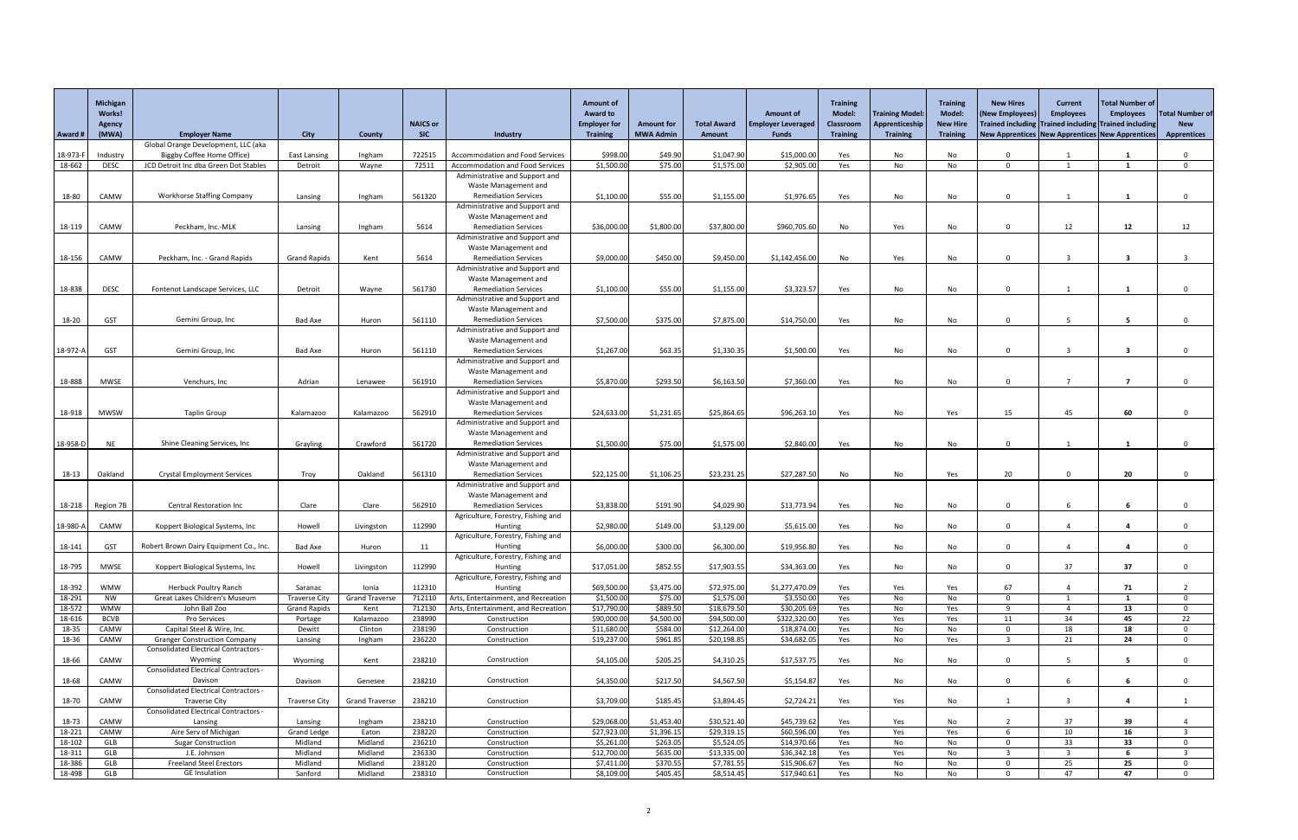|                  | Michigan<br>Works!      |                                                                   |                                             |                               |                               |                                                                            | <b>Amount of</b><br><b>Award to</b>    |                                       |                              | <b>Amount of</b>                          | <b>Training</b><br><b>Model:</b> | <b>Training Model</b>             | <b>Training</b><br><b>Model:</b>   | <b>New Hires</b><br>(New Employees                                                                       | <b>Current</b><br><b>Employees</b> | <b>Total Number of</b><br><b>Employees</b> | <b>Total Number of</b>           |
|------------------|-------------------------|-------------------------------------------------------------------|---------------------------------------------|-------------------------------|-------------------------------|----------------------------------------------------------------------------|----------------------------------------|---------------------------------------|------------------------------|-------------------------------------------|----------------------------------|-----------------------------------|------------------------------------|----------------------------------------------------------------------------------------------------------|------------------------------------|--------------------------------------------|----------------------------------|
| Award #          | Agency<br>(MWA)         | <b>Employer Name</b>                                              | <b>City</b>                                 | County                        | <b>NAICS or</b><br><b>SIC</b> | Industry                                                                   | <b>Employer for</b><br><b>Training</b> | <b>Amount for</b><br><b>MWA Admin</b> | <b>Total Award</b><br>Amount | <b>Employer Leveraged</b><br><b>Funds</b> | Classroom<br><b>Training</b>     | Apprenticeship<br><b>Training</b> | <b>New Hire</b><br><b>Training</b> | Trained including Trained including Trained including<br>New Apprentices New Apprentices New Apprentices |                                    |                                            | <b>New</b><br><b>Apprentices</b> |
| 18-973-F         | Industry                | Global Orange Development, LLC (aka<br>Biggby Coffee Home Office) | <b>East Lansing</b>                         | Ingham                        | 722515                        | <b>Accommodation and Food Services</b>                                     | \$998.00                               | \$49.90                               | \$1,047.90                   | \$15,000.00                               | Yes                              | No                                | No                                 | $\Omega$                                                                                                 |                                    |                                            |                                  |
| 18-662           | <b>DESC</b>             | JCD Detroit Inc dba Green Dot Stables                             | Detroit                                     | Wayne                         | 72511                         | Accommodation and Food Services                                            | \$1,500.00                             | \$75.00                               | \$1,575.00                   | \$2,905.00                                | Yes                              | No                                | No                                 | $\Omega$                                                                                                 |                                    |                                            | $\Omega$                         |
|                  |                         |                                                                   |                                             |                               |                               | Administrative and Support and                                             |                                        |                                       |                              |                                           |                                  |                                   |                                    |                                                                                                          |                                    |                                            |                                  |
|                  |                         |                                                                   |                                             |                               |                               | Waste Management and                                                       |                                        |                                       |                              |                                           |                                  |                                   |                                    |                                                                                                          |                                    |                                            |                                  |
| 18-80            | CAMW                    | <b>Workhorse Staffing Company</b>                                 | Lansing                                     | Ingham                        | 561320                        | <b>Remediation Services</b>                                                | \$1,100.00                             | \$55.00                               | \$1,155.00                   | \$1,976.65                                | Yes                              | No                                | No                                 | $\Omega$                                                                                                 |                                    |                                            |                                  |
|                  |                         |                                                                   |                                             |                               |                               | Administrative and Support and                                             |                                        |                                       |                              |                                           |                                  |                                   |                                    |                                                                                                          |                                    |                                            |                                  |
| 18-119           | CAMW                    | Peckham, Inc.-MLK                                                 | Lansing                                     | Ingham                        | 5614                          | Waste Management and<br><b>Remediation Services</b>                        | \$36,000.00                            | \$1,800.00                            | \$37,800.00                  | \$960,705.60                              | No                               | Yes                               | No                                 | $\Omega$                                                                                                 | 12                                 | 12                                         | 12                               |
|                  |                         |                                                                   |                                             |                               |                               | Administrative and Support and                                             |                                        |                                       |                              |                                           |                                  |                                   |                                    |                                                                                                          |                                    |                                            |                                  |
|                  |                         |                                                                   |                                             |                               |                               | Waste Management and                                                       |                                        |                                       |                              |                                           |                                  |                                   |                                    |                                                                                                          |                                    |                                            |                                  |
| 18-156           | CAMW                    | Peckham, Inc. - Grand Rapids                                      | <b>Grand Rapids</b>                         | Kent                          | 5614                          | <b>Remediation Services</b>                                                | \$9,000.00                             | \$450.00                              | \$9,450.00                   | \$1,142,456.00                            | No                               | Yes                               | No                                 | $\Omega$                                                                                                 |                                    |                                            |                                  |
|                  |                         |                                                                   |                                             |                               |                               | Administrative and Support and                                             |                                        |                                       |                              |                                           |                                  |                                   |                                    |                                                                                                          |                                    |                                            |                                  |
|                  |                         |                                                                   |                                             |                               | 561730                        | Waste Management and<br><b>Remediation Services</b>                        |                                        | \$55.00                               |                              |                                           |                                  |                                   |                                    | $\Omega$                                                                                                 |                                    |                                            |                                  |
| 18-838           | <b>DESC</b>             | Fontenot Landscape Services, LLC                                  | Detroit                                     | Wayne                         |                               | Administrative and Support and                                             | \$1,100.00                             |                                       | \$1,155.00                   | \$3,323.57                                | Yes                              | No                                | No                                 |                                                                                                          |                                    |                                            |                                  |
|                  |                         |                                                                   |                                             |                               |                               | Waste Management and                                                       |                                        |                                       |                              |                                           |                                  |                                   |                                    |                                                                                                          |                                    |                                            |                                  |
| 18-20            | <b>GST</b>              | Gemini Group, Inc                                                 | Bad Axe                                     | Huron                         | 561110                        | <b>Remediation Services</b>                                                | \$7,500.00                             | \$375.00                              | \$7,875.00                   | \$14,750.00                               | Yes                              | No                                | No                                 | $\Omega$                                                                                                 |                                    |                                            |                                  |
|                  |                         |                                                                   |                                             |                               |                               | Administrative and Support and                                             |                                        |                                       |                              |                                           |                                  |                                   |                                    |                                                                                                          |                                    |                                            |                                  |
|                  |                         |                                                                   |                                             |                               |                               | Waste Management and                                                       |                                        |                                       |                              |                                           |                                  |                                   |                                    |                                                                                                          |                                    |                                            |                                  |
| 18-972-A         | <b>GST</b>              | Gemini Group, Inc                                                 | <b>Bad Axe</b>                              | Huron                         | 561110                        | <b>Remediation Services</b><br>Administrative and Support and              | \$1,267.00                             | \$63.35                               | \$1,330.35                   | \$1,500.00                                | Yes                              | No                                | No                                 | $\Omega$                                                                                                 | $\overline{2}$                     | $\overline{\mathbf{3}}$                    |                                  |
|                  |                         |                                                                   |                                             |                               |                               | Waste Management and                                                       |                                        |                                       |                              |                                           |                                  |                                   |                                    |                                                                                                          |                                    |                                            |                                  |
| 18-888           | <b>MWSE</b>             | Venchurs, Inc                                                     | Adrian                                      | Lenawee                       | 561910                        | <b>Remediation Services</b>                                                | \$5,870.00                             | \$293.50                              | \$6,163.50                   | \$7,360.00                                | Yes                              | No                                | No                                 | $\Omega$                                                                                                 |                                    | 7                                          |                                  |
|                  |                         |                                                                   |                                             |                               |                               | Administrative and Support and                                             |                                        |                                       |                              |                                           |                                  |                                   |                                    |                                                                                                          |                                    |                                            |                                  |
|                  |                         |                                                                   |                                             |                               |                               | Waste Management and                                                       |                                        |                                       |                              |                                           |                                  |                                   |                                    |                                                                                                          |                                    |                                            |                                  |
| 18-918           | MWSW                    | <b>Taplin Group</b>                                               | Kalamazoo                                   | Kalamazoo                     | 562910                        | <b>Remediation Services</b><br>Administrative and Support and              | \$24,633.00                            | \$1,231.65                            | \$25,864.65                  | \$96,263.10                               | Yes                              | No.                               | Yes                                | 15                                                                                                       | 45                                 | 60                                         | 0                                |
|                  |                         |                                                                   |                                             |                               |                               | Waste Management and                                                       |                                        |                                       |                              |                                           |                                  |                                   |                                    |                                                                                                          |                                    |                                            |                                  |
| 18-958-D         | <b>NE</b>               | Shine Cleaning Services, Inc.                                     | Grayling                                    | Crawford                      | 561720                        | <b>Remediation Services</b>                                                | \$1,500.00                             | \$75.00                               | \$1,575.00                   | \$2,840.00                                | Yes                              | No                                | No                                 | $\Omega$                                                                                                 |                                    |                                            |                                  |
|                  |                         |                                                                   |                                             |                               |                               | Administrative and Support and                                             |                                        |                                       |                              |                                           |                                  |                                   |                                    |                                                                                                          |                                    |                                            |                                  |
|                  |                         |                                                                   |                                             |                               |                               | Waste Management and                                                       |                                        |                                       |                              |                                           |                                  |                                   |                                    |                                                                                                          |                                    |                                            |                                  |
| 18-13            | Oakland                 | <b>Crystal Employment Services</b>                                | Troy                                        | Oakland                       | 561310                        | <b>Remediation Services</b><br>Administrative and Support and              | \$22,125.00                            | \$1,106.25                            | \$23,231.25                  | \$27,287.50                               | No                               | No                                | Yes                                | 20                                                                                                       | $\Omega$                           | 20                                         |                                  |
|                  |                         |                                                                   |                                             |                               |                               | Waste Management and                                                       |                                        |                                       |                              |                                           |                                  |                                   |                                    |                                                                                                          |                                    |                                            |                                  |
|                  | 18-218   Region 7B      | <b>Central Restoration Inc</b>                                    | Clare                                       | Clare                         | 562910                        | <b>Remediation Services</b>                                                | \$3,838.00                             | \$191.90                              | \$4,029.90                   | \$13,773.94                               | Yes                              | No                                | No                                 | $\Omega$                                                                                                 |                                    | 6                                          |                                  |
|                  |                         |                                                                   |                                             |                               |                               | Agriculture, Forestry, Fishing and                                         |                                        |                                       |                              |                                           |                                  |                                   |                                    |                                                                                                          |                                    |                                            |                                  |
| 18-980-A         | CAMW                    | Koppert Biological Systems, Inc                                   | Howell                                      | Livingston                    | 112990                        | Hunting                                                                    | \$2,980.00                             | \$149.00                              | \$3,129.00                   | \$5,615.00                                | Yes                              | No                                | No                                 | $\overline{0}$                                                                                           |                                    | $\mathbf{a}$                               | $\Omega$                         |
| 18-141           | <b>GST</b>              | Robert Brown Dairy Equipment Co., Inc.                            | <b>Bad Axe</b>                              | Huron                         | 11                            | Agriculture, Forestry, Fishing and<br>Hunting                              | \$6,000.00                             | \$300.00                              | \$6,300.00                   | \$19,956.80                               | Yes                              | No                                | No                                 | $\Omega$                                                                                                 |                                    |                                            | $\Omega$                         |
|                  |                         |                                                                   |                                             |                               |                               | Agriculture, Forestry, Fishing and                                         |                                        |                                       |                              |                                           |                                  |                                   |                                    |                                                                                                          |                                    |                                            |                                  |
| 18-795           | <b>MWSE</b>             | Koppert Biological Systems, Inc                                   | Howell                                      | Livingston                    | 112990                        | Hunting                                                                    | \$17,051.00                            | \$852.55                              | \$17,903.55                  | \$34,363.00                               | Yes                              | No                                | No                                 | $\Omega$                                                                                                 | 37                                 | 37                                         | 0                                |
|                  |                         |                                                                   |                                             |                               |                               | Agriculture, Forestry, Fishing and                                         |                                        |                                       |                              |                                           |                                  |                                   |                                    |                                                                                                          |                                    |                                            |                                  |
| 18-392           | <b>WMW</b>              | <b>Herbuck Poultry Ranch</b>                                      | Saranac                                     | Ionia                         | 112310                        | Hunting                                                                    | \$69,500.00                            | \$3,475.00                            | \$72,975.00                  | \$1,277,470.09                            | Yes                              | Yes                               | Yes                                | 67                                                                                                       |                                    | 71                                         |                                  |
| 18-291<br>18-572 | <b>NW</b><br><b>WMW</b> | Great Lakes Children's Museum<br>John Ball Zoo                    | <b>Traverse City</b><br><b>Grand Rapids</b> | <b>Grand Traverse</b><br>Kent | 712110<br>712130              | Arts, Entertainment, and Recreation<br>Arts, Entertainment, and Recreation | \$1,500.00<br>\$17,790.00              | \$75.00<br>\$889.50                   | \$1,575.00<br>\$18,679.50    | \$3,550.00<br>\$30,205.69                 | Yes<br>Yes                       | No<br>No                          | No<br>Yes                          | $\Omega$<br>$\mathbf{q}$                                                                                 |                                    | 13                                         | $\Omega$<br>$\Omega$             |
| 18-616           | <b>BCVB</b>             | Pro Services                                                      | Portage                                     | Kalamazoo                     | 238990                        | Construction                                                               | \$90,000.00                            | \$4,500.00                            | \$94,500.00                  | \$322,320.00                              | Yes                              | Yes                               | Yes                                | 11                                                                                                       | 34                                 | 45                                         | 22                               |
| 18-35            | CAMW                    | Capital Steel & Wire, Inc.                                        | Dewitt                                      | Clinton                       | 238190                        | Construction                                                               | \$11,680.00                            | \$584.00                              | \$12,264.00                  | \$18,874.00                               | Yes                              | No                                | No                                 | $\Omega$                                                                                                 | 18                                 | 18                                         | $\Omega$                         |
| 18-36            | CAMW                    | <b>Granger Construction Company</b>                               | Lansing                                     | Ingham                        | 236220                        | Construction                                                               | \$19,237.00                            | \$961.85                              | \$20,198.85                  | \$34,682.05                               | Yes                              | No                                | Yes                                | $\mathbf{3}$                                                                                             | 21                                 | 24                                         | $\Omega$                         |
|                  |                         | <b>Consolidated Electrical Contractors -</b>                      |                                             |                               |                               |                                                                            |                                        |                                       |                              |                                           |                                  |                                   |                                    |                                                                                                          |                                    |                                            |                                  |
| 18-66            | CAMW                    | Wyoming<br><b>Consolidated Electrical Contractors -</b>           | Wyoming                                     | Kent                          | 238210                        | Construction                                                               | \$4,105.00                             | \$205.25                              | \$4,310.25                   | \$17,537.75                               | Yes                              | No                                | No                                 | $\Omega$                                                                                                 |                                    | 5                                          | $\Omega$                         |
| 18-68            | CAMW                    | Davison                                                           | Davison                                     | Genesee                       | 238210                        | Construction                                                               | \$4,350.00                             | \$217.50                              | \$4,567.50                   | \$5,154.87                                | Yes                              | No                                | No                                 | $\Omega$                                                                                                 |                                    | 6                                          | $\Omega$                         |
|                  |                         | <b>Consolidated Electrical Contractors -</b>                      |                                             |                               |                               |                                                                            |                                        |                                       |                              |                                           |                                  |                                   |                                    |                                                                                                          |                                    |                                            |                                  |
| 18-70            | CAMW                    | <b>Traverse City</b>                                              | <b>Traverse City</b>                        | <b>Grand Traverse</b>         | 238210                        | Construction                                                               | \$3,709.00                             | \$185.45                              | \$3,894.45                   | \$2,724.21                                | Yes                              | Yes                               | No                                 |                                                                                                          | $\overline{2}$                     | 4                                          |                                  |
|                  |                         | <b>Consolidated Electrical Contractors -</b>                      |                                             |                               |                               |                                                                            |                                        |                                       |                              |                                           |                                  |                                   |                                    |                                                                                                          |                                    |                                            |                                  |
| 18-73<br>18-221  | CAMW<br>CAMW            | Lansing<br>Aire Serv of Michigan                                  | Lansing<br><b>Grand Ledge</b>               | Ingham<br>Eaton               | 238210<br>238220              | Construction<br>Construction                                               | \$29,068.00<br>\$27,923.00             | \$1,453.40<br>\$1,396.15              | \$30,521.40<br>\$29,319.15   | \$45,739.62<br>\$60,596.00                | Yes<br>Yes                       | Yes<br>Yes                        | No<br>Yes                          |                                                                                                          | 37<br>10                           | 39<br>16                                   |                                  |
| 18-102           | GLB                     | <b>Sugar Construction</b>                                         | Midland                                     | Midland                       | 236210                        | Construction                                                               | \$5,261.00                             | \$263.05                              | \$5,524.05                   | \$14,970.66                               | Yes                              | No                                | No                                 | $\Omega$                                                                                                 | 33                                 | 33                                         | $\Omega$                         |
| 18-311           | GLB                     | J.E. Johnson                                                      | Midland                                     | Midland                       | 236330                        | Construction                                                               | \$12,700.00                            | \$635.00                              | \$13,335.00                  | \$36,342.18                               | Yes                              | Yes                               | No                                 |                                                                                                          |                                    |                                            |                                  |
| 18-386           | GLB                     | <b>Freeland Steel Erectors</b>                                    | Midland                                     | Midland                       | 238120                        | Construction                                                               | \$7,411.00                             | \$370.55                              | \$7,781.55                   | \$15,906.67                               | Yes                              | No                                | No.                                | - 0                                                                                                      | 25                                 | 25                                         |                                  |
| 18-498           | GLB                     | <b>GE</b> Insulation                                              | Sanford                                     | Midland                       | 238310                        | Construction                                                               | \$8,109.00                             | \$405.45                              | \$8,514.45                   | \$17,940.6                                | Yes                              | No                                | No                                 | -0                                                                                                       | 47                                 | 47                                         |                                  |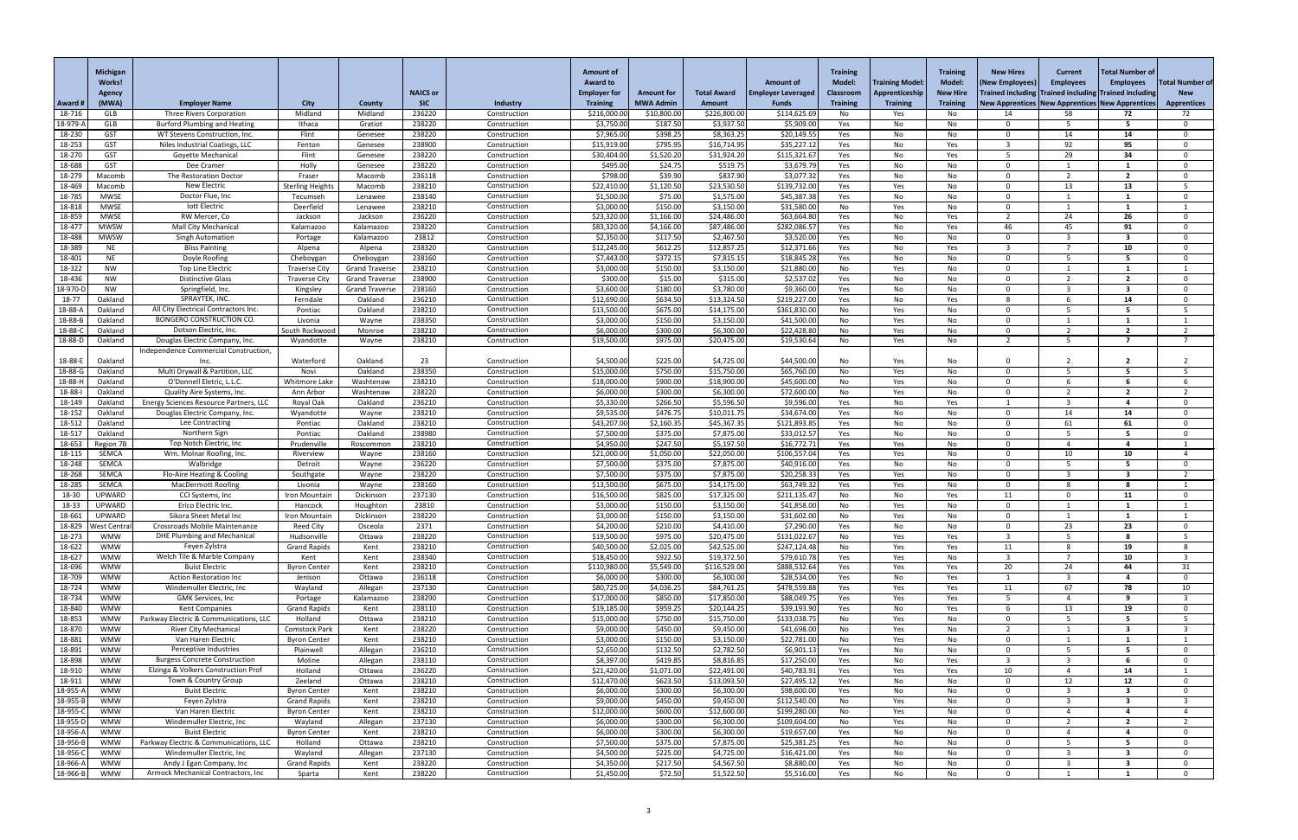|                      | Michigan<br><b>Works!</b>      |                                                                             |                                            |                       |                      |                              | <b>Amount of</b><br><b>Award to</b> |                                 |                               | <b>Amount of</b>             | <b>Training</b><br><b>Model:</b> | <b>Training Model:</b> | <b>Training</b><br><b>Model:</b> | <b>New Hires</b><br><b>(New Employees</b>                        | <b>Current</b><br><b>Employees</b> | <b>Total Number of</b><br><b>Employees</b> | <b>Total Number of</b>   |
|----------------------|--------------------------------|-----------------------------------------------------------------------------|--------------------------------------------|-----------------------|----------------------|------------------------------|-------------------------------------|---------------------------------|-------------------------------|------------------------------|----------------------------------|------------------------|----------------------------------|------------------------------------------------------------------|------------------------------------|--------------------------------------------|--------------------------|
|                      | Agency                         |                                                                             |                                            |                       | <b>NAICS or</b>      |                              | <b>Employer for</b>                 | Amount for                      | <b>Total Award</b>            | <b>Employer Leveraged</b>    | <b>Classroom</b>                 | Apprenticeship         | <b>New Hire</b>                  | <b>Trained including   Trained including</b>                     |                                    | <b>Trained including</b>                   | <b>New</b>               |
| Award i<br>18-716    | (MWA)<br><b>GLB</b>            | <b>Employer Name</b><br><b>Three Rivers Corporation</b>                     | <b>City</b><br>Midland                     | County<br>Midland     | <b>SIC</b><br>236220 | Industry<br>Construction     | <b>Training</b><br>\$216,000.00     | <b>MWA Admin</b><br>\$10,800.00 | <b>Amount</b><br>\$226,800.00 | <b>Funds</b><br>\$114,625.69 | <b>Training</b><br>No            | <b>Training</b><br>Yes | <b>Training</b><br>No            | <b>New Apprentices   New Apprentices   New Apprentices</b><br>14 | 58                                 | 72                                         | <b>Apprentices</b><br>72 |
| 18-979-              | GLB                            | <b>Burford Plumbing and Heating</b>                                         | Ithaca                                     | Gratiot               | 238220               | Construction                 | \$3,750.00                          | \$187.50                        | \$3,937.50                    | \$5,909.00                   | Yes                              | No                     | No                               | $\Omega$                                                         | -5                                 | 5.                                         | $\Omega$                 |
| 18-230               | <b>GST</b>                     | WT Stevens Construction, Inc                                                | Flint                                      | Genesee               | 238220               | Construction                 | \$7,965.00                          | \$398.25                        | \$8,363.25                    | \$20,149.55                  | Yes                              | No.                    | No.                              | ി                                                                | 14                                 | 14                                         |                          |
| 18-253               | <b>GST</b><br><b>GST</b>       | Niles Industrial Coatings, LLC<br><b>Goyette Mechanical</b>                 | Fenton<br>Flint                            | Genesee               | 238900<br>238220     | Construction                 | \$15,919.00<br>\$30,404.00          | \$795.95<br>\$1,520.20          | \$16,714.95                   | \$35,227.12<br>\$115,321.67  | Yes                              | No                     | Yes                              |                                                                  | 92                                 | 95<br>34                                   | $\Omega$<br>$\Omega$     |
| 18-270<br>18-688     | <b>GST</b>                     | Dee Cramer                                                                  | Holly                                      | Genesee<br>Genesee    | 238220               | Construction<br>Construction | \$495.00                            | \$24.75                         | \$31,924.20<br>\$519.75       | \$3,679.79                   | Yes<br>Yes                       | No<br>No               | Yes<br>No                        | $\Omega$                                                         | 29                                 |                                            | $\Omega$                 |
| 18-279               | Macomb                         | The Restoration Doctor                                                      | Fraser                                     | Macomb                | 236118               | Construction                 | \$798.00                            | \$39.90                         | \$837.90                      | \$3,077.32                   | Yes                              | No                     | No.                              | $\Omega$                                                         |                                    | $\mathbf{z}$                               |                          |
| 18-469               | Macomb                         | <b>New Electric</b>                                                         | <b>Sterling Height:</b>                    | Macomb                | 238210               | Construction                 | \$22,410.00                         | \$1,120.50                      | \$23,530.50                   | \$139,732.00                 | Yes                              | Yes                    | No                               | $\Omega$                                                         | 13                                 | 13                                         |                          |
| 18-785<br>18-818     | <b>MWSE</b><br><b>MWSE</b>     | Doctor Flue, Inc<br>lott Electric                                           | Tecumseh<br>Deerfield                      | Lenawee               | 238140<br>238210     | Construction<br>Construction | \$1,500.00<br>\$3,000.00            | \$75.00<br>\$150.00             | \$1,575.00<br>\$3,150.00      | \$45,387.38<br>\$31,580.00   | Yes<br>No                        | No                     | No.                              | $\Omega$<br>$\Omega$                                             |                                    |                                            |                          |
| 18-859               | <b>MWSE</b>                    | RW Mercer, Co                                                               | Jackson                                    | Lenawee<br>Jackson    | 236220               | Construction                 | \$23,320.00                         | \$1,166.00                      | \$24,486.00                   | \$63,664.80                  | Yes                              | Yes<br>No.             | No<br>Yes                        |                                                                  | 24                                 | 26                                         |                          |
| 18-477               | <b>MWSW</b>                    | <b>Mall City Mechanical</b>                                                 | Kalamazoo                                  | Kalamazoo             | 238220               | Construction                 | \$83,320.00                         | \$4,166.00                      | \$87,486.00                   | \$282,086.5                  | Yes                              | No                     | Yes                              | 46                                                               | 45                                 | 91                                         |                          |
| 18-488               | <b>MWSW</b>                    | <b>Singh Automation</b>                                                     | Portage                                    | Kalamazoo             | 23812                | Construction                 | \$2,350.00                          | \$117.50                        | \$2,467.50                    | \$3,520.00                   | Yes                              | No                     | No.                              | $\Omega$                                                         | ્વ                                 | -3                                         | $\Omega$                 |
| 18-389<br>18-401     | <b>NE</b><br><b>NE</b>         | <b>Bliss Painting</b><br>Doyle Roofing                                      | Alpena<br>Cheboygan                        | Alpena<br>Cheboygan   | 238320<br>238160     | Construction<br>Construction | \$12,245.00<br>\$7,443.00           | \$612.25<br>\$372.15            | \$12,857.25<br>\$7,815.15     | \$12,371.66<br>\$18,845.28   | Yes<br>Yes                       | No<br>No               | Yes<br>No                        | 3<br>$\Omega$                                                    |                                    | 10                                         | $\Omega$                 |
| 18-322               | <b>NW</b>                      | Top Line Electric                                                           | <b>Traverse City</b>                       | <b>Grand Traverse</b> | 238210               | Construction                 | \$3,000.00                          | \$150.00                        | \$3,150.00                    | \$21,880.00                  | No                               | Yes                    | No.                              | - വ                                                              |                                    |                                            |                          |
| 18-436               | <b>NW</b>                      | <b>Distinctive Glass</b>                                                    | <b>Traverse City</b>                       | <b>Grand Traverse</b> | 238900               | Construction                 | \$300.00                            | \$15.00                         | \$315.00                      | \$2,537.0                    | Yes                              | No                     | No                               | $\Omega$                                                         |                                    | ຳ                                          |                          |
| 18-970-D             | <b>NW</b>                      | Springfield, Inc.                                                           | Kingsley                                   | <b>Grand Traverse</b> | 238160               | Construction                 | \$3,600.00                          | \$180.00                        | \$3,780.00                    | \$9,360.00                   | Yes                              | No                     | No                               | $\Omega$                                                         |                                    | -3                                         |                          |
| 18-77<br>18-88-A     | Oakland<br>Oakland             | SPRAYTEK, INC.<br>All City Electrical Contractors Inc.                      | Ferndale<br>Pontiac                        | Oakland<br>Oakland    | 236210<br>238210     | Construction<br>Construction | \$12,690.00<br>\$13,500.00          | \$634.50<br>\$675.00            | \$13,324.50<br>\$14,175.00    | \$219,227.00<br>\$361,830.00 | Yes<br>No                        | No<br>Yes              | Yes<br>No.                       | -8<br>- 0                                                        |                                    | 14                                         | $\Omega$                 |
| 18-88-E              | Oakland                        | <b>BONGERO CONSTRUCTION CO.</b>                                             | Livonia                                    | Wayne                 | 238350               | Construction                 | \$3,000.00                          | \$150.00                        | \$3,150.00                    | \$41,500.00                  | No                               | Yes                    | No                               | - 0                                                              |                                    |                                            |                          |
| 18-88-0              | Oakland                        | Dotson Electric, Inc.                                                       | South Rockwood                             | Monroe                | 238210               | Construction                 | \$6,000.00                          | \$300.00                        | \$6,300.00                    | \$22,428.80                  | No                               | Yes                    | No                               | $\Omega$                                                         |                                    | $\overline{\phantom{a}}$                   |                          |
| 18-88-D              | Oakland                        | Douglas Electric Company, Inc.                                              | Wyandotte                                  | Wayne                 | 238210               | Construction                 | \$19,500.00                         | \$975.00                        | \$20,475.00                   | \$19,530.64                  | No                               | Yes                    | No                               | ാ                                                                | -5                                 |                                            |                          |
| 18-88-E              | Oakland                        | Independence Commercial Construction<br>Inc.                                | Waterford                                  | Oakland               | 23                   | Construction                 | \$4,500.00                          | \$225.00                        | \$4,725.00                    | \$44,500.00                  | No                               | Yes                    | No                               |                                                                  |                                    |                                            |                          |
| 18-88-G              | Oakland                        | Multi Drywall & Partition, LLC                                              | Novi                                       | Oakland               | 238350               | Construction                 | \$15,000.00                         | \$750.00                        | \$15,750.00                   | \$65,760.00                  | No                               | Yes                    | No                               | $\Omega$                                                         |                                    |                                            |                          |
| 18-88-H              | Oakland                        | O'Donnell Eletric, L.L.C                                                    | Whitmore Lak                               | Washtenaw             | 238210               | Construction                 | \$18,000.00                         | \$900.00                        | \$18,900.00                   | \$45,600.00                  | No.                              | Yes                    | NO.                              |                                                                  |                                    |                                            |                          |
| 18-88-l              | Oakland                        | Quality Aire Systems, Inc.                                                  | Ann Arbor                                  | Washtenaw             | 238220               | Construction                 | \$6,000.00                          | \$300.00                        | \$6,300.00                    | \$72,600.00                  | No                               | Yes                    | No.                              | $\Omega$                                                         |                                    | ຳ                                          |                          |
| 18-149<br>18-152     | Oakland<br>Oakland             | Energy Sciences Resource Partners, LLC<br>Douglas Electric Company, Inc.    | Royal Oak<br>Wyandotte                     | Oakland<br>Wayne      | 236210<br>238210     | Construction<br>Construction | \$5,330.00<br>\$9,535.00            | \$266.50<br>\$476.75            | \$5,596.50<br>\$10,011.75     | \$9,596.00<br>\$34,674.00    | Yes<br>Yes                       | No<br>No               | Yes<br>No.                       | $\Omega$                                                         | 14                                 | 14                                         |                          |
| 18-512               | Oakland                        | Lee Contracting                                                             | Pontiac                                    | Oakland               | 238210               | Construction                 | \$43,207.00                         | \$2,160.35                      | \$45,367.35                   | \$121,893.85                 | Yes                              | No                     | No                               | $\Omega$                                                         | 61                                 | 61                                         |                          |
| 18-517               | Oakland                        | Northern Sign                                                               | Pontiac                                    | Oakland               | 238980               | Construction                 | \$7,500.00                          | \$375.00                        | \$7,875.00                    | \$33,012.57                  | Yes                              | No                     | No                               | $\Omega$                                                         | -5                                 |                                            |                          |
| 18-653               | Region 7B                      | Top Notch Electric, Inc.                                                    | Prudenville                                | Roscommon             | 238210               | Construction                 | \$4,950.00                          | \$247.50                        | \$5,197.50                    | \$16,772.7                   | Yes                              | Yes                    | No.                              | $\Omega$                                                         |                                    |                                            |                          |
| 18-115<br>18-248     | <b>SEMCA</b><br><b>SEMCA</b>   | Wm. Molnar Roofing, Inc.<br>Walbridge                                       | Riverview<br>Detroit                       | Wayne<br>Wayne        | 238160<br>236220     | Construction<br>Construction | \$21,000.00<br>\$7,500.00           | \$1,050.00<br>\$375.00          | \$22,050.00<br>\$7,875.00     | \$106,557.0<br>\$40,916.00   | Yes<br>Yes                       | Yes<br>No              | No<br>No                         | $\Omega$                                                         | 10                                 | 10<br>5                                    |                          |
| 18-268               | <b>SEMCA</b>                   | Flo-Aire Heating & Cooling                                                  | Southgate                                  | Wayne                 | 238220               | Construction                 | \$7,500.00                          | \$375.00                        | \$7,875.00                    | \$20,258.33                  | Yes                              | Yes                    | No                               | $\Omega$                                                         |                                    | 3                                          |                          |
| 18-285               | <b>SEMCA</b>                   | <b>MacDermott Roofing</b>                                                   | Livonia                                    | Wayne                 | 238160               | Construction                 | \$13,500.00                         | \$675.00                        | \$14,175.00                   | \$63,749.32                  | Yes                              | Yes                    | No                               | - 0                                                              |                                    |                                            |                          |
| 18-30                | <b>UPWARD</b>                  | CCI Systems, Inc                                                            | Iron Mountair                              | Dickinson             | 237130               | Construction                 | \$16,500.00                         | \$825.00                        | \$17,325.00                   | \$211,135.47                 | No                               | No                     | Yes                              | 11                                                               | - റ                                | 11                                         |                          |
| 18-33<br>18-661      | <b>UPWARD</b><br><b>UPWARD</b> | Erico Electric Inc.<br>Sikora Sheet Metal Inc                               | Hancock<br>Iron Mountain                   | Houghton<br>Dickinson | 23810<br>238220      | Construction<br>Construction | \$3,000.00<br>\$3,000.00            | \$150.00<br>\$150.00            | \$3,150.00<br>\$3,150.00      | \$41,858.00<br>\$31,602.00   | No<br>No                         | Yes<br>Yes             | No.<br>No                        | $\Omega$<br>$\Omega$                                             |                                    |                                            |                          |
| 18-829               | Vest Centra                    | <b>Crossroads Mobile Maintenance</b>                                        | <b>Reed City</b>                           | Osceola               | 2371                 | Construction                 | \$4,200.00                          | \$210.00                        | \$4,410.00                    | \$7,290.00                   | Yes                              | No                     | No                               | $\Omega$                                                         | 23                                 | 23                                         |                          |
| 18-273               | <b>WMW</b>                     | <b>DHE Plumbing and Mechanical</b>                                          | Hudsonville                                | Ottawa                | 238220               | Construction                 | \$19,500.00                         | \$975.00                        | \$20,475.00                   | \$131,022.6                  | No                               | Yes                    | Yes                              |                                                                  |                                    |                                            |                          |
| 18-622               | <b>WMW</b>                     | Feyen Zylstra                                                               | <b>Grand Rapids</b>                        | Kent                  | 238210               | Construction                 | \$40,500.00                         | \$2,025.00                      | \$42,525.00                   | \$247,124.48                 | No                               | Yes                    | Yes                              | 11<br>્વ                                                         |                                    | 19                                         |                          |
| 18-627<br>18-696     | <b>WMW</b><br><b>WMW</b>       | Welch Tile & Marble Company<br><b>Buist Electric</b>                        | Kent<br><b>Byron Center</b>                | Kent<br>Kent          | 238340<br>238210     | Construction<br>Construction | \$18,450.00<br>\$110,980.00         | \$922.50<br>\$5,549.00          | \$19,372.50<br>\$116,529.00   | \$79,610.78<br>\$888,532.64  | Yes<br>Yes                       | Yes<br>Yes             | No<br>Yes                        | 20                                                               | 24                                 | 10<br>44                                   | 31                       |
| 18-709               | <b>WMW</b>                     | <b>Action Restoration Inc</b>                                               | Jenison                                    | Ottawa                | 236118               | Construction                 | \$6,000.00                          | \$300.00                        | \$6,300.00                    | \$28,534.00                  | Yes                              | No                     | Yes                              |                                                                  |                                    |                                            |                          |
| 18-724               | <b>WMW</b>                     | Windemuller Electric, Inc.                                                  | Wayland                                    | Allegan               | 237130               | Construction                 | \$80,725.00                         | \$4,036.25                      | \$84,761.25                   | \$478,559.88                 | Yes                              | Yes                    | Yes                              | 11                                                               | 67                                 | 78                                         | 10                       |
| 18-734               | <b>WMW</b>                     | <b>GMK Services, Inc</b><br><b>Kent Companies</b>                           | Portage                                    | Kalamazoo             | 238290               | Construction                 | \$17,000.00                         | \$850.00                        | \$17,850.00                   | \$88,049.75                  | Yes                              | Yes                    | Yes                              |                                                                  |                                    | -9<br>19                                   |                          |
| 18-840<br>18-853     | <b>WMW</b><br><b>WMW</b>       | Parkway Electric & Communications, LLC                                      | <b>Grand Rapids</b><br>Holland             | Kent<br>Ottawa        | 238110<br>238210     | Construction<br>Construction | \$19,185.00<br>\$15,000.00          | \$959.25<br>\$750.00            | \$20,144.25<br>\$15,750.00    | \$39,193.90<br>\$133,038.7   | Yes<br>No                        | No<br>Yes              | Yes<br>No.                       | - വ                                                              | 13                                 |                                            |                          |
| 18-870               | <b>WMW</b>                     | <b>River City Mechanical</b>                                                | <b>Comstock Park</b>                       | Kent                  | 238220               | Construction                 | \$9,000.00                          | \$450.00                        | \$9,450.00                    | \$41,698.00                  | No                               | Yes                    | No                               |                                                                  |                                    |                                            |                          |
| 18-881               | <b>WMW</b>                     | Van Haren Electric                                                          | <b>Byron Center</b>                        | Kent                  | 238210               | Construction                 | \$3,000.00                          | \$150.00                        | \$3,150.00                    | \$22,781.00                  | No                               | Yes                    | No                               | $\Omega$                                                         |                                    |                                            |                          |
| 18-891               | <b>WMW</b><br><b>WMW</b>       | Perceptive Industries                                                       | Plainwell<br>Moline                        | Allegan               | 236210<br>238110     | Construction                 | \$2,650.00<br>\$8,397.00            | \$132.50<br>\$419.85            | \$2,782.50<br>\$8,816.85      | \$6,901.13<br>\$17,250.00    | Yes                              | No                     | No                               | $\Omega$                                                         |                                    | 5.                                         |                          |
| 18-898<br>18-910     | <b>WMW</b>                     | <b>Burgess Concrete Construction</b><br>Elzinga & Volkers Construction Prof | Holland                                    | Allegan<br>Ottawa     | 236220               | Construction<br>Construction | \$21,420.00                         | \$1,071.00                      | \$22,491.00                   | \$40,783.9                   | Yes<br>Yes                       | No<br>Yes              | Yes<br>Yes                       | 10                                                               |                                    | 14                                         |                          |
| 18-911               | <b>WMW</b>                     | Town & Country Group                                                        | Zeeland                                    | Ottawa                | 238210               | Construction                 | \$12,470.00                         | \$623.50                        | \$13,093.50                   | \$27,495.12                  | Yes                              | No                     | No                               | $\Omega$                                                         | 12                                 | 12                                         |                          |
| 18-955-              | <b>WMW</b>                     | <b>Buist Electric</b>                                                       | <b>Byron Center</b>                        | Kent                  | 238210               | Construction                 | \$6,000.00                          | \$300.00                        | \$6,300.00                    | \$98,600.00                  | Yes                              | No                     | No                               | $\Omega$                                                         |                                    |                                            |                          |
| 18-955-B<br>18-955-C | <b>WMW</b><br><b>WMW</b>       | Feyen Zylstra<br>Van Haren Electric                                         | <b>Grand Rapids</b><br><b>Byron Center</b> | Kent                  | 238210<br>238210     | Construction                 | \$9,000.00<br>\$12,000.00           | \$450.00<br>\$600.00            | \$9,450.00<br>\$12,600.00     | \$112,540.00<br>\$199,280.00 | No                               | Yes                    | No.                              | $\Omega$                                                         |                                    |                                            |                          |
| 18-955-D             | <b>WMW</b>                     | Windemuller Electric, Inc.                                                  | Wayland                                    | Kent<br>Allegan       | 237130               | Construction<br>Construction | \$6,000.00                          | \$300.00                        | \$6,300.00                    | \$109,604.00                 | No<br>No                         | Yes<br>Yes             | No<br>No                         | 0                                                                |                                    | $\overline{2}$                             |                          |
| 18-956-A             | <b>WMW</b>                     | <b>Buist Electric</b>                                                       | <b>Byron Center</b>                        | Kent                  | 238210               | Construction                 | \$6,000.00                          | \$300.00                        | \$6,300.00                    | \$19,657.00                  | Yes                              | No                     | No                               | $\Omega$                                                         |                                    | 4                                          | $\Omega$                 |
| 18-956-E             | <b>WMW</b>                     | Parkway Electric & Communications, LLC                                      | Holland                                    | Ottawa                | 238210               | Construction                 | \$7,500.00                          | \$375.00                        | \$7,875.00                    | \$25,381.25                  | Yes                              | No                     | No                               | 0                                                                |                                    |                                            |                          |
| 18-956-0<br>18-966-/ | <b>WMW</b><br><b>WMW</b>       | Windemuller Electric, Inc.<br>Andy J Egan Company, Inc                      | Wayland<br><b>Grand Rapids</b>             | Allegan<br>Kent       | 237130<br>238220     | Construction<br>Construction | \$4,500.00<br>\$4,350.00            | \$225.00<br>\$217.50            | \$4,725.00<br>\$4,567.50      | \$16,421.00<br>\$8,880.00    | Yes                              | No                     | No                               | -0<br>0                                                          |                                    | -3                                         |                          |
| 18-966-B             | <b>WMW</b>                     | Armock Mechanical Contractors, Inc                                          | Sparta                                     | Kent                  | 238220               | Construction                 | \$1,450.00                          | \$72.50                         | \$1,522.50                    | \$5,516.00                   | Yes<br>Yes                       | No<br>No               | No<br>No                         | 0                                                                |                                    |                                            | $\Omega$                 |
|                      |                                |                                                                             |                                            |                       |                      |                              |                                     |                                 |                               |                              |                                  |                        |                                  |                                                                  |                                    |                                            |                          |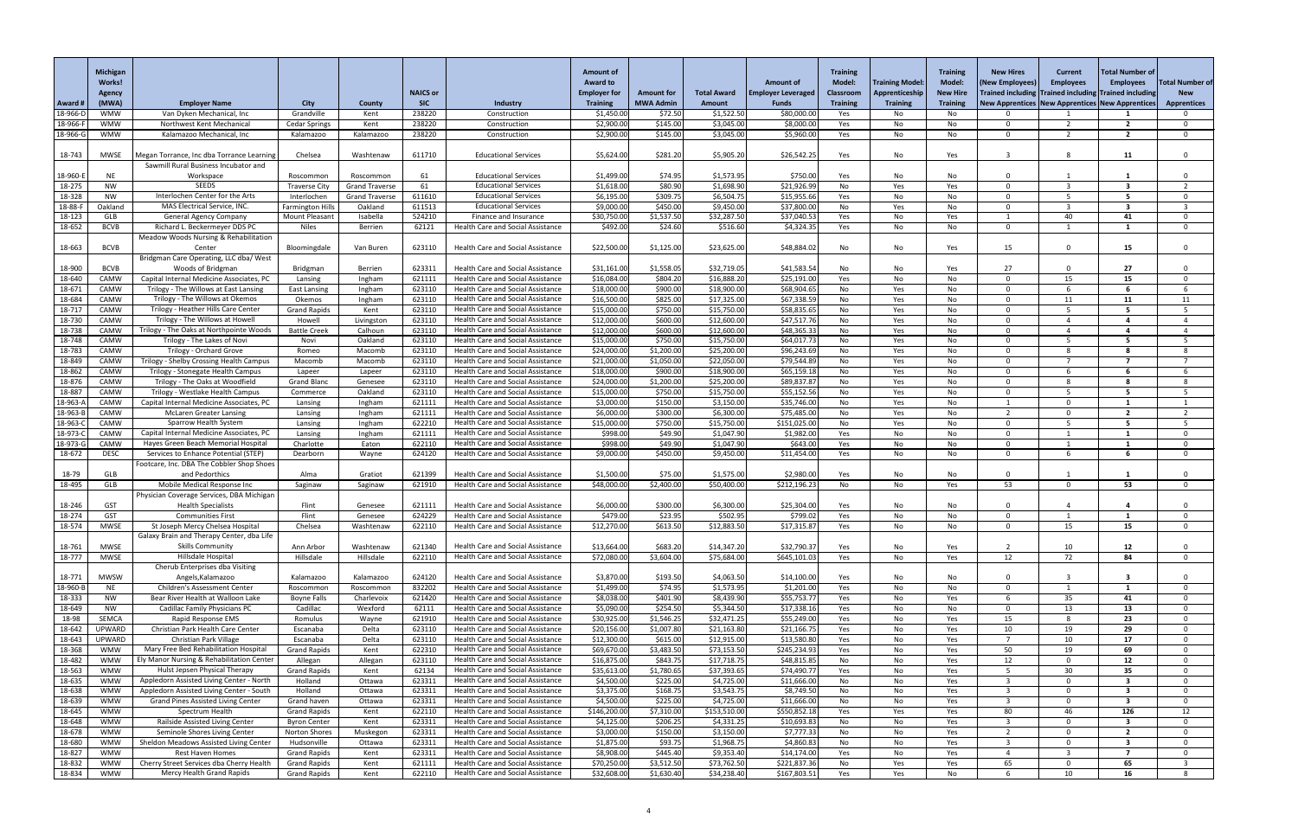|                            | <b>Michigan</b>          |                                                                                    |                                     |                       |                      |                                                                               | <b>Amount of</b>              |                             |                             |                             | <b>Training</b>        |                        | <b>Training</b>       | <b>New Hires</b>     | <b>Current</b>                                        | <b>Total Number of</b>                                       |                        |
|----------------------------|--------------------------|------------------------------------------------------------------------------------|-------------------------------------|-----------------------|----------------------|-------------------------------------------------------------------------------|-------------------------------|-----------------------------|-----------------------------|-----------------------------|------------------------|------------------------|-----------------------|----------------------|-------------------------------------------------------|--------------------------------------------------------------|------------------------|
|                            | Works!                   |                                                                                    |                                     |                       |                      |                                                                               | <b>Award to</b>               |                             |                             | <b>Amount of</b>            | Model:                 | <b>Training Model:</b> | <b>Model:</b>         | (New Employees)      | <b>Employees</b>                                      | <b>Employees</b>                                             | <b>Total Number of</b> |
|                            | <b>Agency</b>            |                                                                                    |                                     |                       | <b>NAICS or</b>      |                                                                               | <b>Employer for</b>           | <b>Amount for</b>           | <b>Total Award</b>          | <b>Employer Leveraged</b>   | <b>Classroom</b>       | Apprenticeship         | <b>New Hire</b>       |                      | Trained including Trained including Trained including |                                                              | <b>New</b>             |
| <b>Award #</b><br>18-966-D | (MWA)<br><b>WMW</b>      | <b>Employer Name</b><br>Van Dyken Mechanical, Inc                                  | <b>City</b><br>Grandville           | County<br>Kent        | <b>SIC</b><br>238220 | Industry<br>Construction                                                      | <b>Training</b><br>\$1,450.00 | <b>MWA Admin</b><br>\$72.50 | <b>Amount</b><br>\$1,522.50 | <b>Funds</b><br>\$80,000.00 | <b>Training</b><br>Yes | <b>Training</b><br>No  | <b>Training</b><br>No |                      |                                                       | <b>New Apprentices   New Apprentices   New Apprentices  </b> | <b>Apprentices</b>     |
| 18-966-                    | <b>WMW</b>               | Northwest Kent Mechanical                                                          | <b>Cedar Springs</b>                | Kent                  | 238220               | Construction                                                                  | \$2,900.00                    | \$145.00                    | \$3,045.00                  | \$8,000.00                  | Yes                    | No                     | No                    | ∩                    |                                                       |                                                              |                        |
| 18-966-0                   | <b>WMW</b>               | Kalamazoo Mechanical, Inc                                                          | Kalamazoo                           | Kalamazoo             | 238220               | Construction                                                                  | \$2,900.00                    | \$145.00                    | \$3,045.00                  | \$5,960.00                  | Yes                    | No                     | No                    | $\Omega$             | <u>າ</u>                                              | $\overline{2}$                                               |                        |
| 18-743                     | <b>MWSE</b>              | Megan Torrance, Inc dba Torrance Learning                                          | Chelsea                             | Washtenaw             | 611710               | <b>Educational Services</b>                                                   | \$5,624.00                    | \$281.20                    | \$5,905.20                  | \$26,542.25                 | Yes                    | No                     | Yes                   |                      | 8                                                     | 11                                                           |                        |
| 18-960-                    | <b>NE</b>                | Sawmill Rural Business Incubator and<br>Workspace                                  | Roscommon                           | Roscommon             | -61                  | <b>Educational Services</b>                                                   | \$1,499.00                    | \$74.95                     | \$1,573.95                  | \$750.00                    | Yes                    | No                     | No                    |                      |                                                       |                                                              |                        |
| 18-275                     | <b>NW</b>                | <b>SEEDS</b>                                                                       | <b>Traverse City</b>                | <b>Grand Traverse</b> | 61                   | <b>Educational Services</b>                                                   | \$1,618.00                    | \$80.90                     | \$1,698.90                  | \$21,926.99                 | No                     | Yes                    | Yes                   | $\Omega$             |                                                       | $\mathbf{R}$                                                 |                        |
| 18-328                     | <b>NW</b>                | Interlochen Center for the Arts                                                    | Interlochen                         | <b>Grand Traverse</b> | 611610               | <b>Educational Services</b>                                                   | \$6,195.00                    | \$309.75                    | \$6,504.75                  | \$15,955.66                 | Yes                    | No                     | No                    | $\Omega$             |                                                       | -5                                                           |                        |
| 18-88-l                    | Oakland                  | MAS Electrical Service, INC.                                                       | <b>Farmington Hills</b>             | Oakland               | 611513               | <b>Educational Services</b>                                                   | \$9,000.00                    | \$450.00                    | \$9,450.00                  | \$37,800.00                 | No                     | Yes                    | No                    | ∩                    |                                                       | 3                                                            |                        |
| 18-123                     | GLB                      | <b>General Agency Company</b>                                                      | Mount Pleasan                       | Isabella              | 524210               | Finance and Insurance                                                         | \$30,750.00                   | \$1,537.50                  | \$32,287.50                 | \$37,040.5                  | Yes                    | No                     | Yes                   |                      | 40                                                    | 41                                                           |                        |
| 18-652                     | <b>BCVB</b>              | Richard L. Beckermeyer DDS PC<br><b>Meadow Woods Nursing &amp; Rehabilitation</b>  | <b>Niles</b>                        | Berrien               | 62121                | <b>Health Care and Social Assistance</b>                                      | \$492.00                      | \$24.60                     | \$516.60                    | \$4,324.35                  | Yes                    | No                     | No                    | $\Omega$             |                                                       |                                                              |                        |
| 18-663                     | <b>BCVB</b>              | Center<br>Bridgman Care Operating, LLC dba/ West                                   | Bloomingdale                        | Van Buren             | 623110               | <b>Health Care and Social Assistance</b>                                      | \$22,500.00                   | \$1,125.00                  | \$23,625.00                 | \$48,884.02                 | No                     | No                     | Yes                   | 15                   | $\Omega$                                              | 15                                                           |                        |
| 18-900                     | <b>BCVB</b>              | Woods of Bridgman                                                                  | Bridgman                            | Berrien               | 623311               | <b>Health Care and Social Assistance</b>                                      | \$31,161.00                   | \$1,558.05                  | \$32,719.05                 | \$41,583.54                 | No                     | No                     | Yes                   | 27                   | $\Omega$                                              | 27                                                           |                        |
| 18-640                     | CAMW                     | Capital Internal Medicine Associates, PC                                           | Lansing                             | Ingham                | 621111               | <b>Health Care and Social Assistance</b>                                      | \$16,084.00                   | \$804.20                    | \$16,888.20                 | \$25,191.00                 | Yes                    | No                     | No                    | $\Omega$             | 15                                                    | 15                                                           |                        |
| 18-671                     | CAMW                     | Trilogy - The Willows at East Lansing                                              | <b>East Lansing</b>                 | Ingham                | 623110               | Health Care and Social Assistance                                             | \$18,000.00                   | \$900.00                    | \$18,900.00                 | \$68,904.65                 | No                     | Yes                    | No                    | $\Omega$             |                                                       |                                                              |                        |
| 18-684                     | CAMW                     | Trilogy - The Willows at Okemos                                                    | Okemos                              | Ingham                | 623110               | Health Care and Social Assistance                                             | \$16,500.00                   | \$825.00                    | \$17,325.00                 | \$67,338.59                 | No                     | Yes                    | No                    | $\Omega$             | 11                                                    | 11                                                           | 11                     |
| 18-717                     | CAMW                     | Trilogy - Heather Hills Care Center                                                | <b>Grand Rapids</b>                 | Kent                  | 623110               | Health Care and Social Assistance                                             | \$15,000.00                   | \$750.00                    | \$15,750.00                 | \$58,835.65                 | No                     | Yes                    | No                    | $\Omega$             |                                                       | -5                                                           |                        |
| 18-730                     | CAMW                     | Trilogy - The Willows at Howell                                                    | Howell                              | Livingston            | 623110               | Health Care and Social Assistance<br>Health Care and Social Assistance        | \$12,000.00                   | \$600.00<br>\$600.00        | \$12,600.00                 | \$47,517.76                 | No                     | Yes                    | No                    | $\Omega$<br>$\Omega$ |                                                       |                                                              |                        |
| 18-738<br>18-748           | CAMW<br>CAMW             | Trilogy - The Oaks at Northpointe Woods<br>Trilogy - The Lakes of Novi             | <b>Battle Creek</b><br>Novi         | Calhoun<br>Oakland    | 623110<br>623110     | <b>Health Care and Social Assistance</b>                                      | \$12,000.00<br>\$15,000.00    | \$750.00                    | \$12,600.00<br>\$15,750.00  | \$48,365.33<br>\$64,017.73  | No<br>No               | Yes<br>Yes             | No<br>No              | - 0                  |                                                       |                                                              |                        |
| 18-783                     | CAMW                     | <b>Trilogy - Orchard Grove</b>                                                     | Romeo                               | Macomb                | 623110               | Health Care and Social Assistance                                             | \$24,000.00                   | \$1,200.00                  | \$25,200.00                 | \$96,243.69                 | No                     | Yes                    | No                    | $\Omega$             |                                                       |                                                              |                        |
| 18-849                     | CAMW                     | Trilogy - Shelby Crossing Health Campus                                            | Macomb                              | Macomb                | 623110               | <b>Health Care and Social Assistance</b>                                      | \$21,000.00                   | \$1,050.00                  | \$22,050.00                 | \$79,544.89                 | No                     | Yes                    | No                    | $\Omega$             |                                                       |                                                              |                        |
| 18-862                     | CAMW                     | Trilogy - Stonegate Health Campus                                                  | Lapeer                              | Lapeer                | 623110               | <b>Health Care and Social Assistance</b>                                      | \$18,000.00                   | \$900.00                    | \$18,900.00                 | \$65,159.18                 | No                     | Yes                    | No                    | $\Omega$             |                                                       |                                                              |                        |
| 18-876                     | CAMW                     | Trilogy - The Oaks at Woodfield                                                    | <b>Grand Blanc</b>                  | Genesee               | 623110               | <b>Health Care and Social Assistance</b>                                      | \$24,000.00                   | \$1,200.00                  | \$25,200.00                 | \$89,837.8                  | No                     | Yes                    | No.                   |                      |                                                       |                                                              |                        |
| 18-887                     | CAMW                     | Trilogy - Westlake Health Campus                                                   | Commerce                            | Oakland               | 623110               | <b>Health Care and Social Assistance</b>                                      | \$15,000.00                   | \$750.00                    | \$15,750.00                 | \$55,152.56                 | No                     | Yes                    | No                    | $\Omega$             |                                                       |                                                              |                        |
| 18-963-4                   | CAMW                     | Capital Internal Medicine Associates, PC                                           | Lansing                             | Ingham                | 621111               | Health Care and Social Assistance                                             | \$3,000.00                    | \$150.00                    | \$3,150.00                  | \$35,746.00                 | No                     | Yes                    | No                    |                      | $\Omega$<br>$\Omega$                                  | $\mathbf{z}$                                                 |                        |
| 18-963-<br>18-963-0        | CAMW<br>CAMW             | <b>McLaren Greater Lansing</b><br>Sparrow Health System                            | Lansing<br>Lansing                  | Ingham<br>Ingham      | 621111<br>622210     | Health Care and Social Assistance<br><b>Health Care and Social Assistance</b> | \$6,000.00<br>\$15,000.00     | \$300.00<br>\$750.00        | \$6,300.00<br>\$15,750.00   | \$75,485.00<br>\$151,025.00 | No<br>No               | Yes<br>Yes             | No<br>No              | $\Omega$             |                                                       | -5                                                           |                        |
| 18-973-0                   | CAMW                     | Capital Internal Medicine Associates, PC                                           | Lansing                             | Ingham                | 621111               | Health Care and Social Assistance                                             | \$998.00                      | \$49.90                     | \$1,047.90                  | \$1,982.00                  | Yes                    | No                     | No                    | $\Omega$             |                                                       |                                                              |                        |
| 18-973-0                   | CAMW                     | Hayes Green Beach Memorial Hospital                                                | Charlotte                           | Eaton                 | 622110               | Health Care and Social Assistance                                             | \$998.00                      | \$49.90                     | \$1,047.90                  | \$643.00                    | Yes                    | No                     | No                    | $\Omega$             |                                                       |                                                              |                        |
| 18-672                     | <b>DESC</b>              | Services to Enhance Potential (STEP)                                               | Dearborn                            | Wayne                 | 624120               | Health Care and Social Assistance                                             | \$9,000.00                    | \$450.00                    | \$9,450.00                  | \$11,454.00                 | Yes                    | No                     | No                    | $\Omega$             | 6                                                     | 6                                                            |                        |
|                            |                          | Footcare, Inc. DBA The Cobbler Shop Shoes                                          |                                     |                       |                      |                                                                               |                               |                             |                             |                             |                        |                        |                       |                      |                                                       |                                                              |                        |
| 18-79                      | GLB                      | and Pedorthics                                                                     | Alma                                | Gratiot               | 621399               | <b>Health Care and Social Assistance</b>                                      | \$1,500.00                    | \$75.00                     | \$1,575.00                  | \$2,980.00                  | Yes                    | No                     | No                    |                      |                                                       |                                                              |                        |
| 18-495                     | GLB                      | Mobile Medical Response Inc                                                        | Saginaw                             | Saginaw               | 621910               | Health Care and Social Assistance                                             | \$48,000.00                   | \$2,400.00                  | \$50,400.00                 | \$212,196.23                | No                     | No                     | Yes                   | 53                   | $\Omega$                                              | 53                                                           |                        |
| 18-246                     | <b>GST</b>               | Physician Coverage Services, DBA Michigan<br><b>Health Specialists</b>             | Flint                               | Genesee               | 621111               | Health Care and Social Assistance                                             | \$6,000.00                    | \$300.00                    | \$6,300.00                  | \$25,304.00                 | Yes                    | No                     | No                    | $\Omega$             |                                                       |                                                              |                        |
| 18-274                     | <b>GST</b>               | <b>Communities First</b>                                                           | Flint                               | Genesee               | 624229               | <b>Health Care and Social Assistance</b>                                      | \$479.00                      | \$23.95                     | \$502.95                    | \$799.02                    | Yes                    | No                     | No                    | $\Omega$             |                                                       |                                                              |                        |
| 18-574                     | <b>MWSE</b>              | St Joseph Mercy Chelsea Hospital                                                   | Chelsea                             | Washtenaw             | 622110               | Health Care and Social Assistance                                             | \$12,270.00                   | \$613.50                    | \$12,883.50                 | \$17,315.8                  | Yes                    | No                     | No                    | $\Omega$             | 15                                                    | 15                                                           |                        |
|                            |                          | Galaxy Brain and Therapy Center, dba Life                                          |                                     |                       |                      |                                                                               |                               |                             |                             |                             |                        |                        |                       |                      |                                                       |                                                              |                        |
| 18-761                     | MWSE                     | <b>Skills Community</b>                                                            | Ann Arbor                           | Washtenaw             | 621340               | <b>Health Care and Social Assistance</b>                                      | \$13,664.00                   | \$683.20                    | \$14,347.20                 | \$32,790.37                 | Yes                    | No                     | Yes                   |                      | 10                                                    | 12                                                           |                        |
| 18-777                     | <b>MWSE</b>              | Hillsdale Hospital                                                                 | Hillsdale                           | Hillsdale             | 622110               | Health Care and Social Assistance                                             | \$72,080.00                   | \$3,604.00                  | \$75,684.00                 | \$645,101.03                | Yes                    | No                     | Yes                   | 12                   | 72                                                    | 84                                                           |                        |
| 18-771                     | <b>MWSW</b>              | Cherub Enterprises dba Visiting<br>Angels, Kalamazoo                               | Kalamazoo                           | Kalamazoo             | 624120               | Health Care and Social Assistance                                             | \$3,870.00                    | \$193.50                    | \$4,063.50                  | \$14,100.00                 | Yes                    | No                     |                       |                      |                                                       |                                                              |                        |
| 18-960-l                   | <b>NE</b>                | Children's Assessment Center                                                       | Roscommon                           | Roscommon             | 832202               | Health Care and Social Assistance                                             | \$1,499.00                    | \$74.95                     | \$1,573.95                  | \$1,201.00                  | Yes                    | No                     | No<br>No              | $\Omega$             |                                                       |                                                              |                        |
| 18-333                     | <b>NW</b>                | Bear River Health at Walloon Lake                                                  | <b>Boyne Falls</b>                  | Charlevoix            | 621420               | Health Care and Social Assistance                                             | \$8,038.00                    | \$401.90                    | \$8,439.90                  | \$55,753.77                 | Yes                    | No                     | Yes                   |                      | 35 <sub>2</sub>                                       | 41                                                           |                        |
| 18-649                     | NW                       | <b>Cadillac Family Physicians PC</b>                                               | Cadillac                            | Wexford               | 62111                | Health Care and Social Assistance                                             | \$5,090.00                    | \$254.50                    | \$5,344.50                  | \$17,338.16                 | Yes                    | No                     | No                    | $\Omega$             | 13                                                    | 13                                                           |                        |
| 18-98                      | <b>SEMCA</b>             | Rapid Response EMS                                                                 | Romulus                             | Wayne                 | 621910               | Health Care and Social Assistance                                             | \$30,925.00                   | \$1,546.25                  | \$32,471.25                 | \$55,249.00                 | Yes                    | No                     | Yes                   | 15                   | -8                                                    | 23                                                           |                        |
| 18-642                     | <b>UPWARD</b>            | Christian Park Health Care Center                                                  | Escanaba                            | Delta                 | 623110               | Health Care and Social Assistance                                             | \$20,156.00                   | \$1,007.80                  | \$21,163.80                 | \$21,166.75                 | Yes                    | No                     | Yes                   | 10                   | 19                                                    | 29                                                           |                        |
| 18-643                     | <b>UPWARD</b>            | Christian Park Village                                                             | Escanaba                            | Delta                 | 623110               | Health Care and Social Assistance                                             | \$12,300.00                   | \$615.00                    | \$12,915.00                 | \$13,580.80                 | Yes                    | No                     | Yes                   |                      | 10                                                    | 17                                                           |                        |
| 18-368<br>18-482           | <b>WMW</b><br><b>WMW</b> | Mary Free Bed Rehabilitation Hospital<br>Ely Manor Nursing & Rehabilitation Center | <b>Grand Rapids</b><br>Allegan      | Kent<br>Allegan       | 622310<br>623110     | Health Care and Social Assistance<br>Health Care and Social Assistance        | \$69,670.00<br>\$16,875.00    | \$3,483.50<br>\$843.75      | \$73,153.50<br>\$17,718.75  | \$245,234.93<br>\$48,815.85 | Yes<br>No              | No<br>No               | Yes<br>Yes            | 50<br>12             | 19<br>$\Omega$                                        | 69<br>12                                                     |                        |
| 18-563                     | <b>WMW</b>               | Hulst Jepsen Physical Therapy                                                      | <b>Grand Rapids</b>                 | Kent                  | 62134                | Health Care and Social Assistance                                             | \$35,613.00                   | \$1,780.65                  | \$37,393.65                 | \$74,490.77                 | Yes                    | No                     | Yes                   |                      | 30                                                    | 35                                                           |                        |
| 18-635                     | <b>WMW</b>               | Appledorn Assisted Living Center - North                                           | Holland                             | Ottawa                | 623311               | Health Care and Social Assistance                                             | \$4,500.00                    | \$225.00                    | \$4,725.00                  | \$11,666.00                 | No                     | No                     | Yes                   |                      | $\Omega$                                              | 3                                                            |                        |
| 18-638                     | <b>WMW</b>               | Appledorn Assisted Living Center - South                                           | Holland                             | Ottawa                | 623311               | Health Care and Social Assistance                                             | \$3,375.00                    | \$168.75                    | \$3,543.75                  | \$8,749.50                  | No                     | No                     | Yes                   |                      | $\Omega$                                              |                                                              |                        |
| 18-639                     | <b>WMW</b>               | <b>Grand Pines Assisted Living Center</b>                                          | Grand haven                         | Ottawa                | 623311               | Health Care and Social Assistance                                             | \$4,500.00                    | \$225.00                    | \$4,725.00                  | \$11,666.00                 | No                     | No                     | Yes                   | ັ                    | $\mathbf{0}$                                          |                                                              |                        |
| 18-645                     | <b>WMW</b>               | Spectrum Health                                                                    | <b>Grand Rapids</b>                 | Kent                  | 622110               | Health Care and Social Assistance                                             | \$146,200.00                  | \$7,310.00                  | \$153,510.00                | \$550,852.18                | Yes                    | Yes                    | Yes                   | 80                   | 46                                                    | 126                                                          | 12                     |
| 18-648                     | <b>WMW</b>               | Railside Assisted Living Center                                                    | <b>Byron Center</b>                 | Kent                  | 623311               | Health Care and Social Assistance                                             | \$4,125.00                    | \$206.25                    | \$4,331.25                  | \$10,693.83                 | No                     | No                     | Yes                   |                      | $\Omega$                                              | 3                                                            |                        |
| 18-678<br>18-680           | <b>WMW</b><br><b>WMW</b> | Seminole Shores Living Center<br>Sheldon Meadows Assisted Living Center            | <b>Norton Shores</b><br>Hudsonville | Muskegon<br>Ottawa    | 623311<br>623311     | Health Care and Social Assistance<br><b>Health Care and Social Assistance</b> | \$3,000.00<br>\$1,875.00      | \$150.00<br>\$93.75         | \$3,150.00<br>\$1,968.75    | \$7,777.33<br>\$4,860.83    | No<br>No               | No<br>No               | Yes<br>Yes            | - 3                  | $\Omega$<br>$\Omega$                                  | -2<br>-3                                                     |                        |
| 18-827                     | <b>WMW</b>               | <b>Rest Haven Homes</b>                                                            | <b>Grand Rapids</b>                 | Kent                  | 623311               | Health Care and Social Assistance                                             | \$8,908.00                    | \$445.40                    | \$9,353.40                  | \$14,174.00                 | Yes                    | No                     | Yes                   |                      |                                                       |                                                              |                        |
| 18-832                     | <b>WMW</b>               | Cherry Street Services dba Cherry Health                                           | <b>Grand Rapids</b>                 | Kent                  | 621111               | <b>Health Care and Social Assistance</b>                                      | \$70,250.00                   | \$3,512.50                  | \$73,762.50                 | \$221,837.36                | No                     | Yes                    | Yes                   | 65                   | $\Omega$                                              | 65                                                           |                        |
| 18-834                     | WMW                      | Mercy Health Grand Rapids                                                          | <b>Grand Rapids</b>                 | Kent                  | 622110               | Health Care and Social Assistance                                             | \$32,608.00                   | \$1,630.40                  | \$34,238.40                 | \$167,803.51                | Yes                    | Yes                    | No                    | 6                    | 10                                                    | 16                                                           |                        |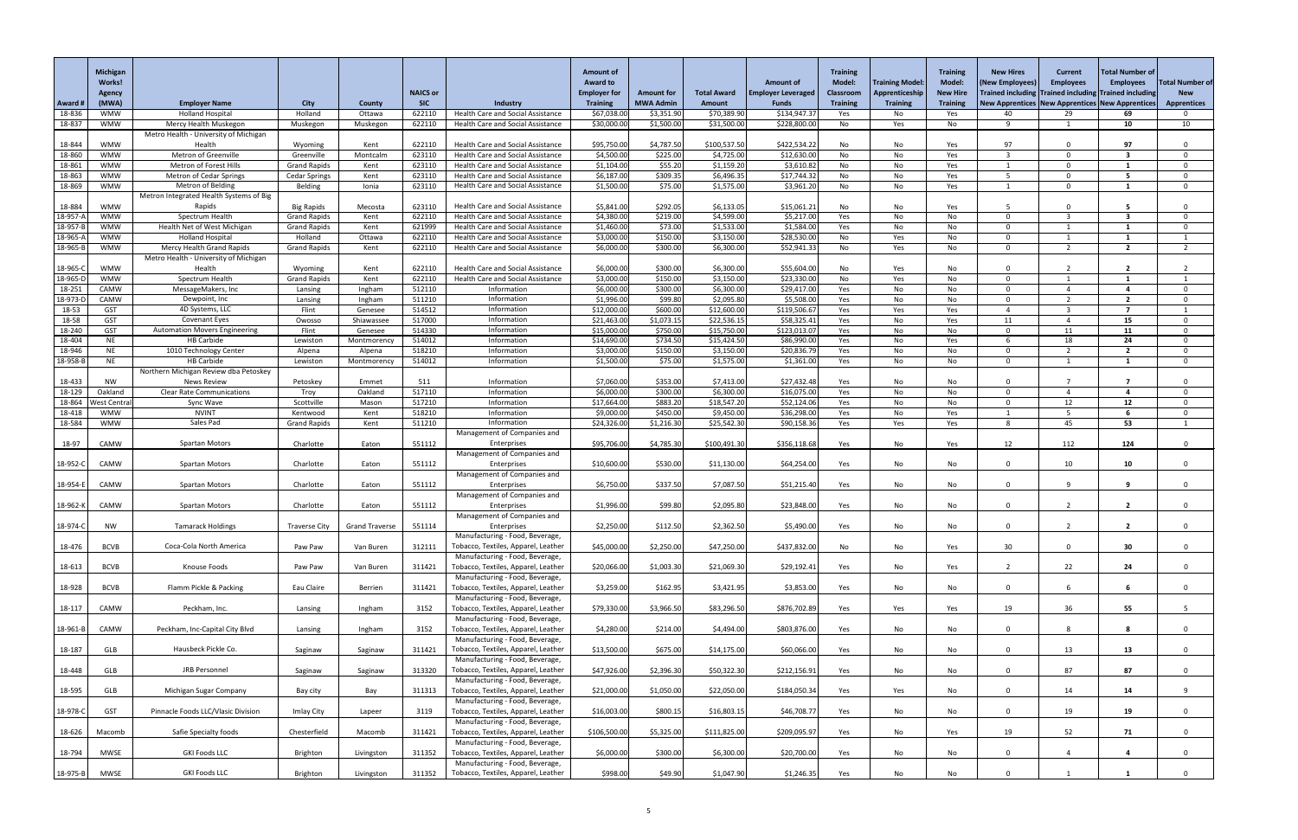|                  | <b>Michigan</b><br><b>Works!</b> |                                                        |                                             |                         |                      |                                                                        | <b>Amount of</b><br><b>Award to</b> |                                |                            | <b>Amount of</b>             | <b>Training</b><br><b>Model:</b> | <b>Training Model:</b> | <b>Training</b><br><b>Model:</b> | <b>New Hires</b><br>(New Employees) | <b>Current</b><br><b>Employees</b>         | Total Number of<br><b>Employees</b>                                | otal Number of     |
|------------------|----------------------------------|--------------------------------------------------------|---------------------------------------------|-------------------------|----------------------|------------------------------------------------------------------------|-------------------------------------|--------------------------------|----------------------------|------------------------------|----------------------------------|------------------------|----------------------------------|-------------------------------------|--------------------------------------------|--------------------------------------------------------------------|--------------------|
|                  | <b>Agency</b>                    |                                                        |                                             |                         | <b>NAICS or</b>      |                                                                        | <b>Employer for</b>                 | <b>Amount for</b>              | <b>Total Award</b>         | <b>Employer Leveraged</b>    | <b>Classroom</b>                 | Apprenticeship         | <b>New Hire</b>                  |                                     | <b>Trained including Trained including</b> | <b>Trained including</b>                                           | <b>New</b>         |
| Award<br>18-836  | (MWA)<br><b>WMW</b>              | <b>Employer Name</b><br><b>Holland Hospital</b>        | <b>City</b><br>Holland                      | <b>County</b><br>Ottawa | <b>SIC</b><br>622110 | Industry<br>Health Care and Social Assistance                          | <b>Training</b><br>\$67,038.00      | <b>MWA Admin</b><br>\$3,351.90 | Amount<br>\$70,389.90      | <b>Funds</b><br>\$134,947.37 | <b>Training</b><br>Yes           | <b>Training</b><br>No. | <b>Training</b><br>Yes           | 40                                  | 29                                         | <b>New Apprentices   New Apprentices   New Apprentices  </b><br>69 | <b>Apprentices</b> |
| 18-837           | <b>WMW</b>                       | Mercy Health Muskegon                                  | Muskegon                                    | Muskegon                | 622110               | Health Care and Social Assistance                                      | \$30,000.00                         | \$1,500.00                     | \$31,500.00                | \$228,800.00                 | No                               | Yes                    | No                               | $\mathsf{q}$                        |                                            | 10                                                                 | 10                 |
|                  |                                  | Metro Health - University of Michigan                  |                                             |                         |                      |                                                                        |                                     |                                |                            |                              |                                  |                        |                                  |                                     |                                            |                                                                    |                    |
| 18-844           | <b>WMW</b>                       | Health                                                 | Wyoming                                     | Kent                    | 622110               | <b>Health Care and Social Assistance</b>                               | \$95,750.00                         | \$4,787.50                     | \$100,537.50               | \$422,534.22                 | No                               | No                     | Yes                              | 97                                  | <sup>n</sup>                               | 97                                                                 |                    |
| 18-860           | <b>WMW</b>                       | Metron of Greenville<br>Metron of Forest Hills         | Greenville                                  | Montcalm                | 623110               | Health Care and Social Assistance                                      | \$4,500.00                          | \$225.00                       | \$4,725.00                 | \$12,630.00                  | No                               | No                     | Yes                              |                                     | $\Omega$<br>$\Omega$                       | -3                                                                 |                    |
| 18-861<br>18-863 | <b>WMW</b><br><b>WMW</b>         | <b>Metron of Cedar Springs</b>                         | <b>Grand Rapids</b><br><b>Cedar Springs</b> | Kent<br>Kent            | 623110<br>623110     | Health Care and Social Assistance<br>Health Care and Social Assistance | \$1,104.00<br>\$6,187.00            | \$55.20<br>\$309.35            | \$1,159.20<br>\$6,496.35   | \$3,610.82<br>\$17,744.32    | No<br>No                         | No<br>No               | Yes<br>Yes                       |                                     | $\Omega$                                   |                                                                    |                    |
| 18-869           | <b>WMW</b>                       | <b>Metron of Belding</b>                               | Belding                                     | Ionia                   | 623110               | <b>Health Care and Social Assistance</b>                               | \$1,500.00                          | \$75.00                        | \$1,575.00                 | \$3,961.20                   | No                               | No                     | Yes                              |                                     | . റ                                        |                                                                    |                    |
| 18-884           | <b>WMW</b>                       | Metron Integrated Health Systems of Big<br>Rapids      | <b>Big Rapids</b>                           | Mecosta                 | 623110               | Health Care and Social Assistance                                      | \$5,841.00                          | \$292.05                       | \$6,133.05                 | \$15,061.2                   | No                               | No                     | Yes                              |                                     |                                            |                                                                    |                    |
| 18-957-          | <b>WMW</b>                       | Spectrum Health                                        | <b>Grand Rapids</b>                         | Kent                    | 622110               | <b>Health Care and Social Assistance</b>                               | \$4,380.00                          | \$219.00                       | \$4,599.00                 | \$5,217.00                   | Yes                              | No                     | No                               | $\Omega$                            | ີ                                          | -3                                                                 |                    |
| 18-957-          | <b>WMW</b>                       | Health Net of West Michigan                            | <b>Grand Rapids</b>                         | Kent                    | 621999               | Health Care and Social Assistance                                      | \$1,460.00                          | \$73.00                        | \$1,533.00                 | \$1,584.00                   | Yes                              | No                     | No                               | $\Omega$                            |                                            |                                                                    |                    |
| 18-965-/         | <b>WMW</b>                       | <b>Holland Hospital</b>                                | Holland                                     | Ottawa                  | 622110               | Health Care and Social Assistance                                      | \$3,000.00                          | \$150.00                       | \$3,150.00                 | \$28,530.00                  | No                               | Yes                    | No                               | $\Omega$                            |                                            |                                                                    |                    |
| 18-965-B         | <b>WMW</b>                       | <b>Mercy Health Grand Rapids</b>                       | <b>Grand Rapids</b>                         | Kent                    | 622110               | <b>Health Care and Social Assistance</b>                               | \$6,000.00                          | \$300.00                       | \$6,300.00                 | \$52,941.33                  | No                               | Yes                    | No                               | $\Omega$                            | $\overline{\phantom{a}}$                   | $\overline{2}$                                                     | 2                  |
| 18-965-0         | <b>WMW</b>                       | Metro Health - University of Michigan<br>Health        | Wyoming                                     | Kent                    | 622110               | <b>Health Care and Social Assistance</b>                               | \$6,000.00                          | \$300.00                       | \$6,300.00                 | \$55,604.00                  | No                               | Yes                    | No                               | $\Omega$                            |                                            | -2                                                                 |                    |
| 18-965-D         | <b>WMW</b>                       | Spectrum Health                                        | <b>Grand Rapids</b>                         | Kent                    | 622110               | <b>Health Care and Social Assistance</b>                               | \$3,000.00                          | \$150.00                       | \$3,150.00                 | \$23,330.00                  | No                               | Yes                    | No                               | $\Omega$                            |                                            |                                                                    |                    |
| 18-251           | CAMW                             | MessageMakers, Inc                                     | Lansing                                     | Ingham                  | 512110               | Information                                                            | \$6,000.00                          | \$300.00                       | \$6,300.00                 | \$29,417.00                  | Yes                              | No                     | No                               | $\Omega$                            |                                            |                                                                    |                    |
| 18-973-D         | CAMW                             | Dewpoint, Inc                                          | Lansing                                     | Ingham                  | 511210               | Information                                                            | \$1,996.00                          | \$99.80                        | \$2,095.80                 | \$5,508.00                   | Yes                              | No                     | No                               | $\Omega$                            |                                            | $\overline{\mathbf{2}}$                                            |                    |
| 18-53            | <b>GST</b>                       | 4D Systems, LLC                                        | Flint                                       | Genesee                 | 514512               | Information                                                            | \$12,000.00                         | \$600.00                       | \$12,600.00                | \$119,506.67                 | Yes                              | Yes                    | Yes                              |                                     |                                            | $\overline{7}$                                                     |                    |
| 18-58<br>18-240  | <b>GST</b><br><b>GST</b>         | Covenant Eyes<br><b>Automation Movers Engineering</b>  | Owosso<br>Flint                             | Shiawassee<br>Genesee   | 517000<br>514330     | Information<br>Information                                             | \$21,463.00<br>\$15,000.00          | \$1,073.15<br>\$750.00         | \$22,536.15<br>\$15,750.00 | \$58,325.4<br>\$123,013.0    | Yes<br>Yes                       | No<br>No               | Yes<br>No                        | 11<br>$\Omega$                      | 11                                         | 15<br>11                                                           |                    |
| 18-404           | <b>NE</b>                        | <b>HB Carbide</b>                                      | Lewiston                                    | Montmorency             | 514012               | Information                                                            | \$14,690.00                         | \$734.50                       | \$15,424.50                | \$86,990.00                  | Yes                              | No                     | Yes                              | -6                                  | 18                                         | 24                                                                 |                    |
| 18-946           | <b>NE</b>                        | 1010 Technology Center                                 | Alpena                                      | Alpena                  | 518210               | Information                                                            | \$3,000.00                          | \$150.00                       | \$3,150.00                 | \$20,836.79                  | Yes                              | No                     | No                               | $\Omega$                            |                                            | $\overline{2}$                                                     |                    |
| 18-958-B         | <b>NE</b>                        | <b>HB Carbide</b>                                      | Lewiston                                    | Montmorency             | 514012               | Information                                                            | \$1,500.00                          | \$75.00                        | \$1,575.00                 | \$1,361.00                   | Yes                              | No                     | No                               | $\Omega$                            |                                            |                                                                    |                    |
|                  |                                  | Northern Michigan Review dba Petoskey                  |                                             |                         |                      |                                                                        |                                     |                                |                            |                              |                                  |                        |                                  |                                     |                                            |                                                                    |                    |
| 18-433<br>18-129 | NW<br>Oakland                    | <b>News Review</b><br><b>Clear Rate Communications</b> | Petoskey<br>Troy                            | Emmet<br>Oakland        | 511<br>517110        | Information<br>Information                                             | \$7,060.00<br>\$6,000.00            | \$353.00<br>\$300.00           | \$7,413.00<br>\$6,300.00   | \$27,432.48<br>\$16,075.00   | Yes<br>Yes                       | No.<br>No              | No<br>No                         | $\Omega$                            |                                            |                                                                    |                    |
| 18-864           | <b>Nest Central</b>              | Sync Wave                                              | Scottville                                  | Mason                   | 517210               | Information                                                            | \$17,664.00                         | \$883.20                       | \$18,547.20                | \$52,124.06                  | Yes                              | No                     | No                               | $\Omega$                            | 12                                         | 12                                                                 |                    |
| 18-418           | <b>WMW</b>                       | <b>NVINT</b>                                           | Kentwood                                    | Kent                    | 518210               | Information                                                            | \$9,000.00                          | \$450.00                       | \$9,450.00                 | \$36,298.00                  | Yes                              | No                     | Yes                              |                                     | -5                                         |                                                                    |                    |
| 18-584           | <b>WMW</b>                       | Sales Pad                                              | <b>Grand Rapids</b>                         | Kent                    | 511210               | Information                                                            | \$24,326.00                         | \$1,216.30                     | \$25,542.30                | \$90,158.36                  | Yes                              | Yes                    | Yes                              | 8                                   | 45                                         | 53                                                                 |                    |
|                  | CAMW                             | <b>Spartan Motors</b>                                  | Charlotte                                   | Eaton                   | 551112               | Management of Companies and<br>Enterprises                             | \$95,706.00                         | \$4,785.30                     | \$100,491.30               | \$356,118.68                 |                                  | No                     |                                  | 12                                  | 112                                        | 124                                                                |                    |
| 18-97            |                                  |                                                        |                                             |                         |                      | Management of Companies and                                            |                                     |                                |                            |                              | Yes                              |                        | Yes                              |                                     |                                            |                                                                    |                    |
| 18-952-0         | CAMW                             | <b>Spartan Motors</b>                                  | Charlotte                                   | Eaton                   | 551112               | Enterprises                                                            | \$10,600.00                         | \$530.00                       | \$11,130.00                | \$64,254.00                  | Yes                              | No                     | No                               | $\Omega$                            | 10                                         | 10                                                                 |                    |
|                  |                                  |                                                        |                                             |                         |                      | Management of Companies and                                            |                                     |                                |                            |                              |                                  |                        |                                  |                                     |                                            |                                                                    |                    |
| 18-954-E         | CAMW                             | <b>Spartan Motors</b>                                  | Charlotte                                   | Eaton                   | 551112               | Enterprises                                                            | \$6,750.00                          | \$337.50                       | \$7,087.50                 | \$51,215.40                  | Yes                              | No                     | No                               | $\Omega$                            | q                                          | q                                                                  |                    |
| 18-962-K         | CAMW                             | <b>Spartan Motors</b>                                  | Charlotte                                   | Eaton                   | 551112               | Management of Companies and<br>Enterprises                             | \$1,996.00                          | \$99.80                        | \$2,095.80                 | \$23,848.00                  | Yes                              | No                     | No                               | $\Omega$                            |                                            | $\overline{\mathbf{2}}$                                            |                    |
|                  |                                  |                                                        |                                             |                         |                      | Management of Companies and                                            |                                     |                                |                            |                              |                                  |                        |                                  |                                     |                                            |                                                                    |                    |
| 18-974-C         | <b>NW</b>                        | <b>Tamarack Holdings</b>                               | <b>Traverse City</b>                        | <b>Grand Traverse</b>   | 551114               | Enterprises                                                            | \$2,250.00                          | \$112.50                       | \$2,362.50                 | \$5,490.00                   | Yes                              | No                     | No                               | $\Omega$                            |                                            | $\overline{2}$                                                     |                    |
|                  |                                  |                                                        |                                             |                         |                      | Manufacturing - Food, Beverage,                                        |                                     |                                |                            |                              |                                  |                        |                                  |                                     |                                            |                                                                    |                    |
| 18-476           | <b>BCVB</b>                      | Coca-Cola North America                                | Paw Paw                                     | Van Buren               | 312111               | Tobacco, Textiles, Apparel, Leather                                    | \$45,000.00                         | \$2,250.00                     | \$47,250.00                | \$437,832.00                 | No                               | No                     | Yes                              | 30                                  | $\Omega$                                   | 30                                                                 |                    |
| 18-613           | <b>BCVB</b>                      | Knouse Foods                                           | Paw Paw                                     | Van Buren               | 311421               | Manufacturing - Food, Beverage,<br>Tobacco, Textiles, Apparel, Leather | \$20,066.00                         | \$1,003.30                     | \$21,069.30                | \$29,192.4                   | Yes                              | No                     | Yes                              |                                     | 22                                         | 24                                                                 |                    |
|                  |                                  |                                                        |                                             |                         |                      | Manufacturing - Food, Beverage,                                        |                                     |                                |                            |                              |                                  |                        |                                  |                                     |                                            |                                                                    |                    |
| 18-928           | <b>BCVB</b>                      | Flamm Pickle & Packing                                 | Eau Claire                                  | Berrien                 | 311421               | Tobacco, Textiles, Apparel, Leather                                    | \$3,259.00                          | \$162.95                       | \$3,421.95                 | \$3,853.00                   | Yes                              | No                     | No                               | $\Omega$                            | 6                                          | -6                                                                 |                    |
|                  |                                  |                                                        |                                             |                         |                      | Manufacturing - Food, Beverage,                                        |                                     |                                |                            |                              |                                  |                        |                                  |                                     |                                            |                                                                    |                    |
| 18-117           | CAMW                             | Peckham, Inc.                                          | Lansing                                     | Ingham                  | 3152                 | Tobacco, Textiles, Apparel, Leather<br>Manufacturing - Food, Beverage, | \$79,330.00                         | \$3,966.50                     | \$83,296.50                | \$876,702.89                 | Yes                              | Yes                    | Yes                              | 19                                  | 36                                         | 55                                                                 |                    |
| 18-961-B         | CAMW                             | Peckham, Inc-Capital City Blvd                         | Lansing                                     | Ingham                  | 3152                 | Tobacco, Textiles, Apparel, Leather                                    | \$4,280.00                          | \$214.00                       | \$4,494.00                 | \$803,876.00                 | Yes                              | No                     | No                               | $\Omega$                            | 8                                          |                                                                    |                    |
|                  |                                  |                                                        |                                             |                         |                      | Manufacturing - Food, Beverage,                                        |                                     |                                |                            |                              |                                  |                        |                                  |                                     |                                            |                                                                    |                    |
| 18-187           | GLB                              | Hausbeck Pickle Co.                                    | Saginaw                                     | Saginaw                 | 311421               | Tobacco, Textiles, Apparel, Leather                                    | \$13,500.00                         | \$675.00                       | \$14,175.00                | \$60,066.00                  | Yes                              | No                     | No                               | $\Omega$                            | 13                                         | 13                                                                 |                    |
|                  |                                  |                                                        |                                             |                         |                      | Manufacturing - Food, Beverage,                                        |                                     |                                |                            |                              |                                  |                        |                                  |                                     |                                            |                                                                    |                    |
| 18-448           | <b>GLB</b>                       | JRB Personnel                                          | Saginaw                                     | Saginaw                 | 313320               | Tobacco, Textiles, Apparel, Leather<br>Manufacturing - Food, Beverage, | \$47,926.00                         | \$2,396.30                     | \$50,322.30                | \$212,156.9                  | Yes                              | No                     | No                               | $\Omega$                            | 87                                         | 87                                                                 |                    |
| 18-595           | GLB                              | Michigan Sugar Company                                 | Bay city                                    | Bay                     | 311313               | Tobacco, Textiles, Apparel, Leather                                    | \$21,000.00                         | \$1,050.00                     | \$22,050.00                | \$184,050.34                 | Yes                              | Yes                    | No                               | $\Omega$                            | 14                                         | 14                                                                 |                    |
|                  |                                  |                                                        |                                             |                         |                      | Manufacturing - Food, Beverage,                                        |                                     |                                |                            |                              |                                  |                        |                                  |                                     |                                            |                                                                    |                    |
| 18-978-0         | <b>GST</b>                       | Pinnacle Foods LLC/Vlasic Division                     | Imlay City                                  | Lapeer                  | 3119                 | Tobacco, Textiles, Apparel, Leather                                    | \$16,003.00                         | \$800.15                       | \$16,803.15                | \$46,708.77                  | Yes                              | No                     | No                               | $\Omega$                            | 19                                         | 19                                                                 |                    |
|                  |                                  |                                                        |                                             |                         |                      | Manufacturing - Food, Beverage,                                        |                                     |                                |                            |                              |                                  |                        |                                  |                                     |                                            |                                                                    |                    |
| 18-626           | Macomb                           | Safie Specialty foods                                  | Chesterfield                                | Macomb                  | 311421               | Tobacco, Textiles, Apparel, Leather<br>Manufacturing - Food, Beverage, | \$106,500.00                        | \$5,325.00                     | \$111,825.00               | \$209,095.97                 | Yes                              | No                     | Yes                              | 19                                  | 52                                         | 71                                                                 |                    |
| 18-794           | <b>MWSE</b>                      | <b>GKI Foods LLC</b>                                   | Brighton                                    | Livingston              | 311352               | Tobacco, Textiles, Apparel, Leather                                    | \$6,000.00                          | \$300.00                       | \$6,300.00                 | \$20,700.00                  | Yes                              | No                     | No                               | $\Omega$                            |                                            |                                                                    |                    |
|                  |                                  |                                                        |                                             |                         |                      | Manufacturing - Food, Beverage,                                        |                                     |                                |                            |                              |                                  |                        |                                  |                                     |                                            |                                                                    |                    |
| 18-975-B MWSE    |                                  | <b>GKI Foods LLC</b>                                   | Brighton                                    | Livingston              | 311352               | Tobacco, Textiles, Apparel, Leather                                    | \$998.00                            | \$49.90                        | \$1,047.90                 | \$1,246.35                   | Yes                              | No                     | No                               | 0                                   |                                            |                                                                    |                    |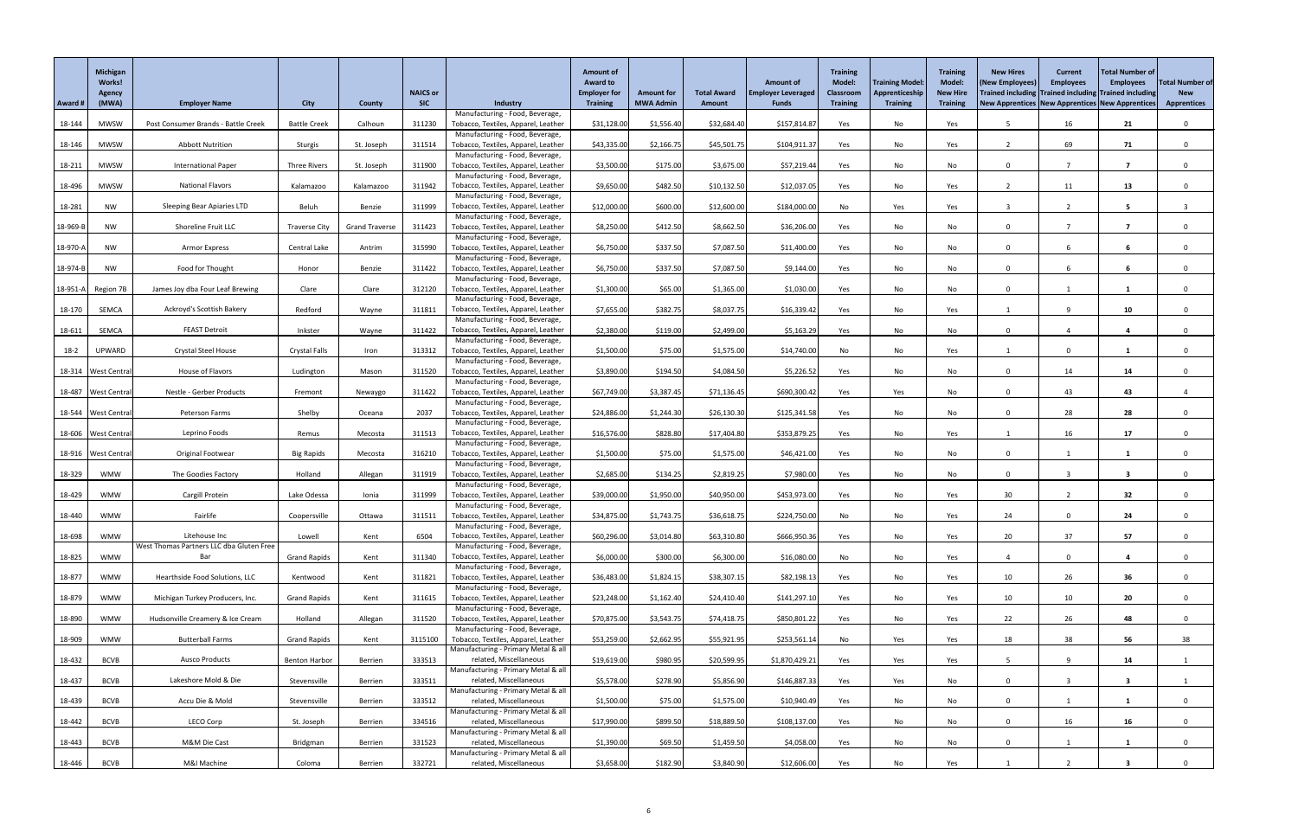|          | <b>Michigan</b><br><b>Works!</b><br><b>Agency</b> |                                                           |                      |                       | <b>NAICS or</b> |                                                                        | <b>Amount of</b><br><b>Award to</b><br><b>Employer for</b> | <b>Amount for</b> | <b>Total Award</b> | <b>Amount of</b><br><b>Employer Leveraged</b> | <b>Training</b><br><b>Model:</b><br>Classroom | <b>Training Model:</b><br>Apprenticeship | <b>Training</b><br><b>Model:</b><br><b>New Hire</b> | <b>New Hires</b><br><b>(New Employees</b>           | <b>Current</b><br><b>Employees</b><br>Trained including Trained including Trained including | Total Number of<br><b>Employees</b> | <b>Total Number of</b><br><b>New</b> |
|----------|---------------------------------------------------|-----------------------------------------------------------|----------------------|-----------------------|-----------------|------------------------------------------------------------------------|------------------------------------------------------------|-------------------|--------------------|-----------------------------------------------|-----------------------------------------------|------------------------------------------|-----------------------------------------------------|-----------------------------------------------------|---------------------------------------------------------------------------------------------|-------------------------------------|--------------------------------------|
| Award #  | (MWA)                                             | <b>Employer Name</b>                                      | <b>City</b>          | <b>County</b>         | <b>SIC</b>      | <b>Industry</b>                                                        | <b>Training</b>                                            | <b>MWA Admin</b>  | <b>Amount</b>      | <b>Funds</b>                                  | <b>Training</b>                               | <b>Training</b>                          | <b>Training</b>                                     | New Apprentices   New Apprentices   New Apprentices |                                                                                             |                                     | <b>Apprentices</b>                   |
| 18-144   | <b>MWSW</b>                                       | Post Consumer Brands - Battle Creek                       | <b>Battle Creek</b>  | Calhoun               | 311230          | Manufacturing - Food, Beverage,<br>Tobacco, Textiles, Apparel, Leather | \$31,128.00                                                | \$1,556.40        | \$32,684.40        | \$157,814.87                                  | Yes                                           | No                                       | Yes                                                 |                                                     | 16                                                                                          | 21                                  |                                      |
|          |                                                   |                                                           |                      |                       |                 | Manufacturing - Food, Beverage,                                        |                                                            |                   |                    |                                               |                                               |                                          |                                                     |                                                     |                                                                                             |                                     |                                      |
| 18-146   | <b>MWSW</b>                                       | <b>Abbott Nutrition</b>                                   | Sturgis              | St. Joseph            | 311514          | Tobacco, Textiles, Apparel, Leather                                    | \$43,335.00                                                | \$2,166.75        | \$45,501.75        | \$104,911.37                                  | Yes                                           | No                                       | Yes                                                 |                                                     | 69                                                                                          | 71                                  |                                      |
| 18-211   | <b>MWSW</b>                                       | <b>International Paper</b>                                | <b>Three Rivers</b>  | St. Joseph            | 311900          | Manufacturing - Food, Beverage,<br>Tobacco, Textiles, Apparel, Leather | \$3,500.00                                                 | \$175.00          | \$3,675.00         | \$57,219.44                                   | Yes                                           | No                                       | No                                                  | $\Omega$                                            |                                                                                             | - 7                                 |                                      |
|          |                                                   |                                                           |                      |                       |                 | Manufacturing - Food, Beverage,                                        |                                                            |                   |                    |                                               |                                               |                                          |                                                     |                                                     |                                                                                             |                                     |                                      |
| 18-496   | <b>MWSW</b>                                       | <b>National Flavors</b>                                   | Kalamazoo            | Kalamazoo             | 311942          | Tobacco, Textiles, Apparel, Leather                                    | \$9,650.00                                                 | \$482.50          | \$10,132.50        | \$12,037.05                                   | Yes                                           | No                                       | Yes                                                 | -2                                                  | 11                                                                                          | 13                                  |                                      |
| 18-281   |                                                   | Sleeping Bear Apiaries LTD                                | Beluh                | Benzie                | 311999          | Manufacturing - Food, Beverage,                                        | \$12,000.00                                                | \$600.00          | \$12,600.00        | \$184,000.00                                  | No                                            | Yes                                      |                                                     |                                                     |                                                                                             |                                     |                                      |
|          | <b>NW</b>                                         |                                                           |                      |                       |                 | Tobacco, Textiles, Apparel, Leather<br>Manufacturing - Food, Beverage, |                                                            |                   |                    |                                               |                                               |                                          | Yes                                                 |                                                     |                                                                                             |                                     |                                      |
| 18-969-B | NW                                                | Shoreline Fruit LLC                                       | <b>Traverse City</b> | <b>Grand Traverse</b> | 311423          | Tobacco, Textiles, Apparel, Leather                                    | \$8,250.00                                                 | \$412.50          | \$8,662.50         | \$36,206.00                                   | Yes                                           | No                                       | No                                                  | $\mathbf{0}$                                        |                                                                                             |                                     |                                      |
|          |                                                   |                                                           |                      |                       |                 | Manufacturing - Food, Beverage,                                        |                                                            |                   |                    |                                               |                                               |                                          |                                                     |                                                     |                                                                                             |                                     |                                      |
| 18-970-A | NW                                                | Armor Express                                             | Central Lake         | Antrim                | 315990          | Tobacco, Textiles, Apparel, Leather<br>Manufacturing - Food, Beverage, | \$6,750.00                                                 | \$337.50          | \$7,087.50         | \$11,400.00                                   | Yes                                           | No                                       | No                                                  | $\Omega$                                            |                                                                                             | 6                                   |                                      |
| 18-974-B | NW                                                | Food for Thought                                          | Honor                | Benzie                | 311422          | Tobacco, Textiles, Apparel, Leather                                    | \$6,750.00                                                 | \$337.50          | \$7,087.50         | \$9,144.00                                    | Yes                                           | No                                       | No                                                  | $\Omega$                                            | -6                                                                                          | 6                                   |                                      |
|          |                                                   |                                                           |                      |                       |                 | Manufacturing - Food, Beverage,                                        |                                                            |                   |                    |                                               |                                               |                                          |                                                     |                                                     |                                                                                             |                                     |                                      |
| 18-951-A | Region 7B                                         | James Joy dba Four Leaf Brewing                           | Clare                | Clare                 | 312120          | Tobacco, Textiles, Apparel, Leather<br>Manufacturing - Food, Beverage, | \$1,300.00                                                 | \$65.00           | \$1,365.00         | \$1,030.00                                    | Yes                                           | No                                       | No                                                  | $\Omega$                                            |                                                                                             |                                     |                                      |
| 18-170   | SEMCA                                             | Ackroyd's Scottish Bakery                                 | Redford              | Wayne                 | 311811          | Tobacco, Textiles, Apparel, Leather                                    | \$7,655.00                                                 | \$382.75          | \$8,037.75         | \$16,339.42                                   | Yes                                           | No                                       | Yes                                                 |                                                     | q                                                                                           | 10 <sub>1</sub>                     |                                      |
|          |                                                   |                                                           |                      |                       |                 | Manufacturing - Food, Beverage                                         |                                                            |                   |                    |                                               |                                               |                                          |                                                     |                                                     |                                                                                             |                                     |                                      |
| 18-611   | SEMCA                                             | <b>FEAST Detroit</b>                                      | Inkster              | Wayne                 | 311422          | Tobacco, Textiles, Apparel, Leather<br>Manufacturing - Food, Beverage, | \$2,380.00                                                 | \$119.00          | \$2,499.00         | \$5,163.29                                    | Yes                                           | No                                       | No                                                  | 0                                                   |                                                                                             |                                     |                                      |
| $18-2$   | <b>UPWARD</b>                                     | <b>Crystal Steel House</b>                                | Crystal Falls        | Iron                  | 313312          | Tobacco, Textiles, Apparel, Leather                                    | \$1,500.00                                                 | \$75.00           | \$1,575.00         | \$14,740.00                                   | No                                            | No                                       | Yes                                                 |                                                     | $\overline{0}$                                                                              |                                     |                                      |
|          |                                                   |                                                           |                      |                       |                 | Manufacturing - Food, Beverage                                         |                                                            |                   |                    |                                               |                                               |                                          |                                                     |                                                     |                                                                                             |                                     |                                      |
|          | 18-314   West Centra                              | House of Flavors                                          | Ludington            | Mason                 | 311520          | Tobacco, Textiles, Apparel, Leather<br>Manufacturing - Food, Beverage, | \$3,890.00                                                 | \$194.50          | \$4,084.50         | \$5,226.52                                    | Yes                                           | No                                       | No                                                  |                                                     | 14                                                                                          | 14                                  |                                      |
|          | 18-487   West Central                             | Nestle - Gerber Products                                  | Fremont              | Newaygo               | 311422          | Tobacco, Textiles, Apparel, Leather                                    | \$67,749.00                                                | \$3,387.45        | \$71,136.45        | \$690,300.42                                  | Yes                                           | Yes                                      | No                                                  | $\Omega$                                            | 43                                                                                          | 43                                  |                                      |
|          |                                                   |                                                           |                      |                       |                 | Manufacturing - Food, Beverage,                                        |                                                            |                   |                    |                                               |                                               |                                          |                                                     |                                                     |                                                                                             |                                     |                                      |
|          | 18-544   West Centra                              | <b>Peterson Farms</b>                                     | Shelby               | Oceana                | 2037            | Tobacco, Textiles, Apparel, Leather<br>Manufacturing - Food, Beverage, | \$24,886.00                                                | \$1,244.30        | \$26,130.30        | \$125,341.58                                  | Yes                                           | No                                       | No                                                  | 0                                                   | 28                                                                                          | 28                                  |                                      |
|          | 18-606 West Central                               | Leprino Foods                                             | Remus                | Mecosta               | 311513          | Tobacco, Textiles, Apparel, Leather                                    | \$16,576.00                                                | \$828.80          | \$17,404.80        | \$353,879.25                                  | Yes                                           | No                                       | Yes                                                 |                                                     | 16                                                                                          | 17                                  |                                      |
|          |                                                   |                                                           |                      |                       |                 | Manufacturing - Food, Beverage,                                        |                                                            |                   |                    |                                               |                                               |                                          |                                                     |                                                     |                                                                                             |                                     |                                      |
|          | 18-916   West Centra                              | Original Footwear                                         | <b>Big Rapids</b>    | Mecosta               | 316210          | Tobacco, Textiles, Apparel, Leather<br>Manufacturing - Food, Beverage, | \$1,500.00                                                 | \$75.00           | \$1,575.00         | \$46,421.00                                   | Yes                                           | No                                       | No                                                  | $\mathbf{0}$                                        |                                                                                             |                                     |                                      |
| 18-329   | <b>WMW</b>                                        | The Goodies Factory                                       | Holland              | Allegan               | 311919          | Tobacco, Textiles, Apparel, Leather                                    | \$2,685.00                                                 | \$134.25          | \$2,819.25         | \$7,980.00                                    | Yes                                           | No                                       | No                                                  | $\Omega$                                            | 3                                                                                           | 3                                   |                                      |
|          |                                                   |                                                           |                      |                       |                 | Manufacturing - Food, Beverage,                                        |                                                            |                   |                    |                                               |                                               |                                          |                                                     |                                                     |                                                                                             |                                     |                                      |
| 18-429   | <b>WMW</b>                                        | Cargill Protein                                           | Lake Odessa          | Ionia                 | 311999          | Tobacco, Textiles, Apparel, Leather<br>Manufacturing - Food, Beverage, | \$39,000.00                                                | \$1,950.00        | \$40,950.00        | \$453,973.00                                  | Yes                                           | No                                       | Yes                                                 | 30                                                  |                                                                                             | 32                                  |                                      |
| 18-440   | <b>WMW</b>                                        | Fairlife                                                  | Coopersville         | Ottawa                | 311511          | Tobacco, Textiles, Apparel, Leather                                    | \$34,875.00                                                | \$1,743.75        | \$36,618.75        | \$224,750.00                                  | No                                            | No                                       | Yes                                                 | 24                                                  | $\Omega$                                                                                    | 24                                  |                                      |
|          |                                                   |                                                           |                      |                       |                 | Manufacturing - Food, Beverage,                                        |                                                            |                   |                    |                                               |                                               |                                          |                                                     |                                                     |                                                                                             |                                     |                                      |
| 18-698   | WMW                                               | Litehouse Inc<br>West Thomas Partners LLC dba Gluten Free | Lowell               | Kent                  | 6504            | Tobacco, Textiles, Apparel, Leather<br>Manufacturing - Food, Beverage, | \$60,296.00                                                | \$3,014.80        | \$63,310.80        | \$666,950.36                                  | Yes                                           | No                                       | Yes                                                 | 20                                                  | 37                                                                                          | 57                                  |                                      |
| 18-825   | <b>WMW</b>                                        | Bar                                                       | <b>Grand Rapids</b>  | Kent                  | 311340          | Tobacco, Textiles, Apparel, Leather                                    | \$6,000.00                                                 | \$300.00          | \$6,300.00         | \$16,080.00                                   | No                                            | No                                       | Yes                                                 |                                                     | $\mathbf 0$                                                                                 |                                     |                                      |
|          |                                                   |                                                           |                      |                       |                 | Manufacturing - Food, Beverage,                                        |                                                            |                   |                    |                                               |                                               |                                          |                                                     |                                                     |                                                                                             |                                     |                                      |
| 18-877   | <b>WMW</b>                                        | Hearthside Food Solutions, LLC                            | Kentwood             | Kent                  | 311821          | Tobacco, Textiles, Apparel, Leather<br>Manufacturing - Food, Beverage, | \$36,483.00                                                | \$1,824.15        | \$38,307.15        | \$82,198.13                                   | Yes                                           | No                                       | Yes                                                 | 10                                                  | 26                                                                                          | 36                                  |                                      |
| 18-879   | <b>WMW</b>                                        | Michigan Turkey Producers, Inc.                           | <b>Grand Rapids</b>  | Kent                  | 311615          | Tobacco, Textiles, Apparel, Leather                                    | \$23,248.00                                                | \$1,162.40        | \$24,410.40        | \$141,297.10                                  | Yes                                           | No                                       | Yes                                                 | 10                                                  | 10 <sup>1</sup>                                                                             | 20                                  |                                      |
|          |                                                   |                                                           |                      |                       |                 | Manufacturing - Food, Beverage,                                        |                                                            |                   |                    |                                               |                                               |                                          |                                                     |                                                     |                                                                                             |                                     |                                      |
| 18-890   | <b>WMW</b>                                        | Hudsonville Creamery & Ice Cream                          | Holland              | Allegan               | 311520          | Tobacco, Textiles, Apparel, Leather<br>Manufacturing - Food, Beverage  | \$70,875.00                                                | \$3,543.75        | \$74,418.75        | \$850,801.22                                  | Yes                                           | No                                       | Yes                                                 | 22                                                  | 26                                                                                          | 48                                  |                                      |
| 18-909   | <b>WMW</b>                                        | <b>Butterball Farms</b>                                   | <b>Grand Rapids</b>  | Kent                  | 3115100         | Tobacco, Textiles, Apparel, Leather                                    | \$53,259.00                                                | \$2,662.95        | \$55,921.95        | \$253,561.14                                  | No                                            | Yes                                      | Yes                                                 | 18                                                  | 38                                                                                          | 56                                  | 38                                   |
|          |                                                   |                                                           |                      |                       |                 | Manufacturing - Primary Metal & all                                    |                                                            |                   |                    |                                               |                                               |                                          |                                                     |                                                     |                                                                                             |                                     |                                      |
| 18-432   | <b>BCVB</b>                                       | <b>Ausco Products</b>                                     | <b>Benton Harbor</b> | Berrien               | 333513          | related, Miscellaneous<br>Manufacturing - Primary Metal & all          | \$19,619.00                                                | \$980.95          | \$20,599.95        | \$1,870,429.21                                | Yes                                           | Yes                                      | Yes                                                 |                                                     | $\Omega$                                                                                    | 14                                  |                                      |
| 18-437   | <b>BCVB</b>                                       | Lakeshore Mold & Die                                      | Stevensville         | Berrien               | 333511          | related, Miscellaneous                                                 | \$5,578.00                                                 | \$278.90          | \$5,856.90         | \$146,887.33                                  | Yes                                           | Yes                                      | No                                                  | $\Omega$                                            |                                                                                             |                                     |                                      |
|          |                                                   |                                                           |                      |                       |                 | Manufacturing - Primary Metal & all                                    |                                                            |                   |                    |                                               |                                               |                                          |                                                     |                                                     |                                                                                             |                                     |                                      |
| 18-439   | <b>BCVB</b>                                       | Accu Die & Mold                                           | Stevensville         | Berrien               | 333512          | related, Miscellaneous<br>Manufacturing - Primary Metal & all          | \$1,500.00                                                 | \$75.00           | \$1,575.00         | \$10,940.49                                   | Yes                                           | No                                       | No                                                  |                                                     |                                                                                             |                                     |                                      |
| 18-442   | <b>BCVB</b>                                       | <b>LECO Corp</b>                                          | St. Joseph           | Berrien               | 334516          | related, Miscellaneous                                                 | \$17,990.00                                                | \$899.50          | \$18,889.50        | \$108,137.00                                  | Yes                                           | No                                       | No                                                  | $\mathbf{0}$                                        | 16                                                                                          | 16                                  |                                      |
|          |                                                   |                                                           |                      |                       |                 | Manufacturing - Primary Metal & all                                    |                                                            |                   |                    |                                               |                                               |                                          |                                                     |                                                     |                                                                                             |                                     |                                      |
| 18-443   | <b>BCVB</b>                                       | M&M Die Cast                                              | Bridgman             | Berrien               | 331523          | related, Miscellaneous<br>Manufacturing - Primary Metal & all          | \$1,390.00                                                 | \$69.50           | \$1,459.50         | \$4,058.00                                    | Yes                                           | No                                       | No                                                  | $\Omega$                                            |                                                                                             |                                     |                                      |
| 18-446   | <b>BCVB</b>                                       | M&I Machine                                               | Coloma               | Berrien               | 332721          | related, Miscellaneous                                                 | \$3,658.00                                                 | \$182.90          | \$3,840.90         | \$12,606.00                                   | Yes                                           | No                                       | Yes                                                 |                                                     |                                                                                             |                                     |                                      |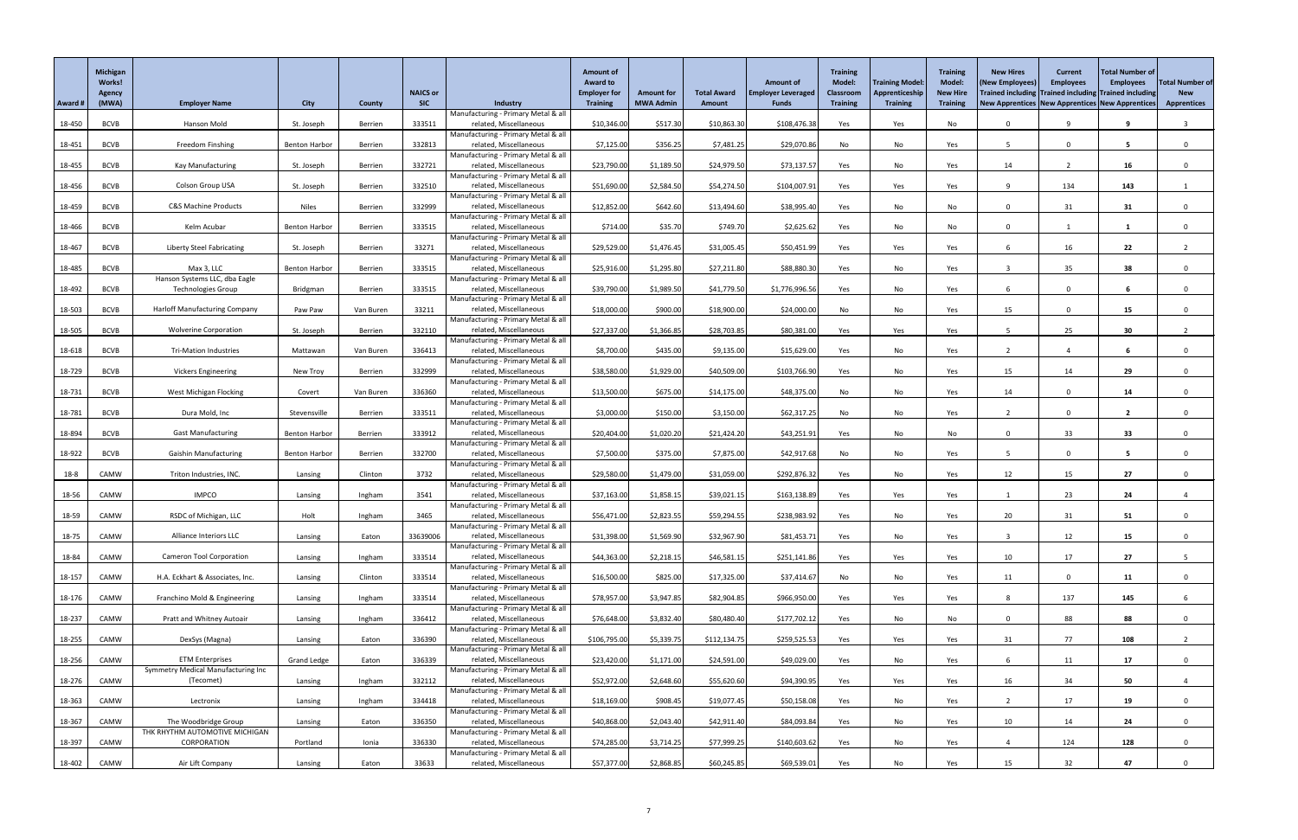|          | <b>Michigan</b><br>Works!<br>Agency |                                                            |                      |               | <b>NAICS or</b> |                                                               | <b>Amount of</b><br><b>Award to</b><br><b>Employer for</b> | <b>Amount for</b> | <b>Total Award</b> | <b>Amount of</b><br><b>Employer Leveraged</b> | <b>Training</b><br><b>Model:</b><br>Classroom | <b>Training Model:</b><br>Apprenticeship | <b>Training</b><br><b>Model:</b><br><b>New Hire</b> | <b>New Hires</b><br>(New Employees)                 | <b>Current</b><br><b>Employees</b><br>Trained including Trained including Trained including | Total Number of<br><b>Employees</b> | <b>Total Number of</b><br><b>New</b> |
|----------|-------------------------------------|------------------------------------------------------------|----------------------|---------------|-----------------|---------------------------------------------------------------|------------------------------------------------------------|-------------------|--------------------|-----------------------------------------------|-----------------------------------------------|------------------------------------------|-----------------------------------------------------|-----------------------------------------------------|---------------------------------------------------------------------------------------------|-------------------------------------|--------------------------------------|
| Award #  | (MWA)                               | <b>Employer Name</b>                                       | <b>City</b>          | <b>County</b> | <b>SIC</b>      | Industry                                                      | <b>Training</b>                                            | <b>MWA Admin</b>  | Amount             | <b>Funds</b>                                  | <b>Training</b>                               | <b>Training</b>                          | <b>Training</b>                                     | New Apprentices   New Apprentices   New Apprentices |                                                                                             |                                     | <b>Apprentices</b>                   |
| 18-450   | <b>BCVB</b>                         | Hanson Mold                                                | St. Joseph           | Berrien       | 333511          | Manufacturing - Primary Metal & all<br>related, Miscellaneous | \$10,346.00                                                | \$517.30          | \$10,863.30        | \$108,476.38                                  | Yes                                           | Yes                                      | No                                                  | $\Omega$                                            | $\mathbf{q}$                                                                                |                                     |                                      |
|          |                                     |                                                            |                      |               |                 | Manufacturing - Primary Metal & all                           |                                                            |                   |                    |                                               |                                               |                                          |                                                     |                                                     |                                                                                             |                                     |                                      |
| 18-451   | <b>BCVB</b>                         | Freedom Finshing                                           | <b>Benton Harbor</b> | Berrien       | 332813          | related, Miscellaneous<br>Manufacturing - Primary Metal & all | \$7,125.00                                                 | \$356.25          | \$7,481.25         | \$29,070.86                                   | No                                            | No                                       | Yes                                                 |                                                     | $\Omega$                                                                                    | -5                                  |                                      |
| 18-455   | <b>BCVB</b>                         | <b>Kay Manufacturing</b>                                   | St. Joseph           | Berrien       | 332721          | related, Miscellaneous                                        | \$23,790.00                                                | \$1,189.50        | \$24,979.50        | \$73,137.57                                   | Yes                                           | No                                       | Yes                                                 | 14                                                  | $\overline{2}$                                                                              | 16                                  |                                      |
| 18-456   | <b>BCVB</b>                         | <b>Colson Group USA</b>                                    | St. Joseph           | Berrien       | 332510          | Manufacturing - Primary Metal & all<br>related, Miscellaneous | \$51,690.00                                                | \$2,584.50        | \$54,274.50        | \$104,007.9                                   | Yes                                           | Yes                                      | Yes                                                 | 9                                                   | 134                                                                                         | 143                                 |                                      |
|          |                                     |                                                            |                      |               |                 | Manufacturing - Primary Metal & all                           |                                                            |                   |                    |                                               |                                               |                                          |                                                     |                                                     |                                                                                             |                                     |                                      |
| 18-459   | <b>BCVB</b>                         | <b>C&amp;S Machine Products</b>                            | <b>Niles</b>         | Berrien       | 332999          | related, Miscellaneous<br>Manufacturing - Primary Metal & all | \$12,852.00                                                | \$642.60          | \$13,494.60        | \$38,995.40                                   | Yes                                           | No                                       | No                                                  | $\Omega$                                            | 31                                                                                          | 31                                  |                                      |
| 18-466   | <b>BCVB</b>                         | Kelm Acubar                                                | <b>Benton Harbor</b> | Berrien       | 333515          | related, Miscellaneous                                        | \$714.00                                                   | \$35.70           | \$749.70           | \$2,625.62                                    | Yes                                           | No                                       | No                                                  | $\Omega$                                            |                                                                                             |                                     |                                      |
|          |                                     | <b>Liberty Steel Fabricating</b>                           |                      |               | 33271           | Manufacturing - Primary Metal & all<br>related, Miscellaneous |                                                            |                   |                    |                                               |                                               |                                          |                                                     | 6                                                   |                                                                                             | 22                                  |                                      |
| 18-467   | <b>BCVB</b>                         |                                                            | St. Joseph           | Berrien       |                 | Manufacturing - Primary Metal & all                           | \$29,529.00                                                | \$1,476.45        | \$31,005.45        | \$50,451.99                                   | Yes                                           | Yes                                      | Yes                                                 |                                                     | 16                                                                                          |                                     |                                      |
| 18-485   | <b>BCVB</b>                         | Max 3, LLC                                                 | <b>Benton Harbor</b> | Berrien       | 333515          | related, Miscellaneous                                        | \$25,916.00                                                | \$1,295.80        | \$27,211.80        | \$88,880.30                                   | Yes                                           | No                                       | Yes                                                 |                                                     | 35                                                                                          | 38                                  |                                      |
| 18-492   | <b>BCVB</b>                         | Hanson Systems LLC, dba Eagle<br><b>Technologies Group</b> | Bridgman             | Berrien       | 333515          | Manufacturing - Primary Metal & all<br>related, Miscellaneous | \$39,790.00                                                | \$1,989.50        | \$41,779.50        | \$1,776,996.56                                | Yes                                           | No                                       | Yes                                                 | 6                                                   | $\mathbf{0}$                                                                                | 6                                   |                                      |
|          |                                     |                                                            |                      |               |                 | Manufacturing - Primary Metal & all                           |                                                            |                   |                    |                                               |                                               |                                          |                                                     |                                                     |                                                                                             |                                     |                                      |
| 18-503   | <b>BCVB</b>                         | <b>Harloff Manufacturing Company</b>                       | Paw Paw              | Van Buren     | 33211           | related, Miscellaneous<br>Manufacturing - Primary Metal & all | \$18,000.00                                                | \$900.00          | \$18,900.00        | \$24,000.00                                   | No                                            | No                                       | Yes                                                 | 15                                                  | $\Omega$                                                                                    | 15                                  |                                      |
| 18-505   | <b>BCVB</b>                         | <b>Wolverine Corporation</b>                               | St. Joseph           | Berrien       | 332110          | related, Miscellaneous                                        | \$27,337.00                                                | \$1,366.85        | \$28,703.85        | \$80,381.00                                   | Yes                                           | Yes                                      | Yes                                                 |                                                     | 25                                                                                          | 30                                  |                                      |
| 18-618   | <b>BCVB</b>                         | <b>Tri-Mation Industries</b>                               | Mattawan             | Van Buren     | 336413          | Manufacturing - Primary Metal & all<br>related, Miscellaneous | \$8,700.00                                                 | \$435.00          | \$9,135.00         | \$15,629.00                                   | Yes                                           | No                                       | Yes                                                 | $\overline{2}$                                      | $\overline{a}$                                                                              |                                     |                                      |
|          |                                     |                                                            |                      |               |                 | Manufacturing - Primary Metal & all                           |                                                            |                   |                    |                                               |                                               |                                          |                                                     |                                                     |                                                                                             |                                     |                                      |
| 18-729   | <b>BCVB</b>                         | <b>Vickers Engineering</b>                                 | New Troy             | Berrien       | 332999          | related, Miscellaneous<br>Manufacturing - Primary Metal & all | \$38,580.00                                                | \$1,929.00        | \$40,509.00        | \$103,766.90                                  | Yes                                           | No                                       | Yes                                                 | 15                                                  | 14                                                                                          | 29                                  |                                      |
| 18-731   | <b>BCVB</b>                         | West Michigan Flocking                                     | Covert               | Van Buren     | 336360          | related, Miscellaneous                                        | \$13,500.00                                                | \$675.00          | \$14,175.00        | \$48,375.00                                   | No                                            | No                                       | Yes                                                 | 14                                                  | $\Omega$                                                                                    | 14                                  |                                      |
| 18-781   | <b>BCVB</b>                         | Dura Mold, Inc                                             | Stevensville         | Berrien       | 333511          | Manufacturing - Primary Metal & all<br>related, Miscellaneous | \$3,000.00                                                 | \$150.00          | \$3,150.00         | \$62,317.25                                   | No                                            | No                                       | Yes                                                 |                                                     | $\Omega$                                                                                    |                                     |                                      |
|          |                                     |                                                            |                      |               |                 | Manufacturing - Primary Metal & all                           |                                                            |                   |                    |                                               |                                               |                                          |                                                     |                                                     |                                                                                             |                                     |                                      |
| 18-894   | <b>BCVB</b>                         | <b>Gast Manufacturing</b>                                  | <b>Benton Harbor</b> | Berrien       | 333912          | related, Miscellaneous<br>Manufacturing - Primary Metal & all | \$20,404.00                                                | \$1,020.20        | \$21,424.20        | \$43,251.91                                   | Yes                                           | No                                       | No                                                  | $\Omega$                                            | 33                                                                                          | 33                                  |                                      |
| 18-922   | <b>BCVB</b>                         | <b>Gaishin Manufacturing</b>                               | <b>Benton Harbor</b> | Berrien       | 332700          | related, Miscellaneous                                        | \$7,500.00                                                 | \$375.00          | \$7,875.00         | \$42,917.68                                   | No                                            | No                                       | Yes                                                 |                                                     | $\Omega$                                                                                    | -5                                  |                                      |
| $18 - 8$ | CAMW                                | Triton Industries, INC.                                    | Lansing              | Clinton       | 3732            | Manufacturing - Primary Metal & all<br>related, Miscellaneous | \$29,580.00                                                | \$1,479.00        | \$31,059.00        | \$292,876.32                                  | Yes                                           | No                                       | Yes                                                 | 12                                                  | 15                                                                                          | 27                                  |                                      |
|          |                                     |                                                            |                      |               |                 | Manufacturing - Primary Metal & all                           |                                                            |                   |                    |                                               |                                               |                                          |                                                     |                                                     |                                                                                             |                                     |                                      |
| 18-56    | CAMW                                | <b>IMPCO</b>                                               | Lansing              | Ingham        | 3541            | related, Miscellaneous<br>Manufacturing - Primary Metal & all | \$37,163.00                                                | \$1,858.1         | \$39,021.15        | \$163,138.89                                  | Yes                                           | Yes                                      | Yes                                                 |                                                     | 23                                                                                          | 24                                  |                                      |
| 18-59    | CAMW                                | RSDC of Michigan, LLC                                      | Holt                 | Ingham        | 3465            | related, Miscellaneous                                        | \$56,471.00                                                | \$2,823.55        | \$59,294.55        | \$238,983.92                                  | Yes                                           | No                                       | Yes                                                 | 20                                                  | 31                                                                                          | 51                                  |                                      |
| 18-75    | CAMW                                | Alliance Interiors LLC                                     | Lansing              | Eaton         | 33639006        | Manufacturing - Primary Metal & all<br>related, Miscellaneous | \$31,398.00                                                | \$1,569.90        | \$32,967.90        | \$81,453.71                                   | Yes                                           | No                                       | Yes                                                 |                                                     | 12                                                                                          | 15                                  |                                      |
|          |                                     |                                                            |                      |               |                 | Manufacturing - Primary Metal & all                           |                                                            |                   |                    |                                               |                                               |                                          |                                                     |                                                     |                                                                                             | 27                                  |                                      |
| 18-84    | CAMW                                | <b>Cameron Tool Corporation</b>                            | Lansing              | Ingham        | 333514          | related, Miscellaneous<br>Manufacturing - Primary Metal & all | \$44,363.00                                                | \$2,218.15        | \$46,581.15        | \$251,141.86                                  | Yes                                           | Yes                                      | Yes                                                 | 10                                                  | 17                                                                                          |                                     |                                      |
| 18-157   | CAMW                                | H.A. Eckhart & Associates, Inc.                            | Lansing              | Clinton       | 333514          | related, Miscellaneous<br>Manufacturing - Primary Metal & all | \$16,500.00                                                | \$825.00          | \$17,325.00        | \$37,414.67                                   | No                                            | No                                       | Yes                                                 | 11                                                  | $\Omega$                                                                                    | 11                                  |                                      |
| 18-176   | CAMW                                | Franchino Mold & Engineering                               | Lansing              | Ingham        | 333514          | related, Miscellaneous                                        | \$78,957.00                                                | \$3,947.85        | \$82,904.85        | \$966,950.00                                  | Yes                                           | Yes                                      | Yes                                                 | 8                                                   | 137                                                                                         | 145                                 |                                      |
| 18-237   | CAMW                                | Pratt and Whitney Autoair                                  | Lansing              | Ingham        | 336412          | Manufacturing - Primary Metal & all<br>related, Miscellaneous | \$76,648.00                                                | \$3,832.40        | \$80,480.40        | \$177,702.12                                  | Yes                                           | No                                       | No                                                  | $\Omega$                                            | 88                                                                                          | 88                                  |                                      |
|          |                                     |                                                            |                      |               |                 | Manufacturing - Primary Metal & all                           |                                                            |                   |                    |                                               |                                               |                                          |                                                     |                                                     |                                                                                             |                                     |                                      |
| 18-255   | CAMW                                | DexSys (Magna)                                             | Lansing              | Eaton         | 336390          | related, Miscellaneous<br>Manufacturing - Primary Metal & all | \$106,795.00                                               | \$5,339.75        | \$112,134.75       | \$259,525.53                                  | Yes                                           | Yes                                      | Yes                                                 | 31                                                  | 77                                                                                          | 108                                 |                                      |
| 18-256   | CAMW                                | <b>ETM Enterprises</b>                                     | <b>Grand Ledge</b>   | Eaton         | 336339          | related, Miscellaneous                                        | \$23,420.00                                                | \$1,171.00        | \$24,591.00        | \$49,029.00                                   | Yes                                           | No                                       | Yes                                                 | 6                                                   | 11                                                                                          | 17                                  |                                      |
| 18-276   | CAMW                                | Symmetry Medical Manufacturing Inc<br>(Tecomet)            | Lansing              | Ingham        | 332112          | Manufacturing - Primary Metal & all<br>related, Miscellaneous | \$52,972.00                                                | \$2,648.60        | \$55,620.60        | \$94,390.95                                   | Yes                                           | Yes                                      | Yes                                                 | 16                                                  | 34                                                                                          | 50                                  |                                      |
|          |                                     |                                                            |                      |               |                 | Manufacturing - Primary Metal & all                           |                                                            |                   |                    |                                               |                                               |                                          |                                                     |                                                     |                                                                                             |                                     |                                      |
| 18-363   | CAMW                                | Lectronix                                                  | Lansing              | Ingham        | 334418          | related, Miscellaneous<br>Manufacturing - Primary Metal & all | \$18,169.00                                                | \$908.45          | \$19,077.45        | \$50,158.08                                   | Yes                                           | No                                       | Yes                                                 |                                                     | 17                                                                                          | 19                                  |                                      |
| 18-367   | CAMW                                | The Woodbridge Group                                       | Lansing              | Eaton         | 336350          | related, Miscellaneous                                        | \$40,868.00                                                | \$2,043.40        | \$42,911.40        | \$84,093.84                                   | Yes                                           | No                                       | Yes                                                 | 10                                                  | 14                                                                                          | 24                                  |                                      |
| 18-397   | CAMW                                | THK RHYTHM AUTOMOTIVE MICHIGAN<br>CORPORATION              | Portland             | Ionia         | 336330          | Manufacturing - Primary Metal & all<br>related, Miscellaneous | \$74,285.00                                                | \$3,714.25        | \$77,999.25        | \$140,603.62                                  | Yes                                           | No                                       |                                                     |                                                     | 124                                                                                         | 128                                 |                                      |
|          |                                     |                                                            |                      |               |                 | Manufacturing - Primary Metal & all                           |                                                            |                   |                    |                                               |                                               |                                          | Yes                                                 |                                                     |                                                                                             |                                     |                                      |
| 18-402   | CAMW                                | Air Lift Company                                           | Lansing              | Eaton         | 33633           | related, Miscellaneous                                        | \$57,377.00                                                | \$2,868.85        | \$60,245.85        | \$69,539.01                                   | Yes                                           | No                                       | Yes                                                 | $15\,$                                              | 32                                                                                          | 47                                  |                                      |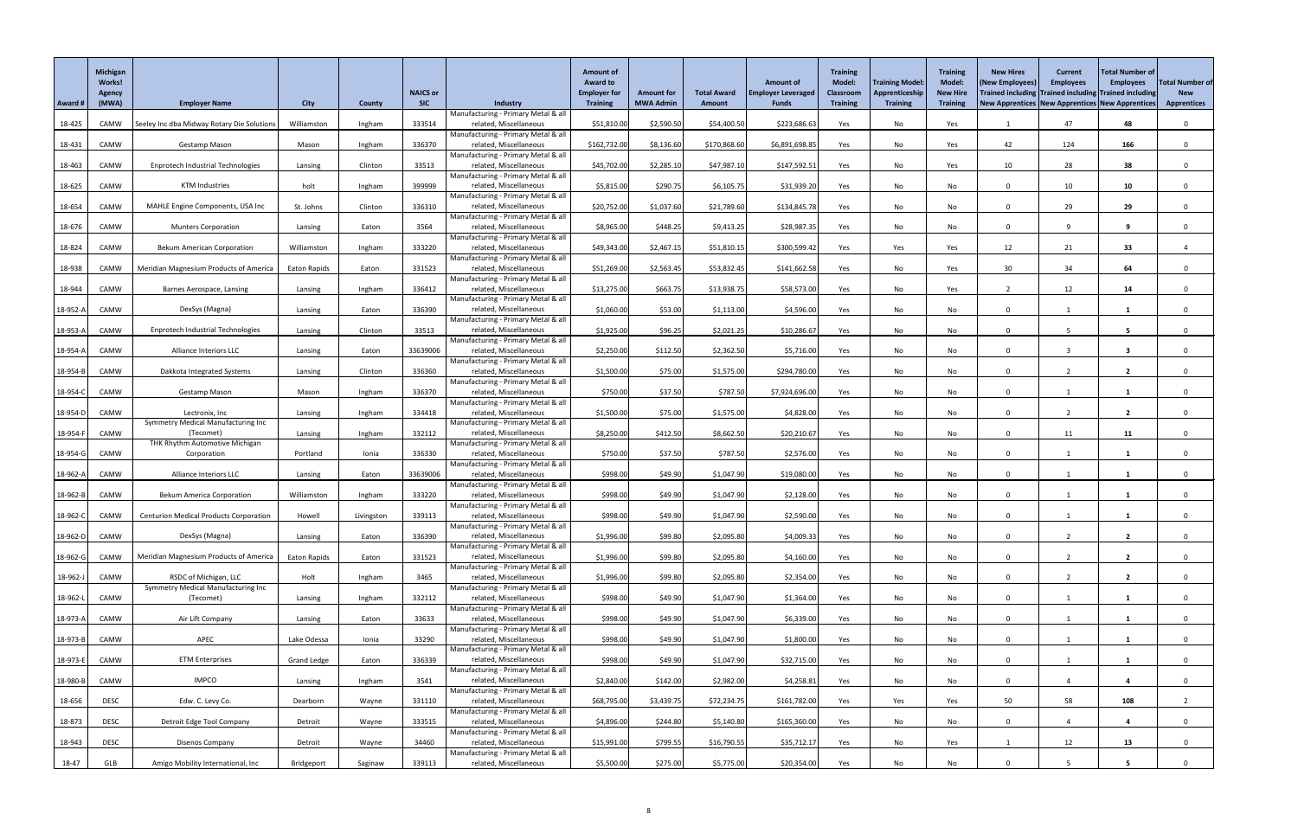|          | <b>Michigan</b><br>Works!<br>Agency |                                                      |                    |               | <b>NAICS or</b> |                                                               | <b>Amount of</b><br><b>Award to</b><br><b>Employer for</b> | <b>Amount for</b> | <b>Total Award</b> | <b>Amount of</b><br><b>Employer Leveraged</b> | <b>Training</b><br><b>Model:</b><br>Classroom | <b>Training Model:</b><br>Apprenticeship | <b>Training</b><br><b>Model:</b><br><b>New Hire</b> | <b>New Hires</b><br><b>(New Employees</b>       | <b>Current</b><br><b>Employees</b><br>Trained including Trained including Trained including | Total Number of<br><b>Employees</b> | <b>Total Number of</b><br><b>New</b> |
|----------|-------------------------------------|------------------------------------------------------|--------------------|---------------|-----------------|---------------------------------------------------------------|------------------------------------------------------------|-------------------|--------------------|-----------------------------------------------|-----------------------------------------------|------------------------------------------|-----------------------------------------------------|-------------------------------------------------|---------------------------------------------------------------------------------------------|-------------------------------------|--------------------------------------|
| Award #  | (MWA)                               | <b>Employer Name</b>                                 | <b>City</b>        | <b>County</b> | <b>SIC</b>      | Industry                                                      | <b>Training</b>                                            | <b>MWA Admin</b>  | <b>Amount</b>      | <b>Funds</b>                                  | <b>Training</b>                               | <b>Training</b>                          | <b>Training</b>                                     | New Apprentices New Apprentices New Apprentices |                                                                                             |                                     | <b>Apprentices</b>                   |
| 18-425   | CAMW                                | Seeley Inc dba Midway Rotary Die Solution            | Williamston        | Ingham        | 333514          | Manufacturing - Primary Metal & all<br>related, Miscellaneous | \$51,810.00                                                | \$2,590.50        | \$54,400.50        | \$223,686.63                                  | Yes                                           | No                                       | Yes                                                 |                                                 | 47                                                                                          | 48                                  |                                      |
|          |                                     |                                                      |                    |               |                 | Manufacturing - Primary Metal & all                           |                                                            |                   |                    |                                               |                                               |                                          |                                                     |                                                 |                                                                                             |                                     |                                      |
| 18-431   | CAMW                                | <b>Gestamp Mason</b>                                 | Mason              | Ingham        | 336370          | related, Miscellaneous<br>Manufacturing - Primary Metal & all | \$162,732.00                                               | \$8,136.60        | \$170,868.60       | \$6,891,698.85                                | Yes                                           | No                                       | Yes                                                 | 42                                              | 124                                                                                         | 166                                 |                                      |
| 18-463   | CAMW                                | <b>Enprotech Industrial Technologies</b>             | Lansing            | Clinton       | 33513           | related, Miscellaneous                                        | \$45,702.00                                                | \$2,285.10        | \$47,987.10        | \$147,592.51                                  | Yes                                           | No                                       | Yes                                                 | 10                                              | 28                                                                                          | 38                                  |                                      |
|          | CAMW                                | <b>KTM Industries</b>                                |                    |               | 399999          | Manufacturing - Primary Metal & all<br>related, Miscellaneous | \$5,815.00                                                 | \$290.75          |                    | \$31,939.20                                   |                                               | No                                       |                                                     | $\Omega$                                        | 10 <sup>°</sup>                                                                             | 10                                  |                                      |
| 18-625   |                                     |                                                      | holt               | Ingham        |                 | Manufacturing - Primary Metal & all                           |                                                            |                   | \$6,105.75         |                                               | Yes                                           |                                          | No                                                  |                                                 |                                                                                             |                                     |                                      |
| 18-654   | CAMW                                | MAHLE Engine Components, USA Inc                     | St. Johns          | Clinton       | 336310          | related, Miscellaneous                                        | \$20,752.00                                                | \$1,037.60        | \$21,789.60        | \$134,845.78                                  | Yes                                           | No                                       | No                                                  | $\Omega$                                        | 29                                                                                          | 29                                  |                                      |
| 18-676   | CAMW                                | <b>Munters Corporation</b>                           | Lansing            | Eaton         | 3564            | Manufacturing - Primary Metal & all<br>related, Miscellaneous | \$8,965.00                                                 | \$448.25          | \$9,413.25         | \$28,987.35                                   | Yes                                           | No                                       | No                                                  | $\mathbf{0}$                                    | -9                                                                                          | 9                                   |                                      |
|          |                                     |                                                      |                    |               |                 | Manufacturing - Primary Metal & all                           |                                                            |                   |                    |                                               |                                               |                                          |                                                     |                                                 |                                                                                             |                                     |                                      |
| 18-824   | CAMW                                | <b>Bekum American Corporation</b>                    | Williamston        | Ingham        | 333220          | related, Miscellaneous<br>Manufacturing - Primary Metal & all | \$49,343.00                                                | \$2,467.1         | \$51,810.15        | \$300,599.42                                  | Yes                                           | Yes                                      | Yes                                                 | 12                                              | 21                                                                                          | 33                                  |                                      |
| 18-938   | CAMW                                | <b>Meridian Magnesium Products of America</b>        | Eaton Rapids       | Eaton         | 331523          | related, Miscellaneous                                        | \$51,269.00                                                | \$2,563.45        | \$53,832.45        | \$141,662.58                                  | Yes                                           | No                                       | Yes                                                 | 30                                              | 34                                                                                          | 64                                  |                                      |
| 18-944   | CAMW                                | Barnes Aerospace, Lansing                            | Lansing            | Ingham        | 336412          | Manufacturing - Primary Metal & all<br>related, Miscellaneous | \$13,275.00                                                | \$663.75          | \$13,938.75        | \$58,573.00                                   | Yes                                           | No                                       | Yes                                                 |                                                 | 12                                                                                          | 14                                  |                                      |
|          |                                     |                                                      |                    |               |                 | Manufacturing - Primary Metal & all                           |                                                            |                   |                    |                                               |                                               |                                          |                                                     |                                                 |                                                                                             |                                     |                                      |
| 18-952-A | CAMW                                | DexSys (Magna)                                       | Lansing            | Eaton         | 336390          | related, Miscellaneous<br>Manufacturing - Primary Metal & all | \$1,060.00                                                 | \$53.00           | \$1,113.00         | \$4,596.00                                    | Yes                                           | No                                       | No                                                  | $\Omega$                                        |                                                                                             |                                     |                                      |
| 18-953-A | CAMW                                | <b>Enprotech Industrial Technologies</b>             | Lansing            | Clinton       | 33513           | related, Miscellaneous                                        | \$1,925.00                                                 | \$96.25           | \$2,021.25         | \$10,286.67                                   | Yes                                           | No                                       | No                                                  | $\Omega$                                        |                                                                                             | 5                                   |                                      |
| 18-954-A | CAMW                                | <b>Alliance Interiors LLC</b>                        | Lansing            | Eaton         | 33639006        | Manufacturing - Primary Metal & all<br>related, Miscellaneous | \$2,250.00                                                 | \$112.50          | \$2,362.50         | \$5,716.00                                    | Yes                                           | No                                       | No                                                  | $\Omega$                                        | -3                                                                                          | -3                                  |                                      |
|          |                                     |                                                      |                    |               |                 | Manufacturing - Primary Metal & all                           |                                                            |                   |                    |                                               |                                               |                                          |                                                     |                                                 |                                                                                             |                                     |                                      |
| 18-954-B | CAMW                                | Dakkota Integrated Systems                           | Lansing            | Clinton       | 336360          | related, Miscellaneous                                        | \$1,500.00                                                 | \$75.00           | \$1,575.00         | \$294,780.00                                  | Yes                                           | No                                       | No                                                  |                                                 |                                                                                             |                                     |                                      |
| 18-954-0 | CAMW                                | <b>Gestamp Mason</b>                                 | Mason              | Ingham        | 336370          | Manufacturing - Primary Metal & all<br>related, Miscellaneous | \$750.00                                                   | \$37.50           | \$787.50           | \$7,924,696.00                                | Yes                                           | No                                       | No                                                  | $\mathbf{0}$                                    |                                                                                             |                                     |                                      |
|          |                                     |                                                      |                    |               |                 | Manufacturing - Primary Metal & all                           |                                                            |                   |                    |                                               |                                               |                                          |                                                     |                                                 |                                                                                             |                                     |                                      |
| 18-954-D | CAMW                                | Lectronix, Inc<br>Symmetry Medical Manufacturing Inc | Lansing            | Ingham        | 334418          | related, Miscellaneous<br>Manufacturing - Primary Metal & all | \$1,500.00                                                 | \$75.00           | \$1,575.00         | \$4,828.00                                    | Yes                                           | No                                       | No                                                  | $\Omega$                                        |                                                                                             |                                     |                                      |
| 18-954-F | CAMW                                | (Tecomet)                                            | Lansing            | Ingham        | 332112          | related, Miscellaneous                                        | \$8,250.00                                                 | \$412.50          | \$8,662.50         | \$20,210.67                                   | Yes                                           | No                                       | No                                                  | $\Omega$                                        | 11                                                                                          | 11                                  |                                      |
| 18-954-G | CAMW                                | THK Rhythm Automotive Michigan<br>Corporation        | Portland           | Ionia         | 336330          | Manufacturing - Primary Metal & all<br>related, Miscellaneous | \$750.00                                                   | \$37.50           | \$787.50           | \$2,576.00                                    | Yes                                           | No                                       | No                                                  | $\Omega$                                        |                                                                                             |                                     |                                      |
|          |                                     |                                                      |                    |               |                 | Manufacturing - Primary Metal & all                           |                                                            |                   |                    |                                               |                                               |                                          |                                                     |                                                 |                                                                                             |                                     |                                      |
| 18-962-/ | CAMW                                | Alliance Interiors LLC                               | Lansing            | Eaton         | 33639006        | related, Miscellaneous<br>Manufacturing - Primary Metal & all | \$998.00                                                   | \$49.90           | \$1,047.90         | \$19,080.00                                   | Yes                                           | No                                       | No                                                  | $\Omega$                                        |                                                                                             |                                     |                                      |
| 18-962-B | CAMW                                | <b>Bekum America Corporation</b>                     | Williamston        | Ingham        | 333220          | related, Miscellaneous                                        | \$998.00                                                   | \$49.90           | \$1,047.90         | \$2,128.00                                    | Yes                                           | No                                       | No                                                  | $\Omega$                                        |                                                                                             |                                     |                                      |
| 18-962-0 | CAMW                                | <b>Centurion Medical Products Corporation</b>        | Howell             | Livingston    | 339113          | Manufacturing - Primary Metal & all<br>related, Miscellaneous | \$998.00                                                   | \$49.90           | \$1,047.90         | \$2,590.00                                    | Yes                                           | No                                       | No                                                  | $\Omega$                                        |                                                                                             |                                     |                                      |
|          |                                     |                                                      |                    |               |                 | Manufacturing - Primary Metal & all                           |                                                            |                   |                    |                                               |                                               |                                          |                                                     |                                                 |                                                                                             |                                     |                                      |
| 18-962-D | CAMW                                | DexSys (Magna)                                       | Lansing            | Eaton         | 336390          | related, Miscellaneous<br>Manufacturing - Primary Metal & all | \$1,996.00                                                 | \$99.80           | \$2,095.80         | \$4,009.33                                    | Yes                                           | No                                       | No                                                  | $\mathbf{0}$                                    |                                                                                             | $\mathbf{2}$                        |                                      |
| 18-962-C | CAMW                                | <b>Meridian Magnesium Products of America</b>        | Eaton Rapids       | Eaton         | 331523          | related, Miscellaneous                                        | \$1,996.00                                                 | \$99.80           | \$2,095.80         | \$4,160.00                                    | Yes                                           | No                                       | No                                                  | $\Omega$                                        | ຳ                                                                                           | $\overline{\mathbf{2}}$             |                                      |
| 18-962-J | CAMW                                | RSDC of Michigan, LLC                                | Holt               | Ingham        | 3465            | Manufacturing - Primary Metal & all<br>related, Miscellaneous | \$1,996.00                                                 | \$99.80           | \$2,095.80         | \$2,354.00                                    | Yes                                           | No                                       | No                                                  | $\mathbf{0}$                                    |                                                                                             |                                     |                                      |
|          |                                     | Symmetry Medical Manufacturing Inc                   |                    |               |                 | Manufacturing - Primary Metal & all                           |                                                            |                   |                    |                                               |                                               |                                          |                                                     |                                                 |                                                                                             |                                     |                                      |
| 18-962-l | CAMW                                | (Tecomet)                                            | Lansing            | Ingham        | 332112          | related, Miscellaneous<br>Manufacturing - Primary Metal & all | \$998.00                                                   | \$49.90           | \$1,047.90         | \$1,364.00                                    | Yes                                           | No                                       | No                                                  | $\Omega$                                        |                                                                                             |                                     |                                      |
| 18-973-A | CAMW                                | Air Lift Company                                     | Lansing            | Eaton         | 33633           | related, Miscellaneous                                        | \$998.00                                                   | \$49.90           | \$1,047.90         | \$6,339.00                                    | Yes                                           | No                                       | No                                                  | $\mathbf{0}$                                    |                                                                                             |                                     |                                      |
|          |                                     |                                                      |                    |               |                 | Manufacturing - Primary Metal & all                           |                                                            |                   |                    |                                               |                                               |                                          |                                                     |                                                 |                                                                                             |                                     |                                      |
| 18-973-B | CAMW                                | APEC                                                 | Lake Odessa        | Ionia         | 33290           | related, Miscellaneous<br>Manufacturing - Primary Metal & all | \$998.00                                                   | \$49.90           | \$1,047.90         | \$1,800.00                                    | Yes                                           | No                                       | No                                                  | $\Omega$                                        |                                                                                             |                                     |                                      |
| 18-973-E | CAMW                                | <b>ETM Enterprises</b>                               | <b>Grand Ledge</b> | Eaton         | 336339          | related, Miscellaneous                                        | \$998.00                                                   | \$49.90           | \$1,047.90         | \$32,715.00                                   | Yes                                           | No                                       | No                                                  | $\Omega$                                        |                                                                                             |                                     |                                      |
| 18-980-B | CAMW                                | <b>IMPCO</b>                                         | Lansing            | Ingham        | 3541            | Manufacturing - Primary Metal & all<br>related, Miscellaneous | \$2,840.00                                                 | \$142.00          | \$2,982.00         | \$4,258.8                                     | Yes                                           | No                                       | No                                                  | $\Omega$                                        |                                                                                             |                                     |                                      |
|          |                                     |                                                      |                    |               |                 | Manufacturing - Primary Metal & all                           |                                                            |                   |                    |                                               |                                               |                                          |                                                     |                                                 |                                                                                             |                                     |                                      |
| 18-656   | <b>DESC</b>                         | Edw. C. Levy Co.                                     | Dearborn           | Wayne         | 331110          | related, Miscellaneous<br>Manufacturing - Primary Metal & all | \$68,795.00                                                | \$3,439.75        | \$72,234.75        | \$161,782.00                                  | Yes                                           | Yes                                      | Yes                                                 | 50                                              | 58                                                                                          | 108                                 |                                      |
| 18-873   | <b>DESC</b>                         | Detroit Edge Tool Company                            | Detroit            | Wayne         | 333515          | related, Miscellaneous                                        | \$4,896.00                                                 | \$244.80          | \$5,140.80         | \$165,360.00                                  | Yes                                           | No                                       | No                                                  | 0                                               |                                                                                             | $\overline{\mathbf{4}}$             |                                      |
| 18-943   | <b>DESC</b>                         | Disenos Company                                      | Detroit            | Wayne         | 34460           | Manufacturing - Primary Metal & all<br>related, Miscellaneous | \$15,991.00                                                | \$799.55          | \$16,790.55        | \$35,712.17                                   | Yes                                           | No                                       | Yes                                                 |                                                 | 12                                                                                          | 13                                  |                                      |
|          |                                     |                                                      |                    |               |                 | Manufacturing - Primary Metal & all                           |                                                            |                   |                    |                                               |                                               |                                          |                                                     |                                                 |                                                                                             |                                     |                                      |
| 18-47    | GLB                                 | Amigo Mobility International, Inc                    | Bridgeport         | Saginaw       | 339113          | related, Miscellaneous                                        | \$5,500.00                                                 | \$275.00          | \$5,775.00         | \$20,354.00                                   | Yes                                           | No                                       | No                                                  |                                                 |                                                                                             |                                     |                                      |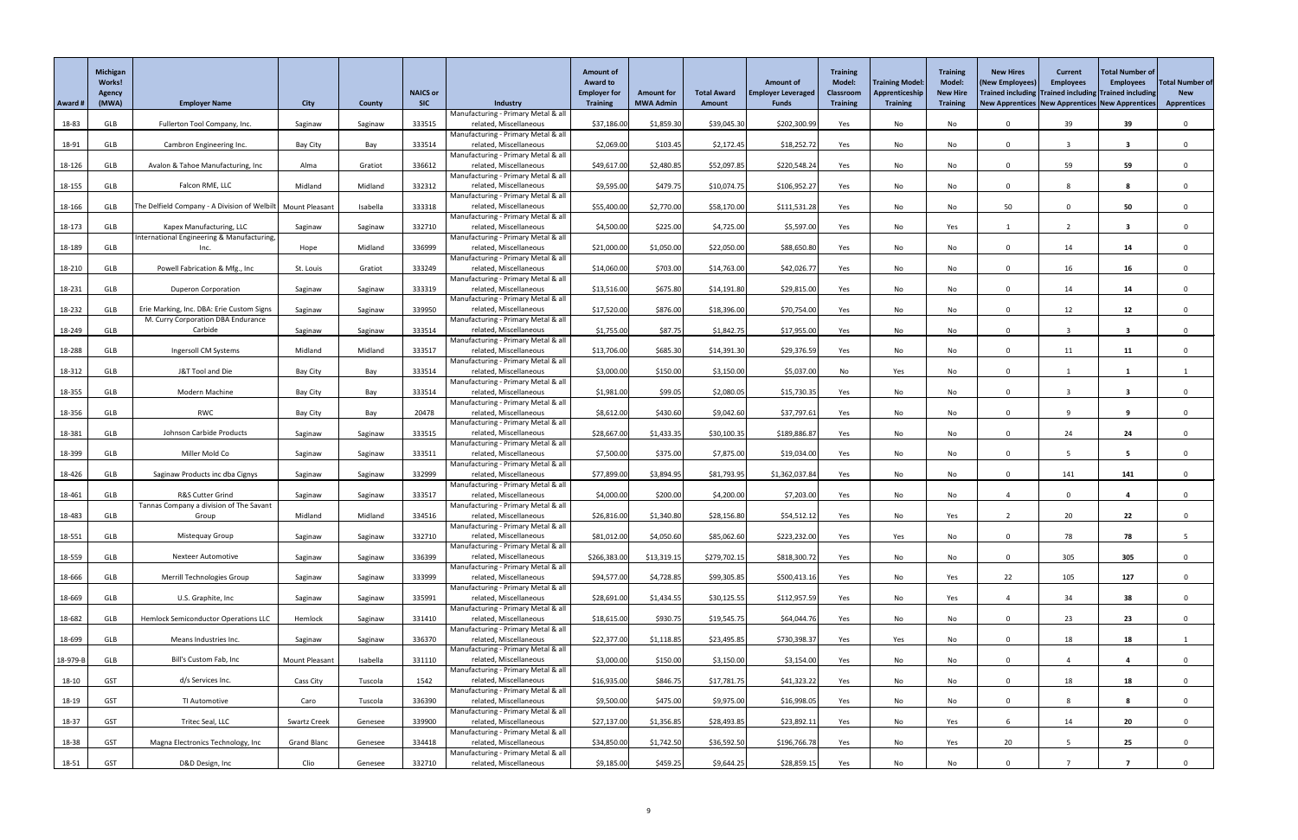|          | <b>Michigan</b><br>Works!<br>Agency |                                                                        |                       |               | <b>NAICS or</b> |                                                               | <b>Amount of</b><br><b>Award to</b><br><b>Employer for</b> | <b>Amount for</b> | <b>Total Award</b> | <b>Amount of</b><br><b>Employer Leveraged</b> | <b>Training</b><br><b>Model:</b><br>Classroom | <b>Training Model:</b><br>Apprenticeship | <b>Training</b><br><b>Model:</b><br><b>New Hire</b> | <b>New Hires</b><br>(New Employees) | <b>Current</b><br><b>Employees</b><br>Trained including Trained including Trained including | Total Number of<br><b>Employees</b>                          | Total Number of<br><b>New</b> |
|----------|-------------------------------------|------------------------------------------------------------------------|-----------------------|---------------|-----------------|---------------------------------------------------------------|------------------------------------------------------------|-------------------|--------------------|-----------------------------------------------|-----------------------------------------------|------------------------------------------|-----------------------------------------------------|-------------------------------------|---------------------------------------------------------------------------------------------|--------------------------------------------------------------|-------------------------------|
| Award #  | (MWA)                               | <b>Employer Name</b>                                                   | <b>City</b>           | <b>County</b> | <b>SIC</b>      | Industry                                                      | <b>Training</b>                                            | <b>MWA Admin</b>  | Amount             | <b>Funds</b>                                  | <b>Training</b>                               | <b>Training</b>                          | <b>Training</b>                                     |                                     |                                                                                             | <b>New Apprentices   New Apprentices   New Apprentices  </b> | <b>Apprentices</b>            |
| 18-83    | GLB                                 | Fullerton Tool Company, Inc.                                           | Saginaw               | Saginaw       | 333515          | Manufacturing - Primary Metal & all<br>related, Miscellaneous | \$37,186.00                                                | \$1,859.30        | \$39,045.30        | \$202,300.99                                  | Yes                                           | No                                       | No                                                  | $\Omega$                            | 39                                                                                          | 39                                                           |                               |
|          |                                     |                                                                        |                       |               |                 | Manufacturing - Primary Metal & all                           |                                                            |                   |                    |                                               |                                               |                                          |                                                     |                                     |                                                                                             |                                                              |                               |
| 18-91    | GLB                                 | Cambron Engineering Inc.                                               | Bay City              | Bay           | 333514          | related, Miscellaneous<br>Manufacturing - Primary Metal & all | \$2,069.00                                                 | \$103.45          | \$2,172.45         | \$18,252.72                                   | Yes                                           | No                                       | No                                                  | $\Omega$                            | $\overline{3}$                                                                              | -3                                                           |                               |
| 18-126   | GLB                                 | Avalon & Tahoe Manufacturing, Inc                                      | Alma                  | Gratiot       | 336612          | related, Miscellaneous                                        | \$49,617.00                                                | \$2,480.85        | \$52,097.85        | \$220,548.24                                  | Yes                                           | No                                       | No                                                  | $\Omega$                            | 59                                                                                          | 59                                                           |                               |
| 18-155   | GLB                                 | Falcon RME, LLC                                                        | Midland               | Midland       | 332312          | Manufacturing - Primary Metal & all<br>related, Miscellaneous | \$9,595.00                                                 | \$479.75          | \$10,074.75        | \$106,952.27                                  | Yes                                           | No                                       | No                                                  | $\Omega$                            | 8                                                                                           | - 8                                                          |                               |
|          |                                     |                                                                        |                       |               |                 | Manufacturing - Primary Metal & all                           |                                                            |                   |                    |                                               |                                               |                                          |                                                     |                                     |                                                                                             |                                                              |                               |
| 18-166   | GLB                                 | The Delfield Company - A Division of Welbilt   Mount Pleasant          |                       | Isabella      | 333318          | related, Miscellaneous<br>Manufacturing - Primary Metal & all | \$55,400.00                                                | \$2,770.00        | \$58,170.00        | \$111,531.28                                  | Yes                                           | No                                       | No                                                  | 50                                  | $\Omega$                                                                                    | 50                                                           |                               |
| 18-173   | GLB                                 | Kapex Manufacturing, LLC<br>International Engineering & Manufacturing, | Saginaw               | Saginaw       | 332710          | related, Miscellaneous<br>Manufacturing - Primary Metal & all | \$4,500.00                                                 | \$225.00          | \$4,725.00         | \$5,597.00                                    | Yes                                           | No                                       | Yes                                                 |                                     |                                                                                             | $\overline{\mathbf{3}}$                                      |                               |
| 18-189   | GLB                                 | Inc.                                                                   | Hope                  | Midland       | 336999          | related, Miscellaneous                                        | \$21,000.00                                                | \$1,050.00        | \$22,050.00        | \$88,650.80                                   | Yes                                           | No                                       | No                                                  | $\Omega$                            | 14                                                                                          | 14                                                           |                               |
| 18-210   | GLB                                 | Powell Fabrication & Mfg., Inc                                         | St. Louis             | Gratiot       | 333249          | Manufacturing - Primary Metal & all<br>related, Miscellaneous | \$14,060.00                                                | \$703.00          | \$14,763.00        | \$42,026.77                                   | Yes                                           | No                                       | No                                                  | $\Omega$                            | 16                                                                                          | 16                                                           |                               |
|          |                                     |                                                                        |                       |               |                 | Manufacturing - Primary Metal & all                           |                                                            |                   |                    |                                               |                                               |                                          |                                                     |                                     |                                                                                             |                                                              |                               |
| 18-231   | GLB                                 | <b>Duperon Corporation</b>                                             | Saginaw               | Saginaw       | 333319          | related, Miscellaneous<br>Manufacturing - Primary Metal & all | \$13,516.00                                                | \$675.80          | \$14,191.80        | \$29,815.00                                   | Yes                                           | No                                       | No                                                  | $\Omega$                            | 14                                                                                          | 14                                                           |                               |
| 18-232   | GLB                                 | Erie Marking, Inc. DBA: Erie Custom Signs                              | Saginaw               | Saginaw       | 339950          | related, Miscellaneous                                        | \$17,520.00                                                | \$876.00          | \$18,396.00        | \$70,754.00                                   | Yes                                           | No                                       | No                                                  | $\Omega$                            | 12                                                                                          | 12                                                           |                               |
| 18-249   | GLB                                 | M. Curry Corporation DBA Endurance<br>Carbide                          | Saginaw               | Saginaw       | 333514          | Manufacturing - Primary Metal & all<br>related, Miscellaneous | \$1,755.00                                                 | \$87.75           | \$1,842.75         | \$17,955.00                                   | Yes                                           | No                                       | No                                                  | $\Omega$                            |                                                                                             |                                                              |                               |
|          |                                     |                                                                        |                       |               |                 | Manufacturing - Primary Metal & all                           |                                                            |                   |                    |                                               |                                               |                                          |                                                     |                                     |                                                                                             |                                                              |                               |
| 18-288   | GLB                                 | Ingersoll CM Systems                                                   | Midland               | Midland       | 333517          | related, Miscellaneous<br>Manufacturing - Primary Metal & all | \$13,706.00                                                | \$685.30          | \$14,391.30        | \$29,376.59                                   | Yes                                           | No                                       | No                                                  | $\mathbf{0}$                        | 11                                                                                          | 11                                                           |                               |
| 18-312   | GLB                                 | J&T Tool and Die                                                       | Bay City              | Bay           | 333514          | related, Miscellaneous                                        | \$3,000.00                                                 | \$150.00          | \$3,150.00         | \$5,037.00                                    | No                                            | Yes                                      | No                                                  | $\Omega$                            |                                                                                             |                                                              |                               |
| 18-355   | GLB                                 | Modern Machine                                                         | Bay City              | Bay           | 333514          | Manufacturing - Primary Metal & all<br>related, Miscellaneous | \$1,981.00                                                 | \$99.05           | \$2,080.05         | \$15,730.35                                   | Yes                                           | No                                       | No                                                  | $\Omega$                            |                                                                                             | $\overline{\mathbf{3}}$                                      |                               |
|          |                                     | <b>RWC</b>                                                             |                       |               | 20478           | Manufacturing - Primary Metal & all<br>related, Miscellaneous | \$8,612.00                                                 | \$430.60          |                    | \$37,797.6                                    |                                               |                                          |                                                     | $\Omega$                            | $\mathbf{Q}$                                                                                |                                                              |                               |
| 18-356   | GLB                                 |                                                                        | <b>Bay City</b>       | Bay           |                 | Manufacturing - Primary Metal & all                           |                                                            |                   | \$9,042.60         |                                               | Yes                                           | No                                       | No                                                  |                                     |                                                                                             |                                                              |                               |
| 18-381   | GLB                                 | Johnson Carbide Products                                               | Saginaw               | Saginaw       | 333515          | related, Miscellaneous<br>Manufacturing - Primary Metal & all | \$28,667.00                                                | \$1,433.35        | \$30,100.35        | \$189,886.87                                  | Yes                                           | No                                       | No                                                  | $\Omega$                            | 24                                                                                          | 24                                                           |                               |
| 18-399   | GLB                                 | Miller Mold Co                                                         | Saginaw               | Saginaw       | 333511          | related, Miscellaneous                                        | \$7,500.00                                                 | \$375.00          | \$7,875.00         | \$19,034.00                                   | Yes                                           | No                                       | No                                                  | $\Omega$                            | -5                                                                                          | -5                                                           |                               |
| 18-426   | GLB                                 | Saginaw Products inc dba Cignys                                        | Saginaw               | Saginaw       | 332999          | Manufacturing - Primary Metal & all<br>related, Miscellaneous | \$77,899.00                                                | \$3,894.95        | \$81,793.95        | \$1,362,037.84                                | Yes                                           | No                                       | No                                                  | $\Omega$                            | 141                                                                                         | 141                                                          |                               |
|          |                                     |                                                                        |                       |               |                 | Manufacturing - Primary Metal & all                           |                                                            |                   |                    |                                               |                                               |                                          |                                                     |                                     |                                                                                             |                                                              |                               |
| 18-461   | GLB                                 | R&S Cutter Grind<br>Tannas Company a division of The Savant            | Saginaw               | Saginaw       | 333517          | related, Miscellaneous<br>Manufacturing - Primary Metal & all | \$4,000.00                                                 | \$200.00          | \$4,200.00         | \$7,203.00                                    | Yes                                           | No                                       | No                                                  |                                     | $\Omega$                                                                                    |                                                              |                               |
| 18-483   | GLB                                 | Group                                                                  | Midland               | Midland       | 334516          | related, Miscellaneous                                        | \$26,816.00                                                | \$1,340.80        | \$28,156.80        | \$54,512.12                                   | Yes                                           | No                                       | Yes                                                 |                                     | 20                                                                                          | 22                                                           |                               |
| 18-551   | GLB                                 | Mistequay Group                                                        | Saginaw               | Saginaw       | 332710          | Manufacturing - Primary Metal & all<br>related, Miscellaneous | \$81,012.00                                                | \$4,050.60        | \$85,062.60        | \$223,232.00                                  | Yes                                           | Yes                                      | No                                                  | $\Omega$                            | 78                                                                                          | 78                                                           |                               |
| 18-559   | GLB                                 | <b>Nexteer Automotive</b>                                              | Saginaw               | Saginaw       | 336399          | Manufacturing - Primary Metal & all<br>related, Miscellaneous | \$266,383.00                                               | \$13,319.15       | \$279,702.15       | \$818,300.72                                  | Yes                                           | No                                       | No                                                  | $\Omega$                            | 305                                                                                         | 305                                                          |                               |
|          |                                     |                                                                        |                       |               |                 | Manufacturing - Primary Metal & all                           |                                                            |                   |                    |                                               |                                               |                                          |                                                     |                                     |                                                                                             |                                                              |                               |
| 18-666   | GLB                                 | Merrill Technologies Group                                             | Saginaw               | Saginaw       | 333999          | related, Miscellaneous<br>Manufacturing - Primary Metal & all | \$94,577.00                                                | \$4,728.85        | \$99,305.85        | \$500,413.16                                  | Yes                                           | No                                       | Yes                                                 | 22                                  | 105                                                                                         | 127                                                          |                               |
| 18-669   | GLB                                 | U.S. Graphite, Inc                                                     | Saginaw               | Saginaw       | 335991          | related, Miscellaneous                                        | \$28,691.00                                                | \$1,434.55        | \$30,125.55        | \$112,957.59                                  | Yes                                           | No                                       | Yes                                                 |                                     | 34                                                                                          | 38                                                           |                               |
| 18-682   | GLB                                 | Hemlock Semiconductor Operations LLC                                   | Hemlock               | Saginaw       | 331410          | Manufacturing - Primary Metal & all<br>related, Miscellaneous | \$18,615.00                                                | \$930.75          | \$19,545.75        | \$64,044.76                                   | Yes                                           | No                                       | No                                                  | 0                                   | 23                                                                                          | 23                                                           |                               |
|          |                                     |                                                                        |                       |               |                 | Manufacturing - Primary Metal & all                           |                                                            |                   |                    |                                               |                                               |                                          |                                                     |                                     |                                                                                             |                                                              |                               |
| 18-699   | GLB                                 | Means Industries Inc.                                                  | Saginaw               | Saginaw       | 336370          | related, Miscellaneous<br>Manufacturing - Primary Metal & all | \$22,377.00                                                | \$1,118.85        | \$23,495.85        | \$730,398.37                                  | Yes                                           | Yes                                      | No                                                  | $\Omega$                            | 18                                                                                          | 18                                                           |                               |
| 18-979-E | GLB                                 | Bill's Custom Fab, Inc                                                 | <b>Mount Pleasant</b> | Isabella      | 331110          | related, Miscellaneous                                        | \$3,000.00                                                 | \$150.00          | \$3,150.00         | \$3,154.00                                    | Yes                                           | No                                       | No                                                  | $\Omega$                            |                                                                                             |                                                              |                               |
| 18-10    | <b>GST</b>                          | d/s Services Inc.                                                      | Cass City             | Tuscola       | 1542            | Manufacturing - Primary Metal & all<br>related, Miscellaneous | \$16,935.00                                                | \$846.75          | \$17,781.75        | \$41,323.22                                   | Yes                                           | No                                       | No                                                  | $\Omega$                            | 18                                                                                          | 18                                                           |                               |
| 18-19    | <b>GST</b>                          | TI Automotive                                                          | Caro                  | Tuscola       | 336390          | Manufacturing - Primary Metal & all<br>related, Miscellaneous | \$9,500.00                                                 | \$475.00          | \$9,975.00         | \$16,998.05                                   | Yes                                           | No                                       | No                                                  |                                     | 8                                                                                           |                                                              |                               |
|          |                                     |                                                                        |                       |               |                 | Manufacturing - Primary Metal & all                           |                                                            |                   |                    |                                               |                                               |                                          |                                                     |                                     |                                                                                             |                                                              |                               |
| 18-37    | <b>GST</b>                          | Tritec Seal, LLC                                                       | Swartz Creek          | Genesee       | 339900          | related, Miscellaneous<br>Manufacturing - Primary Metal & all | \$27,137.00                                                | \$1,356.85        | \$28,493.85        | \$23,892.11                                   | Yes                                           | No                                       | Yes                                                 | 6                                   | 14                                                                                          | 20                                                           |                               |
| 18-38    | <b>GST</b>                          | Magna Electronics Technology, Inc                                      | <b>Grand Blanc</b>    | Genesee       | 334418          | related, Miscellaneous                                        | \$34,850.00                                                | \$1,742.50        | \$36,592.50        | \$196,766.78                                  | Yes                                           | No                                       | Yes                                                 | 20                                  | $5\overline{5}$                                                                             | 25                                                           |                               |
| 18-51    | GST                                 | D&D Design, Inc                                                        | Clio                  | Genesee       | 332710          | Manufacturing - Primary Metal & all<br>related, Miscellaneous | \$9,185.00                                                 | \$459.25          | \$9,644.25         | \$28,859.15                                   | Yes                                           | No                                       | No                                                  |                                     |                                                                                             |                                                              |                               |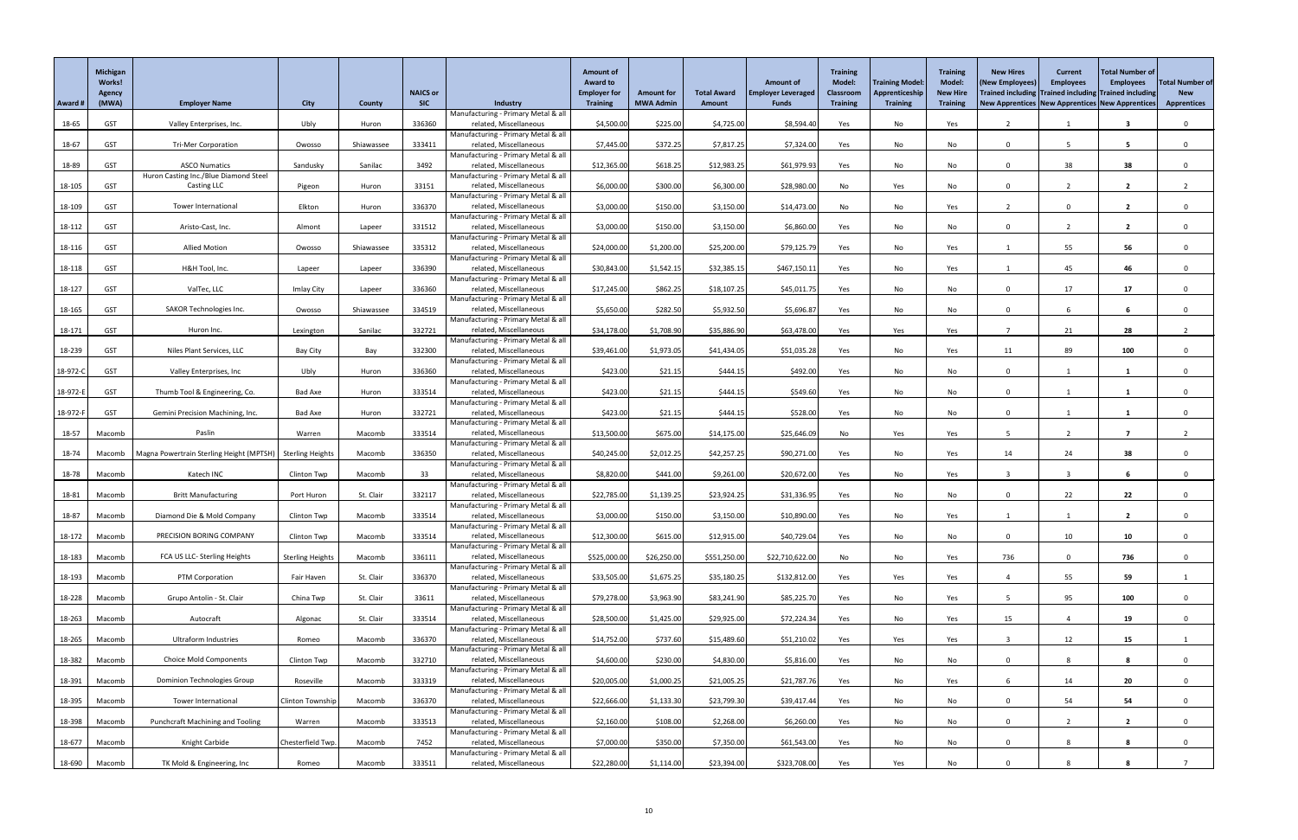| Award #  | <b>Michigan</b><br>Works!<br><b>Agency</b><br>(MWA) | <b>Employer Name</b>                                        | <b>City</b>             | <b>County</b> | <b>NAICS or</b><br><b>SIC</b> | Industry                                                      | <b>Amount of</b><br><b>Award to</b><br><b>Employer for</b><br><b>Training</b> | <b>Amount for</b><br><b>MWA Admin</b> | <b>Total Award</b><br><b>Amount</b> | <b>Amount of</b><br><b>Employer Leveraged</b><br><b>Funds</b> | <b>Training</b><br><b>Model:</b><br>Classroom<br><b>Training</b> | <b>Training Model:</b><br>Apprenticeship<br><b>Training</b> | <b>Training</b><br><b>Model:</b><br><b>New Hire</b><br><b>Training</b> | <b>New Hires</b><br>(New Employees)<br>Trained including Trained including Trained including<br>New Apprentices   New Apprentices   New Apprentices | <b>Current</b><br><b>Employees</b> | <b>Total Number of</b><br><b>Employees</b> | <b>Total Number of</b><br><b>New</b><br><b>Apprentices</b> |
|----------|-----------------------------------------------------|-------------------------------------------------------------|-------------------------|---------------|-------------------------------|---------------------------------------------------------------|-------------------------------------------------------------------------------|---------------------------------------|-------------------------------------|---------------------------------------------------------------|------------------------------------------------------------------|-------------------------------------------------------------|------------------------------------------------------------------------|-----------------------------------------------------------------------------------------------------------------------------------------------------|------------------------------------|--------------------------------------------|------------------------------------------------------------|
|          |                                                     |                                                             |                         |               |                               | Manufacturing - Primary Metal & all<br>related, Miscellaneous | \$4,500.00                                                                    |                                       |                                     | \$8,594.40                                                    |                                                                  |                                                             |                                                                        |                                                                                                                                                     |                                    | 3                                          | $\Omega$                                                   |
| 18-65    | <b>GST</b>                                          | Valley Enterprises, Inc.                                    | Ubly                    | Huron         | 336360                        | Manufacturing - Primary Metal & all                           |                                                                               | \$225.00                              | \$4,725.00                          |                                                               | Yes                                                              | No                                                          | Yes                                                                    |                                                                                                                                                     |                                    |                                            |                                                            |
| 18-67    | <b>GST</b>                                          | <b>Tri-Mer Corporation</b>                                  | Owosso                  | Shiawassee    | 333411                        | related, Miscellaneous                                        | \$7,445.00                                                                    | \$372.25                              | \$7,817.25                          | \$7,324.00                                                    | Yes                                                              | No                                                          | No                                                                     | $\Omega$                                                                                                                                            | 5                                  | $5^{\circ}$                                | $\Omega$                                                   |
| 18-89    | <b>GST</b>                                          | <b>ASCO Numatics</b>                                        | Sandusky                | Sanilac       | 3492                          | Manufacturing - Primary Metal & all<br>related, Miscellaneous | \$12,365.00                                                                   | \$618.25                              | \$12,983.25                         | \$61,979.93                                                   | Yes                                                              | No                                                          | No                                                                     | $\Omega$                                                                                                                                            | 38                                 | 38                                         | $\Omega$                                                   |
|          |                                                     | Huron Casting Inc./Blue Diamond Steel                       |                         |               |                               | Manufacturing - Primary Metal & all                           |                                                                               |                                       |                                     |                                                               |                                                                  |                                                             |                                                                        |                                                                                                                                                     |                                    |                                            |                                                            |
| 18-105   | <b>GST</b>                                          | Casting LLC                                                 | Pigeon                  | Huron         | 33151                         | related, Miscellaneous<br>Manufacturing - Primary Metal & all | \$6,000.00                                                                    | \$300.00                              | \$6,300.00                          | \$28,980.00                                                   | No                                                               | Yes                                                         | No                                                                     | $\Omega$                                                                                                                                            |                                    | $\overline{2}$                             |                                                            |
| 18-109   | <b>GST</b>                                          | <b>Tower International</b>                                  | Elkton                  | Huron         | 336370                        | related, Miscellaneous                                        | \$3,000.00                                                                    | \$150.00                              | \$3,150.00                          | \$14,473.00                                                   | No                                                               | No                                                          | Yes                                                                    |                                                                                                                                                     |                                    | $\overline{\mathbf{2}}$                    |                                                            |
| 18-112   | <b>GST</b>                                          | Aristo-Cast, Inc.                                           | Almont                  | Lapeer        | 331512                        | Manufacturing - Primary Metal & all<br>related, Miscellaneous | \$3,000.00                                                                    | \$150.00                              | \$3,150.00                          | \$6,860.00                                                    | Yes                                                              | No                                                          | No                                                                     | $\Omega$                                                                                                                                            | $\overline{2}$                     | $\overline{2}$                             |                                                            |
|          |                                                     |                                                             |                         |               |                               | Manufacturing - Primary Metal & all                           |                                                                               |                                       |                                     |                                                               |                                                                  |                                                             |                                                                        |                                                                                                                                                     |                                    |                                            |                                                            |
| 18-116   | <b>GST</b>                                          | <b>Allied Motion</b>                                        | Owosso                  | Shiawassee    | 335312                        | related, Miscellaneous<br>Manufacturing - Primary Metal & all | \$24,000.00                                                                   | \$1,200.00                            | \$25,200.00                         | \$79,125.79                                                   | Yes                                                              | No                                                          | Yes                                                                    |                                                                                                                                                     | 55                                 | 56                                         | $\Omega$                                                   |
| 18-118   | <b>GST</b>                                          | H&H Tool, Inc.                                              | Lapeer                  | Lapeer        | 336390                        | related, Miscellaneous                                        | \$30,843.00                                                                   | \$1,542.15                            | \$32,385.15                         | \$467,150.11                                                  | Yes                                                              | No                                                          | Yes                                                                    |                                                                                                                                                     | 45                                 | 46                                         |                                                            |
|          |                                                     |                                                             |                         |               |                               | Manufacturing - Primary Metal & all                           |                                                                               |                                       |                                     |                                                               |                                                                  |                                                             |                                                                        |                                                                                                                                                     |                                    |                                            |                                                            |
| 18-127   | <b>GST</b>                                          | ValTec, LLC                                                 | Imlay City              | Lapeer        | 336360                        | related, Miscellaneous<br>Manufacturing - Primary Metal & all | \$17,245.00                                                                   | \$862.25                              | \$18,107.25                         | \$45,011.75                                                   | Yes                                                              | No                                                          | No                                                                     | $\Omega$                                                                                                                                            | 17                                 | 17                                         | $\Omega$                                                   |
| 18-165   | <b>GST</b>                                          | SAKOR Technologies Inc.                                     | Owosso                  | Shiawassee    | 334519                        | related, Miscellaneous                                        | \$5,650.00                                                                    | \$282.50                              | \$5,932.50                          | \$5,696.87                                                    | Yes                                                              | No                                                          | No                                                                     | $\Omega$                                                                                                                                            |                                    |                                            |                                                            |
| 18-171   | <b>GST</b>                                          | Huron Inc.                                                  | Lexington               | Sanilac       | 332721                        | Manufacturing - Primary Metal & all<br>related, Miscellaneous | \$34,178.00                                                                   | \$1,708.90                            | \$35,886.90                         | \$63,478.00                                                   | Yes                                                              | Yes                                                         | Yes                                                                    |                                                                                                                                                     | 21                                 | 28                                         |                                                            |
|          |                                                     |                                                             |                         |               |                               | Manufacturing - Primary Metal & all                           |                                                                               |                                       |                                     |                                                               |                                                                  |                                                             |                                                                        |                                                                                                                                                     |                                    |                                            |                                                            |
| 18-239   | <b>GST</b>                                          | Niles Plant Services, LLC                                   | Bay City                | Bay           | 332300                        | related, Miscellaneous<br>Manufacturing - Primary Metal & all | \$39,461.00                                                                   | \$1,973.05                            | \$41,434.05                         | \$51,035.28                                                   | Yes                                                              | No                                                          | Yes                                                                    | 11                                                                                                                                                  | 89                                 | 100                                        | $\Omega$                                                   |
| 18-972-C | <b>GST</b>                                          | Valley Enterprises, Inc                                     | Ubly                    | Huron         | 336360                        | related, Miscellaneous                                        | \$423.00                                                                      | \$21.15                               | \$444.15                            | \$492.00                                                      | Yes                                                              | No                                                          | No                                                                     |                                                                                                                                                     |                                    |                                            |                                                            |
| 18-972-E | <b>GST</b>                                          | Thumb Tool & Engineering, Co.                               | <b>Bad Axe</b>          | Huron         | 333514                        | Manufacturing - Primary Metal & all<br>related, Miscellaneous | \$423.00                                                                      | \$21.15                               | \$444.15                            | \$549.60                                                      | Yes                                                              | No                                                          | No                                                                     | $\Omega$                                                                                                                                            |                                    |                                            |                                                            |
|          |                                                     |                                                             |                         |               |                               | Manufacturing - Primary Metal & all                           |                                                                               |                                       |                                     |                                                               |                                                                  |                                                             |                                                                        |                                                                                                                                                     |                                    |                                            |                                                            |
| 18-972-F | <b>GST</b>                                          | Gemini Precision Machining, Inc.                            | Bad Axe                 | Huron         | 332721                        | related, Miscellaneous<br>Manufacturing - Primary Metal & all | \$423.00                                                                      | \$21.15                               | \$444.15                            | \$528.00                                                      | Yes                                                              | No                                                          | No                                                                     | $\mathbf{0}$                                                                                                                                        |                                    |                                            |                                                            |
| 18-57    | Macomb                                              | Paslin                                                      | Warren                  | Macomb        | 333514                        | related, Miscellaneous                                        | \$13,500.00                                                                   | \$675.00                              | \$14,175.00                         | \$25,646.09                                                   | No                                                               | Yes                                                         | Yes                                                                    | -5                                                                                                                                                  | $\overline{2}$                     | $\overline{7}$                             |                                                            |
|          |                                                     |                                                             |                         |               |                               | Manufacturing - Primary Metal & all                           |                                                                               |                                       |                                     |                                                               |                                                                  |                                                             |                                                                        |                                                                                                                                                     |                                    |                                            |                                                            |
| 18-74    | Macomb                                              | Magna Powertrain Sterling Height (MPTSH)   Sterling Heights |                         | Macomb        | 336350                        | related, Miscellaneous<br>Manufacturing - Primary Metal & all | \$40,245.00                                                                   | \$2,012.25                            | \$42,257.25                         | \$90,271.00                                                   | Yes                                                              | No                                                          | Yes                                                                    | 14                                                                                                                                                  | 24                                 | 38                                         |                                                            |
| 18-78    | Macomb                                              | Katech INC                                                  | Clinton Twp             | Macomb        | 33                            | related, Miscellaneous                                        | \$8,820.00                                                                    | \$441.00                              | \$9,261.00                          | \$20,672.00                                                   | Yes                                                              | No                                                          | Yes                                                                    |                                                                                                                                                     |                                    |                                            |                                                            |
| 18-81    | Macomb                                              | <b>Britt Manufacturing</b>                                  | Port Huron              | St. Clair     | 332117                        | Manufacturing - Primary Metal & all<br>related, Miscellaneous | \$22,785.00                                                                   | \$1,139.25                            | \$23,924.25                         | \$31,336.95                                                   | Yes                                                              | No                                                          | No                                                                     | $\Omega$                                                                                                                                            | 22                                 | 22                                         |                                                            |
|          |                                                     |                                                             |                         |               |                               | Manufacturing - Primary Metal & all                           |                                                                               |                                       |                                     |                                                               |                                                                  |                                                             |                                                                        |                                                                                                                                                     |                                    |                                            |                                                            |
| 18-87    | Macomb                                              | Diamond Die & Mold Company                                  | <b>Clinton Twp</b>      | Macomb        | 333514                        | related, Miscellaneous<br>Manufacturing - Primary Metal & all | \$3,000.00                                                                    | \$150.00                              | \$3,150.00                          | \$10,890.00                                                   | Yes                                                              | No                                                          | Yes                                                                    |                                                                                                                                                     |                                    | $\overline{2}$                             | $\Omega$                                                   |
| 18-172   | Macomb                                              | PRECISION BORING COMPANY                                    | Clinton Twp             | Macomb        | 333514                        | related, Miscellaneous                                        | \$12,300.00                                                                   | \$615.00                              | \$12,915.00                         | \$40,729.04                                                   | Yes                                                              | No                                                          | No                                                                     | $\mathbf{0}$                                                                                                                                        | 10                                 | 10                                         | $\Omega$                                                   |
| 18-183   | Macomb                                              | FCA US LLC- Sterling Heights                                | <b>Sterling Heights</b> | Macomb        | 336111                        | Manufacturing - Primary Metal & all<br>related, Miscellaneous | \$525,000.00                                                                  | \$26,250.00                           | \$551,250.00                        | \$22,710,622.00                                               | No                                                               | No                                                          | Yes                                                                    | 736                                                                                                                                                 | $\mathbf 0$                        | 736                                        |                                                            |
|          |                                                     |                                                             |                         |               |                               | Manufacturing - Primary Metal & all                           |                                                                               |                                       |                                     |                                                               |                                                                  |                                                             |                                                                        |                                                                                                                                                     |                                    |                                            |                                                            |
| 18-193   | Macomb                                              | PTM Corporation                                             | Fair Haven              | St. Clair     | 336370                        | related, Miscellaneous<br>Manufacturing - Primary Metal & all | \$33,505.00                                                                   | \$1,675.25                            | \$35,180.25                         | \$132,812.00                                                  | Yes                                                              | Yes                                                         | Yes                                                                    |                                                                                                                                                     | 55                                 | 59                                         |                                                            |
| 18-228   | Macomb                                              | Grupo Antolin - St. Clair                                   | China Twp               | St. Clair     | 33611                         | related, Miscellaneous                                        | \$79,278.00                                                                   | \$3,963.90                            | \$83,241.90                         | \$85,225.70                                                   | Yes                                                              | No                                                          | Yes                                                                    |                                                                                                                                                     | 95                                 | 100                                        | $\Omega$                                                   |
| 18-263   | Macomb                                              | Autocraft                                                   | Algonac                 | St. Clair     | 333514                        | Manufacturing - Primary Metal & all<br>related, Miscellaneous | \$28,500.00                                                                   | \$1,425.00                            | \$29,925.00                         | \$72,224.34                                                   | Yes                                                              | No                                                          | Yes                                                                    | 15                                                                                                                                                  |                                    | 19                                         |                                                            |
|          |                                                     |                                                             |                         |               |                               | Manufacturing - Primary Metal & all                           |                                                                               |                                       |                                     |                                                               |                                                                  |                                                             |                                                                        |                                                                                                                                                     |                                    |                                            |                                                            |
| 18-265   | Macomb                                              | Ultraform Industries                                        | Romeo                   | Macomb        | 336370                        | related, Miscellaneous<br>Manufacturing - Primary Metal & all | \$14,752.00                                                                   | \$737.60                              | \$15,489.60                         | \$51,210.02                                                   | Yes                                                              | Yes                                                         | Yes                                                                    |                                                                                                                                                     | 12                                 | 15                                         |                                                            |
| 18-382   | Macomb                                              | <b>Choice Mold Components</b>                               | Clinton Twp             | Macomb        | 332710                        | related, Miscellaneous                                        | \$4,600.00                                                                    | \$230.00                              | \$4,830.00                          | \$5,816.00                                                    | Yes                                                              | No                                                          | No                                                                     | $\Omega$                                                                                                                                            |                                    | 8                                          |                                                            |
|          |                                                     |                                                             |                         |               |                               | Manufacturing - Primary Metal & all                           |                                                                               |                                       |                                     |                                                               |                                                                  |                                                             |                                                                        |                                                                                                                                                     |                                    |                                            |                                                            |
| 18-391   | Macomb                                              | Dominion Technologies Group                                 | Roseville               | Macomb        | 333319                        | related, Miscellaneous<br>Manufacturing - Primary Metal & all | \$20,005.00                                                                   | \$1,000.25                            | \$21,005.25                         | \$21,787.76                                                   | Yes                                                              | No                                                          | Yes                                                                    |                                                                                                                                                     | 14                                 | 20                                         |                                                            |
| $18-395$ | Macomb                                              | Tower International                                         | <b>Clinton Township</b> | Macomb        | 336370                        | related, Miscellaneous                                        | \$22,666.00                                                                   | \$1,133.30                            | \$23,799.30                         | \$39,417.44                                                   | Yes                                                              | No                                                          | No                                                                     |                                                                                                                                                     | 54                                 | 54                                         |                                                            |
| 18-398   | Macomb                                              | <b>Punchcraft Machining and Tooling</b>                     | Warren                  | Macomb        | 333513                        | Manufacturing - Primary Metal & all<br>related, Miscellaneous | \$2,160.00                                                                    | \$108.00                              | \$2,268.00                          | \$6,260.00                                                    | Yes                                                              | No                                                          | No                                                                     | $\mathbf 0$                                                                                                                                         | $\overline{2}$                     | $\overline{\mathbf{2}}$                    | $\mathbf 0$                                                |
|          |                                                     |                                                             |                         |               |                               | Manufacturing - Primary Metal & all                           |                                                                               |                                       |                                     |                                                               |                                                                  |                                                             |                                                                        |                                                                                                                                                     |                                    |                                            |                                                            |
| 18-677   | Macomb                                              | Knight Carbide                                              | Chesterfield Twp.       | Macomb        | 7452                          | related, Miscellaneous<br>Manufacturing - Primary Metal & all | \$7,000.00                                                                    | \$350.00                              | \$7,350.00                          | \$61,543.00                                                   | Yes                                                              | No                                                          | No                                                                     | $\Omega$                                                                                                                                            |                                    | 8                                          | $\mathbf 0$                                                |
| 18-690   | Macomb                                              | TK Mold & Engineering, Inc                                  | Romeo                   | Macomb        | 333511                        | related, Miscellaneous                                        | \$22,280.00                                                                   | \$1,114.00                            | \$23,394.00                         | \$323,708.00                                                  | Yes                                                              | Yes                                                         | No                                                                     |                                                                                                                                                     |                                    |                                            |                                                            |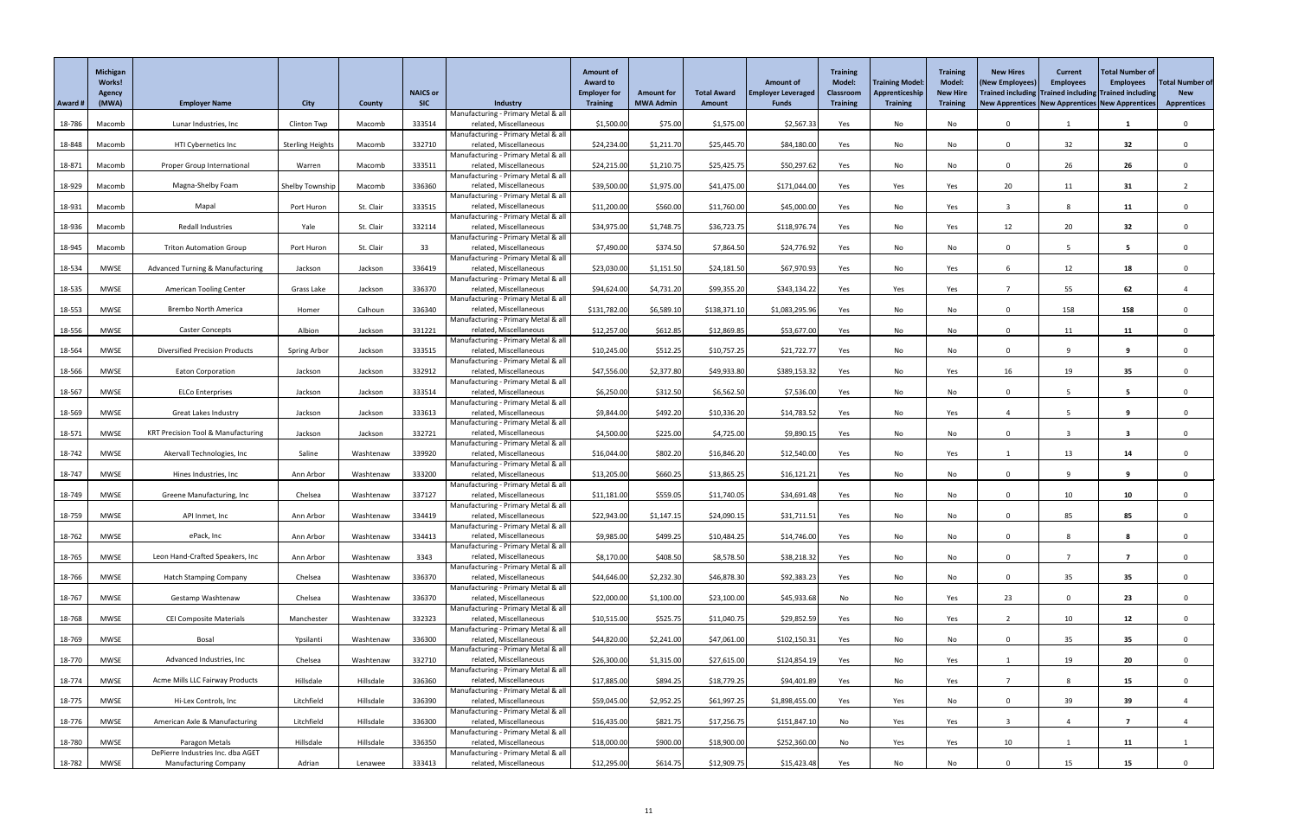|         | <b>Michigan</b><br><b>Works!</b><br>Agency |                                               |                         |               | <b>NAICS or</b> |                                                               | <b>Amount of</b><br><b>Award to</b><br><b>Employer for</b> | <b>Amount for</b> | <b>Total Award</b> | <b>Amount of</b><br><b>Employer Leveraged</b> | <b>Training</b><br><b>Model:</b><br><b>Classroom</b> | <b>Training Model</b><br>Apprenticeship | <b>Training</b><br><b>Model:</b><br><b>New Hire</b> | <b>New Hires</b><br>(New Employees<br>Trained including Trained including Trained including | <b>Current</b><br><b>Employees</b> | <b>Total Number of</b><br><b>Employees</b> | <b>Total Number of</b><br><b>New</b> |
|---------|--------------------------------------------|-----------------------------------------------|-------------------------|---------------|-----------------|---------------------------------------------------------------|------------------------------------------------------------|-------------------|--------------------|-----------------------------------------------|------------------------------------------------------|-----------------------------------------|-----------------------------------------------------|---------------------------------------------------------------------------------------------|------------------------------------|--------------------------------------------|--------------------------------------|
| Award # | (MWA)                                      | <b>Employer Name</b>                          | <b>City</b>             | <b>County</b> | <b>SIC</b>      | Industry                                                      | <b>Training</b>                                            | <b>MWA Admin</b>  | <b>Amount</b>      | <b>Funds</b>                                  | <b>Training</b>                                      | <b>Training</b>                         | <b>Training</b>                                     | New Apprentices   New Apprentices   New Apprentices                                         |                                    |                                            | <b>Apprentices</b>                   |
| 18-786  | Macomb                                     | Lunar Industries, Inc                         | Clinton Twp             | Macomb        | 333514          | Manufacturing - Primary Metal & all<br>related, Miscellaneous | \$1,500.00                                                 | \$75.00           | \$1,575.00         | \$2,567.33                                    | Yes                                                  | No                                      | No                                                  | $\Omega$                                                                                    |                                    |                                            | $\Omega$                             |
|         |                                            |                                               |                         |               |                 | Manufacturing - Primary Metal & all                           |                                                            |                   |                    |                                               |                                                      |                                         |                                                     |                                                                                             |                                    |                                            |                                      |
| 18-848  | Macomb                                     | HTI Cybernetics Inc                           | <b>Sterling Heights</b> | Macomb        | 332710          | related, Miscellaneous<br>Manufacturing - Primary Metal & all | \$24,234.00                                                | \$1,211.70        | \$25,445.70        | \$84,180.00                                   | Yes                                                  | No                                      | No                                                  | $\Omega$                                                                                    | 32                                 | 32                                         |                                      |
| 18-871  | Macomb                                     | <b>Proper Group International</b>             | Warren                  | Macomb        | 333511          | related, Miscellaneous                                        | \$24,215.00                                                | \$1,210.75        | \$25,425.75        | \$50,297.62                                   | Yes                                                  | No                                      | No                                                  | $\Omega$                                                                                    | 26                                 | 26                                         |                                      |
|         |                                            |                                               |                         |               |                 | Manufacturing - Primary Metal & all                           |                                                            |                   |                    |                                               |                                                      |                                         |                                                     |                                                                                             |                                    |                                            |                                      |
| 18-929  | Macomb                                     | Magna-Shelby Foam                             | Shelby Township         | Macomb        | 336360          | related, Miscellaneous<br>Manufacturing - Primary Metal & all | \$39,500.00                                                | \$1,975.00        | \$41,475.00        | \$171,044.00                                  | Yes                                                  | Yes                                     | Yes                                                 | 20                                                                                          | 11                                 | 31                                         |                                      |
| 18-931  | Macomb                                     | Mapal                                         | Port Huron              | St. Clair     | 333515          | related, Miscellaneous                                        | \$11,200.00                                                | \$560.00          | \$11,760.00        | \$45,000.00                                   | Yes                                                  | No                                      | Yes                                                 | -3                                                                                          |                                    | 11                                         |                                      |
|         |                                            | Redall Industries                             |                         | St. Clair     |                 | Manufacturing - Primary Metal & all<br>related, Miscellaneous |                                                            |                   |                    | \$118,976.74                                  |                                                      |                                         |                                                     |                                                                                             |                                    |                                            |                                      |
| 18-936  | Macomb                                     |                                               | Yale                    |               | 332114          | Manufacturing - Primary Metal & all                           | \$34,975.00                                                | \$1,748.75        | \$36,723.75        |                                               | Yes                                                  | No                                      | Yes                                                 | 12                                                                                          | 20                                 | 32                                         |                                      |
| 18-945  | Macomb                                     | <b>Triton Automation Group</b>                | Port Huron              | St. Clair     | 33              | related, Miscellaneous                                        | \$7,490.00                                                 | \$374.50          | \$7,864.50         | \$24,776.92                                   | Yes                                                  | No                                      | No                                                  | $\Omega$                                                                                    |                                    | 5                                          | $\Omega$                             |
| 18-534  | MWSE                                       | <b>Advanced Turning &amp; Manufacturing</b>   | Jackson                 | Jackson       | 336419          | Manufacturing - Primary Metal & all<br>related, Miscellaneous | \$23,030.00                                                | \$1,151.50        | \$24,181.50        | \$67,970.93                                   | Yes                                                  | No                                      | Yes                                                 |                                                                                             | 12                                 | 18                                         |                                      |
|         |                                            |                                               |                         |               |                 | Manufacturing - Primary Metal & all                           |                                                            |                   |                    |                                               |                                                      |                                         |                                                     |                                                                                             |                                    |                                            |                                      |
| 18-535  | MWSE                                       | <b>American Tooling Center</b>                | Grass Lake              | Jackson       | 336370          | related, Miscellaneous<br>Manufacturing - Primary Metal & all | \$94,624.00                                                | \$4,731.20        | \$99,355.20        | \$343,134.22                                  | Yes                                                  | Yes                                     | Yes                                                 |                                                                                             | 55                                 | 62                                         |                                      |
| 18-553  | <b>MWSE</b>                                | <b>Brembo North America</b>                   | Homer                   | Calhoun       | 336340          | related, Miscellaneous                                        | \$131,782.00                                               | \$6,589.10        | \$138,371.10       | \$1,083,295.96                                | Yes                                                  | No                                      | No                                                  | $\Omega$                                                                                    | 158                                | 158                                        | $\Omega$                             |
|         |                                            |                                               |                         |               |                 | Manufacturing - Primary Metal & all                           |                                                            |                   |                    |                                               |                                                      |                                         |                                                     |                                                                                             |                                    |                                            |                                      |
| 18-556  | <b>MWSE</b>                                | <b>Caster Concepts</b>                        | Albion                  | Jackson       | 331221          | related, Miscellaneous<br>Manufacturing - Primary Metal & all | \$12,257.00                                                | \$612.85          | \$12,869.85        | \$53,677.00                                   | Yes                                                  | No                                      | No                                                  | $\Omega$                                                                                    | 11                                 | 11                                         |                                      |
| 18-564  | <b>MWSE</b>                                | <b>Diversified Precision Products</b>         | Spring Arbor            | Jackson       | 333515          | related, Miscellaneous                                        | \$10,245.00                                                | \$512.25          | \$10,757.25        | \$21,722.77                                   | Yes                                                  | No                                      | No                                                  | $\Omega$                                                                                    |                                    | 9                                          | $\Omega$                             |
| 18-566  | MWSE                                       | <b>Eaton Corporation</b>                      | Jackson                 | Jackson       | 332912          | Manufacturing - Primary Metal & all<br>related, Miscellaneous | \$47,556.00                                                | \$2,377.80        | \$49,933.80        | \$389,153.32                                  | Yes                                                  | No                                      | Yes                                                 | 16                                                                                          | 19                                 | 35                                         |                                      |
|         |                                            |                                               |                         |               |                 | Manufacturing - Primary Metal & all                           |                                                            |                   |                    |                                               |                                                      |                                         |                                                     |                                                                                             |                                    |                                            |                                      |
| 18-567  | MWSE                                       | <b>ELCo Enterprises</b>                       | Jackson                 | Jackson       | 333514          | related, Miscellaneous                                        | \$6,250.00                                                 | \$312.50          | \$6,562.50         | \$7,536.00                                    | Yes                                                  | No                                      | No                                                  | $\Omega$                                                                                    |                                    | 5                                          |                                      |
| 18-569  | MWSE                                       | <b>Great Lakes Industry</b>                   | Jackson                 | Jackson       | 333613          | Manufacturing - Primary Metal & all<br>related, Miscellaneous | \$9,844.00                                                 | \$492.20          | \$10,336.20        | \$14,783.52                                   | Yes                                                  | No                                      | Yes                                                 |                                                                                             |                                    | 9                                          |                                      |
|         |                                            |                                               |                         |               |                 | Manufacturing - Primary Metal & all                           |                                                            |                   |                    |                                               |                                                      |                                         |                                                     |                                                                                             |                                    |                                            |                                      |
| 18-571  | <b>MWSE</b>                                | <b>KRT Precision Tool &amp; Manufacturing</b> | Jackson                 | Jackson       | 332721          | related, Miscellaneous<br>Manufacturing - Primary Metal & all | \$4,500.00                                                 | \$225.00          | \$4,725.00         | \$9,890.15                                    | Yes                                                  | No                                      | No                                                  | $\Omega$                                                                                    |                                    | 3                                          |                                      |
| 18-742  | MWSE                                       | Akervall Technologies, Inc                    | Saline                  | Washtenaw     | 339920          | related, Miscellaneous                                        | \$16,044.00                                                | \$802.20          | \$16,846.20        | \$12,540.00                                   | Yes                                                  | No                                      | Yes                                                 |                                                                                             | 13                                 | 14                                         |                                      |
| 18-747  | <b>MWSE</b>                                | Hines Industries, Inc                         | Ann Arbor               | Washtenaw     | 333200          | Manufacturing - Primary Metal & all<br>related, Miscellaneous | \$13,205.00                                                | \$660.25          | \$13,865.25        | \$16,121.21                                   | Yes                                                  | No                                      | No                                                  | $\Omega$                                                                                    |                                    | 9                                          |                                      |
|         |                                            |                                               |                         |               |                 | Manufacturing - Primary Metal & all                           |                                                            |                   |                    |                                               |                                                      |                                         |                                                     |                                                                                             |                                    |                                            |                                      |
| 18-749  | MWSE                                       | Greene Manufacturing, Inc                     | Chelsea                 | Washtenaw     | 337127          | related, Miscellaneous<br>Manufacturing - Primary Metal & all | \$11,181.00                                                | \$559.05          | \$11,740.05        | \$34,691.48                                   | Yes                                                  | No                                      | No                                                  | $\Omega$                                                                                    | 10 <sup>°</sup>                    | 10                                         |                                      |
| 18-759  | MWSE                                       | API Inmet, Inc                                | Ann Arbor               | Washtenaw     | 334419          | related, Miscellaneous                                        | \$22,943.00                                                | \$1,147.15        | \$24,090.15        | \$31,711.51                                   | Yes                                                  | No                                      | No                                                  | $\Omega$                                                                                    | 85                                 | 85                                         |                                      |
|         |                                            |                                               |                         |               |                 | Manufacturing - Primary Metal & all                           |                                                            |                   |                    |                                               |                                                      |                                         |                                                     |                                                                                             |                                    |                                            |                                      |
| 18-762  | MWSE                                       | ePack, Inc                                    | Ann Arbor               | Washtenaw     | 334413          | related, Miscellaneous<br>Manufacturing - Primary Metal & all | \$9,985.00                                                 | \$499.25          | \$10,484.25        | \$14,746.00                                   | Yes                                                  | No                                      | No                                                  | $\Omega$                                                                                    |                                    | 8                                          |                                      |
| 18-765  | <b>MWSE</b>                                | Leon Hand-Crafted Speakers, Inc               | Ann Arbor               | Washtenaw     | 3343            | related, Miscellaneous                                        | \$8,170.00                                                 | \$408.50          | \$8,578.50         | \$38,218.32                                   | Yes                                                  | No                                      | No                                                  | $\Omega$                                                                                    |                                    | 7                                          |                                      |
| 18-766  | MWSE                                       | <b>Hatch Stamping Company</b>                 | Chelsea                 | Washtenaw     | 336370          | Manufacturing - Primary Metal & all<br>related, Miscellaneous | \$44,646.00                                                | \$2,232.30        | \$46,878.30        | \$92,383.23                                   | Yes                                                  | No                                      | No                                                  | $\mathbf{0}$                                                                                | 35                                 | 35 <sub>5</sub>                            |                                      |
|         |                                            |                                               |                         |               |                 | Manufacturing - Primary Metal & all                           |                                                            |                   |                    |                                               |                                                      |                                         |                                                     |                                                                                             |                                    |                                            |                                      |
| 18-767  | <b>MWSE</b>                                | Gestamp Washtenaw                             | Chelsea                 | Washtenaw     | 336370          | related, Miscellaneous<br>Manufacturing - Primary Metal & all | \$22,000.00                                                | \$1,100.00        | \$23,100.00        | \$45,933.68                                   | No                                                   | No                                      | Yes                                                 | 23                                                                                          | $\Omega$                           | 23                                         | $\Omega$                             |
| 18-768  | MWSE                                       | <b>CEI Composite Materials</b>                | Manchester              | Washtenaw     | 332323          | related, Miscellaneous                                        | \$10,515.00                                                | \$525.75          | \$11,040.75        | \$29,852.59                                   | Yes                                                  | No                                      | Yes                                                 |                                                                                             | 10 <sub>1</sub>                    | 12                                         |                                      |
| 18-769  | <b>MWSE</b>                                | Bosal                                         | Ypsilanti               | Washtenaw     | 336300          | Manufacturing - Primary Metal & all<br>related, Miscellaneous | \$44,820.00                                                | \$2,241.00        | \$47,061.00        | \$102,150.31                                  | Yes                                                  | No                                      | No                                                  | $\Omega$                                                                                    | 35                                 | 35                                         | $\Omega$                             |
|         |                                            |                                               |                         |               |                 | Manufacturing - Primary Metal & all                           |                                                            |                   |                    |                                               |                                                      |                                         |                                                     |                                                                                             |                                    |                                            |                                      |
| 18-770  | MWSE                                       | Advanced Industries, Inc.                     | Chelsea                 | Washtenaw     | 332710          | related, Miscellaneous                                        | \$26,300.00                                                | \$1,315.00        | \$27,615.00        | \$124,854.19                                  | Yes                                                  | No                                      | Yes                                                 |                                                                                             | 19                                 | 20                                         |                                      |
| 18-774  | MWSE                                       | <b>Acme Mills LLC Fairway Products</b>        | Hillsdale               | Hillsdale     | 336360          | Manufacturing - Primary Metal & all<br>related, Miscellaneous | \$17,885.00                                                | \$894.25          | \$18,779.25        | \$94,401.89                                   | Yes                                                  | No                                      | Yes                                                 | 7                                                                                           |                                    | 15                                         | $\Omega$                             |
|         |                                            |                                               |                         |               |                 | Manufacturing - Primary Metal & all                           |                                                            |                   |                    |                                               |                                                      |                                         |                                                     |                                                                                             |                                    |                                            |                                      |
| 18-775  | MWSE                                       | Hi-Lex Controls, Inc                          | Litchfield              | Hillsdale     | 336390          | related, Miscellaneous<br>Manufacturing - Primary Metal & all | \$59,045.00                                                | \$2,952.25        | \$61,997.25        | \$1,898,455.00                                | Yes                                                  | Yes                                     | No                                                  |                                                                                             | 39                                 | 39                                         |                                      |
| 18-776  | MWSE                                       | American Axle & Manufacturing                 | Litchfield              | Hillsdale     | 336300          | related, Miscellaneous                                        | \$16,435.00                                                | \$821.75          | \$17,256.75        | \$151,847.10                                  | No                                                   | Yes                                     | Yes                                                 | 3                                                                                           |                                    | $\overline{7}$                             |                                      |
| 18-780  | MWSE                                       | Paragon Metals                                | Hillsdale               | Hillsdale     | 336350          | Manufacturing - Primary Metal & all<br>related, Miscellaneous | \$18,000.00                                                | \$900.00          | \$18,900.00        | \$252,360.00                                  | No                                                   | Yes                                     | Yes                                                 | 10                                                                                          |                                    | 11                                         |                                      |
|         |                                            | DePierre Industries Inc. dba AGET             |                         |               |                 | Manufacturing - Primary Metal & all                           |                                                            |                   |                    |                                               |                                                      |                                         |                                                     |                                                                                             |                                    |                                            |                                      |
| 18-782  | MWSE                                       | <b>Manufacturing Company</b>                  | Adrian                  | Lenawee       | 333413          | related, Miscellaneous                                        | \$12,295.00                                                | \$614.75          | \$12,909.75        | \$15,423.48                                   | Yes                                                  | No                                      | No                                                  | $\Omega$                                                                                    | 15                                 | 15                                         |                                      |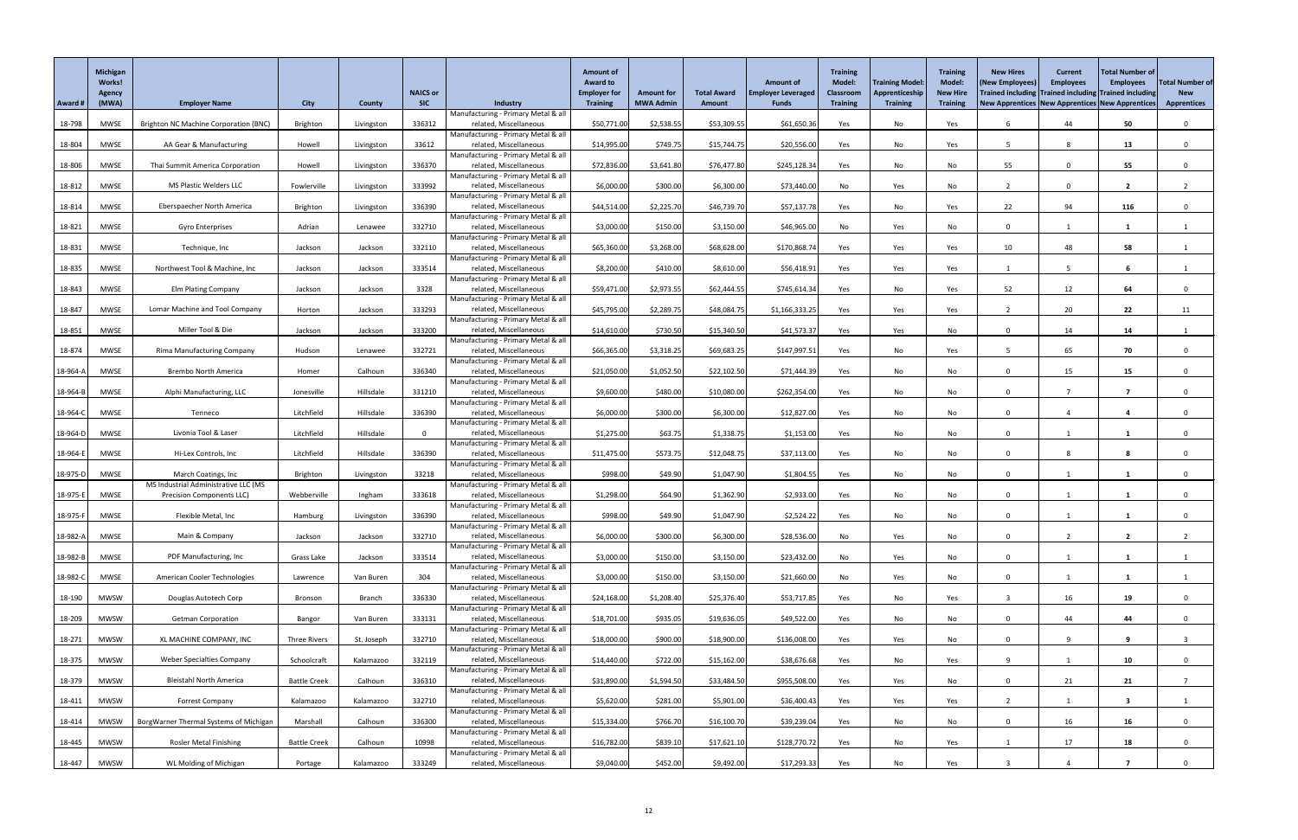|          | <b>Michigan</b><br><b>Works!</b><br>Agency |                                              |                     |               | <b>NAICS or</b> |                                                               | <b>Amount of</b><br><b>Award to</b><br><b>Employer for</b> | <b>Amount for</b> | <b>Total Award</b> | <b>Amount of</b><br><b>Employer Leveraged</b> | <b>Training</b><br><b>Model:</b><br><b>Classroom</b> | <b>Training Model</b><br>Apprenticeship | <b>Training</b><br><b>Model:</b><br><b>New Hire</b> | <b>New Hires</b><br>(New Employees<br>Trained including Trained including Trained including | <b>Current</b><br><b>Employees</b> | <b>Total Number of</b><br><b>Employees</b> | <b>Total Number of</b><br><b>New</b> |
|----------|--------------------------------------------|----------------------------------------------|---------------------|---------------|-----------------|---------------------------------------------------------------|------------------------------------------------------------|-------------------|--------------------|-----------------------------------------------|------------------------------------------------------|-----------------------------------------|-----------------------------------------------------|---------------------------------------------------------------------------------------------|------------------------------------|--------------------------------------------|--------------------------------------|
| Award #  | (MWA)                                      | <b>Employer Name</b>                         | <b>City</b>         | <b>County</b> | <b>SIC</b>      | Industry<br>Manufacturing - Primary Metal & all               | <b>Training</b>                                            | <b>MWA Admin</b>  | <b>Amount</b>      | <b>Funds</b>                                  | <b>Training</b>                                      | <b>Training</b>                         | <b>Training</b>                                     | New Apprentices New Apprentices New Apprentices                                             |                                    |                                            | <b>Apprentices</b>                   |
| 18-798   | <b>MWSE</b>                                | <b>Brighton NC Machine Corporation (BNC)</b> | Brighton            | Livingston    | 336312          | related, Miscellaneous                                        | \$50,771.00                                                | \$2,538.55        | \$53,309.55        | \$61,650.36                                   | Yes                                                  | No                                      | Yes                                                 |                                                                                             | 44                                 | 50                                         | $\Omega$                             |
| 18-804   | MWSE                                       | AA Gear & Manufacturing                      | Howell              | Livingston    | 33612           | Manufacturing - Primary Metal & all<br>related, Miscellaneous | \$14,995.00                                                | \$749.75          | \$15,744.75        | \$20,556.00                                   | Yes                                                  | No                                      | Yes                                                 | -5                                                                                          |                                    | 13                                         | $\Omega$                             |
| 18-806   | <b>MWSE</b>                                | Thai Summit America Corporation              | Howell              | Livingston    | 336370          | Manufacturing - Primary Metal & all<br>related, Miscellaneous | \$72,836.00                                                | \$3,641.80        | \$76,477.80        | \$245,128.34                                  | Yes                                                  | No                                      | No                                                  | 55                                                                                          |                                    | 55                                         |                                      |
|          |                                            |                                              |                     |               |                 | Manufacturing - Primary Metal & all                           |                                                            |                   |                    |                                               |                                                      |                                         |                                                     |                                                                                             |                                    |                                            |                                      |
| 18-812   | <b>MWSE</b>                                | MS Plastic Welders LLC                       | Fowlerville         | Livingston    | 333992          | related, Miscellaneous<br>Manufacturing - Primary Metal & all | \$6,000.00                                                 | \$300.00          | \$6,300.00         | \$73,440.00                                   | No                                                   | Yes                                     | No                                                  |                                                                                             |                                    | $\overline{\mathbf{2}}$                    |                                      |
| 18-814   | <b>MWSE</b>                                | Eberspaecher North America                   | Brighton            | Livingston    | 336390          | related, Miscellaneous                                        | \$44,514.00                                                | \$2,225.70        | \$46,739.70        | \$57,137.78                                   | Yes                                                  | No                                      | Yes                                                 | 22                                                                                          | 94                                 | 116                                        |                                      |
| 18-821   | MWSE                                       | Gyro Enterprises                             | Adrian              | Lenawee       | 332710          | Manufacturing - Primary Metal & all<br>related, Miscellaneous | \$3,000.00                                                 | \$150.00          | \$3,150.00         | \$46,965.00                                   | No                                                   | Yes                                     | No                                                  | $\mathbf{0}$                                                                                |                                    |                                            |                                      |
|          |                                            |                                              |                     |               |                 | Manufacturing - Primary Metal & all                           |                                                            |                   |                    |                                               |                                                      |                                         |                                                     |                                                                                             |                                    |                                            |                                      |
| 18-831   | <b>MWSE</b>                                | Technique, Inc                               | Jackson             | Jackson       | 332110          | related, Miscellaneous<br>Manufacturing - Primary Metal & all | \$65,360.00                                                | \$3,268.00        | \$68,628.00        | \$170,868.74                                  | Yes                                                  | Yes                                     | Yes                                                 | 10                                                                                          | 48                                 | 58                                         |                                      |
| 18-835   | MWSE                                       | Northwest Tool & Machine, Inc.               | Jackson             | Jackson       | 333514          | related, Miscellaneous                                        | \$8,200.00                                                 | \$410.00          | \$8,610.00         | \$56,418.91                                   | Yes                                                  | Yes                                     | Yes                                                 |                                                                                             |                                    | 6                                          |                                      |
| 18-843   | MWSE                                       | <b>Elm Plating Company</b>                   | Jackson             | Jackson       | 3328            | Manufacturing - Primary Metal & all<br>related, Miscellaneous | \$59,471.00                                                | \$2,973.55        | \$62,444.55        | \$745,614.34                                  | Yes                                                  | No                                      | Yes                                                 | 52                                                                                          | 12                                 | 64                                         | $\mathbf{0}$                         |
|          |                                            |                                              |                     |               |                 | Manufacturing - Primary Metal & all                           |                                                            |                   |                    |                                               |                                                      |                                         |                                                     |                                                                                             |                                    |                                            |                                      |
| 18-847   | MWSE                                       | Lomar Machine and Tool Company               | Horton              | Jackson       | 333293          | related, Miscellaneous<br>Manufacturing - Primary Metal & all | \$45,795.00                                                | \$2,289.75        | \$48,084.75        | \$1,166,333.25                                | Yes                                                  | Yes                                     | Yes                                                 |                                                                                             | 20                                 | 22                                         | 11                                   |
| 18-851   | MWSE                                       | Miller Tool & Die                            | Jackson             | Jackson       | 333200          | related, Miscellaneous                                        | \$14,610.00                                                | \$730.50          | \$15,340.50        | \$41,573.37                                   | Yes                                                  | Yes                                     | No                                                  | $\Omega$                                                                                    | 14                                 | 14                                         |                                      |
| 18-874   | MWSE                                       | <b>Rima Manufacturing Company</b>            | Hudson              | Lenawee       | 332721          | Manufacturing - Primary Metal & all<br>related, Miscellaneous | \$66,365.00                                                | \$3,318.25        | \$69,683.25        | \$147,997.51                                  | Yes                                                  | No                                      | Yes                                                 |                                                                                             | 65                                 | 70                                         | $\Omega$                             |
|          |                                            |                                              |                     |               |                 | Manufacturing - Primary Metal & all                           |                                                            |                   |                    |                                               |                                                      |                                         |                                                     |                                                                                             |                                    |                                            |                                      |
| 18-964-A | MWSE                                       | <b>Brembo North America</b>                  | Homer               | Calhoun       | 336340          | related, Miscellaneous<br>Manufacturing - Primary Metal & all | \$21,050.00                                                | \$1,052.50        | \$22,102.50        | \$71,444.39                                   | Yes                                                  | No                                      | No                                                  |                                                                                             | 15                                 | 15 <sub>1</sub>                            |                                      |
| 18-964-B | MWSE                                       | Alphi Manufacturing, LLC                     | Jonesville          | Hillsdale     | 331210          | related, Miscellaneous                                        | \$9,600.00                                                 | \$480.00          | \$10,080.00        | \$262,354.00                                  | Yes                                                  | No                                      | No                                                  | $\Omega$                                                                                    |                                    |                                            |                                      |
| 18-964-0 | MWSE                                       | Tenneco                                      | Litchfield          | Hillsdale     | 336390          | Manufacturing - Primary Metal & all<br>related, Miscellaneous | \$6,000.00                                                 | \$300.00          | \$6,300.00         | \$12,827.00                                   | Yes                                                  | No                                      | No                                                  | $\Omega$                                                                                    |                                    | 4                                          |                                      |
|          |                                            |                                              |                     |               |                 | Manufacturing - Primary Metal & all                           |                                                            |                   |                    |                                               |                                                      |                                         |                                                     |                                                                                             |                                    |                                            |                                      |
| 18-964-D | MWSE                                       | Livonia Tool & Laser                         | Litchfield          | Hillsdale     |                 | related, Miscellaneous<br>Manufacturing - Primary Metal & all | \$1,275.00                                                 | \$63.75           | \$1,338.75         | \$1,153.00                                    | Yes                                                  | No                                      | No                                                  | $\Omega$                                                                                    |                                    |                                            |                                      |
| 18-964-  | <b>MWSE</b>                                | Hi-Lex Controls, Inc                         | Litchfield          | Hillsdale     | 336390          | related, Miscellaneous                                        | \$11,475.00                                                | \$573.75          | \$12,048.75        | \$37,113.00                                   | Yes                                                  | No                                      | No                                                  |                                                                                             |                                    |                                            |                                      |
| 18-975-D | MWSE                                       | March Coatings, Inc                          | Brighton            | Livingston    | 33218           | Manufacturing - Primary Metal & all<br>related, Miscellaneous | \$998.00                                                   | \$49.90           | \$1,047.90         | \$1,804.55                                    | Yes                                                  | No                                      | No                                                  | $\Omega$                                                                                    |                                    |                                            |                                      |
|          |                                            | MS Industrial Administrative LLC (MS         |                     |               |                 | Manufacturing - Primary Metal & all                           |                                                            |                   |                    |                                               |                                                      |                                         |                                                     |                                                                                             |                                    |                                            |                                      |
| 18-975-E | MWSE                                       | <b>Precision Components LLC)</b>             | Webberville         | Ingham        | 333618          | related, Miscellaneous<br>Manufacturing - Primary Metal & all | \$1,298.00                                                 | \$64.90           | \$1,362.90         | \$2,933.00                                    | Yes                                                  | No                                      | No                                                  | $\mathbf{0}$                                                                                |                                    | 1                                          |                                      |
| 18-975-F | <b>MWSE</b>                                | Flexible Metal, Inc                          | Hamburg             | Livingston    | 336390          | related, Miscellaneous                                        | \$998.00                                                   | \$49.90           | \$1,047.90         | \$2,524.22                                    | Yes                                                  | No                                      | No                                                  | $\Omega$                                                                                    |                                    |                                            |                                      |
| 18-982-/ | MWSE                                       | Main & Company                               | Jackson             | Jackson       | 332710          | Manufacturing - Primary Metal & all<br>related, Miscellaneous | \$6,000.00                                                 | \$300.00          | \$6,300.00         | \$28,536.00                                   | No                                                   | Yes                                     | No                                                  | $\Omega$                                                                                    |                                    | $\overline{2}$                             |                                      |
|          |                                            |                                              |                     |               |                 | Manufacturing - Primary Metal & all                           |                                                            |                   |                    |                                               |                                                      |                                         |                                                     | $\Omega$                                                                                    |                                    |                                            |                                      |
| 18-982-B | MWSE                                       | PDF Manufacturing, Inc                       | Grass Lake          | Jackson       | 333514          | related, Miscellaneous<br>Manufacturing - Primary Metal & all | \$3,000.00                                                 | \$150.00          | \$3,150.00         | \$23,432.00                                   | No                                                   | Yes                                     | No                                                  |                                                                                             |                                    |                                            |                                      |
| 18-982-C | MWSE                                       | American Cooler Technologies                 | Lawrence            | Van Buren     | 304             | related, Miscellaneous<br>Manufacturing - Primary Metal & all | \$3,000.00                                                 | \$150.00          | \$3,150.00         | \$21,660.00                                   | No                                                   | Yes                                     | No                                                  | $\mathbf{0}$                                                                                |                                    |                                            |                                      |
| 18-190   | <b>MWSW</b>                                | Douglas Autotech Corp                        | Bronson             | <b>Branch</b> | 336330          | related, Miscellaneous                                        | \$24,168.00                                                | \$1,208.40        | \$25,376.40        | \$53,717.85                                   | Yes                                                  | No                                      | Yes                                                 | -3                                                                                          | 16                                 | 19                                         | $\Omega$                             |
| 18-209   | <b>MWSW</b>                                | <b>Getman Corporation</b>                    | Bangor              | Van Buren     | 333131          | Manufacturing - Primary Metal & all<br>related, Miscellaneous | \$18,701.00                                                | \$935.05          | \$19,636.05        | \$49,522.00                                   | Yes                                                  | No                                      | No                                                  | $\Omega$                                                                                    | 44                                 | 44                                         |                                      |
|          |                                            |                                              |                     |               |                 | Manufacturing - Primary Metal & all                           |                                                            |                   |                    |                                               |                                                      |                                         |                                                     |                                                                                             |                                    |                                            |                                      |
| 18-271   | <b>MWSW</b>                                | XL MACHINE COMPANY, INC                      | Three Rivers        | St. Joseph    | 332710          | related, Miscellaneous<br>Manufacturing - Primary Metal & all | \$18,000.00                                                | \$900.00          | \$18,900.00        | \$136,008.00                                  | Yes                                                  | Yes                                     | No                                                  | $\Omega$                                                                                    |                                    | 9                                          |                                      |
| 18-375   | <b>MWSW</b>                                | <b>Weber Specialties Company</b>             | Schoolcraft         | Kalamazoo     | 332119          | related, Miscellaneous                                        | \$14,440.00                                                | \$722.00          | \$15,162.00        | \$38,676.68                                   | Yes                                                  | No                                      | Yes                                                 | -9                                                                                          |                                    | 10                                         |                                      |
| 18-379   | <b>MWSW</b>                                | <b>Bleistahl North America</b>               | <b>Battle Creek</b> | Calhoun       | 336310          | Manufacturing - Primary Metal & all<br>related, Miscellaneous | \$31,890.00                                                | \$1,594.50        | \$33,484.50        | \$955,508.00                                  | Yes                                                  | Yes                                     | No                                                  | $\Omega$                                                                                    | 21                                 | 21                                         |                                      |
| 18-411   | <b>MWSW</b>                                | <b>Forrest Company</b>                       | Kalamazoo           | Kalamazoo     | 332710          | Manufacturing - Primary Metal & all<br>related, Miscellaneous | \$5,620.00                                                 | \$281.00          | \$5,901.00         | \$36,400.43                                   | Yes                                                  | Yes                                     | Yes                                                 |                                                                                             |                                    |                                            |                                      |
|          |                                            |                                              |                     |               |                 | Manufacturing - Primary Metal & all                           |                                                            |                   |                    |                                               |                                                      |                                         |                                                     |                                                                                             |                                    |                                            |                                      |
| 18-414   | <b>MWSW</b>                                | BorgWarner Thermal Systems of Michigan       | Marshall            | Calhoun       | 336300          | related, Miscellaneous<br>Manufacturing - Primary Metal & all | \$15,334.00                                                | \$766.70          | \$16,100.70        | \$39,239.04                                   | Yes                                                  | No                                      | No                                                  | $\mathbf 0$                                                                                 | 16                                 | 16                                         | $\mathbf 0$                          |
| 18-445   | <b>MWSW</b>                                | <b>Rosler Metal Finishing</b>                | <b>Battle Creek</b> | Calhoun       | 10998           | related, Miscellaneous<br>Manufacturing - Primary Metal & all | \$16,782.00                                                | \$839.10          | \$17,621.10        | \$128,770.72                                  | Yes                                                  | No                                      | Yes                                                 |                                                                                             | 17                                 | 18                                         | $\mathbf 0$                          |
| 18-447   | MWSW                                       | WL Molding of Michigan                       | Portage             | Kalamazoo     | 333249          | related, Miscellaneous                                        | \$9,040.00                                                 | \$452.00          | \$9,492.00         | \$17,293.33                                   | Yes                                                  | No                                      | Yes                                                 |                                                                                             |                                    |                                            |                                      |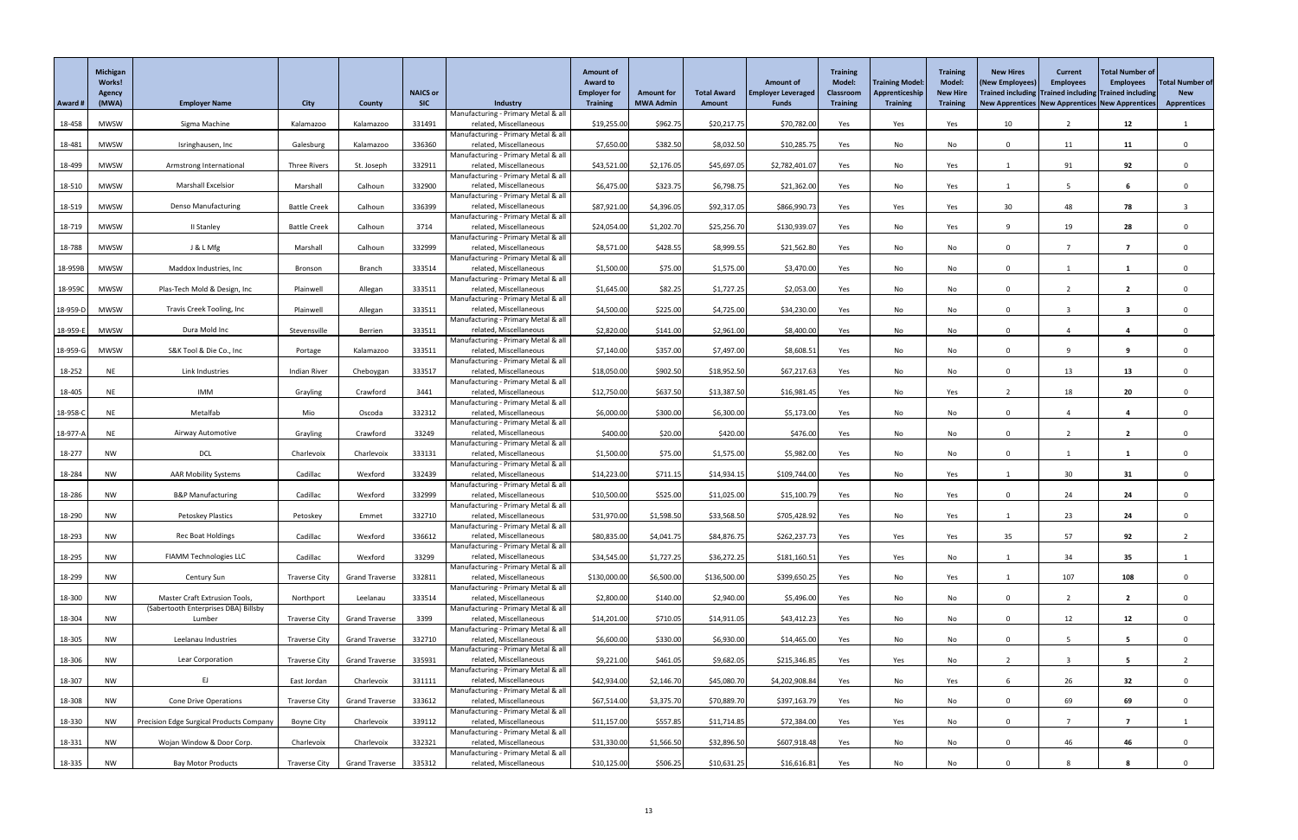|          | <b>Michigan</b><br>Works!<br>Agency |                                                 |                      |                       | <b>NAICS or</b> |                                                               | <b>Amount of</b><br><b>Award to</b><br><b>Employer for</b> | <b>Amount for</b> | <b>Total Award</b> | <b>Amount of</b><br><b>Employer Leveraged</b> | <b>Training</b><br><b>Model:</b><br><b>Classroom</b> | <b>Training Model</b><br>Apprenticeship | <b>Training</b><br>Model:<br><b>New Hire</b> | <b>New Hires</b><br>(New Employees<br>Trained including Trained including Trained including | <b>Current</b><br><b>Employees</b> | <b>Total Number of</b><br><b>Employees</b> | <b>Total Number of</b><br><b>New</b> |
|----------|-------------------------------------|-------------------------------------------------|----------------------|-----------------------|-----------------|---------------------------------------------------------------|------------------------------------------------------------|-------------------|--------------------|-----------------------------------------------|------------------------------------------------------|-----------------------------------------|----------------------------------------------|---------------------------------------------------------------------------------------------|------------------------------------|--------------------------------------------|--------------------------------------|
| Award #  | (MWA)                               | <b>Employer Name</b>                            | <b>City</b>          | <b>County</b>         | <b>SIC</b>      | Industry                                                      | <b>Training</b>                                            | <b>MWA Admin</b>  | <b>Amount</b>      | <b>Funds</b>                                  | <b>Training</b>                                      | <b>Training</b>                         | <b>Training</b>                              | New Apprentices New Apprentices New Apprentices                                             |                                    |                                            | <b>Apprentices</b>                   |
| 18-458   | <b>MWSW</b>                         | Sigma Machine                                   | Kalamazoo            | Kalamazoo             | 331491          | Manufacturing - Primary Metal & all<br>related, Miscellaneous | \$19,255.00                                                | \$962.75          | \$20,217.75        | \$70,782.00                                   | Yes                                                  | Yes                                     | Yes                                          | 10                                                                                          | $\overline{2}$                     | 12                                         |                                      |
|          |                                     |                                                 |                      |                       |                 | Manufacturing - Primary Metal & all                           |                                                            |                   |                    |                                               |                                                      |                                         |                                              |                                                                                             |                                    |                                            |                                      |
| 18-481   | <b>MWSW</b>                         | Isringhausen, Inc                               | Galesburg            | Kalamazoo             | 336360          | related, Miscellaneous<br>Manufacturing - Primary Metal & all | \$7,650.00                                                 | \$382.50          | \$8,032.50         | \$10,285.75                                   | Yes                                                  | No                                      | No                                           | $\Omega$                                                                                    | 11                                 | 11                                         | $\Omega$                             |
| 18-499   | <b>MWSW</b>                         | Armstrong International                         | Three Rivers         | St. Joseph            | 332911          | related, Miscellaneous                                        | \$43,521.00                                                | \$2,176.05        | \$45,697.05        | \$2,782,401.07                                | Yes                                                  | No                                      | Yes                                          |                                                                                             | 91                                 | 92                                         |                                      |
| 18-510   | <b>MWSW</b>                         | <b>Marshall Excelsior</b>                       | Marshall             | Calhoun               | 332900          | Manufacturing - Primary Metal & all<br>related, Miscellaneous | \$6,475.00                                                 | \$323.75          | \$6,798.75         | \$21,362.00                                   | Yes                                                  | No                                      | Yes                                          |                                                                                             |                                    | 6                                          |                                      |
|          |                                     |                                                 |                      |                       |                 | Manufacturing - Primary Metal & all                           |                                                            |                   |                    |                                               |                                                      |                                         |                                              |                                                                                             |                                    |                                            |                                      |
| 18-519   | <b>MWSW</b>                         | <b>Denso Manufacturing</b>                      | <b>Battle Creek</b>  | Calhoun               | 336399          | related, Miscellaneous<br>Manufacturing - Primary Metal & all | \$87,921.00                                                | \$4,396.05        | \$92,317.05        | \$866,990.73                                  | Yes                                                  | Yes                                     | Yes                                          | 30                                                                                          | 48                                 | 78                                         |                                      |
| 18-719   | <b>MWSW</b>                         | II Stanley                                      | <b>Battle Creek</b>  | Calhoun               | 3714            | related, Miscellaneous                                        | \$24,054.00                                                | \$1,202.70        | \$25,256.70        | \$130,939.07                                  | Yes                                                  | No                                      | Yes                                          |                                                                                             | 19                                 | 28                                         |                                      |
| 18-788   | <b>MWSW</b>                         | J & L Mfg                                       | Marshall             | Calhoun               | 332999          | Manufacturing - Primary Metal & all<br>related, Miscellaneous | \$8,571.00                                                 | \$428.55          | \$8,999.55         | \$21,562.80                                   | Yes                                                  | No                                      | No                                           | $\Omega$                                                                                    |                                    | 7                                          | $\Omega$                             |
|          |                                     |                                                 |                      |                       |                 | Manufacturing - Primary Metal & all                           |                                                            |                   |                    |                                               |                                                      |                                         |                                              |                                                                                             |                                    |                                            |                                      |
| 18-959B  | <b>MWSW</b>                         | Maddox Industries, Inc                          | Bronson              | <b>Branch</b>         | 333514          | related, Miscellaneous<br>Manufacturing - Primary Metal & all | \$1,500.00                                                 | \$75.00           | \$1,575.00         | \$3,470.00                                    | Yes                                                  | No                                      | No                                           | $\Omega$                                                                                    |                                    |                                            |                                      |
| 18-959C  | <b>MWSW</b>                         | Plas-Tech Mold & Design, Inc                    | Plainwell            | Allegan               | 333511          | related, Miscellaneous                                        | \$1,645.00                                                 | \$82.25           | \$1,727.25         | \$2,053.00                                    | Yes                                                  | No                                      | No                                           | $\Omega$                                                                                    |                                    | $\overline{2}$                             | $\Omega$                             |
| 18-959-D | <b>MWSW</b>                         | Travis Creek Tooling, Inc                       | Plainwell            | Allegan               | 333511          | Manufacturing - Primary Metal & all<br>related, Miscellaneous | \$4,500.00                                                 | \$225.00          | \$4,725.00         | \$34,230.00                                   | Yes                                                  | No                                      | No                                           | $\Omega$                                                                                    | ્ર                                 | $\overline{\mathbf{3}}$                    |                                      |
|          |                                     |                                                 |                      |                       |                 | Manufacturing - Primary Metal & all                           |                                                            |                   |                    |                                               |                                                      |                                         |                                              |                                                                                             |                                    |                                            |                                      |
| 18-959-B | <b>MWSW</b>                         | Dura Mold Inc                                   | Stevensville         | Berrien               | 333511          | related, Miscellaneous<br>Manufacturing - Primary Metal & all | \$2,820.00                                                 | \$141.00          | \$2,961.00         | \$8,400.00                                    | Yes                                                  | No                                      | No                                           | $\mathbf 0$                                                                                 |                                    |                                            |                                      |
| 18-959-C | <b>MWSW</b>                         | S&K Tool & Die Co., Inc                         | Portage              | Kalamazoo             | 333511          | related, Miscellaneous                                        | \$7,140.00                                                 | \$357.00          | \$7,497.00         | \$8,608.51                                    | Yes                                                  | No                                      | No                                           | $\Omega$                                                                                    |                                    | 9                                          | $\Omega$                             |
| 18-252   | <b>NE</b>                           | Link Industries                                 | Indian River         | Cheboygan             | 333517          | Manufacturing - Primary Metal & all<br>related, Miscellaneous | \$18,050.00                                                | \$902.50          | \$18,952.50        | \$67,217.63                                   | Yes                                                  | No                                      | No                                           | $\Omega$                                                                                    | 13                                 | 13                                         |                                      |
|          |                                     |                                                 |                      |                       |                 | Manufacturing - Primary Metal & all                           |                                                            |                   |                    |                                               |                                                      |                                         |                                              |                                                                                             |                                    |                                            |                                      |
| 18-405   | <b>NE</b>                           | IMM                                             | Grayling             | Crawford              | 3441            | related, Miscellaneous<br>Manufacturing - Primary Metal & all | \$12,750.00                                                | \$637.50          | \$13,387.50        | \$16,981.45                                   | Yes                                                  | No                                      | Yes                                          | - 2                                                                                         | 18                                 | 20                                         |                                      |
| 18-958-0 | NE                                  | Metalfab                                        | Mio                  | Oscoda                | 332312          | related, Miscellaneous                                        | \$6,000.00                                                 | \$300.00          | \$6,300.00         | \$5,173.00                                    | Yes                                                  | No                                      | No                                           | $\Omega$                                                                                    |                                    |                                            |                                      |
| 18-977-  | <b>NE</b>                           | Airway Automotive                               | Grayling             | Crawford              | 33249           | Manufacturing - Primary Metal & all<br>related, Miscellaneous | \$400.00                                                   | \$20.00           | \$420.00           | \$476.00                                      | Yes                                                  | No                                      | No                                           | $\Omega$                                                                                    |                                    | $\mathbf{2}$                               |                                      |
|          |                                     |                                                 |                      |                       |                 | Manufacturing - Primary Metal & all                           |                                                            |                   |                    |                                               |                                                      |                                         |                                              |                                                                                             |                                    |                                            |                                      |
| 18-277   | <b>NW</b>                           | <b>DCL</b>                                      | Charlevoix           | Charlevoix            | 333131          | related, Miscellaneous<br>Manufacturing - Primary Metal & all | \$1,500.00                                                 | \$75.00           | \$1,575.00         | \$5,982.00                                    | Yes                                                  | No                                      | No                                           | $\Omega$                                                                                    |                                    |                                            |                                      |
| 18-284   | <b>NW</b>                           | <b>AAR Mobility Systems</b>                     | Cadillac             | Wexford               | 332439          | related, Miscellaneous                                        | \$14,223.00                                                | \$711.15          | \$14,934.15        | \$109,744.00                                  | Yes                                                  | No                                      | Yes                                          |                                                                                             | 30 <sup>°</sup>                    | 31                                         |                                      |
| 18-286   | <b>NW</b>                           | <b>B&amp;P Manufacturing</b>                    | Cadillac             | Wexford               | 332999          | Manufacturing - Primary Metal & all<br>related, Miscellaneous | \$10,500.00                                                | \$525.00          | \$11,025.00        | \$15,100.79                                   | Yes                                                  | No                                      | Yes                                          | $\Omega$                                                                                    | 24                                 | 24                                         |                                      |
|          |                                     |                                                 |                      |                       |                 | Manufacturing - Primary Metal & all                           |                                                            |                   |                    |                                               |                                                      |                                         |                                              |                                                                                             |                                    |                                            |                                      |
| 18-290   | <b>NW</b>                           | Petoskey Plastics                               | Petoskey             | Emmet                 | 332710          | related, Miscellaneous<br>Manufacturing - Primary Metal & all | \$31,970.00                                                | \$1,598.50        | \$33,568.50        | \$705,428.92                                  | Yes                                                  | No                                      | Yes                                          |                                                                                             | 23                                 | 24                                         |                                      |
| 18-293   | <b>NW</b>                           | Rec Boat Holdings                               | Cadillac             | Wexford               | 336612          | related, Miscellaneous                                        | \$80,835.00                                                | \$4,041.75        | \$84,876.75        | \$262,237.73                                  | Yes                                                  | Yes                                     | Yes                                          | 35                                                                                          | 57                                 | 92                                         |                                      |
| 18-295   | <b>NW</b>                           | <b>FIAMM Technologies LLC</b>                   | Cadillac             | Wexford               | 33299           | Manufacturing - Primary Metal & all<br>related, Miscellaneous | \$34,545.00                                                | \$1,727.25        | \$36,272.25        | \$181,160.51                                  | Yes                                                  | Yes                                     | No                                           |                                                                                             | 34                                 | 35                                         |                                      |
|          |                                     |                                                 |                      |                       |                 | Manufacturing - Primary Metal & all                           |                                                            |                   |                    |                                               |                                                      |                                         |                                              |                                                                                             |                                    |                                            |                                      |
| 18-299   | <b>NW</b>                           | Century Sun                                     | <b>Traverse City</b> | <b>Grand Traverse</b> | 332811          | related, Miscellaneous<br>Manufacturing - Primary Metal & all | \$130,000.00                                               | \$6,500.00        | \$136,500.00       | \$399,650.25                                  | Yes                                                  | No                                      | Yes                                          |                                                                                             | 107                                | 108                                        |                                      |
| 18-300   | <b>NW</b>                           | Master Craft Extrusion Tools,                   | Northport            | Leelanau              | 333514          | related, Miscellaneous                                        | \$2,800.00                                                 | \$140.00          | \$2,940.00         | \$5,496.00                                    | Yes                                                  | No                                      | No                                           | $\Omega$                                                                                    | $\mathcal{D}$                      | $\overline{2}$                             | $\Omega$                             |
| 18-304   | <b>NW</b>                           | (Sabertooth Enterprises DBA) Billsby<br>Lumber  | <b>Traverse City</b> | <b>Grand Traverse</b> | 3399            | Manufacturing - Primary Metal & all<br>related, Miscellaneous | \$14,201.00                                                | \$710.05          | \$14,911.05        | \$43,412.23                                   | Yes                                                  | No                                      | No                                           |                                                                                             | 12                                 | 12                                         |                                      |
|          |                                     |                                                 |                      |                       |                 | Manufacturing - Primary Metal & all                           |                                                            |                   |                    |                                               |                                                      |                                         |                                              |                                                                                             |                                    |                                            |                                      |
| 18-305   | <b>NW</b>                           | Leelanau Industries                             | <b>Traverse City</b> | <b>Grand Traverse</b> | 332710          | related, Miscellaneous<br>Manufacturing - Primary Metal & all | \$6,600.00                                                 | \$330.00          | \$6,930.00         | \$14,465.00                                   | Yes                                                  | No                                      | No                                           | $\Omega$                                                                                    |                                    | 5                                          |                                      |
| 18-306   | <b>NW</b>                           | Lear Corporation                                | <b>Traverse City</b> | <b>Grand Traverse</b> | 335931          | related, Miscellaneous                                        | \$9,221.00                                                 | \$461.05          | \$9,682.05         | \$215,346.85                                  | Yes                                                  | Yes                                     | No                                           | $\mathcal{D}$                                                                               | $\mathbf{3}$                       | $5^{\circ}$                                |                                      |
| 18-307   | <b>NW</b>                           | EJ                                              | East Jordan          | Charlevoix            | 331111          | Manufacturing - Primary Metal & all<br>related, Miscellaneous | \$42,934.00                                                | \$2,146.70        | \$45,080.70        | \$4,202,908.84                                | Yes                                                  | No                                      | Yes                                          |                                                                                             | 26                                 | 32                                         | $\Omega$                             |
|          |                                     |                                                 |                      |                       |                 | Manufacturing - Primary Metal & all                           |                                                            |                   |                    |                                               |                                                      |                                         |                                              |                                                                                             |                                    |                                            |                                      |
| 18-308   | <b>NW</b>                           | <b>Cone Drive Operations</b>                    | <b>Traverse City</b> | <b>Grand Traverse</b> | 333612          | related, Miscellaneous<br>Manufacturing - Primary Metal & all | \$67,514.00                                                | \$3,375.70        | \$70,889.70        | \$397,163.79                                  | Yes                                                  | No                                      | No                                           |                                                                                             | 69                                 | 69                                         |                                      |
| 18-330   | <b>NW</b>                           | <b>Precision Edge Surgical Products Company</b> | <b>Boyne City</b>    | Charlevoix            | 339112          | related, Miscellaneous<br>Manufacturing - Primary Metal & all | \$11,157.00                                                | \$557.85          | \$11,714.85        | \$72,384.00                                   | Yes                                                  | Yes                                     | No                                           | 0                                                                                           |                                    | $\overline{7}$                             |                                      |
| 18-331   | <b>NW</b>                           | Wojan Window & Door Corp.                       | Charlevoix           | Charlevoix            | 332321          | related, Miscellaneous                                        | \$31,330.00                                                | \$1,566.50        | \$32,896.50        | \$607,918.48                                  | Yes                                                  | No                                      | No                                           | $\Omega$                                                                                    | 46                                 | 46                                         | $\mathbf{0}$                         |
| 18-335   | <b>NW</b>                           | <b>Bay Motor Products</b>                       | Traverse City        | <b>Grand Traverse</b> | 335312          | Manufacturing - Primary Metal & all<br>related, Miscellaneous | \$10,125.00                                                | \$506.25          | \$10,631.25        | \$16,616.81                                   | Yes                                                  | No                                      | No                                           |                                                                                             |                                    | 8                                          |                                      |
|          |                                     |                                                 |                      |                       |                 |                                                               |                                                            |                   |                    |                                               |                                                      |                                         |                                              |                                                                                             |                                    |                                            |                                      |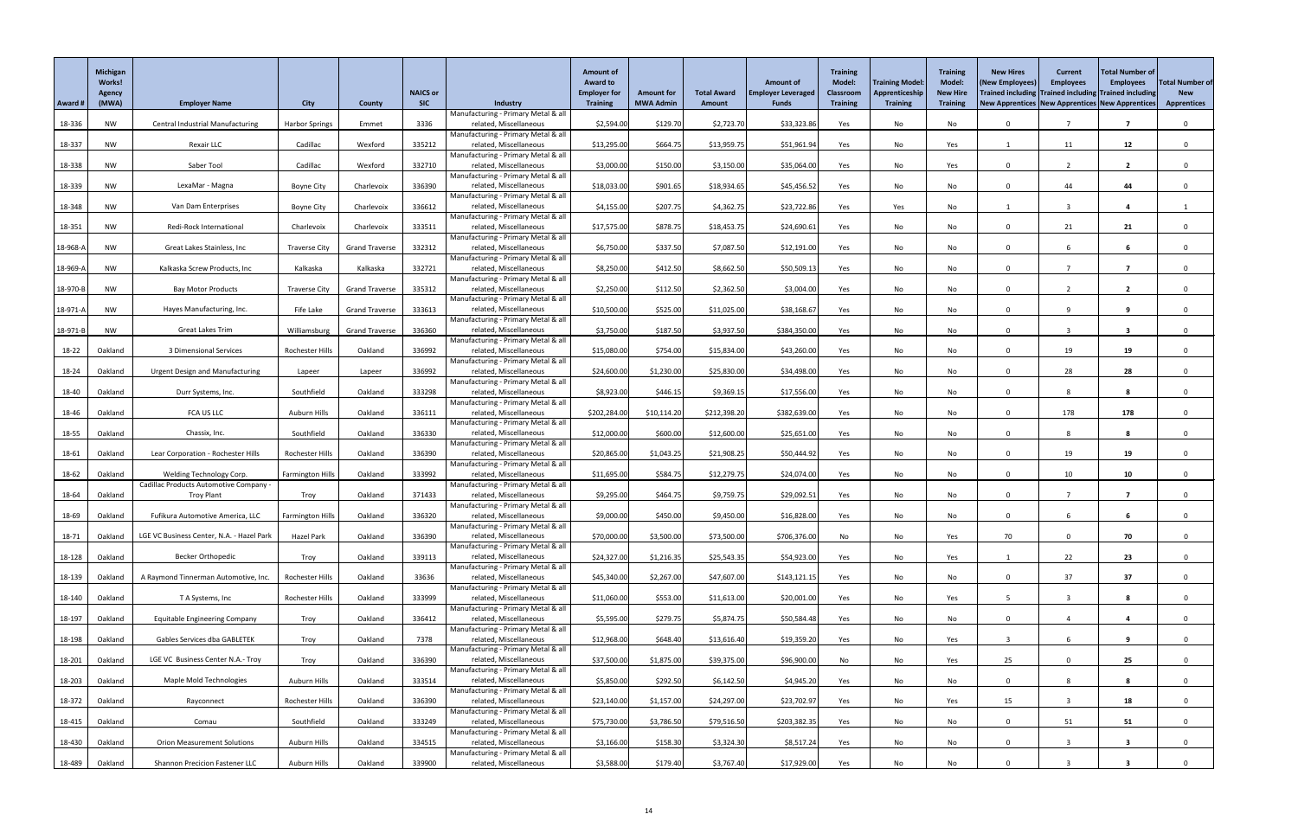|          | <b>Michigan</b><br><b>Works!</b><br>Agency |                                                                    |                         |                       | <b>NAICS or</b> |                                                               | <b>Amount of</b><br><b>Award to</b><br><b>Employer for</b> | <b>Amount for</b> | <b>Total Award</b> | <b>Amount of</b><br><b>Employer Leveraged</b> | <b>Training</b><br><b>Model:</b><br><b>Classroom</b> | <b>Training Model</b><br>Apprenticeship | <b>Training</b><br>Model:<br><b>New Hire</b> | <b>New Hires</b><br>(New Employees<br>Trained including Trained including Trained including | <b>Current</b><br><b>Employees</b> | <b>Total Number of</b><br><b>Employees</b> | <b>Total Number of</b><br><b>New</b> |
|----------|--------------------------------------------|--------------------------------------------------------------------|-------------------------|-----------------------|-----------------|---------------------------------------------------------------|------------------------------------------------------------|-------------------|--------------------|-----------------------------------------------|------------------------------------------------------|-----------------------------------------|----------------------------------------------|---------------------------------------------------------------------------------------------|------------------------------------|--------------------------------------------|--------------------------------------|
| Award #  | (MWA)                                      | <b>Employer Name</b>                                               | <b>City</b>             | <b>County</b>         | <b>SIC</b>      | Industry                                                      | <b>Training</b>                                            | <b>MWA Admin</b>  | <b>Amount</b>      | <b>Funds</b>                                  | <b>Training</b>                                      | <b>Training</b>                         | <b>Training</b>                              | New Apprentices   New Apprentices   New Apprentices                                         |                                    |                                            | <b>Apprentices</b>                   |
| 18-336   | <b>NW</b>                                  | <b>Central Industrial Manufacturing</b>                            | <b>Harbor Springs</b>   | Emmet                 | 3336            | Manufacturing - Primary Metal & all<br>related, Miscellaneous | \$2,594.00                                                 | \$129.70          | \$2,723.70         | \$33,323.86                                   | Yes                                                  | No                                      | No                                           | $\Omega$                                                                                    |                                    | $\overline{\mathbf{z}}$                    | $\mathbf{0}$                         |
|          |                                            |                                                                    |                         |                       |                 | Manufacturing - Primary Metal & all                           |                                                            |                   |                    |                                               |                                                      |                                         |                                              |                                                                                             |                                    |                                            |                                      |
| 18-337   | <b>NW</b>                                  | Rexair LLC                                                         | Cadillac                | Wexford               | 335212          | related, Miscellaneous<br>Manufacturing - Primary Metal & all | \$13,295.00                                                | \$664.75          | \$13,959.75        | \$51,961.94                                   | Yes                                                  | No                                      | Yes                                          |                                                                                             | 11                                 | 12                                         |                                      |
| 18-338   | <b>NW</b>                                  | Saber Tool                                                         | Cadillac                | Wexford               | 332710          | related, Miscellaneous                                        | \$3,000.00                                                 | \$150.00          | \$3,150.00         | \$35,064.00                                   | Yes                                                  | No                                      | Yes                                          | $\Omega$                                                                                    |                                    | $\overline{2}$                             |                                      |
|          |                                            |                                                                    |                         |                       |                 | Manufacturing - Primary Metal & all                           |                                                            |                   |                    |                                               |                                                      |                                         |                                              |                                                                                             |                                    |                                            |                                      |
| 18-339   | <b>NW</b>                                  | LexaMar - Magna                                                    | Boyne City              | Charlevoix            | 336390          | related, Miscellaneous<br>Manufacturing - Primary Metal & all | \$18,033.00                                                | \$901.65          | \$18,934.65        | \$45,456.52                                   | Yes                                                  | No                                      | No                                           | $\Omega$                                                                                    | 44                                 | 44                                         |                                      |
| 18-348   | <b>NW</b>                                  | Van Dam Enterprises                                                | <b>Boyne City</b>       | Charlevoix            | 336612          | related, Miscellaneous                                        | \$4,155.00                                                 | \$207.75          | \$4,362.75         | \$23,722.86                                   | Yes                                                  | Yes                                     | No                                           |                                                                                             | $\overline{2}$                     |                                            |                                      |
| 18-351   | <b>NW</b>                                  | Redi-Rock International                                            | Charlevoix              | Charlevoix            | 333511          | Manufacturing - Primary Metal & all<br>related, Miscellaneous | \$17,575.00                                                | \$878.75          | \$18,453.75        | \$24,690.61                                   | Yes                                                  | No                                      | No                                           |                                                                                             | 21                                 | 21                                         |                                      |
|          |                                            |                                                                    |                         |                       |                 | Manufacturing - Primary Metal & all                           |                                                            |                   |                    |                                               |                                                      |                                         |                                              |                                                                                             |                                    |                                            |                                      |
| 18-968-/ | <b>NW</b>                                  | Great Lakes Stainless, Inc                                         | <b>Traverse City</b>    | <b>Grand Traverse</b> | 332312          | related, Miscellaneous<br>Manufacturing - Primary Metal & all | \$6,750.00                                                 | \$337.50          | \$7,087.50         | \$12,191.00                                   | Yes                                                  | No                                      | No                                           | $\Omega$                                                                                    |                                    | 6                                          | $\Omega$                             |
| 18-969-/ | <b>NW</b>                                  | Kalkaska Screw Products, Inc                                       | Kalkaska                | Kalkaska              | 332721          | related, Miscellaneous                                        | \$8,250.00                                                 | \$412.50          | \$8,662.50         | \$50,509.13                                   | Yes                                                  | No                                      | No                                           | $\Omega$                                                                                    |                                    |                                            |                                      |
| 18-970-B | <b>NW</b>                                  | <b>Bay Motor Products</b>                                          | <b>Traverse City</b>    | <b>Grand Traverse</b> | 335312          | Manufacturing - Primary Metal & all<br>related, Miscellaneous | \$2,250.00                                                 | \$112.50          | \$2,362.50         | \$3,004.00                                    | Yes                                                  | No                                      | No                                           | $\Omega$                                                                                    |                                    | $\overline{2}$                             |                                      |
|          |                                            |                                                                    |                         |                       |                 | Manufacturing - Primary Metal & all                           |                                                            |                   |                    |                                               |                                                      |                                         |                                              |                                                                                             |                                    |                                            |                                      |
| 18-971-/ | <b>NW</b>                                  | Hayes Manufacturing, Inc.                                          | Fife Lake               | <b>Grand Traverse</b> | 333613          | related, Miscellaneous<br>Manufacturing - Primary Metal & all | \$10,500.00                                                | \$525.00          | \$11,025.00        | \$38,168.67                                   | Yes                                                  | No                                      | No                                           | $\Omega$                                                                                    | $\Omega$                           | 9                                          |                                      |
| 18-971-  | <b>NW</b>                                  | Great Lakes Trim                                                   | Williamsburg            | <b>Grand Traverse</b> | 336360          | related, Miscellaneous                                        | \$3,750.00                                                 | \$187.50          | \$3,937.50         | \$384,350.00                                  | Yes                                                  | No                                      | No                                           | 0                                                                                           |                                    | 3                                          |                                      |
| 18-22    | Oakland                                    | 3 Dimensional Services                                             | Rochester Hills         | Oakland               | 336992          | Manufacturing - Primary Metal & all<br>related, Miscellaneous | \$15,080.00                                                | \$754.00          | \$15,834.00        | \$43,260.00                                   | Yes                                                  | No                                      | No                                           | $\Omega$                                                                                    | 19                                 | 19                                         | $\Omega$                             |
|          |                                            |                                                                    |                         |                       |                 | Manufacturing - Primary Metal & all                           |                                                            |                   |                    |                                               |                                                      |                                         |                                              |                                                                                             |                                    |                                            |                                      |
| 18-24    | Oakland                                    | <b>Urgent Design and Manufacturing</b>                             | Lapeer                  | Lapeer                | 336992          | related, Miscellaneous<br>Manufacturing - Primary Metal & all | \$24,600.00                                                | \$1,230.00        | \$25,830.00        | \$34,498.00                                   | Yes                                                  | No                                      | No                                           |                                                                                             | 28                                 | 28                                         |                                      |
| 18-40    | Oakland                                    | Durr Systems, Inc.                                                 | Southfield              | Oakland               | 333298          | related, Miscellaneous                                        | \$8,923.00                                                 | \$446.15          | \$9,369.15         | \$17,556.00                                   | Yes                                                  | No                                      | No                                           | $\Omega$                                                                                    |                                    | 8                                          |                                      |
| 18-46    | Oakland                                    | FCA US LLC                                                         | Auburn Hills            | Oakland               | 336111          | Manufacturing - Primary Metal & all<br>related, Miscellaneous | \$202,284.00                                               | \$10,114.20       | \$212,398.20       | \$382,639.00                                  | Yes                                                  | No                                      | No                                           | $\Omega$                                                                                    | 178                                | 178                                        |                                      |
|          |                                            |                                                                    |                         |                       |                 | Manufacturing - Primary Metal & all                           |                                                            |                   |                    |                                               |                                                      |                                         |                                              |                                                                                             |                                    |                                            |                                      |
| 18-55    | Oakland                                    | Chassix, Inc.                                                      | Southfield              | Oakland               | 336330          | related, Miscellaneous<br>Manufacturing - Primary Metal & all | \$12,000.00                                                | \$600.00          | \$12,600.00        | \$25,651.00                                   | Yes                                                  | No                                      | No                                           | $\Omega$                                                                                    |                                    | 8                                          |                                      |
| 18-61    | Oakland                                    | Lear Corporation - Rochester Hills                                 | <b>Rochester Hills</b>  | Oakland               | 336390          | related, Miscellaneous                                        | \$20,865.00                                                | \$1,043.25        | \$21,908.25        | \$50,444.92                                   | Yes                                                  | No                                      | No                                           |                                                                                             | 19                                 | 19                                         |                                      |
|          |                                            |                                                                    |                         |                       |                 | Manufacturing - Primary Metal & all                           |                                                            |                   |                    |                                               |                                                      |                                         |                                              |                                                                                             |                                    |                                            |                                      |
| 18-62    | Oakland                                    | Welding Technology Corp.<br>Cadillac Products Automotive Company - | <b>Farmington Hills</b> | Oakland               | 333992          | related, Miscellaneous<br>Manufacturing - Primary Metal & all | \$11,695.00                                                | \$584.75          | \$12,279.75        | \$24,074.00                                   | Yes                                                  | No                                      | No                                           | $\Omega$                                                                                    | 10 <sup>°</sup>                    | 10                                         |                                      |
| 18-64    | Oakland                                    | <b>Troy Plant</b>                                                  | Troy                    | Oakland               | 371433          | related, Miscellaneous                                        | \$9,295.00                                                 | \$464.75          | \$9,759.75         | \$29,092.51                                   | Yes                                                  | No                                      | No                                           | $\Omega$                                                                                    |                                    | 7                                          |                                      |
| 18-69    | Oakland                                    | Fufikura Automotive America, LLC                                   | <b>Farmington Hills</b> | Oakland               | 336320          | Manufacturing - Primary Metal & all<br>related, Miscellaneous | \$9,000.00                                                 | \$450.00          | \$9,450.00         | \$16,828.00                                   | Yes                                                  | No                                      | No                                           | $\Omega$                                                                                    |                                    | 6                                          |                                      |
|          |                                            |                                                                    |                         |                       |                 | Manufacturing - Primary Metal & all                           |                                                            |                   |                    |                                               |                                                      |                                         |                                              |                                                                                             |                                    |                                            |                                      |
| 18-71    | Oakland                                    | LGE VC Business Center, N.A. - Hazel Park                          | <b>Hazel Park</b>       | Oakland               | 336390          | related, Miscellaneous<br>Manufacturing - Primary Metal & all | \$70,000.00                                                | \$3,500.00        | \$73,500.00        | \$706,376.00                                  | No                                                   | No                                      | Yes                                          | 70                                                                                          |                                    | 70                                         |                                      |
| 18-128   | Oakland                                    | <b>Becker Orthopedic</b>                                           | Troy                    | Oakland               | 339113          | related, Miscellaneous                                        | \$24,327.00                                                | \$1,216.35        | \$25,543.35        | \$54,923.00                                   | Yes                                                  | No                                      | Yes                                          |                                                                                             | 22                                 | 23                                         |                                      |
| 18-139   | Oakland                                    | A Raymond Tinnerman Automotive, Inc.                               | Rochester Hills         | Oakland               | 33636           | Manufacturing - Primary Metal & all<br>related, Miscellaneous | \$45,340.00                                                | \$2,267.00        | \$47,607.00        | \$143,121.15                                  | Yes                                                  | No                                      | No                                           | $\mathbf{0}$                                                                                | 37                                 | 37                                         |                                      |
|          |                                            |                                                                    |                         |                       |                 | Manufacturing - Primary Metal & all                           |                                                            |                   |                    |                                               |                                                      |                                         |                                              |                                                                                             | $\overline{2}$                     |                                            |                                      |
| 18-140   | Oakland                                    | T A Systems, Inc                                                   | Rochester Hills         | Oakland               | 333999          | related, Miscellaneous<br>Manufacturing - Primary Metal & all | \$11,060.00                                                | \$553.00          | \$11,613.00        | \$20,001.00                                   | Yes                                                  | No                                      | Yes                                          |                                                                                             |                                    | 8                                          | $\Omega$                             |
| 18-197   | Oakland                                    | <b>Equitable Engineering Company</b>                               | Troy                    | Oakland               | 336412          | related, Miscellaneous                                        | \$5,595.00                                                 | \$279.75          | \$5,874.75         | \$50,584.48                                   | Yes                                                  | No                                      | No                                           |                                                                                             |                                    |                                            |                                      |
| 18-198   | Oakland                                    | Gables Services dba GABLETEK                                       | Troy                    | Oakland               | 7378            | Manufacturing - Primary Metal & all<br>related, Miscellaneous | \$12,968.00                                                | \$648.40          | \$13,616.40        | \$19,359.20                                   | Yes                                                  | No                                      | Yes                                          |                                                                                             |                                    | 9                                          |                                      |
|          |                                            |                                                                    |                         |                       |                 | Manufacturing - Primary Metal & all                           |                                                            |                   |                    |                                               |                                                      |                                         |                                              |                                                                                             |                                    |                                            |                                      |
| 18-201   | Oakland                                    | LGE VC Business Center N.A.- Troy                                  | Troy                    | Oakland               | 336390          | related, Miscellaneous<br>Manufacturing - Primary Metal & all | \$37,500.00                                                | \$1,875.00        | \$39,375.00        | \$96,900.00                                   | No                                                   | No                                      | Yes                                          | 25                                                                                          | $\Omega$                           | 25                                         |                                      |
| 18-203   | Oakland                                    | <b>Maple Mold Technologies</b>                                     | Auburn Hills            | Oakland               | 333514          | related, Miscellaneous                                        | \$5,850.00                                                 | \$292.50          | \$6,142.50         | \$4,945.20                                    | Yes                                                  | No                                      | No                                           | $\mathbf{0}$                                                                                |                                    | 8                                          |                                      |
| 18-372   | Oakland                                    | Rayconnect                                                         | Rochester Hills         | Oakland               | 336390          | Manufacturing - Primary Metal & all<br>related, Miscellaneous | \$23,140.00                                                | \$1,157.00        | \$24,297.00        | \$23,702.97                                   | Yes                                                  | No                                      | Yes                                          | 15                                                                                          |                                    | 18                                         |                                      |
|          |                                            |                                                                    |                         |                       |                 | Manufacturing - Primary Metal & all                           |                                                            |                   |                    |                                               |                                                      |                                         |                                              |                                                                                             |                                    |                                            |                                      |
| 18-415   | Oakland                                    | Comau                                                              | Southfield              | Oakland               | 333249          | related, Miscellaneous<br>Manufacturing - Primary Metal & all | \$75,730.00                                                | \$3,786.50        | \$79,516.50        | \$203,382.35                                  | Yes                                                  | No                                      | No                                           | $\Omega$                                                                                    | 51                                 | 51                                         | $\mathbf 0$                          |
| 18-430   | Oakland                                    | <b>Orion Measurement Solutions</b>                                 | Auburn Hills            | Oakland               | 334515          | related, Miscellaneous                                        | \$3,166.00                                                 | \$158.30          | \$3,324.30         | \$8,517.24                                    | Yes                                                  | No                                      | No                                           | $\Omega$                                                                                    | $\overline{3}$                     | $\overline{\mathbf{3}}$                    | $\Omega$                             |
| 18-489   | Oakland                                    | <b>Shannon Precicion Fastener LLC</b>                              | Auburn Hills            | Oakland               | 339900          | Manufacturing - Primary Metal & all<br>related, Miscellaneous | \$3,588.00                                                 | \$179.40          | \$3,767.40         | \$17,929.00                                   | Yes                                                  | No                                      | No                                           |                                                                                             |                                    | 3                                          |                                      |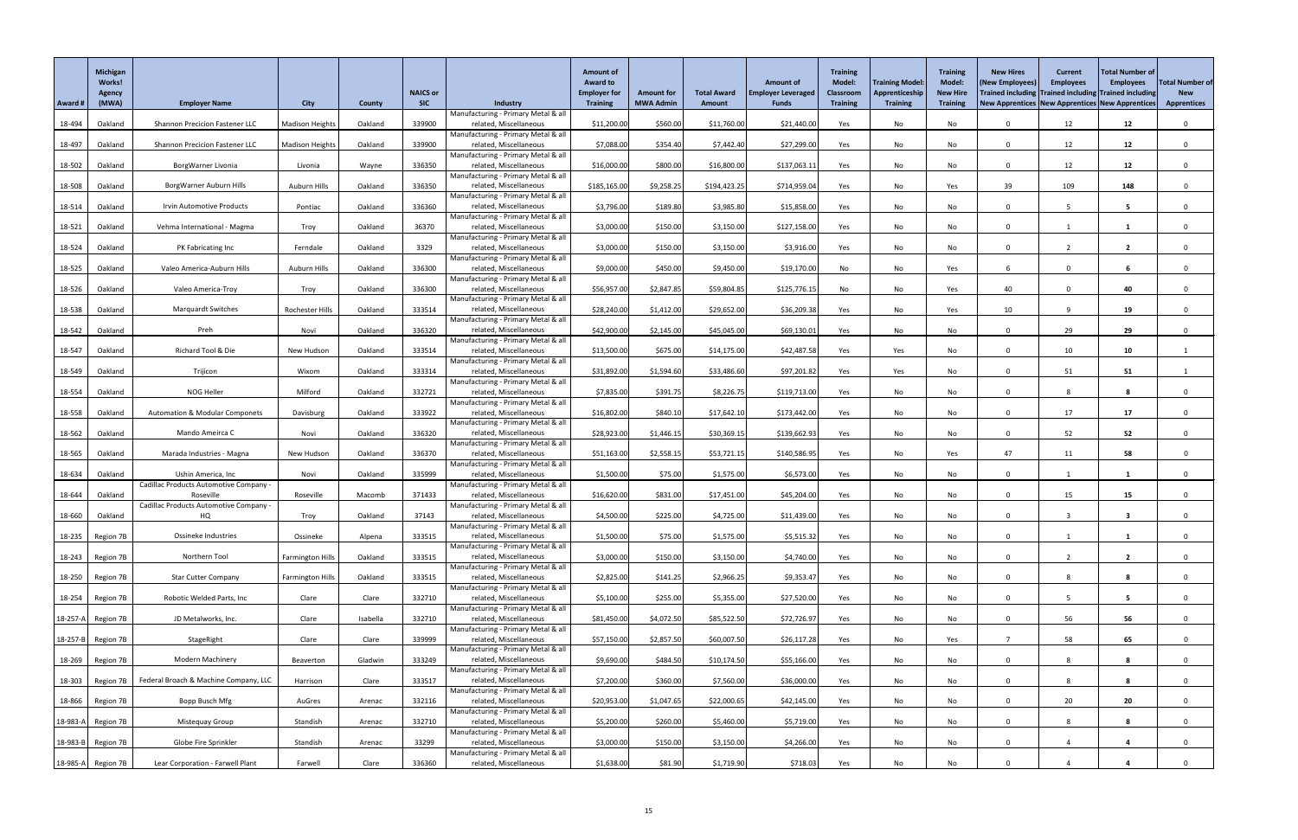|                | <b>Michigan</b><br>Works!<br>Agency |                                                     |                         |               | <b>NAICS or</b> |                                                               | <b>Amount of</b><br><b>Award to</b><br><b>Employer for</b> | <b>Amount for</b> | <b>Total Award</b> | <b>Amount of</b><br><b>Employer Leveraged</b> | <b>Training</b><br><b>Model:</b><br><b>Classroom</b> | <b>Training Model</b><br>Apprenticeship | <b>Training</b><br>Model:<br><b>New Hire</b> | <b>New Hires</b><br>(New Employees<br>Trained including Trained including Trained including | <b>Current</b><br><b>Employees</b> | <b>Total Number of</b><br><b>Employees</b> | <b>Total Number of</b><br><b>New</b> |
|----------------|-------------------------------------|-----------------------------------------------------|-------------------------|---------------|-----------------|---------------------------------------------------------------|------------------------------------------------------------|-------------------|--------------------|-----------------------------------------------|------------------------------------------------------|-----------------------------------------|----------------------------------------------|---------------------------------------------------------------------------------------------|------------------------------------|--------------------------------------------|--------------------------------------|
| Award #        | (MWA)                               | <b>Employer Name</b>                                | <b>City</b>             | <b>County</b> | <b>SIC</b>      | Industry                                                      | <b>Training</b>                                            | <b>MWA Admin</b>  | <b>Amount</b>      | <b>Funds</b>                                  | <b>Training</b>                                      | <b>Training</b>                         | <b>Training</b>                              | New Apprentices   New Apprentices   New Apprentices                                         |                                    |                                            | <b>Apprentices</b>                   |
| 18-494         | Oakland                             | <b>Shannon Precicion Fastener LLC</b>               | <b>Madison Heights</b>  | Oakland       | 339900          | Manufacturing - Primary Metal & all<br>related, Miscellaneous | \$11,200.00                                                | \$560.00          | \$11,760.00        | \$21,440.00                                   | Yes                                                  | No                                      | No                                           | $\mathbf{0}$                                                                                | 12                                 | 12                                         | $\mathbf 0$                          |
| 18-497         | Oakland                             | Shannon Precicion Fastener LLC                      | <b>Madison Heights</b>  | Oakland       | 339900          | Manufacturing - Primary Metal & all<br>related, Miscellaneous | \$7,088.00                                                 | \$354.40          | \$7,442.40         | \$27,299.00                                   | Yes                                                  | No                                      | No                                           | $\Omega$                                                                                    | 12                                 | 12                                         |                                      |
| 18-502         | Oakland                             | BorgWarner Livonia                                  | Livonia                 | Wayne         | 336350          | Manufacturing - Primary Metal & all<br>related, Miscellaneous | \$16,000.00                                                | \$800.00          | \$16,800.00        | \$137,063.11                                  | Yes                                                  | No                                      | No                                           | $\Omega$                                                                                    | 12                                 | 12                                         |                                      |
|                |                                     |                                                     |                         |               |                 | Manufacturing - Primary Metal & all                           |                                                            |                   |                    |                                               |                                                      |                                         |                                              |                                                                                             |                                    |                                            |                                      |
| 18-508         | Oakland                             | BorgWarner Auburn Hills                             | Auburn Hills            | Oakland       | 336350          | related, Miscellaneous<br>Manufacturing - Primary Metal & all | \$185,165.00                                               | \$9,258.25        | \$194,423.25       | \$714,959.04                                  | Yes                                                  | No                                      | Yes                                          | 39                                                                                          | 109                                | 148                                        |                                      |
| 18-514         | Oakland                             | Irvin Automotive Products                           | Pontiac                 | Oakland       | 336360          | related, Miscellaneous                                        | \$3,796.00                                                 | \$189.80          | \$3,985.80         | \$15,858.00                                   | Yes                                                  | No                                      | No                                           | $\Omega$                                                                                    |                                    | 5                                          |                                      |
| 18-521         | Oakland                             | Vehma International - Magma                         | Troy                    | Oakland       | 36370           | Manufacturing - Primary Metal & all<br>related, Miscellaneous | \$3,000.00                                                 | \$150.00          | \$3,150.00         | \$127,158.00                                  | Yes                                                  | No                                      | No                                           | $\Omega$                                                                                    |                                    |                                            |                                      |
|                |                                     |                                                     |                         |               |                 | Manufacturing - Primary Metal & all                           |                                                            |                   |                    |                                               |                                                      |                                         |                                              |                                                                                             |                                    |                                            |                                      |
| 18-524         | Oakland                             | PK Fabricating Inc                                  | Ferndale                | Oakland       | 3329            | related, Miscellaneous<br>Manufacturing - Primary Metal & all | \$3,000.00                                                 | \$150.00          | \$3,150.00         | \$3,916.00                                    | Yes                                                  | No                                      | No                                           | $\Omega$                                                                                    |                                    | $\overline{2}$                             | $\Omega$                             |
| 18-525         | Oakland                             | Valeo America-Auburn Hills                          | Auburn Hills            | Oakland       | 336300          | related, Miscellaneous                                        | \$9,000.00                                                 | \$450.00          | \$9,450.00         | \$19,170.00                                   | No                                                   | No                                      | Yes                                          |                                                                                             |                                    | 6                                          |                                      |
| 18-526         | Oakland                             | Valeo America-Troy                                  | Troy                    | Oakland       | 336300          | Manufacturing - Primary Metal & all<br>related, Miscellaneous | \$56,957.00                                                | \$2,847.85        | \$59,804.85        | \$125,776.15                                  | No                                                   | No                                      | Yes                                          | 40                                                                                          | $\Omega$                           | 40                                         | $\mathbf{0}$                         |
|                |                                     |                                                     |                         |               |                 | Manufacturing - Primary Metal & all                           |                                                            |                   |                    |                                               |                                                      |                                         |                                              |                                                                                             |                                    |                                            |                                      |
| 18-538         | Oakland                             | <b>Marquardt Switches</b>                           | Rochester Hills         | Oakland       | 333514          | related, Miscellaneous<br>Manufacturing - Primary Metal & all | \$28,240.00                                                | \$1,412.00        | \$29,652.00        | \$36,209.38                                   | Yes                                                  | No                                      | Yes                                          | 10                                                                                          | $\mathbf{Q}$                       | 19                                         | $\Omega$                             |
| 18-542         | Oakland                             | Preh                                                | Novi                    | Oakland       | 336320          | related, Miscellaneous                                        | \$42,900.00                                                | \$2,145.00        | \$45,045.00        | \$69,130.01                                   | Yes                                                  | $\mathsf{No}$                           | No                                           | $\mathbf 0$                                                                                 | 29                                 | 29                                         | $\Omega$                             |
| 18-547         | Oakland                             | Richard Tool & Die                                  | New Hudson              | Oakland       | 333514          | Manufacturing - Primary Metal & all<br>related, Miscellaneous | \$13,500.00                                                | \$675.00          | \$14,175.00        | \$42,487.58                                   | Yes                                                  | Yes                                     | No                                           | $\Omega$                                                                                    | 10                                 | 10                                         |                                      |
|                |                                     |                                                     |                         |               |                 | Manufacturing - Primary Metal & all                           |                                                            |                   |                    |                                               |                                                      |                                         |                                              |                                                                                             |                                    |                                            |                                      |
| 18-549         | Oakland                             | Trijicon                                            | Wixom                   | Oakland       | 333314          | related, Miscellaneous<br>Manufacturing - Primary Metal & all | \$31,892.00                                                | \$1,594.60        | \$33,486.60        | \$97,201.82                                   | Yes                                                  | Yes                                     | No                                           |                                                                                             | 51                                 | 51                                         |                                      |
| 18-554         | Oakland                             | NOG Heller                                          | Milford                 | Oakland       | 332721          | related, Miscellaneous                                        | \$7,835.00                                                 | \$391.75          | \$8,226.75         | \$119,713.00                                  | Yes                                                  | No                                      | No                                           | $\Omega$                                                                                    |                                    | 8                                          |                                      |
| 18-558         | Oakland                             | <b>Automation &amp; Modular Componets</b>           | Davisburg               | Oakland       | 333922          | Manufacturing - Primary Metal & all<br>related, Miscellaneous | \$16,802.00                                                | \$840.10          | \$17,642.10        | \$173,442.00                                  | Yes                                                  | No                                      | No                                           | $\Omega$                                                                                    | 17                                 | 17                                         |                                      |
|                |                                     |                                                     |                         |               |                 | Manufacturing - Primary Metal & all                           |                                                            |                   |                    |                                               |                                                      |                                         |                                              |                                                                                             |                                    |                                            |                                      |
| 18-562         | Oakland                             | Mando Ameirca C                                     | Novi                    | Oakland       | 336320          | related, Miscellaneous<br>Manufacturing - Primary Metal & all | \$28,923.00                                                | \$1,446.15        | \$30,369.15        | \$139,662.93                                  | Yes                                                  | No                                      | No                                           | $\Omega$                                                                                    | 52                                 | 52                                         |                                      |
| 18-565         | Oakland                             | Marada Industries - Magna                           | New Hudson              | Oakland       | 336370          | related, Miscellaneous<br>Manufacturing - Primary Metal & all | \$51,163.00                                                | \$2,558.15        | \$53,721.15        | \$140,586.95                                  | Yes                                                  | No                                      | Yes                                          | 47                                                                                          | 11                                 | 58                                         |                                      |
| 18-634         | Oakland                             | Ushin America, Inc                                  | Novi                    | Oakland       | 335999          | related, Miscellaneous                                        | \$1,500.00                                                 | \$75.00           | \$1,575.00         | \$6,573.00                                    | Yes                                                  | No                                      | No                                           | $\Omega$                                                                                    |                                    |                                            |                                      |
| 18-644         | Oakland                             | Cadillac Products Automotive Company -<br>Roseville | Roseville               | Macomb        | 371433          | Manufacturing - Primary Metal & all<br>related, Miscellaneous | \$16,620.00                                                | \$831.00          | \$17,451.00        | \$45,204.00                                   | Yes                                                  | No                                      | No                                           | $\Omega$                                                                                    | 15                                 | 15 <sub>1</sub>                            |                                      |
|                |                                     | Cadillac Products Automotive Company -              |                         |               |                 | Manufacturing - Primary Metal & all                           |                                                            |                   |                    |                                               |                                                      |                                         |                                              |                                                                                             |                                    |                                            |                                      |
| 18-660         | Oakland                             | HQ                                                  | Troy                    | Oakland       | 37143           | related, Miscellaneous<br>Manufacturing - Primary Metal & all | \$4,500.00                                                 | \$225.00          | \$4,725.00         | \$11,439.00                                   | Yes                                                  | No                                      | No                                           | $\Omega$                                                                                    |                                    | 3                                          |                                      |
| 18-235         | Region 7B                           | Ossineke Industries                                 | Ossineke                | Alpena        | 333515          | related, Miscellaneous                                        | \$1,500.00                                                 | \$75.00           | \$1,575.00         | \$5,515.32                                    | Yes                                                  | No                                      | No                                           | $\Omega$                                                                                    |                                    |                                            |                                      |
| $18-243$       | Region 7B                           | Northern Tool                                       | <b>Farmington Hills</b> | Oakland       | 333515          | Manufacturing - Primary Metal & all<br>related, Miscellaneous | \$3,000.00                                                 | \$150.00          | \$3,150.00         | \$4,740.00                                    | Yes                                                  | No                                      | No                                           | $\Omega$                                                                                    |                                    | $\mathbf{z}$                               |                                      |
|                |                                     |                                                     |                         |               |                 | Manufacturing - Primary Metal & all                           |                                                            |                   |                    |                                               |                                                      |                                         |                                              |                                                                                             |                                    |                                            |                                      |
| 18-250         | Region 7B                           | <b>Star Cutter Company</b>                          | <b>Farmington Hills</b> | Oakland       | 333515          | related, Miscellaneous<br>Manufacturing - Primary Metal & all | \$2,825.00                                                 | \$141.25          | \$2,966.25         | \$9,353.47                                    | Yes                                                  | No                                      | No                                           | $\Omega$                                                                                    |                                    | 8                                          |                                      |
| 18-254         | Region 7B                           | Robotic Welded Parts, Inc                           | Clare                   | Clare         | 332710          | related, Miscellaneous                                        | \$5,100.00                                                 | \$255.00          | \$5,355.00         | \$27,520.00                                   | Yes                                                  | No                                      | No                                           | $\Omega$                                                                                    |                                    | 5.                                         | $\Omega$                             |
| $18-257-A$     | Region 7B                           | JD Metalworks, Inc.                                 | Clare                   | Isabella      | 332710          | Manufacturing - Primary Metal & all<br>related, Miscellaneous | \$81,450.00                                                | \$4,072.50        | \$85,522.50        | \$72,726.97                                   | Yes                                                  | No                                      | No                                           |                                                                                             | 56                                 | 56                                         |                                      |
|                |                                     |                                                     |                         |               |                 | Manufacturing - Primary Metal & all                           |                                                            |                   |                    |                                               |                                                      |                                         |                                              |                                                                                             |                                    |                                            |                                      |
| $18 - 257 - B$ | Region 7B                           | StageRight                                          | Clare                   | Clare         | 339999          | related, Miscellaneous<br>Manufacturing - Primary Metal & all | \$57,150.00                                                | \$2,857.50        | \$60,007.50        | \$26,117.28                                   | Yes                                                  | No                                      | Yes                                          |                                                                                             | 58                                 | 65                                         | $\Omega$                             |
| 18-269         | Region 7B                           | <b>Modern Machinery</b>                             | Beaverton               | Gladwin       | 333249          | related, Miscellaneous                                        | \$9,690.00                                                 | \$484.50          | \$10,174.50        | \$55,166.00                                   | Yes                                                  | No                                      | No                                           | $\Omega$                                                                                    |                                    | 8                                          |                                      |
| 18-303         | Region 7B                           | Federal Broach & Machine Company, LLC               | Harrison                | Clare         | 333517          | Manufacturing - Primary Metal & all<br>related, Miscellaneous | \$7,200.00                                                 | \$360.00          | \$7,560.00         | \$36,000.00                                   | Yes                                                  | No                                      | No                                           | $\Omega$                                                                                    |                                    | 8                                          |                                      |
| 18-866         | Region 7B                           | Bopp Busch Mfg                                      | AuGres                  | Arenac        | 332116          | Manufacturing - Primary Metal & all<br>related, Miscellaneous | \$20,953.00                                                | \$1,047.65        | \$22,000.65        | \$42,145.00                                   | Yes                                                  | No                                      | No                                           |                                                                                             | 20                                 | 20                                         |                                      |
|                | 18-983-A Region 7B                  | Mistequay Group                                     | Standish                | Arenac        | 332710          | Manufacturing - Primary Metal & all<br>related, Miscellaneous | \$5,200.00                                                 | \$260.00          | \$5,460.00         | \$5,719.00                                    | Yes                                                  | No                                      | No                                           | $\Omega$                                                                                    |                                    | 8                                          | $\mathbf 0$                          |
|                |                                     |                                                     |                         |               |                 | Manufacturing - Primary Metal & all                           |                                                            |                   |                    |                                               |                                                      |                                         |                                              |                                                                                             |                                    |                                            |                                      |
|                | 18-983-B Region 7B                  | Globe Fire Sprinkler                                | Standish                | Arenac        | 33299           | related, Miscellaneous<br>Manufacturing - Primary Metal & all | \$3,000.00                                                 | \$150.00          | \$3,150.00         | \$4,266.00                                    | Yes                                                  | No                                      | No                                           | $\Omega$                                                                                    |                                    | $\overline{a}$                             | $\mathbf{0}$                         |
|                | 18-985-A Region 7B                  | Lear Corporation - Farwell Plant                    | Farwell                 | Clare         | 336360          | related, Miscellaneous                                        | \$1,638.00                                                 | \$81.90           | \$1,719.90         | \$718.03                                      | Yes                                                  | No                                      | No                                           | $\Omega$                                                                                    |                                    |                                            |                                      |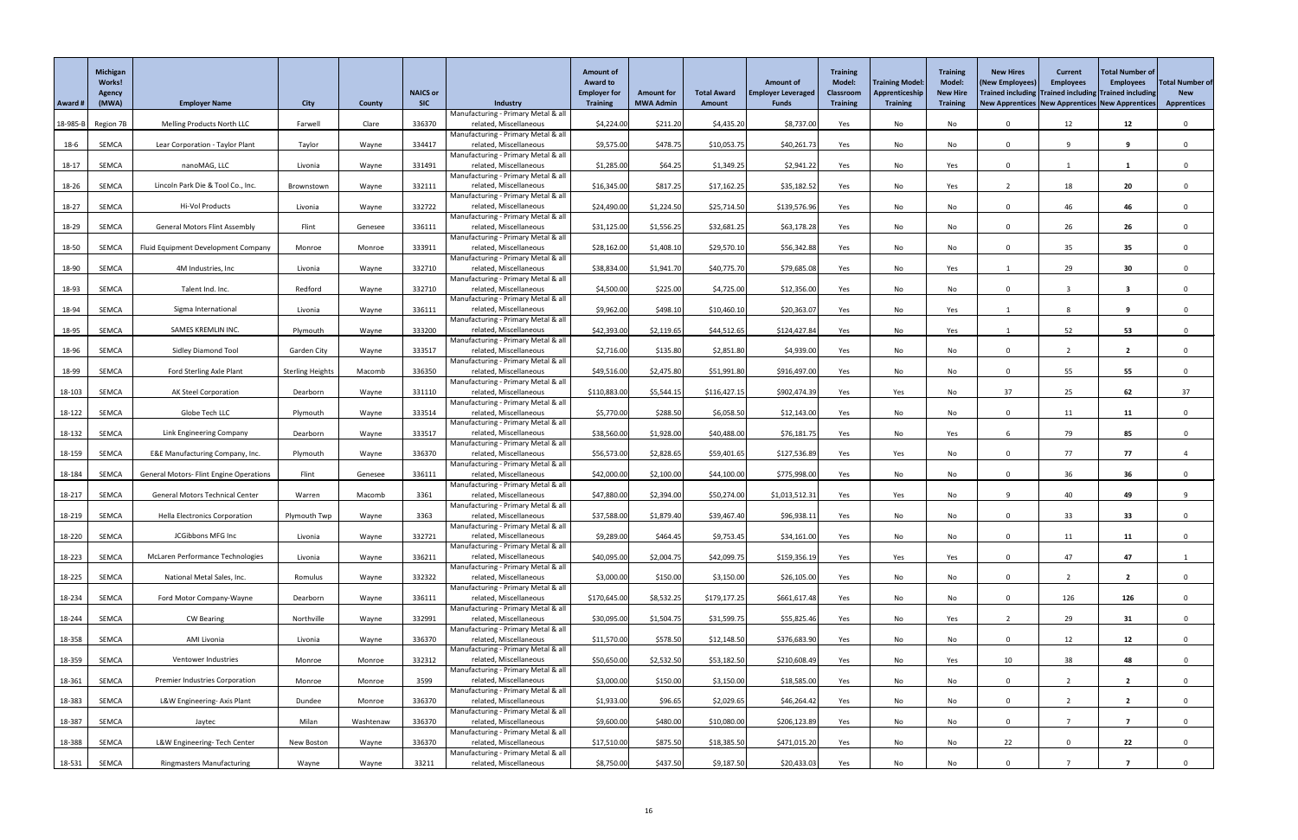|          | <b>Michigan</b><br><b>Works!</b><br>Agency |                                                |                         |               | <b>NAICS or</b> |                                                               | <b>Amount of</b><br><b>Award to</b><br><b>Employer for</b> | <b>Amount for</b> | <b>Total Award</b> | <b>Amount of</b><br><b>Employer Leveraged</b> | <b>Training</b><br><b>Model:</b><br><b>Classroom</b> | <b>Training Model</b><br>Apprenticeship | <b>Training</b><br>Model:<br><b>New Hire</b> | <b>New Hires</b><br>(New Employees<br>Trained including Trained including Trained including | <b>Current</b><br><b>Employees</b> | <b>Total Number of</b><br><b>Employees</b> | <b>Total Number of</b><br><b>New</b> |
|----------|--------------------------------------------|------------------------------------------------|-------------------------|---------------|-----------------|---------------------------------------------------------------|------------------------------------------------------------|-------------------|--------------------|-----------------------------------------------|------------------------------------------------------|-----------------------------------------|----------------------------------------------|---------------------------------------------------------------------------------------------|------------------------------------|--------------------------------------------|--------------------------------------|
| Award #  | (MWA)                                      | <b>Employer Name</b>                           | <b>City</b>             | <b>County</b> | <b>SIC</b>      | Industry                                                      | <b>Training</b>                                            | <b>MWA Admin</b>  | <b>Amount</b>      | <b>Funds</b>                                  | <b>Training</b>                                      | <b>Training</b>                         | <b>Training</b>                              | New Apprentices New Apprentices New Apprentices                                             |                                    |                                            | <b>Apprentices</b>                   |
| 18-985-B | Region 7B                                  | <b>Melling Products North LLC</b>              | Farwell                 | Clare         | 336370          | Manufacturing - Primary Metal & all<br>related, Miscellaneous | \$4,224.00                                                 | \$211.20          | \$4,435.20         | \$8,737.00                                    | Yes                                                  | No                                      | No                                           | $\Omega$                                                                                    | 12                                 | 12                                         | $\mathbf 0$                          |
| $18-6$   | SEMCA                                      | Lear Corporation - Taylor Plant                | Taylor                  | Wayne         | 334417          | Manufacturing - Primary Metal & all<br>related, Miscellaneous | \$9,575.00                                                 | \$478.75          | \$10,053.75        | \$40,261.73                                   | Yes                                                  | No                                      | No                                           | $\Omega$                                                                                    | q                                  | 9                                          |                                      |
|          |                                            |                                                |                         |               |                 | Manufacturing - Primary Metal & all                           |                                                            |                   |                    |                                               |                                                      |                                         |                                              |                                                                                             |                                    |                                            |                                      |
| $18-17$  | SEMCA                                      | nanoMAG, LLC                                   | Livonia                 | Wayne         | 331491          | related, Miscellaneous<br>Manufacturing - Primary Metal & all | \$1,285.00                                                 | \$64.25           | \$1,349.25         | \$2,941.22                                    | Yes                                                  | No                                      | Yes                                          | $\Omega$                                                                                    |                                    |                                            |                                      |
| 18-26    | SEMCA                                      | Lincoln Park Die & Tool Co., Inc.              | Brownstown              | Wayne         | 332111          | related, Miscellaneous                                        | \$16,345.00                                                | \$817.25          | \$17,162.25        | \$35,182.52                                   | Yes                                                  | No                                      | Yes                                          |                                                                                             | 18                                 | 20                                         |                                      |
| 18-27    | SEMCA                                      | Hi-Vol Products                                | Livonia                 | Wayne         | 332722          | Manufacturing - Primary Metal & all<br>related, Miscellaneous | \$24,490.00                                                | \$1,224.50        | \$25,714.50        | \$139,576.96                                  | Yes                                                  | No                                      | No                                           | $\Omega$                                                                                    | 46                                 | 46                                         |                                      |
| 18-29    | SEMCA                                      | <b>General Motors Flint Assembly</b>           | Flint                   | Genesee       | 336111          | Manufacturing - Primary Metal & all<br>related, Miscellaneous | \$31,125.00                                                | \$1,556.25        | \$32,681.25        | \$63,178.28                                   | Yes                                                  | No                                      | No                                           | $\Omega$                                                                                    | 26                                 | 26                                         |                                      |
| 18-50    | <b>SEMCA</b>                               | Fluid Equipment Development Company            | Monroe                  | Monroe        | 333911          | Manufacturing - Primary Metal & all<br>related, Miscellaneous | \$28,162.00                                                | \$1,408.10        | \$29,570.10        | \$56,342.88                                   | Yes                                                  | No                                      | No                                           | $\Omega$                                                                                    | 35                                 | 35                                         | $\Omega$                             |
|          |                                            |                                                |                         |               |                 | Manufacturing - Primary Metal & all                           |                                                            |                   |                    |                                               |                                                      |                                         |                                              |                                                                                             |                                    |                                            |                                      |
| 18-90    | SEMCA                                      | 4M Industries, Inc                             | Livonia                 | Wayne         | 332710          | related, Miscellaneous<br>Manufacturing - Primary Metal & all | \$38,834.00                                                | \$1,941.70        | \$40,775.70        | \$79,685.08                                   | Yes                                                  | No                                      | Yes                                          |                                                                                             | 29                                 | 30                                         |                                      |
| 18-93    | SEMCA                                      | Talent Ind. Inc.                               | Redford                 | Wayne         | 332710          | related, Miscellaneous<br>Manufacturing - Primary Metal & all | \$4,500.00                                                 | \$225.00          | \$4,725.00         | \$12,356.00                                   | Yes                                                  | No                                      | No                                           | $\Omega$                                                                                    | $\overline{2}$                     | $\overline{\mathbf{3}}$                    | $\mathbf{0}$                         |
| 18-94    | SEMCA                                      | Sigma International                            | Livonia                 | Wayne         | 336111          | related, Miscellaneous                                        | \$9,962.00                                                 | \$498.10          | \$10,460.10        | \$20,363.07                                   | Yes                                                  | No                                      | Yes                                          |                                                                                             | 8                                  | 9                                          | $\Omega$                             |
| 18-95    | SEMCA                                      | SAMES KREMLIN INC.                             | Plymouth                | Wayne         | 333200          | Manufacturing - Primary Metal & all<br>related, Miscellaneous | \$42,393.00                                                | \$2,119.65        | \$44,512.65        | \$124,427.84                                  | Yes                                                  | No                                      | Yes                                          |                                                                                             | 52                                 | 53                                         | $\Omega$                             |
|          |                                            |                                                |                         |               |                 | Manufacturing - Primary Metal & all                           |                                                            |                   |                    |                                               |                                                      |                                         |                                              |                                                                                             |                                    |                                            |                                      |
| 18-96    | SEMCA                                      | <b>Sidley Diamond Tool</b>                     | Garden City             | Wayne         | 333517          | related, Miscellaneous<br>Manufacturing - Primary Metal & all | \$2,716.00                                                 | \$135.80          | \$2,851.80         | \$4,939.00                                    | Yes                                                  | No                                      | No                                           | $\Omega$                                                                                    |                                    | $\overline{2}$                             | $\Omega$                             |
| 18-99    | SEMCA                                      | Ford Sterling Axle Plant                       | <b>Sterling Heights</b> | Macomb        | 336350          | related, Miscellaneous<br>Manufacturing - Primary Metal & all | \$49,516.00                                                | \$2,475.80        | \$51,991.80        | \$916,497.00                                  | Yes                                                  | No                                      | No                                           |                                                                                             | 55                                 | 55                                         |                                      |
| 18-103   | SEMCA                                      | <b>AK Steel Corporation</b>                    | Dearborn                | Wayne         | 331110          | related, Miscellaneous                                        | \$110,883.00                                               | \$5,544.15        | \$116,427.15       | \$902,474.39                                  | Yes                                                  | Yes                                     | No                                           | 37                                                                                          | 25                                 | 62                                         | 37                                   |
| 18-122   | SEMCA                                      | Globe Tech LLC                                 | Plymouth                | Wayne         | 333514          | Manufacturing - Primary Metal & all<br>related, Miscellaneous | \$5,770.00                                                 | \$288.50          | \$6,058.50         | \$12,143.00                                   | Yes                                                  | No                                      | No                                           | $\Omega$                                                                                    | 11                                 | 11                                         |                                      |
| 18-132   | SEMCA                                      | Link Engineering Company                       | Dearborn                | Wayne         | 333517          | Manufacturing - Primary Metal & all<br>related, Miscellaneous | \$38,560.00                                                | \$1,928.00        | \$40,488.00        | \$76,181.75                                   | Yes                                                  | No                                      | Yes                                          |                                                                                             | 79                                 | 85                                         |                                      |
|          |                                            |                                                |                         |               |                 | Manufacturing - Primary Metal & all                           |                                                            |                   |                    |                                               |                                                      |                                         |                                              |                                                                                             |                                    |                                            |                                      |
| 18-159   | SEMCA                                      | E&E Manufacturing Company, Inc.                | Plymouth                | Wayne         | 336370          | related, Miscellaneous<br>Manufacturing - Primary Metal & all | \$56,573.00                                                | \$2,828.65        | \$59,401.65        | \$127,536.89                                  | Yes                                                  | Yes                                     | No                                           | $\Omega$                                                                                    | 77                                 | 77                                         |                                      |
| 18-184   | SEMCA                                      | <b>General Motors- Flint Engine Operations</b> | Flint                   | Genesee       | 336111          | related, Miscellaneous<br>Manufacturing - Primary Metal & all | \$42,000.00                                                | \$2,100.00        | \$44,100.00        | \$775,998.00                                  | Yes                                                  | No                                      | No                                           | $\Omega$                                                                                    | 36                                 | 36                                         |                                      |
| 18-217   | SEMCA                                      | <b>General Motors Technical Center</b>         | Warren                  | Macomb        | 3361            | related, Miscellaneous                                        | \$47,880.00                                                | \$2,394.00        | \$50,274.00        | \$1,013,512.31                                | Yes                                                  | Yes                                     | No                                           | ۰Q                                                                                          | 40                                 | 49                                         |                                      |
| 18-219   | SEMCA                                      | <b>Hella Electronics Corporation</b>           | Plymouth Twp            | Wayne         | 3363            | Manufacturing - Primary Metal & all<br>related, Miscellaneous | \$37,588.00                                                | \$1,879.40        | \$39,467.40        | \$96,938.11                                   | Yes                                                  | No                                      | No                                           | $\Omega$                                                                                    | 33                                 | 33                                         |                                      |
|          |                                            |                                                |                         |               |                 | Manufacturing - Primary Metal & all                           |                                                            |                   |                    |                                               |                                                      |                                         |                                              |                                                                                             |                                    |                                            |                                      |
| 18-220   | SEMCA                                      | JCGibbons MFG Inc                              | Livonia                 | Wayne         | 332721          | related, Miscellaneous<br>Manufacturing - Primary Metal & all | \$9,289.00                                                 | \$464.45          | \$9,753.45         | \$34,161.00                                   | Yes                                                  | No                                      | No                                           | $\Omega$                                                                                    | 11                                 | 11                                         |                                      |
| 18-223   | SEMCA                                      | McLaren Performance Technologies               | Livonia                 | Wayne         | 336211          | related, Miscellaneous<br>Manufacturing - Primary Metal & all | \$40,095.00                                                | \$2,004.75        | \$42,099.75        | \$159,356.19                                  | Yes                                                  | Yes                                     | Yes                                          | $\Omega$                                                                                    | 47                                 | 47                                         |                                      |
| 18-225   | SEMCA                                      | National Metal Sales, Inc.                     | Romulus                 | Wayne         | 332322          | related, Miscellaneous                                        | \$3,000.00                                                 | \$150.00          | \$3,150.00         | \$26,105.00                                   | Yes                                                  | No                                      | No                                           | $\mathbf{0}$                                                                                | $\overline{2}$                     | $\overline{2}$                             |                                      |
| 18-234   | SEMCA                                      | Ford Motor Company-Wayne                       | Dearborn                | Wayne         | 336111          | Manufacturing - Primary Metal & all<br>related, Miscellaneous | \$170,645.00                                               | \$8,532.25        | \$179,177.25       | \$661,617.48                                  | Yes                                                  | No                                      | No                                           | $\Omega$                                                                                    | 126                                | 126                                        | $\Omega$                             |
| 18-244   | SEMCA                                      | <b>CW Bearing</b>                              | Northville              | Wayne         | 332991          | Manufacturing - Primary Metal & all<br>related, Miscellaneous | \$30,095.00                                                | \$1,504.75        | \$31,599.75        | \$55,825.46                                   | Yes                                                  | No                                      | Yes                                          |                                                                                             | 29                                 | 31                                         |                                      |
| 18-358   | SEMCA                                      | AMI Livonia                                    | Livonia                 | Wayne         | 336370          | Manufacturing - Primary Metal & all<br>related, Miscellaneous | \$11,570.00                                                | \$578.50          | \$12,148.50        | \$376,683.90                                  | Yes                                                  | No                                      | No                                           | $\Omega$                                                                                    | 12                                 | 12                                         |                                      |
|          |                                            |                                                |                         |               |                 | Manufacturing - Primary Metal & all                           |                                                            |                   |                    |                                               |                                                      |                                         |                                              |                                                                                             |                                    |                                            |                                      |
| 18-359   | SEMCA                                      | Ventower Industries                            | Monroe                  | Monroe        | 332312          | related, Miscellaneous<br>Manufacturing - Primary Metal & all | \$50,650.00                                                | \$2,532.50        | \$53,182.50        | \$210,608.49                                  | Yes                                                  | No                                      | Yes                                          | 10                                                                                          | 38                                 | 48                                         |                                      |
| 18-361   | SEMCA                                      | <b>Premier Industries Corporation</b>          | Monroe                  | Monroe        | 3599            | related, Miscellaneous                                        | \$3,000.00                                                 | \$150.00          | \$3,150.00         | \$18,585.00                                   | Yes                                                  | No                                      | No                                           | $\Omega$                                                                                    | $\overline{2}$                     | $\overline{2}$                             |                                      |
| $18-383$ | SEMCA                                      | L&W Engineering- Axis Plant                    | Dundee                  | Monroe        | 336370          | Manufacturing - Primary Metal & all<br>related, Miscellaneous | \$1,933.00                                                 | \$96.65           | \$2,029.65         | \$46,264.42                                   | Yes                                                  | No                                      | No                                           |                                                                                             |                                    |                                            |                                      |
| 18-387   | SEMCA                                      | Jaytec                                         | Milan                   | Washtenaw     | 336370          | Manufacturing - Primary Metal & all<br>related, Miscellaneous | \$9,600.00                                                 | \$480.00          | \$10,080.00        | \$206,123.89                                  | Yes                                                  | No                                      | No                                           | $\mathbf 0$                                                                                 |                                    | $\overline{7}$                             | $\mathbf 0$                          |
| 18-388   | SEMCA                                      | L&W Engineering- Tech Center                   | New Boston              | Wayne         | 336370          | Manufacturing - Primary Metal & all<br>related, Miscellaneous | \$17,510.00                                                | \$875.50          | \$18,385.50        | \$471,015.20                                  | Yes                                                  | No                                      | No                                           | 22                                                                                          | $\mathbf 0$                        | 22                                         | $\Omega$                             |
|          |                                            |                                                |                         |               |                 | Manufacturing - Primary Metal & all                           |                                                            |                   |                    |                                               |                                                      |                                         |                                              |                                                                                             |                                    |                                            |                                      |
| 18-531   | SEMCA                                      | <b>Ringmasters Manufacturing</b>               | Wayne                   | Wayne         | 33211           | related, Miscellaneous                                        | \$8,750.00                                                 | \$437.50          | \$9,187.50         | \$20,433.03                                   | Yes                                                  | No                                      | No                                           | $\Omega$                                                                                    |                                    |                                            |                                      |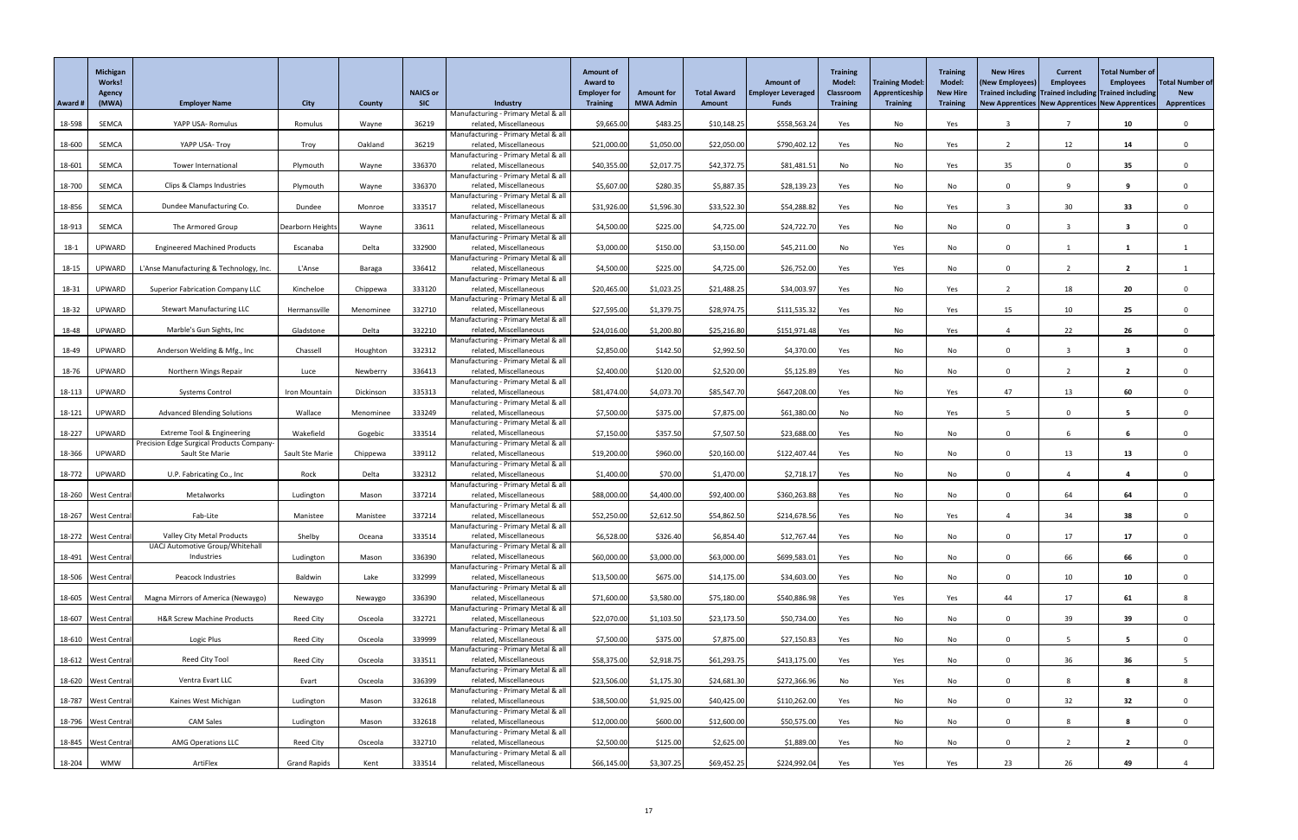|          | <b>Michigan</b><br>Works!<br>Agency |                                                                                    |                     |               | <b>NAICS or</b> |                                                               | <b>Amount of</b><br><b>Award to</b><br><b>Employer for</b> | <b>Amount for</b> | <b>Total Award</b> | <b>Amount of</b><br><b>Employer Leveraged</b> | <b>Training</b><br><b>Model:</b><br><b>Classroom</b> | <b>Training Model</b><br>Apprenticeship | <b>Training</b><br><b>Model:</b><br><b>New Hire</b> | <b>New Hires</b><br>(New Employees<br>Trained including Trained including Trained including | <b>Current</b><br><b>Employees</b> | <b>Total Number of</b><br><b>Employees</b> | <b>Total Number of</b><br><b>New</b> |
|----------|-------------------------------------|------------------------------------------------------------------------------------|---------------------|---------------|-----------------|---------------------------------------------------------------|------------------------------------------------------------|-------------------|--------------------|-----------------------------------------------|------------------------------------------------------|-----------------------------------------|-----------------------------------------------------|---------------------------------------------------------------------------------------------|------------------------------------|--------------------------------------------|--------------------------------------|
| Award #  | (MWA)                               | <b>Employer Name</b>                                                               | <b>City</b>         | <b>County</b> | <b>SIC</b>      | Industry                                                      | <b>Training</b>                                            | <b>MWA Admin</b>  | <b>Amount</b>      | <b>Funds</b>                                  | <b>Training</b>                                      | <b>Training</b>                         | <b>Training</b>                                     | New Apprentices New Apprentices New Apprentices                                             |                                    |                                            | <b>Apprentices</b>                   |
| 18-598   | SEMCA                               | YAPP USA-Romulus                                                                   | Romulus             | Wayne         | 36219           | Manufacturing - Primary Metal & all<br>related, Miscellaneous | \$9,665.00                                                 | \$483.25          | \$10,148.25        | \$558,563.24                                  | Yes                                                  | No                                      | Yes                                                 | -3                                                                                          |                                    | 10                                         | $\Omega$                             |
|          |                                     |                                                                                    |                     |               |                 | Manufacturing - Primary Metal & all                           |                                                            |                   |                    |                                               |                                                      |                                         |                                                     |                                                                                             |                                    |                                            |                                      |
| 18-600   | SEMCA                               | YAPP USA- Troy                                                                     | Troy                | Oakland       | 36219           | related, Miscellaneous<br>Manufacturing - Primary Metal & all | \$21,000.00                                                | \$1,050.00        | \$22,050.00        | \$790,402.12                                  | Yes                                                  | No                                      | Yes                                                 | - 2                                                                                         | 12                                 | 14                                         | $\Omega$                             |
| 18-601   | SEMCA                               | Tower International                                                                | Plymouth            | Wayne         | 336370          | related, Miscellaneous                                        | \$40,355.00                                                | \$2,017.75        | \$42,372.75        | \$81,481.51                                   | No                                                   | No                                      | Yes                                                 | 35                                                                                          |                                    | 35 <sub>5</sub>                            |                                      |
| 18-700   | SEMCA                               | Clips & Clamps Industries                                                          | Plymouth            | Wayne         | 336370          | Manufacturing - Primary Metal & all<br>related, Miscellaneous | \$5,607.00                                                 | \$280.35          | \$5,887.35         | \$28,139.23                                   | Yes                                                  | No                                      | No                                                  | 0                                                                                           |                                    | 9                                          |                                      |
|          |                                     |                                                                                    |                     |               |                 | Manufacturing - Primary Metal & all                           |                                                            |                   |                    |                                               |                                                      |                                         |                                                     |                                                                                             |                                    |                                            |                                      |
| 18-856   | SEMCA                               | Dundee Manufacturing Co.                                                           | Dundee              | Monroe        | 333517          | related, Miscellaneous                                        | \$31,926.00                                                | \$1,596.30        | \$33,522.30        | \$54,288.82                                   | Yes                                                  | No                                      | Yes                                                 | -3                                                                                          | 30 <sup>°</sup>                    | 33                                         |                                      |
| 18-913   | SEMCA                               | The Armored Group                                                                  | Dearborn Heights    | Wayne         | 33611           | Manufacturing - Primary Metal & all<br>related, Miscellaneous | \$4,500.00                                                 | \$225.00          | \$4,725.00         | \$24,722.70                                   | Yes                                                  | No                                      | No                                                  | $\mathbf{0}$                                                                                | $\mathbf{3}$                       | $\overline{\mathbf{3}}$                    |                                      |
|          |                                     |                                                                                    |                     |               |                 | Manufacturing - Primary Metal & all                           |                                                            |                   |                    |                                               |                                                      |                                         |                                                     |                                                                                             |                                    |                                            |                                      |
| $18-1$   | <b>UPWARD</b>                       | <b>Engineered Machined Products</b>                                                | Escanaba            | Delta         | 332900          | related, Miscellaneous<br>Manufacturing - Primary Metal & all | \$3,000.00                                                 | \$150.00          | \$3,150.00         | \$45,211.00                                   | No                                                   | Yes                                     | No                                                  | $\Omega$                                                                                    |                                    |                                            |                                      |
| 18-15    | UPWARD                              | L'Anse Manufacturing & Technology, Inc.                                            | L'Anse              | Baraga        | 336412          | related, Miscellaneous                                        | \$4,500.00                                                 | \$225.00          | \$4,725.00         | \$26,752.00                                   | Yes                                                  | Yes                                     | No                                                  | $\Omega$                                                                                    |                                    |                                            |                                      |
| 18-31    | UPWARD                              | <b>Superior Fabrication Company LLC</b>                                            | Kincheloe           | Chippewa      | 333120          | Manufacturing - Primary Metal & all<br>related, Miscellaneous | \$20,465.00                                                | \$1,023.25        | \$21,488.25        | \$34,003.97                                   | Yes                                                  | No                                      | Yes                                                 |                                                                                             | 18                                 | 20                                         |                                      |
|          |                                     |                                                                                    |                     |               |                 | Manufacturing - Primary Metal & all                           |                                                            |                   |                    |                                               |                                                      |                                         |                                                     |                                                                                             |                                    |                                            |                                      |
| 18-32    | <b>UPWARD</b>                       | <b>Stewart Manufacturing LLC</b>                                                   | Hermansville        | Menominee     | 332710          | related, Miscellaneous<br>Manufacturing - Primary Metal & all | \$27,595.00                                                | \$1,379.75        | \$28,974.75        | \$111,535.32                                  | Yes                                                  | No                                      | Yes                                                 | 15                                                                                          | 10 <sup>°</sup>                    | 25                                         |                                      |
| 18-48    | UPWARD                              | Marble's Gun Sights, Inc                                                           | Gladstone           | Delta         | 332210          | related, Miscellaneous                                        | \$24,016.00                                                | \$1,200.80        | \$25,216.80        | \$151,971.48                                  | Yes                                                  | No                                      | Yes                                                 |                                                                                             | 22                                 | 26                                         | $\Omega$                             |
| 18-49    | UPWARD                              | Anderson Welding & Mfg., Inc                                                       | Chassell            | Houghton      | 332312          | Manufacturing - Primary Metal & all<br>related, Miscellaneous | \$2,850.00                                                 | \$142.50          | \$2,992.50         | \$4,370.00                                    | Yes                                                  | No                                      | No                                                  | $\Omega$                                                                                    |                                    |                                            |                                      |
|          |                                     |                                                                                    |                     |               |                 | Manufacturing - Primary Metal & all                           |                                                            |                   |                    |                                               |                                                      |                                         |                                                     |                                                                                             |                                    |                                            |                                      |
| 18-76    | UPWARD                              | Northern Wings Repair                                                              | Luce                | Newberry      | 336413          | related, Miscellaneous<br>Manufacturing - Primary Metal & all | \$2,400.00                                                 | \$120.00          | \$2,520.00         | \$5,125.89                                    | Yes                                                  | No                                      | No                                                  |                                                                                             |                                    |                                            |                                      |
| 18-113   | <b>UPWARD</b>                       | <b>Systems Control</b>                                                             | Iron Mountain       | Dickinson     | 335313          | related, Miscellaneous                                        | \$81,474.00                                                | \$4,073.70        | \$85,547.70        | \$647,208.00                                  | Yes                                                  | No                                      | Yes                                                 | 47                                                                                          | 13                                 | 60                                         |                                      |
| 18-121   | UPWARD                              | <b>Advanced Blending Solutions</b>                                                 | Wallace             | Menominee     | 333249          | Manufacturing - Primary Metal & all<br>related, Miscellaneous | \$7,500.00                                                 | \$375.00          | \$7,875.00         | \$61,380.00                                   | No                                                   | No                                      | Yes                                                 | -5                                                                                          | $\Omega$                           | $5^{\circ}$                                |                                      |
|          |                                     |                                                                                    |                     |               |                 | Manufacturing - Primary Metal & all                           |                                                            |                   |                    |                                               |                                                      |                                         |                                                     |                                                                                             |                                    |                                            |                                      |
| 18-227   | UPWARD                              | <b>Extreme Tool &amp; Engineering</b><br>Precision Edge Surgical Products Company- | Wakefield           | Gogebic       | 333514          | related, Miscellaneous<br>Manufacturing - Primary Metal & all | \$7,150.00                                                 | \$357.50          | \$7,507.50         | \$23,688.00                                   | Yes                                                  | No                                      | No                                                  | $\Omega$                                                                                    |                                    | 6                                          | $\Omega$                             |
| 18-366   | UPWARD                              | Sault Ste Marie                                                                    | Sault Ste Marie     | Chippewa      | 339112          | related, Miscellaneous                                        | \$19,200.00                                                | \$960.00          | \$20,160.00        | \$122,407.44                                  | Yes                                                  | No                                      | No                                                  |                                                                                             | 13                                 | 13                                         |                                      |
| 18-772   | UPWARD                              | U.P. Fabricating Co., Inc                                                          | Rock                | Delta         | 332312          | Manufacturing - Primary Metal & all<br>related, Miscellaneous | \$1,400.00                                                 | \$70.00           | \$1,470.00         | \$2,718.17                                    | Yes                                                  | No                                      | No                                                  | $\Omega$                                                                                    |                                    |                                            |                                      |
|          |                                     |                                                                                    |                     |               |                 | Manufacturing - Primary Metal & all                           |                                                            |                   |                    |                                               |                                                      |                                         |                                                     |                                                                                             |                                    |                                            |                                      |
|          | 18-260 West Centra                  | Metalworks                                                                         | Ludington           | Mason         | 337214          | related, Miscellaneous<br>Manufacturing - Primary Metal & all | \$88,000.00                                                | \$4,400.00        | \$92,400.00        | \$360,263.88                                  | Yes                                                  | No                                      | No                                                  | $\Omega$                                                                                    | 64                                 | 64                                         | $\Omega$                             |
|          | 18-267   West Central               | Fab-Lite                                                                           | Manistee            | Manistee      | 337214          | related, Miscellaneous                                        | \$52,250.00                                                | \$2,612.50        | \$54,862.50        | \$214,678.56                                  | Yes                                                  | No                                      | Yes                                                 |                                                                                             | 34                                 | 38                                         |                                      |
|          | 18-272 West Central                 | Valley City Metal Products                                                         | Shelby              | Oceana        | 333514          | Manufacturing - Primary Metal & all<br>related, Miscellaneous | \$6,528.00                                                 | \$326.40          | \$6,854.40         | \$12,767.44                                   | Yes                                                  | No                                      | No                                                  | $\Omega$                                                                                    | 17                                 | 17                                         | $\Omega$                             |
|          |                                     | UACJ Automotive Group/Whitehall                                                    |                     |               |                 | Manufacturing - Primary Metal & all                           |                                                            |                   |                    |                                               |                                                      |                                         |                                                     |                                                                                             |                                    |                                            |                                      |
|          | 18-491 West Central                 | Industries                                                                         | Ludington           | Mason         | 336390          | related, Miscellaneous<br>Manufacturing - Primary Metal & all | \$60,000.00                                                | \$3,000.00        | \$63,000.00        | \$699,583.01                                  | Yes                                                  | No                                      | No                                                  | $\Omega$                                                                                    | 66                                 | 66                                         |                                      |
|          | 18-506 West Centra                  | Peacock Industries                                                                 | Baldwin             | Lake          | 332999          | related, Miscellaneous                                        | \$13,500.00                                                | \$675.00          | \$14,175.00        | \$34,603.00                                   | Yes                                                  | No                                      | No                                                  | $\mathbf{0}$                                                                                | 10 <sup>°</sup>                    | 10                                         |                                      |
|          | 18-605 West Central                 | Magna Mirrors of America (Newaygo)                                                 | Newaygo             | Newaygo       | 336390          | Manufacturing - Primary Metal & all<br>related, Miscellaneous | \$71,600.00                                                | \$3,580.00        | \$75,180.00        | \$540,886.98                                  | Yes                                                  | Yes                                     | Yes                                                 | 44                                                                                          | 17                                 | 61                                         | 8                                    |
|          |                                     |                                                                                    |                     |               |                 | Manufacturing - Primary Metal & all                           |                                                            |                   |                    |                                               |                                                      |                                         |                                                     |                                                                                             |                                    |                                            |                                      |
|          | 18-607 West Central                 | <b>H&amp;R Screw Machine Products</b>                                              | Reed City           | Osceola       | 332721          | related, Miscellaneous<br>Manufacturing - Primary Metal & all | \$22,070.00                                                | \$1,103.50        | \$23,173.50        | \$50,734.00                                   | Yes                                                  | No                                      | No                                                  | $\Omega$                                                                                    | 39                                 | 39                                         |                                      |
|          | 18-610 West Centra                  | Logic Plus                                                                         | Reed City           | Osceola       | 339999          | related, Miscellaneous                                        | \$7,500.00                                                 | \$375.00          | \$7,875.00         | \$27,150.83                                   | Yes                                                  | No                                      | No                                                  | $\Omega$                                                                                    |                                    | 5                                          | $\Omega$                             |
|          |                                     | Reed City Tool                                                                     | Reed City           | Osceola       | 333511          | Manufacturing - Primary Metal & all<br>related, Miscellaneous | \$58,375.00                                                | \$2,918.75        | \$61,293.75        | \$413,175.00                                  |                                                      | Yes                                     |                                                     | $\Omega$                                                                                    | 36                                 | 36                                         |                                      |
|          | 18-612   West Central               |                                                                                    |                     |               |                 | Manufacturing - Primary Metal & all                           |                                                            |                   |                    |                                               | Yes                                                  |                                         | No                                                  |                                                                                             |                                    |                                            |                                      |
|          | 18-620   West Central               | Ventra Evart LLC                                                                   | Evart               | Osceola       | 336399          | related, Miscellaneous                                        | \$23,506.00                                                | \$1,175.30        | \$24,681.30        | \$272,366.96                                  | No                                                   | Yes                                     | No                                                  | $\Omega$                                                                                    |                                    | 8                                          |                                      |
|          | 18-787 West Central                 | Kaines West Michigan                                                               | Ludington           | Mason         | 332618          | Manufacturing - Primary Metal & all<br>related, Miscellaneous | \$38,500.00                                                | \$1,925.00        | \$40,425.00        | \$110,262.00                                  | Yes                                                  | No                                      | No                                                  | $\Omega$                                                                                    | 32                                 | 32                                         |                                      |
|          |                                     |                                                                                    |                     |               |                 | Manufacturing - Primary Metal & all                           |                                                            |                   |                    |                                               |                                                      |                                         |                                                     |                                                                                             |                                    |                                            |                                      |
|          | 18-796 West Central                 | <b>CAM Sales</b>                                                                   | Ludington           | Mason         | 332618          | related, Miscellaneous<br>Manufacturing - Primary Metal & all | \$12,000.00                                                | \$600.00          | \$12,600.00        | \$50,575.00                                   | Yes                                                  | No                                      | No                                                  | $\mathbf 0$                                                                                 |                                    | 8                                          | $\mathbf 0$                          |
|          | 18-845   West Central               | <b>AMG Operations LLC</b>                                                          | Reed City           | Osceola       | 332710          | related, Miscellaneous<br>Manufacturing - Primary Metal & all | \$2,500.00                                                 | \$125.00          | \$2,625.00         | \$1,889.00                                    | Yes                                                  | No                                      | No                                                  | $\mathbf{0}$                                                                                | $\overline{2}$                     | $\overline{2}$                             | $\mathbf 0$                          |
| $18-204$ | <b>WMW</b>                          | ArtiFlex                                                                           | <b>Grand Rapids</b> | Kent          | 333514          | related, Miscellaneous                                        | \$66,145.00                                                | \$3,307.25        | \$69,452.25        | \$224,992.04                                  | Yes                                                  | Yes                                     | Yes                                                 | 23                                                                                          | 26                                 | 49                                         |                                      |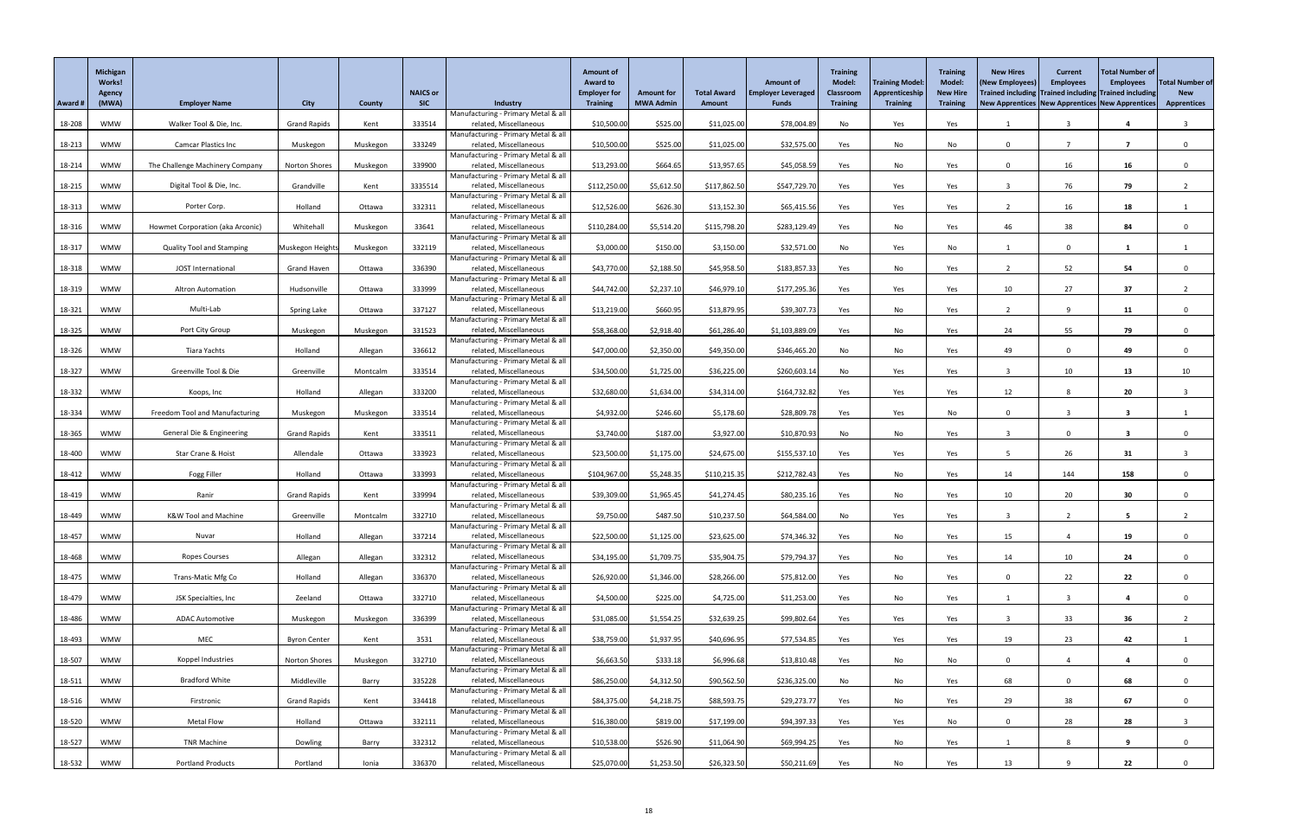|         | <b>Michigan</b><br>Works!<br>Agency |                                       |                      |               | <b>NAICS or</b> |                                                               | <b>Amount of</b><br><b>Award to</b><br><b>Employer for</b> | <b>Amount for</b> | <b>Total Award</b> | <b>Amount of</b><br><b>Employer Leveraged</b> | <b>Training</b><br><b>Model:</b><br><b>Classroom</b> | <b>Training Model:</b><br>Apprenticeship | <b>Training</b><br><b>Model:</b><br><b>New Hire</b> | <b>New Hires</b><br>(New Employees)<br>Trained including Trained including Trained including | <b>Current</b><br><b>Employees</b> | <b>Total Number of</b><br><b>Employees</b> | <b>Total Number of</b><br><b>New</b> |
|---------|-------------------------------------|---------------------------------------|----------------------|---------------|-----------------|---------------------------------------------------------------|------------------------------------------------------------|-------------------|--------------------|-----------------------------------------------|------------------------------------------------------|------------------------------------------|-----------------------------------------------------|----------------------------------------------------------------------------------------------|------------------------------------|--------------------------------------------|--------------------------------------|
| Award # | (MWA)                               | <b>Employer Name</b>                  | <b>City</b>          | <b>County</b> | <b>SIC</b>      | Industry<br>Manufacturing - Primary Metal & all               | <b>Training</b>                                            | <b>MWA Admin</b>  | <b>Amount</b>      | <b>Funds</b>                                  | <b>Training</b>                                      | <b>Training</b>                          | <b>Training</b>                                     | New Apprentices   New Apprentices   New Apprentices                                          |                                    |                                            | <b>Apprentices</b>                   |
| 18-208  | <b>WMW</b>                          | Walker Tool & Die, Inc.               | <b>Grand Rapids</b>  | Kent          | 333514          | related, Miscellaneous                                        | \$10,500.00                                                | \$525.00          | \$11,025.00        | \$78,004.89                                   | No                                                   | Yes                                      | Yes                                                 |                                                                                              |                                    |                                            |                                      |
|         |                                     |                                       |                      |               |                 | Manufacturing - Primary Metal & all                           |                                                            |                   |                    |                                               |                                                      |                                          |                                                     |                                                                                              |                                    | 7                                          |                                      |
| 18-213  | <b>WMW</b>                          | <b>Camcar Plastics Inc</b>            | Muskegon             | Muskegon      | 333249          | related, Miscellaneous<br>Manufacturing - Primary Metal & all | \$10,500.00                                                | \$525.00          | \$11,025.00        | \$32,575.00                                   | Yes                                                  | No                                       | No                                                  | $\Omega$                                                                                     |                                    |                                            |                                      |
| 18-214  | <b>WMW</b>                          | The Challenge Machinery Company       | <b>Norton Shores</b> | Muskegon      | 339900          | related, Miscellaneous                                        | \$13,293.00                                                | \$664.65          | \$13,957.65        | \$45,058.59                                   | Yes                                                  | No                                       | Yes                                                 | $\Omega$                                                                                     | 16                                 | 16                                         | $\Omega$                             |
| 18-215  | <b>WMW</b>                          | Digital Tool & Die, Inc.              | Grandville           | Kent          | 3335514         | Manufacturing - Primary Metal & all<br>related, Miscellaneous | \$112,250.00                                               | \$5,612.50        | \$117,862.50       | \$547,729.70                                  | Yes                                                  | Yes                                      | Yes                                                 | -3                                                                                           | 76                                 | 79                                         |                                      |
|         |                                     |                                       |                      |               |                 | Manufacturing - Primary Metal & all                           |                                                            |                   |                    |                                               |                                                      |                                          |                                                     |                                                                                              |                                    |                                            |                                      |
| 18-313  | <b>WMW</b>                          | Porter Corp.                          | Holland              | Ottawa        | 332311          | related, Miscellaneous<br>Manufacturing - Primary Metal & all | \$12,526.00                                                | \$626.30          | \$13,152.30        | \$65,415.56                                   | Yes                                                  | Yes                                      | Yes                                                 |                                                                                              | 16                                 | 18                                         |                                      |
| 18-316  | <b>WMW</b>                          | Howmet Corporation (aka Arconic)      | Whitehall            | Muskegon      | 33641           | related, Miscellaneous                                        | \$110,284.00                                               | \$5,514.20        | \$115,798.20       | \$283,129.49                                  | Yes                                                  | No                                       | Yes                                                 | 46                                                                                           | 38                                 | 84                                         |                                      |
|         |                                     | <b>Quality Tool and Stamping</b>      |                      |               | 332119          | Manufacturing - Primary Metal & all<br>related, Miscellaneous | \$3,000.00                                                 |                   |                    |                                               |                                                      |                                          |                                                     |                                                                                              | $\Omega$                           |                                            |                                      |
| 18-317  | <b>WMW</b>                          |                                       | Muskegon Height      | Muskegon      |                 | Manufacturing - Primary Metal & all                           |                                                            | \$150.00          | \$3,150.00         | \$32,571.00                                   | No                                                   | Yes                                      | No                                                  |                                                                                              |                                    | 1                                          |                                      |
| 18-318  | <b>WMW</b>                          | JOST International                    | <b>Grand Haven</b>   | Ottawa        | 336390          | related, Miscellaneous                                        | \$43,770.00                                                | \$2,188.50        | \$45,958.50        | \$183,857.33                                  | Yes                                                  | No                                       | Yes                                                 |                                                                                              | 52                                 | 54                                         |                                      |
| 18-319  | <b>WMW</b>                          | <b>Altron Automation</b>              | Hudsonville          | Ottawa        | 333999          | Manufacturing - Primary Metal & all<br>related, Miscellaneous | \$44,742.00                                                | \$2,237.10        | \$46,979.10        | \$177,295.36                                  | Yes                                                  | Yes                                      | Yes                                                 | 10                                                                                           | 27                                 | 37                                         |                                      |
|         |                                     |                                       |                      |               |                 | Manufacturing - Primary Metal & all                           |                                                            |                   |                    |                                               |                                                      |                                          |                                                     |                                                                                              |                                    |                                            |                                      |
| 18-321  | <b>WMW</b>                          | Multi-Lab                             | Spring Lake          | Ottawa        | 337127          | related, Miscellaneous<br>Manufacturing - Primary Metal & all | \$13,219.00                                                | \$660.95          | \$13,879.95        | \$39,307.73                                   | Yes                                                  | No                                       | Yes                                                 |                                                                                              | q                                  | 11                                         | $\Omega$                             |
| 18-325  | <b>WMW</b>                          | Port City Group                       | Muskegon             | Muskegon      | 331523          | related, Miscellaneous                                        | \$58,368.00                                                | \$2,918.40        | \$61,286.40        | \$1,103,889.09                                | Yes                                                  | No                                       | Yes                                                 | 24                                                                                           | 55                                 | 79                                         |                                      |
| 18-326  | <b>WMW</b>                          | <b>Tiara Yachts</b>                   | Holland              | Allegan       | 336612          | Manufacturing - Primary Metal & all<br>related, Miscellaneous | \$47,000.00                                                | \$2,350.00        | \$49,350.00        | \$346,465.20                                  | No                                                   | No                                       | Yes                                                 | 49                                                                                           | $\Omega$                           | 49                                         | $\Omega$                             |
|         |                                     |                                       |                      |               |                 | Manufacturing - Primary Metal & all                           |                                                            |                   |                    |                                               |                                                      |                                          |                                                     |                                                                                              |                                    |                                            |                                      |
| 18-327  | <b>WMW</b>                          | Greenville Tool & Die                 | Greenville           | Montcalm      | 333514          | related, Miscellaneous<br>Manufacturing - Primary Metal & all | \$34,500.00                                                | \$1,725.00        | \$36,225.00        | \$260,603.14                                  | No                                                   | Yes                                      | Yes                                                 |                                                                                              | 10 <sup>°</sup>                    | 13                                         | 10                                   |
| 18-332  | <b>WMW</b>                          | Koops, Inc                            | Holland              | Allegan       | 333200          | related, Miscellaneous                                        | \$32,680.00                                                | \$1,634.00        | \$34,314.00        | \$164,732.82                                  | Yes                                                  | Yes                                      | Yes                                                 | 12                                                                                           |                                    | 20                                         |                                      |
|         |                                     | <b>Freedom Tool and Manufacturing</b> |                      |               |                 | Manufacturing - Primary Metal & all<br>related, Miscellaneous |                                                            |                   |                    |                                               |                                                      |                                          |                                                     | $\Omega$                                                                                     |                                    |                                            |                                      |
| 18-334  | <b>WMW</b>                          |                                       | Muskegon             | Muskegon      | 333514          | Manufacturing - Primary Metal & all                           | \$4,932.00                                                 | \$246.60          | \$5,178.60         | \$28,809.78                                   | Yes                                                  | Yes                                      | No                                                  |                                                                                              |                                    |                                            |                                      |
| 18-365  | <b>WMW</b>                          | General Die & Engineering             | <b>Grand Rapids</b>  | Kent          | 333511          | related, Miscellaneous<br>Manufacturing - Primary Metal & all | \$3,740.00                                                 | \$187.00          | \$3,927.00         | \$10,870.93                                   | No                                                   | No                                       | Yes                                                 |                                                                                              | $\Omega$                           | 3                                          |                                      |
| 18-400  | <b>WMW</b>                          | Star Crane & Hoist                    | Allendale            | Ottawa        | 333923          | related, Miscellaneous                                        | \$23,500.00                                                | \$1,175.00        | \$24,675.00        | \$155,537.10                                  | Yes                                                  | Yes                                      | Yes                                                 |                                                                                              | 26                                 | 31                                         |                                      |
|         |                                     |                                       |                      |               |                 | Manufacturing - Primary Metal & all                           |                                                            |                   |                    |                                               |                                                      |                                          |                                                     |                                                                                              |                                    |                                            |                                      |
| 18-412  | <b>WMW</b>                          | Fogg Filler                           | Holland              | Ottawa        | 333993          | related, Miscellaneous<br>Manufacturing - Primary Metal & all | \$104,967.00                                               | \$5,248.35        | \$110,215.35       | \$212,782.43                                  | Yes                                                  | $\mathsf{No}$                            | Yes                                                 | 14                                                                                           | 144                                | 158                                        | $\mathbf{0}$                         |
| 18-419  | <b>WMW</b>                          | Ranir                                 | <b>Grand Rapids</b>  | Kent          | 339994          | related, Miscellaneous                                        | \$39,309.00                                                | \$1,965.45        | \$41,274.45        | \$80,235.16                                   | Yes                                                  | No                                       | Yes                                                 | 10                                                                                           | 20                                 | 30                                         |                                      |
| 18-449  | <b>WMW</b>                          | <b>K&amp;W Tool and Machine</b>       | Greenville           | Montcalm      | 332710          | Manufacturing - Primary Metal & all<br>related, Miscellaneous | \$9,750.00                                                 | \$487.50          | \$10,237.50        | \$64,584.00                                   | No                                                   | Yes                                      | Yes                                                 |                                                                                              |                                    | 5                                          |                                      |
|         |                                     |                                       |                      |               |                 | Manufacturing - Primary Metal & all                           |                                                            |                   |                    |                                               |                                                      |                                          |                                                     |                                                                                              |                                    |                                            |                                      |
| 18-457  | <b>WMW</b>                          | Nuvar                                 | Holland              | Allegan       | 337214          | related, Miscellaneous<br>Manufacturing - Primary Metal & all | \$22,500.00                                                | \$1,125.00        | \$23,625.00        | \$74,346.32                                   | Yes                                                  | No                                       | Yes                                                 | 15                                                                                           |                                    | 19                                         |                                      |
| 18-468  | <b>WMW</b>                          | Ropes Courses                         | Allegan              | Allegan       | 332312          | related, Miscellaneous                                        | \$34,195.00                                                | \$1,709.75        | \$35,904.75        | \$79,794.37                                   | Yes                                                  | No                                       | Yes                                                 | 14                                                                                           | 10 <sup>°</sup>                    | 24                                         |                                      |
| 18-475  | <b>WMW</b>                          | <b>Trans-Matic Mfg Co</b>             | Holland              | Allegan       | 336370          | Manufacturing - Primary Metal & all<br>related, Miscellaneous | \$26,920.00                                                | \$1,346.00        | \$28,266.00        | \$75,812.00                                   | Yes                                                  | No                                       | Yes                                                 | $\Omega$                                                                                     | 22                                 | 22                                         |                                      |
|         |                                     |                                       |                      |               |                 | Manufacturing - Primary Metal & all                           |                                                            |                   |                    |                                               |                                                      |                                          |                                                     |                                                                                              |                                    |                                            |                                      |
| 18-479  | <b>WMW</b>                          | JSK Specialties, Inc                  | Zeeland              | Ottawa        | 332710          | related, Miscellaneous<br>Manufacturing - Primary Metal & all | \$4,500.00                                                 | \$225.00          | \$4,725.00         | \$11,253.00                                   | Yes                                                  | No                                       | Yes                                                 |                                                                                              |                                    |                                            | $\Omega$                             |
| 18-486  | <b>WMW</b>                          | <b>ADAC Automotive</b>                | Muskegon             | Muskegon      | 336399          | related, Miscellaneous                                        | \$31,085.00                                                | \$1,554.25        | \$32,639.25        | \$99,802.64                                   | Yes                                                  | Yes                                      | Yes                                                 |                                                                                              | 33                                 | 36                                         |                                      |
|         |                                     |                                       |                      |               |                 | Manufacturing - Primary Metal & all                           |                                                            |                   |                    |                                               |                                                      |                                          |                                                     |                                                                                              |                                    |                                            |                                      |
| 18-493  | <b>WMW</b>                          | MEC                                   | <b>Byron Center</b>  | Kent          | 3531            | related, Miscellaneous<br>Manufacturing - Primary Metal & all | \$38,759.00                                                | \$1,937.95        | \$40,696.95        | \$77,534.85                                   | Yes                                                  | Yes                                      | Yes                                                 | 19                                                                                           | 23                                 | 42                                         |                                      |
| 18-507  | <b>WMW</b>                          | Koppel Industries                     | Norton Shores        | Muskegon      | 332710          | related, Miscellaneous                                        | \$6,663.50                                                 | \$333.18          | \$6,996.68         | \$13,810.48                                   | Yes                                                  | No                                       | No                                                  | $\Omega$                                                                                     |                                    |                                            |                                      |
| 18-511  | <b>WMW</b>                          | <b>Bradford White</b>                 | Middleville          | Barry         | 335228          | Manufacturing - Primary Metal & all<br>related, Miscellaneous | \$86,250.00                                                | \$4,312.50        | \$90,562.50        | \$236,325.00                                  | No                                                   | No                                       | Yes                                                 | 68                                                                                           | $\mathbf{0}$                       | 68                                         |                                      |
|         |                                     |                                       |                      |               |                 | Manufacturing - Primary Metal & all                           |                                                            |                   |                    |                                               |                                                      |                                          |                                                     |                                                                                              |                                    |                                            |                                      |
| 18-516  | <b>WMW</b>                          | Firstronic                            | <b>Grand Rapids</b>  | Kent          | 334418          | related, Miscellaneous<br>Manufacturing - Primary Metal & all | \$84,375.00                                                | \$4,218.75        | \$88,593.75        | \$29,273.77                                   | Yes                                                  | No                                       | Yes                                                 | 29                                                                                           | 38                                 | 67                                         |                                      |
| 18-520  | <b>WMW</b>                          | <b>Metal Flow</b>                     | Holland              | Ottawa        | 332111          | related, Miscellaneous                                        | \$16,380.00                                                | \$819.00          | \$17,199.00        | \$94,397.33                                   | Yes                                                  | Yes                                      | No                                                  | $\mathbf{0}$                                                                                 | 28                                 | 28                                         | 3                                    |
| 18-527  | <b>WMW</b>                          | <b>TNR Machine</b>                    | Dowling              | Barry         | 332312          | Manufacturing - Primary Metal & all<br>related, Miscellaneous | \$10,538.00                                                | \$526.90          | \$11,064.90        | \$69,994.25                                   | Yes                                                  | No                                       | Yes                                                 |                                                                                              | 8                                  | 9                                          | $\mathbf{0}$                         |
|         |                                     |                                       |                      |               |                 | Manufacturing - Primary Metal & all                           |                                                            |                   |                    |                                               |                                                      |                                          |                                                     |                                                                                              |                                    |                                            |                                      |
| 18-532  | <b>WMW</b>                          | <b>Portland Products</b>              | Portland             | Ionia         | 336370          | related, Miscellaneous                                        | \$25,070.00                                                | \$1,253.50        | \$26,323.50        | \$50,211.69                                   | Yes                                                  | No                                       | Yes                                                 | 13                                                                                           |                                    | 22                                         |                                      |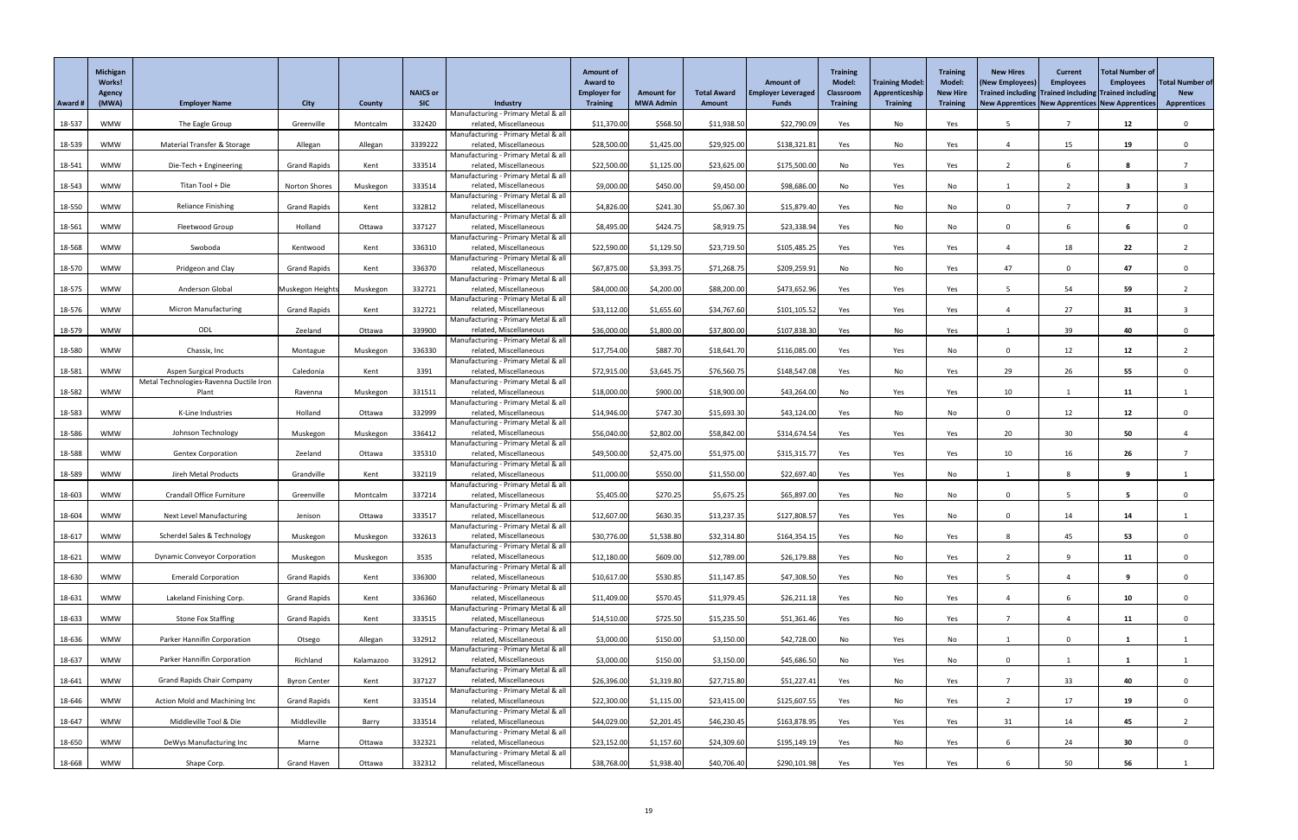|         | <b>Michigan</b><br>Works!<br>Agency |                                         |                     |               | <b>NAICS or</b> |                                                               | <b>Amount of</b><br><b>Award to</b><br><b>Employer for</b> | <b>Amount for</b> | <b>Total Award</b> | <b>Amount of</b><br><b>Employer Leveraged</b> | <b>Training</b><br><b>Model:</b><br><b>Classroom</b> | <b>Training Model</b><br>Apprenticeship | <b>Training</b><br><b>Model:</b><br><b>New Hire</b> | <b>New Hires</b><br>(New Employees<br>Trained including Trained including Trained including | <b>Current</b><br><b>Employees</b> | <b>Total Number of</b><br><b>Employees</b> | <b>Total Number of</b><br><b>New</b> |
|---------|-------------------------------------|-----------------------------------------|---------------------|---------------|-----------------|---------------------------------------------------------------|------------------------------------------------------------|-------------------|--------------------|-----------------------------------------------|------------------------------------------------------|-----------------------------------------|-----------------------------------------------------|---------------------------------------------------------------------------------------------|------------------------------------|--------------------------------------------|--------------------------------------|
| Award # | (MWA)                               | <b>Employer Name</b>                    | <b>City</b>         | <b>County</b> | <b>SIC</b>      | Industry                                                      | <b>Training</b>                                            | <b>MWA Admin</b>  | <b>Amount</b>      | <b>Funds</b>                                  | <b>Training</b>                                      | <b>Training</b>                         | <b>Training</b>                                     | New Apprentices New Apprentices New Apprentices                                             |                                    |                                            | <b>Apprentices</b>                   |
| 18-537  | <b>WMW</b>                          | The Eagle Group                         | Greenville          | Montcalm      | 332420          | Manufacturing - Primary Metal & all<br>related, Miscellaneous | \$11,370.00                                                | \$568.50          | \$11,938.50        | \$22,790.09                                   | Yes                                                  | No                                      | Yes                                                 |                                                                                             |                                    | 12                                         | $\mathbf{0}$                         |
|         |                                     |                                         |                     |               |                 | Manufacturing - Primary Metal & all                           |                                                            |                   |                    |                                               |                                                      |                                         |                                                     |                                                                                             |                                    |                                            |                                      |
| 18-539  | <b>WMW</b>                          | Material Transfer & Storage             | Allegan             | Allegan       | 3339222         | related, Miscellaneous<br>Manufacturing - Primary Metal & all | \$28,500.00                                                | \$1,425.00        | \$29,925.00        | \$138,321.81                                  | Yes                                                  | No                                      | Yes                                                 |                                                                                             | 15                                 | 19                                         |                                      |
| 18-541  | <b>WMW</b>                          | Die-Tech + Engineering                  | <b>Grand Rapids</b> | Kent          | 333514          | related, Miscellaneous                                        | \$22,500.00                                                | \$1,125.00        | \$23,625.00        | \$175,500.00                                  | No                                                   | Yes                                     | Yes                                                 |                                                                                             |                                    | 8                                          |                                      |
| 18-543  | <b>WMW</b>                          | Titan Tool + Die                        | Norton Shores       | Muskegon      | 333514          | Manufacturing - Primary Metal & all<br>related, Miscellaneous | \$9,000.00                                                 | \$450.00          | \$9,450.00         | \$98,686.00                                   | No                                                   | Yes                                     | No                                                  |                                                                                             |                                    | 3                                          |                                      |
|         |                                     |                                         |                     |               |                 | Manufacturing - Primary Metal & all                           |                                                            |                   |                    |                                               |                                                      |                                         |                                                     |                                                                                             |                                    |                                            |                                      |
| 18-550  | <b>WMW</b>                          | <b>Reliance Finishing</b>               | <b>Grand Rapids</b> | Kent          | 332812          | related, Miscellaneous<br>Manufacturing - Primary Metal & all | \$4,826.00                                                 | \$241.30          | \$5,067.30         | \$15,879.40                                   | Yes                                                  | No                                      | No                                                  | $\Omega$                                                                                    |                                    | 7                                          |                                      |
| 18-561  | <b>WMW</b>                          | Fleetwood Group                         | Holland             | Ottawa        | 337127          | related, Miscellaneous                                        | \$8,495.00                                                 | \$424.75          | \$8,919.75         | \$23,338.94                                   | Yes                                                  | No                                      | No                                                  | $\Omega$                                                                                    |                                    |                                            |                                      |
| 18-568  | <b>WMW</b>                          | Swoboda                                 | Kentwood            | Kent          | 336310          | Manufacturing - Primary Metal & all<br>related, Miscellaneous | \$22,590.00                                                | \$1,129.50        | \$23,719.50        | \$105,485.25                                  | Yes                                                  | Yes                                     | Yes                                                 |                                                                                             | 18                                 | 22                                         |                                      |
|         |                                     |                                         |                     |               |                 | Manufacturing - Primary Metal & all                           |                                                            |                   |                    |                                               |                                                      |                                         |                                                     |                                                                                             |                                    |                                            |                                      |
| 18-570  | <b>WMW</b>                          | Pridgeon and Clay                       | <b>Grand Rapids</b> | Kent          | 336370          | related, Miscellaneous<br>Manufacturing - Primary Metal & all | \$67,875.00                                                | \$3,393.75        | \$71,268.75        | \$209,259.91                                  | No                                                   | No                                      | Yes                                                 | 47                                                                                          |                                    | 47                                         |                                      |
| 18-575  | <b>WMW</b>                          | Anderson Global                         | Muskegon Height     | Muskegon      | 332721          | related, Miscellaneous                                        | \$84,000.00                                                | \$4,200.00        | \$88,200.00        | \$473,652.96                                  | Yes                                                  | Yes                                     | Yes                                                 |                                                                                             | 54                                 | 59                                         |                                      |
| 18-576  | <b>WMW</b>                          | <b>Micron Manufacturing</b>             | <b>Grand Rapids</b> | Kent          | 332721          | Manufacturing - Primary Metal & all<br>related, Miscellaneous | \$33,112.00                                                | \$1,655.60        | \$34,767.60        | \$101,105.52                                  | Yes                                                  | Yes                                     | Yes                                                 |                                                                                             | 27                                 | 31                                         |                                      |
|         |                                     |                                         |                     |               |                 | Manufacturing - Primary Metal & all                           |                                                            |                   |                    |                                               |                                                      |                                         |                                                     |                                                                                             |                                    |                                            |                                      |
| 18-579  | <b>WMW</b>                          | ODL                                     | Zeeland             | Ottawa        | 339900          | related, Miscellaneous<br>Manufacturing - Primary Metal & all | \$36,000.00                                                | \$1,800.00        | \$37,800.00        | \$107,838.30                                  | Yes                                                  | No                                      | Yes                                                 |                                                                                             | 39                                 | 40                                         | $\Omega$                             |
| 18-580  | <b>WMW</b>                          | Chassix, Inc                            | Montague            | Muskegon      | 336330          | related, Miscellaneous                                        | \$17,754.00                                                | \$887.70          | \$18,641.70        | \$116,085.00                                  | Yes                                                  | Yes                                     | No                                                  | $\Omega$                                                                                    | 12                                 | 12                                         |                                      |
| 18-581  | <b>WMW</b>                          | <b>Aspen Surgical Products</b>          | Caledonia           | Kent          | 3391            | Manufacturing - Primary Metal & all<br>related, Miscellaneous | \$72,915.00                                                | \$3,645.75        | \$76,560.75        | \$148,547.08                                  | Yes                                                  | No                                      | Yes                                                 | 29                                                                                          | 26                                 | 55                                         |                                      |
|         |                                     | Metal Technologies-Ravenna Ductile Iron |                     |               |                 | Manufacturing - Primary Metal & all                           |                                                            |                   |                    |                                               |                                                      |                                         |                                                     |                                                                                             |                                    |                                            |                                      |
| 18-582  | WMW                                 | Plant                                   | Ravenna             | Muskegon      | 331511          | related, Miscellaneous<br>Manufacturing - Primary Metal & all | \$18,000.00                                                | \$900.00          | \$18,900.00        | \$43,264.00                                   | No                                                   | Yes                                     | Yes                                                 | 10                                                                                          |                                    | 11                                         |                                      |
| 18-583  | <b>WMW</b>                          | K-Line Industries                       | Holland             | Ottawa        | 332999          | related, Miscellaneous                                        | \$14,946.00                                                | \$747.30          | \$15,693.30        | \$43,124.00                                   | Yes                                                  | No                                      | No                                                  | $\Omega$                                                                                    | 12                                 | 12                                         |                                      |
| 18-586  | <b>WMW</b>                          | Johnson Technology                      | Muskegon            | Muskegon      | 336412          | Manufacturing - Primary Metal & all<br>related, Miscellaneous | \$56,040.00                                                | \$2,802.00        | \$58,842.00        | \$314,674.54                                  | Yes                                                  | Yes                                     | Yes                                                 | 20                                                                                          | 30 <sup>°</sup>                    | 50                                         |                                      |
|         |                                     |                                         |                     |               |                 | Manufacturing - Primary Metal & all                           |                                                            |                   |                    |                                               |                                                      |                                         |                                                     |                                                                                             |                                    |                                            |                                      |
| 18-588  | <b>WMW</b>                          | <b>Gentex Corporation</b>               | Zeeland             | Ottawa        | 335310          | related, Miscellaneous<br>Manufacturing - Primary Metal & all | \$49,500.00                                                | \$2,475.00        | \$51,975.00        | \$315,315.77                                  | Yes                                                  | Yes                                     | Yes                                                 | 10                                                                                          | 16                                 | 26                                         |                                      |
| 18-589  | <b>WMW</b>                          | Jireh Metal Products                    | Grandville          | Kent          | 332119          | related, Miscellaneous                                        | \$11,000.00                                                | \$550.00          | \$11,550.00        | \$22,697.40                                   | Yes                                                  | Yes                                     | No                                                  |                                                                                             |                                    | 9                                          |                                      |
| 18-603  | <b>WMW</b>                          | <b>Crandall Office Furniture</b>        | Greenville          | Montcalm      | 337214          | Manufacturing - Primary Metal & all<br>related, Miscellaneous | \$5,405.00                                                 | \$270.25          | \$5,675.25         | \$65,897.00                                   | Yes                                                  | No                                      | No                                                  | $\Omega$                                                                                    |                                    | $5^{\circ}$                                |                                      |
|         |                                     |                                         |                     |               |                 | Manufacturing - Primary Metal & all                           |                                                            |                   |                    |                                               |                                                      |                                         |                                                     |                                                                                             |                                    |                                            |                                      |
| 18-604  | <b>WMW</b>                          | <b>Next Level Manufacturing</b>         | Jenison             | Ottawa        | 333517          | related, Miscellaneous<br>Manufacturing - Primary Metal & all | \$12,607.00                                                | \$630.35          | \$13,237.35        | \$127,808.57                                  | Yes                                                  | Yes                                     | No                                                  | $\Omega$                                                                                    | 14                                 | 14                                         |                                      |
| 18-617  | <b>WMW</b>                          | Scherdel Sales & Technology             | Muskegon            | Muskegon      | 332613          | related, Miscellaneous                                        | \$30,776.00                                                | \$1,538.80        | \$32,314.80        | \$164,354.15                                  | Yes                                                  | No                                      | Yes                                                 |                                                                                             | 45                                 | 53                                         |                                      |
| 18-621  | <b>WMW</b>                          | <b>Dynamic Conveyor Corporation</b>     | Muskegon            | Muskegon      | 3535            | Manufacturing - Primary Metal & all<br>related, Miscellaneous | \$12,180.00                                                | \$609.00          | \$12,789.00        | \$26,179.88                                   | Yes                                                  | No                                      | Yes                                                 |                                                                                             |                                    | 11                                         |                                      |
|         |                                     |                                         |                     |               |                 | Manufacturing - Primary Metal & all                           |                                                            |                   |                    |                                               |                                                      |                                         |                                                     |                                                                                             |                                    |                                            |                                      |
| 18-630  | <b>WMW</b>                          | <b>Emerald Corporation</b>              | <b>Grand Rapids</b> | Kent          | 336300          | related, Miscellaneous<br>Manufacturing - Primary Metal & all | \$10,617.00                                                | \$530.85          | \$11,147.85        | \$47,308.50                                   | Yes                                                  | No                                      | Yes                                                 |                                                                                             |                                    | 9                                          |                                      |
| 18-631  | <b>WMW</b>                          | Lakeland Finishing Corp.                | <b>Grand Rapids</b> | Kent          | 336360          | related, Miscellaneous                                        | \$11,409.00                                                | \$570.45          | \$11,979.45        | \$26,211.18                                   | Yes                                                  | No                                      | Yes                                                 |                                                                                             |                                    | 10                                         | $\Omega$                             |
| 18-633  | <b>WMW</b>                          | <b>Stone Fox Staffing</b>               | <b>Grand Rapids</b> | Kent          | 333515          | Manufacturing - Primary Metal & all<br>related, Miscellaneous | \$14,510.00                                                | \$725.50          | \$15,235.50        | \$51,361.46                                   | Yes                                                  | No                                      | Yes                                                 |                                                                                             |                                    | 11                                         |                                      |
| 18-636  | <b>WMW</b>                          | Parker Hannifin Corporation             | Otsego              | Allegan       | 332912          | Manufacturing - Primary Metal & all<br>related, Miscellaneous | \$3,000.00                                                 | \$150.00          | \$3,150.00         | \$42,728.00                                   | No                                                   | Yes                                     | No                                                  |                                                                                             |                                    |                                            |                                      |
|         |                                     |                                         |                     |               |                 | Manufacturing - Primary Metal & all                           |                                                            |                   |                    |                                               |                                                      |                                         |                                                     |                                                                                             |                                    |                                            |                                      |
| 18-637  | WMW                                 | Parker Hannifin Corporation             | Richland            | Kalamazoo     | 332912          | related, Miscellaneous<br>Manufacturing - Primary Metal & all | \$3,000.00                                                 | \$150.00          | \$3,150.00         | \$45,686.50                                   | No                                                   | Yes                                     | No                                                  | $\Omega$                                                                                    |                                    | 1                                          |                                      |
| 18-641  | <b>WMW</b>                          | <b>Grand Rapids Chair Company</b>       | <b>Byron Center</b> | Kent          | 337127          | related, Miscellaneous                                        | \$26,396.00                                                | \$1,319.80        | \$27,715.80        | \$51,227.41                                   | Yes                                                  | No                                      | Yes                                                 |                                                                                             | 33                                 | 40                                         | $\Omega$                             |
| 18-646  | <b>WMW</b>                          | Action Mold and Machining Inc           | <b>Grand Rapids</b> | Kent          | 333514          | Manufacturing - Primary Metal & all<br>related, Miscellaneous | \$22,300.00                                                | \$1,115.00        | \$23,415.00        | \$125,607.55                                  | Yes                                                  | No                                      | Yes                                                 |                                                                                             | 17                                 | 19                                         |                                      |
|         |                                     |                                         |                     |               |                 | Manufacturing - Primary Metal & all                           |                                                            |                   |                    |                                               |                                                      |                                         |                                                     |                                                                                             |                                    |                                            |                                      |
| 18-647  | <b>WMW</b>                          | Middleville Tool & Die                  | Middleville         | Barry         | 333514          | related, Miscellaneous<br>Manufacturing - Primary Metal & all | \$44,029.00                                                | \$2,201.45        | \$46,230.45        | \$163,878.95                                  | Yes                                                  | Yes                                     | Yes                                                 | 31                                                                                          | 14                                 | 45                                         |                                      |
| 18-650  | <b>WMW</b>                          | DeWys Manufacturing Inc                 | Marne               | Ottawa        | 332321          | related, Miscellaneous                                        | \$23,152.00                                                | \$1,157.60        | \$24,309.60        | \$195,149.19                                  | Yes                                                  | No                                      | Yes                                                 |                                                                                             | 24                                 | 30                                         | $\mathbf{0}$                         |
| 18-668  | <b>WMW</b>                          | Shape Corp.                             | <b>Grand Haven</b>  | Ottawa        | 332312          | Manufacturing - Primary Metal & all<br>related, Miscellaneous | \$38,768.00                                                | \$1,938.40        | \$40,706.40        | \$290,101.98                                  | Yes                                                  | Yes                                     | Yes                                                 |                                                                                             | 50                                 | 56                                         |                                      |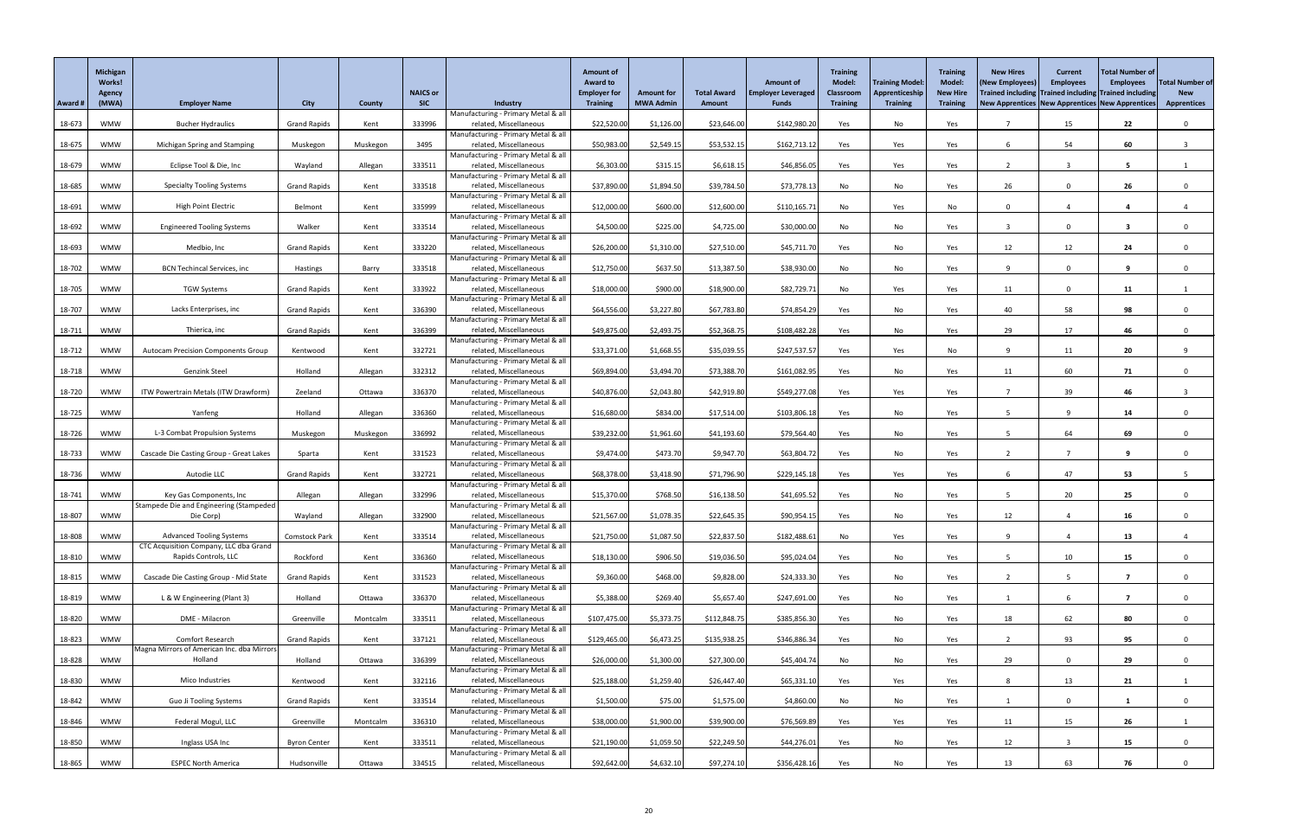|         | <b>Michigan</b><br>Works!<br><b>Agency</b> |                                                                           |                      |               | <b>NAICS or</b> |                                                               | <b>Amount of</b><br><b>Award to</b><br><b>Employer for</b> | <b>Amount for</b> | <b>Total Award</b> | <b>Amount of</b><br><b>Employer Leveraged</b> | <b>Training</b><br><b>Model:</b><br><b>Classroom</b> | <b>Training Model</b><br>Apprenticeship | <b>Training</b><br><b>Model:</b><br><b>New Hire</b> | <b>New Hires</b><br>(New Employees<br>Trained including Trained including Trained including | <b>Current</b><br><b>Employees</b> | <b>Total Number of</b><br><b>Employees</b> | <b>Total Number of</b><br><b>New</b> |
|---------|--------------------------------------------|---------------------------------------------------------------------------|----------------------|---------------|-----------------|---------------------------------------------------------------|------------------------------------------------------------|-------------------|--------------------|-----------------------------------------------|------------------------------------------------------|-----------------------------------------|-----------------------------------------------------|---------------------------------------------------------------------------------------------|------------------------------------|--------------------------------------------|--------------------------------------|
| Award # | (MWA)                                      | <b>Employer Name</b>                                                      | <b>City</b>          | <b>County</b> | <b>SIC</b>      | Industry                                                      | <b>Training</b>                                            | <b>MWA Admin</b>  | <b>Amount</b>      | <b>Funds</b>                                  | <b>Training</b>                                      | <b>Training</b>                         | <b>Training</b>                                     | New Apprentices   New Apprentices   New Apprentices                                         |                                    |                                            | <b>Apprentices</b>                   |
| 18-673  | <b>WMW</b>                                 | <b>Bucher Hydraulics</b>                                                  | <b>Grand Rapids</b>  | Kent          | 333996          | Manufacturing - Primary Metal & all<br>related, Miscellaneous | \$22,520.00                                                | \$1,126.00        | \$23,646.00        | \$142,980.20                                  | Yes                                                  | No                                      | Yes                                                 |                                                                                             | 15                                 | 22                                         | $\mathbf{0}$                         |
|         |                                            |                                                                           |                      |               |                 | Manufacturing - Primary Metal & all                           |                                                            |                   |                    |                                               |                                                      |                                         |                                                     |                                                                                             |                                    |                                            |                                      |
| 18-675  | <b>WMW</b>                                 | Michigan Spring and Stamping                                              | Muskegon             | Muskegon      | 3495            | related, Miscellaneous<br>Manufacturing - Primary Metal & all | \$50,983.00                                                | \$2,549.15        | \$53,532.15        | \$162,713.12                                  | Yes                                                  | Yes                                     | Yes                                                 |                                                                                             | 54                                 | 60                                         |                                      |
| 18-679  | <b>WMW</b>                                 | Eclipse Tool & Die, Inc                                                   | Wayland              | Allegan       | 333511          | related, Miscellaneous                                        | \$6,303.00                                                 | \$315.15          | \$6,618.15         | \$46,856.05                                   | Yes                                                  | Yes                                     | Yes                                                 |                                                                                             |                                    | 5                                          |                                      |
| 18-685  | <b>WMW</b>                                 | <b>Specialty Tooling Systems</b>                                          | <b>Grand Rapids</b>  | Kent          | 333518          | Manufacturing - Primary Metal & all<br>related, Miscellaneous | \$37,890.00                                                | \$1,894.50        | \$39,784.50        | \$73,778.13                                   | No                                                   | No                                      | Yes                                                 | 26                                                                                          |                                    | 26                                         |                                      |
|         |                                            |                                                                           |                      |               |                 | Manufacturing - Primary Metal & all                           |                                                            |                   |                    |                                               |                                                      |                                         |                                                     |                                                                                             |                                    |                                            |                                      |
| 18-691  | <b>WMW</b>                                 | High Point Electric                                                       | Belmont              | Kent          | 335999          | related, Miscellaneous<br>Manufacturing - Primary Metal & all | \$12,000.00                                                | \$600.00          | \$12,600.00        | \$110,165.71                                  | No                                                   | Yes                                     | No                                                  | $\Omega$                                                                                    |                                    |                                            |                                      |
| 18-692  | <b>WMW</b>                                 | <b>Engineered Tooling Systems</b>                                         | Walker               | Kent          | 333514          | related, Miscellaneous                                        | \$4,500.00                                                 | \$225.00          | \$4,725.00         | \$30,000.00                                   | No                                                   | No                                      | Yes                                                 |                                                                                             | 0                                  |                                            |                                      |
| 18-693  | <b>WMW</b>                                 | Medbio, Inc                                                               | <b>Grand Rapids</b>  | Kent          | 333220          | Manufacturing - Primary Metal & all<br>related, Miscellaneous | \$26,200.00                                                | \$1,310.00        | \$27,510.00        | \$45,711.70                                   | Yes                                                  | No                                      | Yes                                                 | 12                                                                                          | 12                                 | 24                                         | $\Omega$                             |
|         |                                            |                                                                           |                      |               |                 | Manufacturing - Primary Metal & all                           |                                                            |                   |                    |                                               |                                                      |                                         |                                                     |                                                                                             |                                    |                                            |                                      |
| 18-702  | <b>WMW</b>                                 | <b>BCN Techincal Services, inc</b>                                        | Hastings             | Barry         | 333518          | related, Miscellaneous<br>Manufacturing - Primary Metal & all | \$12,750.00                                                | \$637.50          | \$13,387.50        | \$38,930.00                                   | No                                                   | No                                      | Yes                                                 |                                                                                             |                                    | 9                                          |                                      |
| 18-705  | <b>WMW</b>                                 | <b>TGW Systems</b>                                                        | <b>Grand Rapids</b>  | Kent          | 333922          | related, Miscellaneous                                        | \$18,000.00                                                | \$900.00          | \$18,900.00        | \$82,729.71                                   | No                                                   | Yes                                     | Yes                                                 | 11                                                                                          | $\Omega$                           | 11                                         |                                      |
| 18-707  | <b>WMW</b>                                 | Lacks Enterprises, inc                                                    | <b>Grand Rapids</b>  | Kent          | 336390          | Manufacturing - Primary Metal & all<br>related, Miscellaneous | \$64,556.00                                                | \$3,227.80        | \$67,783.80        | \$74,854.29                                   | Yes                                                  | No                                      | Yes                                                 | 40                                                                                          | 58                                 | 98                                         | $\Omega$                             |
|         |                                            |                                                                           |                      |               |                 | Manufacturing - Primary Metal & all                           |                                                            |                   |                    |                                               |                                                      |                                         |                                                     |                                                                                             |                                    |                                            |                                      |
| 18-711  | <b>WMW</b>                                 | Thierica, inc                                                             | <b>Grand Rapids</b>  | Kent          | 336399          | related, Miscellaneous<br>Manufacturing - Primary Metal & all | \$49,875.00                                                | \$2,493.75        | \$52,368.75        | \$108,482.28                                  | Yes                                                  | No                                      | Yes                                                 | 29                                                                                          | 17                                 | 46                                         |                                      |
| 18-712  | <b>WMW</b>                                 | <b>Autocam Precision Components Group</b>                                 | Kentwood             | Kent          | 332721          | related, Miscellaneous                                        | \$33,371.00                                                | \$1,668.55        | \$35,039.55        | \$247,537.57                                  | Yes                                                  | Yes                                     | No                                                  | 9                                                                                           | 11                                 | 20                                         | 9                                    |
| 18-718  | <b>WMW</b>                                 | Genzink Steel                                                             | Holland              | Allegan       | 332312          | Manufacturing - Primary Metal & all<br>related, Miscellaneous | \$69,894.00                                                | \$3,494.70        | \$73,388.70        | \$161,082.95                                  | Yes                                                  | No                                      | Yes                                                 | 11                                                                                          | 60                                 | 71                                         |                                      |
|         | <b>WMW</b>                                 | ITW Powertrain Metals (ITW Drawform)                                      |                      |               | 336370          | Manufacturing - Primary Metal & all<br>related, Miscellaneous |                                                            |                   | \$42,919.80        | \$549,277.08                                  |                                                      |                                         |                                                     |                                                                                             | 39                                 | 46                                         |                                      |
| 18-720  |                                            |                                                                           | Zeeland              | Ottawa        |                 | Manufacturing - Primary Metal & all                           | \$40,876.00                                                | \$2,043.80        |                    |                                               | Yes                                                  | Yes                                     | Yes                                                 |                                                                                             |                                    |                                            |                                      |
| 18-725  | <b>WMW</b>                                 | Yanfeng                                                                   | Holland              | Allegan       | 336360          | related, Miscellaneous<br>Manufacturing - Primary Metal & all | \$16,680.00                                                | \$834.00          | \$17,514.00        | \$103,806.18                                  | Yes                                                  | No                                      | Yes                                                 |                                                                                             |                                    | 14                                         |                                      |
| 18-726  | <b>WMW</b>                                 | L-3 Combat Propulsion Systems                                             | Muskegon             | Muskegon      | 336992          | related, Miscellaneous                                        | \$39,232.00                                                | \$1,961.60        | \$41,193.60        | \$79,564.40                                   | Yes                                                  | No                                      | Yes                                                 |                                                                                             | 64                                 | 69                                         |                                      |
| 18-733  | <b>WMW</b>                                 | Cascade Die Casting Group - Great Lakes                                   | Sparta               | Kent          | 331523          | Manufacturing - Primary Metal & all<br>related, Miscellaneous | \$9,474.00                                                 | \$473.70          | \$9,947.70         | \$63,804.72                                   | Yes                                                  | No                                      | Yes                                                 |                                                                                             |                                    | 9                                          |                                      |
|         |                                            |                                                                           |                      |               |                 | Manufacturing - Primary Metal & all                           |                                                            |                   |                    |                                               |                                                      |                                         |                                                     |                                                                                             |                                    |                                            |                                      |
| 18-736  | <b>WMW</b>                                 | Autodie LLC                                                               | <b>Grand Rapids</b>  | Kent          | 332721          | related, Miscellaneous<br>Manufacturing - Primary Metal & all | \$68,378.00                                                | \$3,418.90        | \$71,796.90        | \$229,145.18                                  | Yes                                                  | Yes                                     | Yes                                                 |                                                                                             | 47                                 | 53                                         |                                      |
| 18-741  | <b>WMW</b>                                 | Key Gas Components, Inc                                                   | Allegan              | Allegan       | 332996          | related, Miscellaneous                                        | \$15,370.00                                                | \$768.50          | \$16,138.50        | \$41,695.52                                   | Yes                                                  | No                                      | Yes                                                 |                                                                                             | 20                                 | 25                                         |                                      |
| 18-807  | <b>WMW</b>                                 | Stampede Die and Engineering (Stampeded<br>Die Corp)                      | Wayland              | Allegan       | 332900          | Manufacturing - Primary Metal & all<br>related, Miscellaneous | \$21,567.00                                                | \$1,078.35        | \$22,645.35        | \$90,954.15                                   | Yes                                                  | No                                      | Yes                                                 | 12                                                                                          |                                    | 16 <sup>1</sup>                            |                                      |
|         |                                            |                                                                           |                      |               |                 | Manufacturing - Primary Metal & all                           |                                                            |                   |                    |                                               |                                                      |                                         |                                                     |                                                                                             |                                    |                                            |                                      |
| 18-808  | <b>WMW</b>                                 | <b>Advanced Tooling Systems</b><br>CTC Acquisition Company, LLC dba Grand | <b>Comstock Park</b> | Kent          | 333514          | related, Miscellaneous<br>Manufacturing - Primary Metal & all | \$21,750.00                                                | \$1,087.50        | \$22,837.50        | \$182,488.61                                  | No                                                   | Yes                                     | Yes                                                 | 9                                                                                           |                                    | 13                                         |                                      |
| 18-810  | <b>WMW</b>                                 | Rapids Controls, LLC                                                      | Rockford             | Kent          | 336360          | related, Miscellaneous                                        | \$18,130.00                                                | \$906.50          | \$19,036.50        | \$95,024.04                                   | Yes                                                  | No                                      | Yes                                                 |                                                                                             | 10                                 | 15                                         |                                      |
| 18-815  | <b>WMW</b>                                 | Cascade Die Casting Group - Mid State                                     | <b>Grand Rapids</b>  | Kent          | 331523          | Manufacturing - Primary Metal & all<br>related, Miscellaneous | \$9,360.00                                                 | \$468.00          | \$9,828.00         | \$24,333.30                                   | Yes                                                  | No                                      | Yes                                                 |                                                                                             |                                    | 7                                          |                                      |
|         |                                            |                                                                           |                      |               |                 | Manufacturing - Primary Metal & all                           |                                                            |                   |                    |                                               |                                                      |                                         |                                                     |                                                                                             |                                    |                                            |                                      |
| 18-819  | <b>WMW</b>                                 | L & W Engineering (Plant 3)                                               | Holland              | Ottawa        | 336370          | related, Miscellaneous<br>Manufacturing - Primary Metal & all | \$5,388.00                                                 | \$269.40          | \$5,657.40         | \$247,691.00                                  | Yes                                                  | No                                      | Yes                                                 |                                                                                             |                                    | 7                                          | $\Omega$                             |
| 18-820  | <b>WMW</b>                                 | DME - Milacron                                                            | Greenville           | Montcalm      | 333511          | related, Miscellaneous                                        | \$107,475.00                                               | \$5,373.75        | \$112,848.75       | \$385,856.30                                  | Yes                                                  | No                                      | Yes                                                 | 18                                                                                          | 62                                 | 80                                         |                                      |
| 18-823  | <b>WMW</b>                                 | Comfort Research                                                          | <b>Grand Rapids</b>  | Kent          | 337121          | Manufacturing - Primary Metal & all<br>related, Miscellaneous | \$129,465.00                                               | \$6,473.25        | \$135,938.25       | \$346,886.34                                  | Yes                                                  | No                                      | Yes                                                 |                                                                                             | 93                                 | 95                                         | $\Omega$                             |
|         |                                            | Magna Mirrors of American Inc. dba Mirrors                                |                      |               |                 | Manufacturing - Primary Metal & all                           |                                                            |                   |                    |                                               |                                                      |                                         |                                                     |                                                                                             |                                    |                                            |                                      |
| 18-828  | <b>WMW</b>                                 | Holland                                                                   | Holland              | Ottawa        | 336399          | related, Miscellaneous<br>Manufacturing - Primary Metal & all | \$26,000.00                                                | \$1,300.00        | \$27,300.00        | \$45,404.74                                   | No                                                   | No                                      | Yes                                                 | 29                                                                                          | $\mathbf 0$                        | 29                                         |                                      |
| 18-830  | <b>WMW</b>                                 | Mico Industries                                                           | Kentwood             | Kent          | 332116          | related, Miscellaneous                                        | \$25,188.00                                                | \$1,259.40        | \$26,447.40        | \$65,331.10                                   | Yes                                                  | Yes                                     | Yes                                                 |                                                                                             | 13                                 | 21                                         |                                      |
| 18-842  | <b>WMW</b>                                 | Guo Ji Tooling Systems                                                    | <b>Grand Rapids</b>  | Kent          | 333514          | Manufacturing - Primary Metal & all<br>related, Miscellaneous | \$1,500.00                                                 | \$75.00           | \$1,575.00         | \$4,860.00                                    | No                                                   | No                                      | Yes                                                 |                                                                                             |                                    |                                            |                                      |
|         |                                            |                                                                           |                      |               |                 | Manufacturing - Primary Metal & all                           |                                                            |                   |                    |                                               |                                                      |                                         |                                                     |                                                                                             |                                    |                                            |                                      |
| 18-846  | <b>WMW</b>                                 | Federal Mogul, LLC                                                        | Greenville           | Montcalm      | 336310          | related, Miscellaneous<br>Manufacturing - Primary Metal & all | \$38,000.00                                                | \$1,900.00        | \$39,900.00        | \$76,569.89                                   | Yes                                                  | Yes                                     | Yes                                                 | 11                                                                                          | 15                                 | 26                                         |                                      |
| 18-850  | <b>WMW</b>                                 | Inglass USA Inc                                                           | <b>Byron Center</b>  | Kent          | 333511          | related, Miscellaneous<br>Manufacturing - Primary Metal & all | \$21,190.00                                                | \$1,059.50        | \$22,249.50        | \$44,276.01                                   | Yes                                                  | No                                      | Yes                                                 | 12                                                                                          | $\overline{3}$                     | 15                                         | $\mathbf{0}$                         |
| 18-865  | <b>WMW</b>                                 | <b>ESPEC North America</b>                                                | Hudsonville          | Ottawa        | 334515          | related, Miscellaneous                                        | \$92,642.00                                                | \$4,632.10        | \$97,274.10        | \$356,428.16                                  | Yes                                                  | No                                      | Yes                                                 | 13                                                                                          | 63                                 | 76                                         |                                      |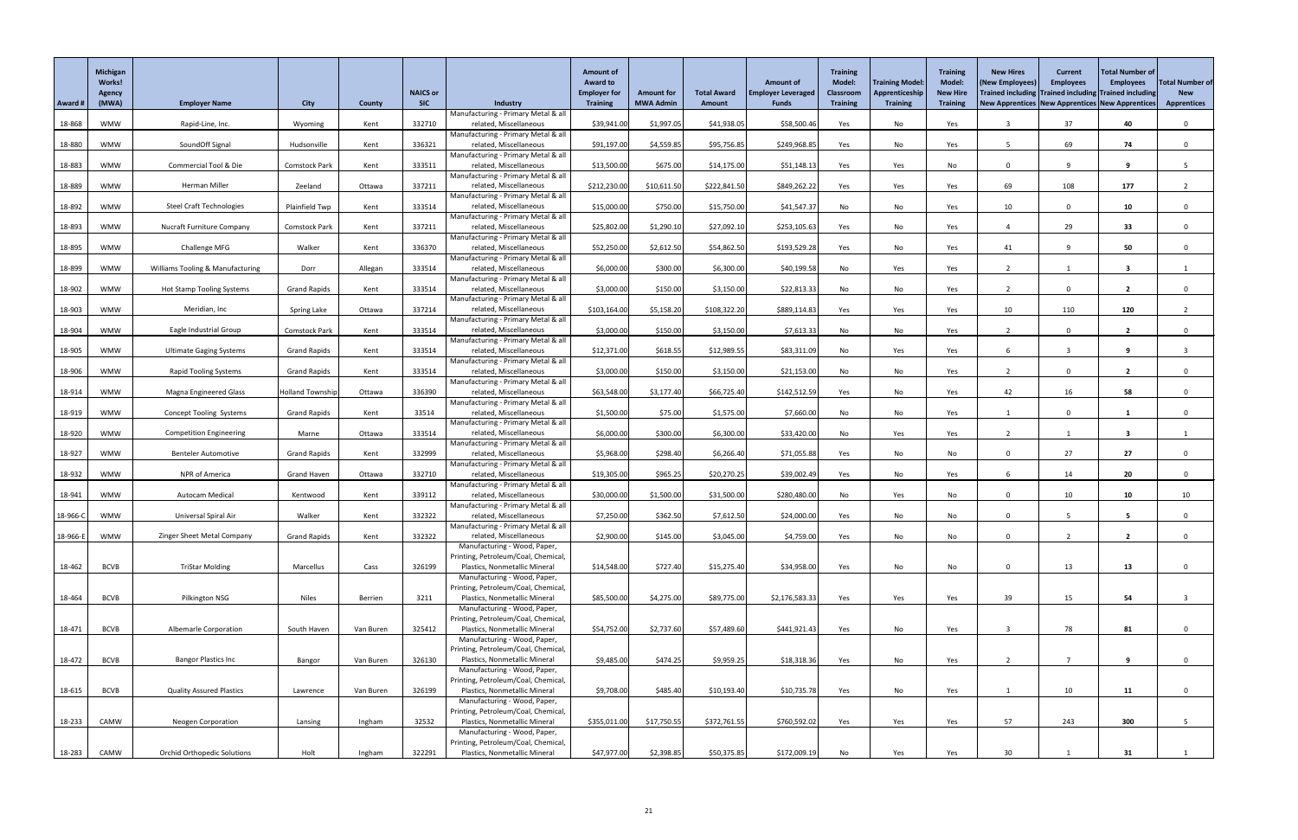| Award #  | Michigan<br>Works!<br><b>Agency</b><br>(MWA) | <b>Employer Name</b>                        | <b>City</b>             | <b>County</b> | <b>NAICS or</b><br><b>SIC</b> | Industry                                                             | <b>Amount of</b><br><b>Award to</b><br><b>Employer for</b><br><b>Training</b> | <b>Amount for</b><br><b>MWA Admin</b> | <b>Total Award</b><br><b>Amount</b> | <b>Amount of</b><br><b>Employer Leveraged</b><br><b>Funds</b> | <b>Training</b><br><b>Model:</b><br><b>Classroom</b><br><b>Training</b> | <b>Training Model</b><br>Apprenticeship<br><b>Training</b> | <b>Training</b><br>Model:<br><b>New Hire</b><br><b>Training</b> | <b>New Hires</b><br>(New Employees)<br>Trained including Trained including Trained including<br>New Apprentices   New Apprentices   New Apprentices | <b>Current</b><br><b>Employees</b> | <b>Total Number of</b><br><b>Employees</b> | <b>Total Number of</b><br><b>New</b><br><b>Apprentices</b> |
|----------|----------------------------------------------|---------------------------------------------|-------------------------|---------------|-------------------------------|----------------------------------------------------------------------|-------------------------------------------------------------------------------|---------------------------------------|-------------------------------------|---------------------------------------------------------------|-------------------------------------------------------------------------|------------------------------------------------------------|-----------------------------------------------------------------|-----------------------------------------------------------------------------------------------------------------------------------------------------|------------------------------------|--------------------------------------------|------------------------------------------------------------|
| 18-868   | <b>WMW</b>                                   | Rapid-Line, Inc.                            | Wyoming                 | Kent          | 332710                        | Manufacturing - Primary Metal & all<br>related, Miscellaneous        | \$39,941.00                                                                   | \$1,997.05                            | \$41,938.05                         | \$58,500.46                                                   | Yes                                                                     | No                                                         | Yes                                                             |                                                                                                                                                     | 37                                 | 40                                         | $\Omega$                                                   |
| 18-880   | <b>WMW</b>                                   | SoundOff Signal                             | Hudsonville             | Kent          | 336321                        | Manufacturing - Primary Metal & all<br>related, Miscellaneous        | \$91,197.00                                                                   | \$4,559.85                            | \$95,756.85                         | \$249,968.85                                                  | Yes                                                                     | No                                                         | Yes                                                             |                                                                                                                                                     | 69                                 | 74                                         | $\Omega$                                                   |
|          |                                              |                                             |                         |               |                               | Manufacturing - Primary Metal & all                                  |                                                                               |                                       |                                     |                                                               |                                                                         |                                                            |                                                                 |                                                                                                                                                     |                                    |                                            |                                                            |
| 18-883   | <b>WMW</b>                                   | Commercial Tool & Die                       | Comstock Park           | Kent          | 333511                        | related, Miscellaneous<br>Manufacturing - Primary Metal & all        | \$13,500.00                                                                   | \$675.00                              | \$14,175.00                         | \$51,148.13                                                   | Yes                                                                     | Yes                                                        | No                                                              | $\Omega$                                                                                                                                            |                                    | 9                                          |                                                            |
| 18-889   | <b>WMW</b>                                   | Herman Miller                               | Zeeland                 | Ottawa        | 337211                        | related, Miscellaneous                                               | \$212,230.00                                                                  | \$10,611.50                           | \$222,841.50                        | \$849,262.22                                                  | Yes                                                                     | Yes                                                        | Yes                                                             | 69                                                                                                                                                  | 108                                | 177                                        |                                                            |
| 18-892   | <b>WMW</b>                                   | <b>Steel Craft Technologies</b>             | Plainfield Twp          | Kent          | 333514                        | Manufacturing - Primary Metal & all<br>related, Miscellaneous        | \$15,000.00                                                                   | \$750.00                              | \$15,750.00                         | \$41,547.37                                                   | No                                                                      | No                                                         | Yes                                                             | 10                                                                                                                                                  | $\Omega$                           | 10                                         | $\Omega$                                                   |
|          |                                              |                                             |                         |               |                               | Manufacturing - Primary Metal & all                                  |                                                                               |                                       |                                     |                                                               |                                                                         |                                                            |                                                                 |                                                                                                                                                     |                                    |                                            |                                                            |
| 18-893   | <b>WMW</b>                                   | <b>Nucraft Furniture Company</b>            | <b>Comstock Park</b>    | Kent          | 337211                        | related, Miscellaneous<br>Manufacturing - Primary Metal & all        | \$25,802.00                                                                   | \$1,290.10                            | \$27,092.10                         | \$253,105.63                                                  | Yes                                                                     | No                                                         | Yes                                                             |                                                                                                                                                     | 29                                 | 33                                         | $\mathbf{0}$                                               |
| 18-895   | <b>WMW</b>                                   | Challenge MFG                               | Walker                  | Kent          | 336370                        | related, Miscellaneous<br>Manufacturing - Primary Metal & all        | \$52,250.00                                                                   | \$2,612.50                            | \$54,862.50                         | \$193,529.28                                                  | Yes                                                                     | No                                                         | Yes                                                             | 41                                                                                                                                                  | $\Omega$                           | 50                                         | $\Omega$                                                   |
| 18-899   | WMW                                          | <b>Williams Tooling &amp; Manufacturing</b> | Dorr                    | Allegan       | 333514                        | related, Miscellaneous                                               | \$6,000.00                                                                    | \$300.00                              | \$6,300.00                          | \$40,199.58                                                   | No                                                                      | Yes                                                        | Yes                                                             | $\overline{2}$                                                                                                                                      |                                    | $\overline{\mathbf{3}}$                    |                                                            |
| 18-902   | <b>WMW</b>                                   |                                             | <b>Grand Rapids</b>     | Kent          | 333514                        | Manufacturing - Primary Metal & all<br>related, Miscellaneous        | \$3,000.00                                                                    | \$150.00                              | \$3,150.00                          | \$22,813.33                                                   | No                                                                      | No                                                         | Yes                                                             |                                                                                                                                                     | $\mathbf 0$                        | $\overline{2}$                             | $\Omega$                                                   |
|          |                                              | <b>Hot Stamp Tooling Systems</b>            |                         |               |                               | Manufacturing - Primary Metal & all                                  |                                                                               |                                       |                                     |                                                               |                                                                         |                                                            |                                                                 |                                                                                                                                                     |                                    |                                            |                                                            |
| 18-903   | <b>WMW</b>                                   | Meridian, Inc                               | Spring Lake             | Ottawa        | 337214                        | related, Miscellaneous<br>Manufacturing - Primary Metal & all        | \$103,164.00                                                                  | \$5,158.20                            | \$108,322.20                        | \$889,114.83                                                  | Yes                                                                     | Yes                                                        | Yes                                                             | 10                                                                                                                                                  | 110                                | 120                                        |                                                            |
| 18-904   | <b>WMW</b>                                   | Eagle Industrial Group                      | <b>Comstock Park</b>    | Kent          | 333514                        | related, Miscellaneous                                               | \$3,000.00                                                                    | \$150.00                              | \$3,150.00                          | \$7,613.33                                                    | No                                                                      | No                                                         | Yes                                                             |                                                                                                                                                     | $\mathbf 0$                        | $\overline{2}$                             |                                                            |
| 18-905   | <b>WMW</b>                                   | <b>Ultimate Gaging Systems</b>              | <b>Grand Rapids</b>     | Kent          | 333514                        | Manufacturing - Primary Metal & all<br>related, Miscellaneous        | \$12,371.00                                                                   | \$618.55                              | \$12,989.55                         | \$83,311.09                                                   | No                                                                      | Yes                                                        | Yes                                                             |                                                                                                                                                     | $\overline{3}$                     | 9                                          |                                                            |
|          |                                              |                                             |                         |               |                               | Manufacturing - Primary Metal & all                                  |                                                                               |                                       |                                     |                                                               |                                                                         |                                                            |                                                                 |                                                                                                                                                     |                                    |                                            |                                                            |
| 18-906   | <b>WMW</b>                                   | <b>Rapid Tooling Systems</b>                | <b>Grand Rapids</b>     | Kent          | 333514                        | related, Miscellaneous<br>Manufacturing - Primary Metal & all        | \$3,000.00                                                                    | \$150.00                              | \$3,150.00                          | \$21,153.00                                                   | No                                                                      | No                                                         | Yes                                                             |                                                                                                                                                     |                                    | $\overline{2}$                             |                                                            |
| 18-914   | <b>WMW</b>                                   | <b>Magna Engineered Glass</b>               | <b>Holland Township</b> | Ottawa        | 336390                        | related, Miscellaneous                                               | \$63,548.00                                                                   | \$3,177.40                            | \$66,725.40                         | \$142,512.59                                                  | Yes                                                                     | No                                                         | Yes                                                             | 42                                                                                                                                                  | 16                                 | 58                                         | $\Omega$                                                   |
| 18-919   | <b>WMW</b>                                   | <b>Concept Tooling Systems</b>              | <b>Grand Rapids</b>     | Kent          | 33514                         | Manufacturing - Primary Metal & all<br>related, Miscellaneous        | \$1,500.00                                                                    | \$75.00                               | \$1,575.00                          | \$7,660.00                                                    | No                                                                      | No                                                         | Yes                                                             |                                                                                                                                                     | $\mathbf 0$                        |                                            |                                                            |
|          |                                              |                                             |                         |               |                               | Manufacturing - Primary Metal & all                                  |                                                                               |                                       |                                     |                                                               |                                                                         |                                                            |                                                                 |                                                                                                                                                     |                                    |                                            |                                                            |
| 18-920   | <b>WMW</b>                                   | <b>Competition Engineering</b>              | Marne                   | Ottawa        | 333514                        | related, Miscellaneous<br>Manufacturing - Primary Metal & all        | \$6,000.00                                                                    | \$300.00                              | \$6,300.00                          | \$33,420.00                                                   | No                                                                      | Yes                                                        | Yes                                                             |                                                                                                                                                     |                                    | $\overline{\mathbf{3}}$                    |                                                            |
| 18-927   | <b>WMW</b>                                   | <b>Benteler Automotive</b>                  | <b>Grand Rapids</b>     | Kent          | 332999                        | related, Miscellaneous                                               | \$5,968.00                                                                    | \$298.40                              | \$6,266.40                          | \$71,055.88                                                   | Yes                                                                     | No                                                         | No                                                              | $\Omega$                                                                                                                                            | 27                                 | 27                                         |                                                            |
| 18-932   | <b>WMW</b>                                   | NPR of America                              | <b>Grand Haven</b>      | Ottawa        | 332710                        | Manufacturing - Primary Metal & all<br>related, Miscellaneous        | \$19,305.00                                                                   | \$965.25                              | \$20,270.25                         | \$39,002.49                                                   | Yes                                                                     | No                                                         | Yes                                                             |                                                                                                                                                     | 14                                 | 20                                         | $\mathbf 0$                                                |
|          |                                              |                                             |                         |               |                               | Manufacturing - Primary Metal & all                                  |                                                                               |                                       |                                     |                                                               |                                                                         |                                                            |                                                                 |                                                                                                                                                     |                                    |                                            |                                                            |
| 18-941   | <b>WMW</b>                                   | Autocam Medical                             | Kentwood                | Kent          | 339112                        | related, Miscellaneous<br>Manufacturing - Primary Metal & all        | \$30,000.00                                                                   | \$1,500.00                            | \$31,500.00                         | \$280,480.00                                                  | No                                                                      | Yes                                                        | No                                                              | $\Omega$                                                                                                                                            | 10 <sup>°</sup>                    | 10                                         | 10                                                         |
| 18-966-C | <b>WMW</b>                                   | Universal Spiral Air                        | Walker                  | Kent          | 332322                        | related, Miscellaneous                                               | \$7,250.00                                                                    | \$362.50                              | \$7,612.50                          | \$24,000.00                                                   | Yes                                                                     | No                                                         | No                                                              | $\Omega$                                                                                                                                            |                                    | 5                                          | $\Omega$                                                   |
| 18-966-E | <b>WMW</b>                                   | Zinger Sheet Metal Company                  | <b>Grand Rapids</b>     | Kent          | 332322                        | Manufacturing - Primary Metal & all<br>related, Miscellaneous        | \$2,900.00                                                                    | \$145.00                              | \$3,045.00                          | \$4,759.00                                                    | Yes                                                                     | No                                                         | No                                                              | $\mathbf{0}$                                                                                                                                        |                                    | $\overline{2}$                             | $\mathbf{0}$                                               |
|          |                                              |                                             |                         |               |                               | Manufacturing - Wood, Paper,                                         |                                                                               |                                       |                                     |                                                               |                                                                         |                                                            |                                                                 |                                                                                                                                                     |                                    |                                            |                                                            |
| 18-462   | <b>BCVB</b>                                  | <b>TriStar Molding</b>                      | Marcellus               | Cass          | 326199                        | Printing, Petroleum/Coal, Chemical,<br>Plastics, Nonmetallic Mineral | \$14,548.00                                                                   | \$727.40                              | \$15,275.40                         | \$34,958.00                                                   | Yes                                                                     | No                                                         | No                                                              | $\Omega$                                                                                                                                            | 13                                 | 13                                         |                                                            |
|          |                                              |                                             |                         |               |                               | Manufacturing - Wood, Paper,                                         |                                                                               |                                       |                                     |                                                               |                                                                         |                                                            |                                                                 |                                                                                                                                                     |                                    |                                            |                                                            |
| 18-464   | <b>BCVB</b>                                  | Pilkington NSG                              | <b>Niles</b>            | Berrien       | 3211                          | Printing, Petroleum/Coal, Chemical<br>Plastics, Nonmetallic Mineral  | \$85,500.00                                                                   | \$4,275.00                            | \$89,775.00                         | \$2,176,583.33                                                | Yes                                                                     | Yes                                                        | Yes                                                             | 39                                                                                                                                                  | 15                                 | 54                                         |                                                            |
|          |                                              |                                             |                         |               |                               | Manufacturing - Wood, Paper,                                         |                                                                               |                                       |                                     |                                                               |                                                                         |                                                            |                                                                 |                                                                                                                                                     |                                    |                                            |                                                            |
| 18-471   | <b>BCVB</b>                                  | Albemarle Corporation                       | South Haven             | Van Buren     | 325412                        | Printing, Petroleum/Coal, Chemical<br>Plastics, Nonmetallic Mineral  | \$54,752.00                                                                   | \$2,737.60                            | \$57,489.60                         | \$441,921.43                                                  | Yes                                                                     | No                                                         | Yes                                                             |                                                                                                                                                     | 78                                 | 81                                         |                                                            |
|          |                                              |                                             |                         |               |                               | Manufacturing - Wood, Paper,                                         |                                                                               |                                       |                                     |                                                               |                                                                         |                                                            |                                                                 |                                                                                                                                                     |                                    |                                            |                                                            |
| 18-472   | <b>BCVB</b>                                  | <b>Bangor Plastics Inc</b>                  | Bangor                  | Van Buren     | 326130                        | Printing, Petroleum/Coal, Chemical,<br>Plastics, Nonmetallic Mineral | \$9,485.00                                                                    | \$474.25                              | \$9,959.25                          | \$18,318.36                                                   | Yes                                                                     | No                                                         | Yes                                                             |                                                                                                                                                     |                                    | $\mathbf{q}$                               |                                                            |
|          |                                              |                                             |                         |               |                               | Manufacturing - Wood, Paper,                                         |                                                                               |                                       |                                     |                                                               |                                                                         |                                                            |                                                                 |                                                                                                                                                     |                                    |                                            |                                                            |
| 18-615   | <b>BCVB</b>                                  | <b>Quality Assured Plastics</b>             | Lawrence                | Van Buren     | 326199                        | Printing, Petroleum/Coal, Chemical<br>Plastics, Nonmetallic Mineral  | \$9,708.00                                                                    | \$485.40                              | \$10,193.40                         | \$10,735.78                                                   | Yes                                                                     | No                                                         | Yes                                                             |                                                                                                                                                     | 10 <sup>°</sup>                    | 11                                         | $\mathbf{0}$                                               |
|          |                                              |                                             |                         |               |                               | Manufacturing - Wood, Paper,<br>Printing, Petroleum/Coal, Chemical,  |                                                                               |                                       |                                     |                                                               |                                                                         |                                                            |                                                                 |                                                                                                                                                     |                                    |                                            |                                                            |
| 18-233   | CAMW                                         | <b>Neogen Corporation</b>                   | Lansing                 | Ingham        | 32532                         | Plastics, Nonmetallic Mineral                                        | \$355,011.00                                                                  | \$17,750.55                           | \$372,761.55                        | \$760,592.02                                                  | Yes                                                                     | Yes                                                        | Yes                                                             | 57                                                                                                                                                  | 243                                | 300                                        |                                                            |
|          |                                              |                                             |                         |               |                               | Manufacturing - Wood, Paper,<br>Printing, Petroleum/Coal, Chemical,  |                                                                               |                                       |                                     |                                                               |                                                                         |                                                            |                                                                 |                                                                                                                                                     |                                    |                                            |                                                            |
| $18-283$ | CAMW                                         | <b>Orchid Orthopedic Solutions</b>          | Holt                    | Ingham        | 322291                        | Plastics, Nonmetallic Mineral                                        | \$47,977.00                                                                   | \$2,398.85                            | \$50,375.85                         | \$172,009.19                                                  | No                                                                      | Yes                                                        | Yes                                                             | 30 <sub>o</sub>                                                                                                                                     |                                    | 31                                         |                                                            |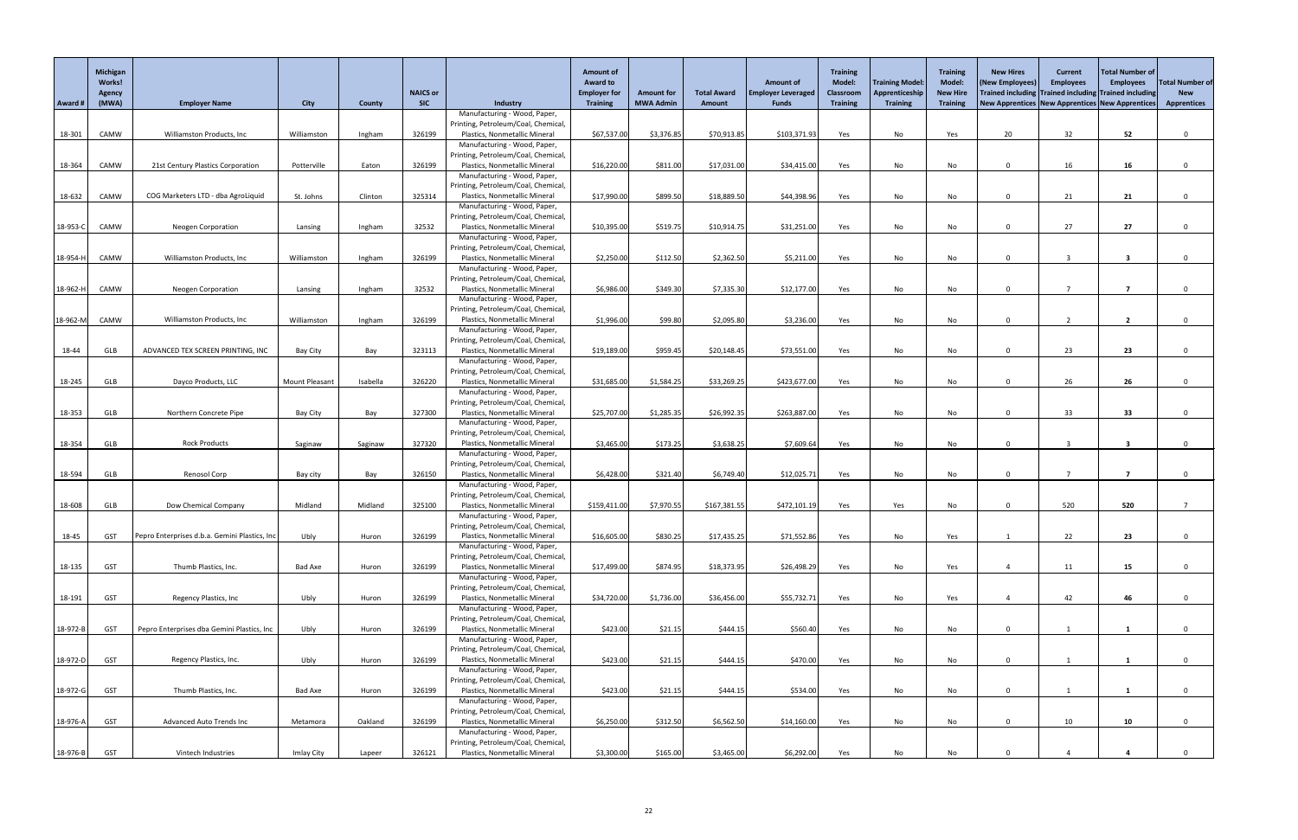|          | Michigan<br><b>Works!</b> |                                               |                       |          |                               |                                                                      | <b>Amount of</b><br><b>Award to</b>    |                                       |                                     | <b>Amount of</b>                          | Training<br><b>Model:</b> | <b>Training Model:</b>            | <b>Training</b><br><b>Model:</b>   | <b>New Hires</b><br>(New Employees) | <b>Current</b><br><b>Employees</b> | Total Number of<br><b>Employees</b>                                                                      | <b>Total Number of</b>           |
|----------|---------------------------|-----------------------------------------------|-----------------------|----------|-------------------------------|----------------------------------------------------------------------|----------------------------------------|---------------------------------------|-------------------------------------|-------------------------------------------|---------------------------|-----------------------------------|------------------------------------|-------------------------------------|------------------------------------|----------------------------------------------------------------------------------------------------------|----------------------------------|
| Award #  | <b>Agency</b><br>(MWA)    | <b>Employer Name</b>                          | <b>City</b>           | County   | <b>NAICS or</b><br><b>SIC</b> | Industry                                                             | <b>Employer for</b><br><b>Training</b> | <b>Amount for</b><br><b>MWA Admin</b> | <b>Total Award</b><br><b>Amount</b> | <b>Employer Leveraged</b><br><b>Funds</b> | Classroom<br>Training     | Apprenticeship<br><b>Training</b> | <b>New Hire</b><br><b>Training</b> |                                     |                                    | Trained including Trained including Trained including<br>New Apprentices New Apprentices New Apprentices | <b>New</b><br><b>Apprentices</b> |
|          |                           |                                               |                       |          |                               | Manufacturing - Wood, Paper,                                         |                                        |                                       |                                     |                                           |                           |                                   |                                    |                                     |                                    |                                                                                                          |                                  |
|          |                           |                                               |                       |          |                               | Printing, Petroleum/Coal, Chemical                                   |                                        |                                       |                                     |                                           |                           |                                   |                                    |                                     |                                    |                                                                                                          |                                  |
| 18-301   | CAMW                      | Williamston Products, Inc                     | Williamston           | Ingham   | 326199                        | Plastics, Nonmetallic Mineral<br>Manufacturing - Wood, Paper,        | \$67,537.00                            | \$3,376.85                            | \$70,913.85                         | \$103,371.93                              | Yes                       | No                                | Yes                                | 20                                  | 32                                 | 52                                                                                                       |                                  |
|          |                           |                                               |                       |          |                               | Printing, Petroleum/Coal, Chemical                                   |                                        |                                       |                                     |                                           |                           |                                   |                                    |                                     |                                    |                                                                                                          |                                  |
| 18-364   | CAMW                      | 21st Century Plastics Corporation             | Potterville           | Eaton    | 326199                        | Plastics, Nonmetallic Mineral                                        | \$16,220.00                            | \$811.00                              | \$17,031.00                         | \$34,415.00                               | Yes                       | No                                | No                                 | $\Omega$                            | 16                                 | 16                                                                                                       |                                  |
|          |                           |                                               |                       |          |                               | Manufacturing - Wood, Paper,<br>Printing, Petroleum/Coal, Chemical   |                                        |                                       |                                     |                                           |                           |                                   |                                    |                                     |                                    |                                                                                                          |                                  |
| 18-632   | CAMW                      | COG Marketers LTD - dba AgroLiquid            | St. Johns             | Clinton  | 325314                        | Plastics, Nonmetallic Mineral                                        | \$17,990.00                            | \$899.50                              | \$18,889.50                         | \$44,398.96                               | Yes                       | No                                | No                                 | $\Omega$                            | 21                                 | 21                                                                                                       |                                  |
|          |                           |                                               |                       |          |                               | Manufacturing - Wood, Paper,                                         |                                        |                                       |                                     |                                           |                           |                                   |                                    |                                     |                                    |                                                                                                          |                                  |
| 18-953-C | CAMW                      | <b>Neogen Corporation</b>                     | Lansing               | Ingham   | 32532                         | Printing, Petroleum/Coal, Chemical<br>Plastics, Nonmetallic Mineral  | \$10,395.00                            | \$519.75                              | \$10,914.75                         | \$31,251.00                               | Yes                       | No                                | No                                 | $\Omega$                            | 27                                 | 27                                                                                                       |                                  |
|          |                           |                                               |                       |          |                               | Manufacturing - Wood, Paper,                                         |                                        |                                       |                                     |                                           |                           |                                   |                                    |                                     |                                    |                                                                                                          |                                  |
|          |                           |                                               |                       |          |                               | Printing, Petroleum/Coal, Chemical,                                  |                                        |                                       |                                     |                                           |                           |                                   |                                    |                                     |                                    |                                                                                                          |                                  |
| 18-954-H | CAMW                      | Williamston Products, Inc                     | Williamston           | Ingham   | 326199                        | Plastics, Nonmetallic Mineral                                        | \$2,250.00                             | \$112.50                              | \$2,362.50                          | \$5,211.00                                | Yes                       | No                                | No                                 | $\Omega$                            |                                    | - 3                                                                                                      |                                  |
|          |                           |                                               |                       |          |                               | Manufacturing - Wood, Paper,<br>Printing, Petroleum/Coal, Chemical   |                                        |                                       |                                     |                                           |                           |                                   |                                    |                                     |                                    |                                                                                                          |                                  |
| 18-962-l | CAMW                      | <b>Neogen Corporation</b>                     | Lansing               | Ingham   | 32532                         | Plastics, Nonmetallic Mineral                                        | \$6,986.00                             | \$349.30                              | \$7,335.30                          | \$12,177.00                               | Yes                       | No                                | No                                 | $\Omega$                            |                                    | 7                                                                                                        |                                  |
|          |                           |                                               |                       |          |                               | Manufacturing - Wood, Paper,                                         |                                        |                                       |                                     |                                           |                           |                                   |                                    |                                     |                                    |                                                                                                          |                                  |
| 18-962-M | CAMW                      | Williamston Products, Inc                     | Williamston           | Ingham   | 326199                        | Printing, Petroleum/Coal, Chemical,<br>Plastics, Nonmetallic Mineral | \$1,996.00                             | \$99.80                               | \$2,095.80                          | \$3,236.00                                | Yes                       | No                                | No                                 | $\Omega$                            | $\overline{2}$                     | $\overline{2}$                                                                                           |                                  |
|          |                           |                                               |                       |          |                               | Manufacturing - Wood, Paper,                                         |                                        |                                       |                                     |                                           |                           |                                   |                                    |                                     |                                    |                                                                                                          |                                  |
|          |                           |                                               |                       |          |                               | Printing, Petroleum/Coal, Chemical,                                  |                                        |                                       |                                     |                                           |                           |                                   |                                    |                                     |                                    |                                                                                                          |                                  |
| 18-44    | GLB                       | ADVANCED TEX SCREEN PRINTING, INC             | Bay City              | Bay      | 323113                        | Plastics, Nonmetallic Mineral<br>Manufacturing - Wood, Paper,        | \$19,189.00                            | \$959.45                              | \$20,148.45                         | \$73,551.00                               | Yes                       | No                                | No                                 | $\Omega$                            | 23                                 | 23                                                                                                       |                                  |
|          |                           |                                               |                       |          |                               | Printing, Petroleum/Coal, Chemical,                                  |                                        |                                       |                                     |                                           |                           |                                   |                                    |                                     |                                    |                                                                                                          |                                  |
| $18-245$ | GLB                       | Dayco Products, LLC                           | <b>Mount Pleasant</b> | Isabella | 326220                        | Plastics, Nonmetallic Mineral                                        | \$31,685.00                            | \$1,584.25                            | \$33,269.25                         | \$423,677.00                              | Yes                       | No                                | No                                 |                                     | 26                                 | 26                                                                                                       |                                  |
|          |                           |                                               |                       |          |                               | Manufacturing - Wood, Paper,                                         |                                        |                                       |                                     |                                           |                           |                                   |                                    |                                     |                                    |                                                                                                          |                                  |
| 18-353   | GLB                       | Northern Concrete Pipe                        | Bay City              | Bay      | 327300                        | Printing, Petroleum/Coal, Chemical,<br>Plastics, Nonmetallic Mineral | \$25,707.00                            | \$1,285.35                            | \$26,992.35                         | \$263,887.00                              | Yes                       | No                                | No                                 | $\Omega$                            | 33                                 | 33                                                                                                       |                                  |
|          |                           |                                               |                       |          |                               | Manufacturing - Wood, Paper,                                         |                                        |                                       |                                     |                                           |                           |                                   |                                    |                                     |                                    |                                                                                                          |                                  |
|          |                           |                                               |                       |          |                               | Printing, Petroleum/Coal, Chemical,                                  |                                        |                                       |                                     |                                           |                           |                                   |                                    |                                     |                                    |                                                                                                          |                                  |
| 18-354   | GLB                       | <b>Rock Products</b>                          | Saginaw               | Saginaw  | 327320                        | Plastics, Nonmetallic Mineral<br>Manufacturing - Wood, Paper,        | \$3,465.00                             | \$173.25                              | \$3,638.25                          | \$7,609.64                                | Yes                       | No                                | No                                 | $\Omega$                            |                                    | -3                                                                                                       |                                  |
|          |                           |                                               |                       |          |                               | Printing, Petroleum/Coal, Chemical,                                  |                                        |                                       |                                     |                                           |                           |                                   |                                    |                                     |                                    |                                                                                                          |                                  |
| 18-594   | GLB                       | Renosol Corp                                  | Bay city              | Bay      | 326150                        | Plastics, Nonmetallic Mineral                                        | \$6,428.00                             | \$321.40                              | \$6,749.40                          | \$12,025.71                               | Yes                       | No                                | No                                 | $\Omega$                            |                                    | 7                                                                                                        |                                  |
|          |                           |                                               |                       |          |                               | Manufacturing - Wood, Paper,<br>Printing, Petroleum/Coal, Chemical,  |                                        |                                       |                                     |                                           |                           |                                   |                                    |                                     |                                    |                                                                                                          |                                  |
| 18-608   | <b>GLB</b>                | Dow Chemical Company                          | Midland               | Midland  | 325100                        | Plastics, Nonmetallic Mineral                                        | \$159,411.00                           | \$7,970.55                            | \$167,381.55                        | \$472,101.19                              | Yes                       | Yes                               | No                                 | $\Omega$                            | 520                                | 520                                                                                                      |                                  |
|          |                           |                                               |                       |          |                               | Manufacturing - Wood, Paper,                                         |                                        |                                       |                                     |                                           |                           |                                   |                                    |                                     |                                    |                                                                                                          |                                  |
|          |                           | Pepro Enterprises d.b.a. Gemini Plastics, Inc | Ubly                  |          | 326199                        | Printing, Petroleum/Coal, Chemical,                                  | \$16,605.00                            | \$830.25                              |                                     | \$71,552.86                               |                           |                                   |                                    |                                     | 22                                 | 23                                                                                                       |                                  |
| 18-45    | GST                       |                                               |                       | Huron    |                               | Plastics, Nonmetallic Mineral<br>Manufacturing - Wood, Paper,        |                                        |                                       | \$17,435.25                         |                                           | Yes                       | No                                | Yes                                |                                     |                                    |                                                                                                          |                                  |
|          |                           |                                               |                       |          |                               | Printing, Petroleum/Coal, Chemical,                                  |                                        |                                       |                                     |                                           |                           |                                   |                                    |                                     |                                    |                                                                                                          |                                  |
| 18-135   | <b>GST</b>                | Thumb Plastics, Inc.                          | <b>Bad Axe</b>        | Huron    | 326199                        | Plastics, Nonmetallic Mineral                                        | \$17,499.00                            | \$874.95                              | \$18,373.95                         | \$26,498.29                               | Yes                       | No                                | Yes                                |                                     | 11                                 | 15                                                                                                       |                                  |
|          |                           |                                               |                       |          |                               | Manufacturing - Wood, Paper,<br>Printing, Petroleum/Coal, Chemical   |                                        |                                       |                                     |                                           |                           |                                   |                                    |                                     |                                    |                                                                                                          |                                  |
| 18-191   | <b>GST</b>                | Regency Plastics, Inc                         | Ubly                  | Huron    | 326199                        | Plastics, Nonmetallic Mineral                                        | \$34,720.00                            | \$1,736.00                            | \$36,456.00                         | \$55,732.7                                | Yes                       | No                                | Yes                                |                                     | 42                                 | 46                                                                                                       |                                  |
|          |                           |                                               |                       |          |                               | Manufacturing - Wood, Paper,                                         |                                        |                                       |                                     |                                           |                           |                                   |                                    |                                     |                                    |                                                                                                          |                                  |
| 18-972-B | <b>GST</b>                | Pepro Enterprises dba Gemini Plastics, Inc    | Ubly                  | Huron    | 326199                        | Printing, Petroleum/Coal, Chemical,<br>Plastics, Nonmetallic Mineral | \$423.00                               | \$21.15                               | \$444.15                            | \$560.40                                  | Yes                       | No                                | No                                 | $\Omega$                            |                                    |                                                                                                          |                                  |
|          |                           |                                               |                       |          |                               | Manufacturing - Wood, Paper,                                         |                                        |                                       |                                     |                                           |                           |                                   |                                    |                                     |                                    |                                                                                                          |                                  |
|          |                           |                                               |                       |          |                               | Printing, Petroleum/Coal, Chemical,                                  |                                        |                                       |                                     |                                           |                           |                                   |                                    |                                     |                                    |                                                                                                          |                                  |
| 18-972-D | <b>GST</b>                | Regency Plastics, Inc.                        | Ubly                  | Huron    | 326199                        | Plastics, Nonmetallic Mineral<br>Manufacturing - Wood, Paper,        | \$423.00                               | \$21.15                               | \$444.15                            | \$470.00                                  | Yes                       | No                                | No                                 | $\Omega$                            |                                    |                                                                                                          |                                  |
|          |                           |                                               |                       |          |                               | Printing, Petroleum/Coal, Chemical,                                  |                                        |                                       |                                     |                                           |                           |                                   |                                    |                                     |                                    |                                                                                                          |                                  |
| 18-972-G | <b>GST</b>                | Thumb Plastics, Inc.                          | <b>Bad Axe</b>        | Huron    | 326199                        | Plastics, Nonmetallic Mineral                                        | \$423.00                               | \$21.15                               | \$444.15                            | \$534.00                                  | Yes                       | No                                | No                                 | $\Omega$                            |                                    |                                                                                                          |                                  |
|          |                           |                                               |                       |          |                               | Manufacturing - Wood, Paper,                                         |                                        |                                       |                                     |                                           |                           |                                   |                                    |                                     |                                    |                                                                                                          |                                  |
| 18-976-A | <b>GST</b>                | <b>Advanced Auto Trends Inc</b>               | Metamora              | Oakland  | 326199                        | Printing, Petroleum/Coal, Chemical,<br>Plastics, Nonmetallic Mineral | \$6,250.00                             | \$312.50                              | \$6,562.50                          | \$14,160.00                               | Yes                       | No                                | No                                 | $\Omega$                            | 10                                 | 10                                                                                                       |                                  |
|          |                           |                                               |                       |          |                               | Manufacturing - Wood, Paper,                                         |                                        |                                       |                                     |                                           |                           |                                   |                                    |                                     |                                    |                                                                                                          |                                  |
|          |                           |                                               |                       |          |                               | Printing, Petroleum/Coal, Chemical,                                  |                                        |                                       |                                     |                                           |                           |                                   |                                    |                                     |                                    |                                                                                                          |                                  |
| 18-976-B | <b>GST</b>                | Vintech Industries                            | Imlay City            | Lapeer   | 326121                        | Plastics, Nonmetallic Mineral                                        | \$3,300.00                             | \$165.00                              | \$3,465.00                          | \$6,292.00                                | Yes                       | No                                | No                                 |                                     |                                    |                                                                                                          |                                  |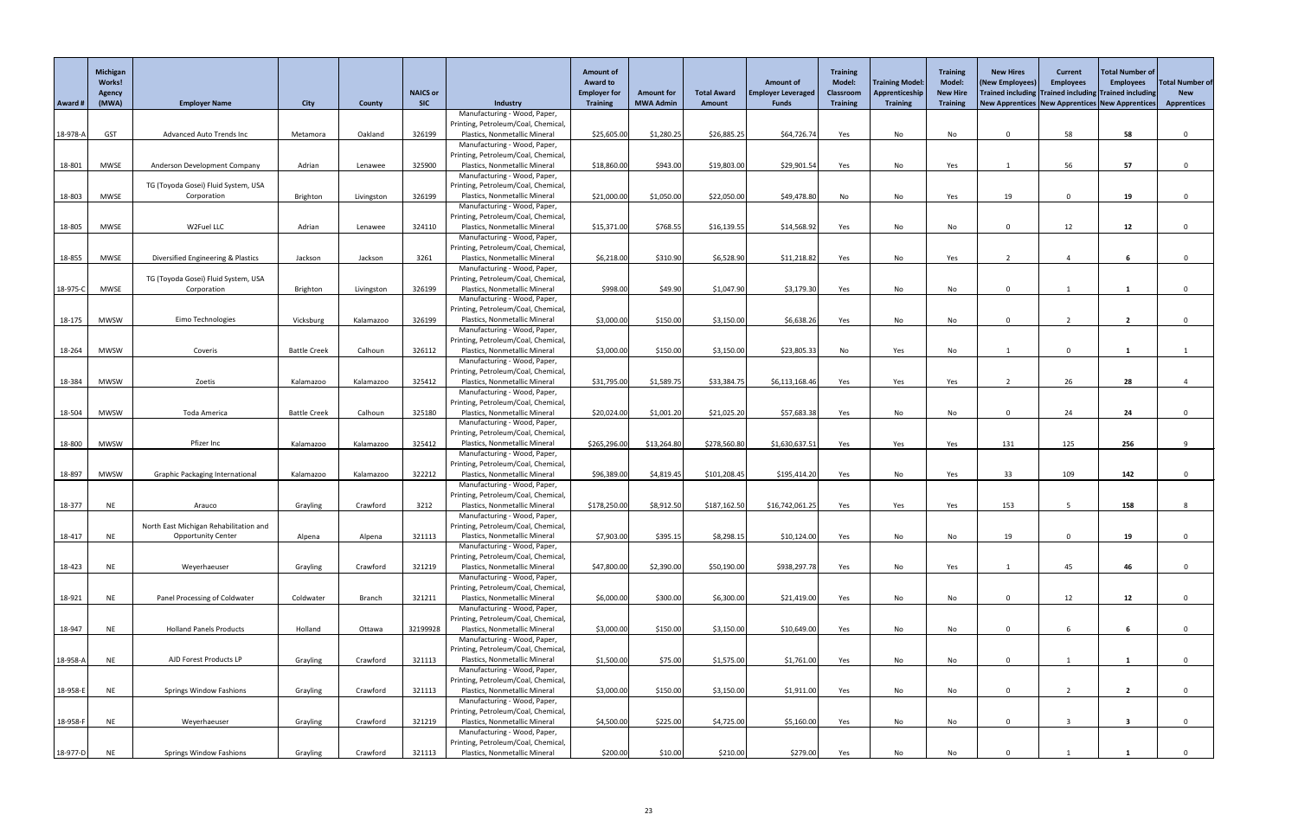|            | Michigan<br><b>Works!</b><br>Agency |                                                                     |                     |               | <b>NAICS or</b> |                                                                     | <b>Amount of</b><br><b>Award to</b><br><b>Employer for</b> | <b>Amount for</b> | <b>Total Award</b> | <b>Amount of</b><br><b>Employer Leveraged</b> | Training<br><b>Model:</b><br><b>Classroom</b> | <b>Training Model:</b><br>Apprenticeship | <b>Training</b><br><b>Model:</b><br><b>New Hire</b> | <b>New Hires</b><br>(New Employees) | <b>Current</b><br><b>Employees</b> | Total Number of<br><b>Employees</b><br>Trained including Trained including Trained including | <b>Total Number of</b><br><b>New</b> |
|------------|-------------------------------------|---------------------------------------------------------------------|---------------------|---------------|-----------------|---------------------------------------------------------------------|------------------------------------------------------------|-------------------|--------------------|-----------------------------------------------|-----------------------------------------------|------------------------------------------|-----------------------------------------------------|-------------------------------------|------------------------------------|----------------------------------------------------------------------------------------------|--------------------------------------|
| Award #    | (MWA)                               | <b>Employer Name</b>                                                | <b>City</b>         | <b>County</b> | <b>SIC</b>      | Industry                                                            | <b>Training</b>                                            | <b>MWA Admin</b>  | Amount             | <b>Funds</b>                                  | Training                                      | <b>Training</b>                          | <b>Training</b>                                     |                                     |                                    | New Apprentices   New Apprentices   New Apprentices                                          | <b>Apprentices</b>                   |
|            |                                     |                                                                     |                     |               |                 | Manufacturing - Wood, Paper,<br>Printing, Petroleum/Coal, Chemical  |                                                            |                   |                    |                                               |                                               |                                          |                                                     |                                     |                                    |                                                                                              |                                      |
| 18-978-A   | <b>GST</b>                          | <b>Advanced Auto Trends Inc</b>                                     | Metamora            | Oakland       | 326199          | Plastics, Nonmetallic Mineral                                       | \$25,605.00                                                | \$1,280.25        | \$26,885.25        | \$64,726.74                                   | Yes                                           | No                                       | No                                                  | $\Omega$                            | 58                                 | 58                                                                                           |                                      |
|            |                                     |                                                                     |                     |               |                 | Manufacturing - Wood, Paper,                                        |                                                            |                   |                    |                                               |                                               |                                          |                                                     |                                     |                                    |                                                                                              |                                      |
| 18-801     | <b>MWSE</b>                         | Anderson Development Company                                        | Adrian              | Lenawee       | 325900          | Printing, Petroleum/Coal, Chemical<br>Plastics, Nonmetallic Mineral | \$18,860.00                                                | \$943.00          | \$19,803.00        | \$29,901.54                                   | Yes                                           | No                                       | Yes                                                 |                                     | 56                                 | 57                                                                                           |                                      |
|            |                                     |                                                                     |                     |               |                 | Manufacturing - Wood, Paper,                                        |                                                            |                   |                    |                                               |                                               |                                          |                                                     |                                     |                                    |                                                                                              |                                      |
|            |                                     | TG (Toyoda Gosei) Fluid System, USA                                 |                     |               |                 | Printing, Petroleum/Coal, Chemical                                  |                                                            |                   |                    |                                               |                                               |                                          |                                                     |                                     |                                    |                                                                                              |                                      |
| 18-803     | <b>MWSE</b>                         | Corporation                                                         | Brighton            | Livingston    | 326199          | Plastics, Nonmetallic Mineral<br>Manufacturing - Wood, Paper,       | \$21,000.00                                                | \$1,050.00        | \$22,050.00        | \$49,478.80                                   | No                                            | No                                       | Yes                                                 | 19                                  | $\Omega$                           | 19                                                                                           |                                      |
|            |                                     |                                                                     |                     |               |                 | Printing, Petroleum/Coal, Chemical                                  |                                                            |                   |                    |                                               |                                               |                                          |                                                     |                                     |                                    |                                                                                              |                                      |
| 18-805     | <b>MWSE</b>                         | W2Fuel LLC                                                          | Adrian              | Lenawee       | 324110          | Plastics, Nonmetallic Mineral                                       | \$15,371.00                                                | \$768.55          | \$16,139.55        | \$14,568.92                                   | Yes                                           | No                                       | No                                                  | $\Omega$                            | 12                                 | 12                                                                                           |                                      |
|            |                                     |                                                                     |                     |               |                 | Manufacturing - Wood, Paper,<br>Printing, Petroleum/Coal, Chemical  |                                                            |                   |                    |                                               |                                               |                                          |                                                     |                                     |                                    |                                                                                              |                                      |
| 18-855     | <b>MWSE</b>                         | Diversified Engineering & Plastics                                  | Jackson             | Jackson       | 3261            | Plastics, Nonmetallic Mineral                                       | \$6,218.00                                                 | \$310.90          | \$6,528.90         | \$11,218.82                                   | Yes                                           | No                                       | Yes                                                 | ົາ                                  |                                    |                                                                                              |                                      |
|            |                                     |                                                                     |                     |               |                 | Manufacturing - Wood, Paper,                                        |                                                            |                   |                    |                                               |                                               |                                          |                                                     |                                     |                                    |                                                                                              |                                      |
| 18-975-C   | <b>MWSE</b>                         | TG (Toyoda Gosei) Fluid System, USA<br>Corporation                  | Brighton            | Livingston    | 326199          | Printing, Petroleum/Coal, Chemical<br>Plastics, Nonmetallic Mineral | \$998.00                                                   | \$49.90           | \$1,047.90         | \$3,179.30                                    | Yes                                           | No                                       | No                                                  | $\Omega$                            |                                    |                                                                                              |                                      |
|            |                                     |                                                                     |                     |               |                 | Manufacturing - Wood, Paper,                                        |                                                            |                   |                    |                                               |                                               |                                          |                                                     |                                     |                                    |                                                                                              |                                      |
|            |                                     |                                                                     |                     |               |                 | Printing, Petroleum/Coal, Chemical                                  |                                                            |                   |                    |                                               |                                               |                                          |                                                     |                                     |                                    |                                                                                              |                                      |
| 18-175     | <b>MWSW</b>                         | Eimo Technologies                                                   | Vicksburg           | Kalamazoo     | 326199          | Plastics, Nonmetallic Mineral<br>Manufacturing - Wood, Paper,       | \$3,000.00                                                 | \$150.00          | \$3,150.00         | \$6,638.26                                    | Yes                                           | No                                       | No                                                  | $\mathbf{0}$                        |                                    | $\overline{2}$                                                                               |                                      |
|            |                                     |                                                                     |                     |               |                 | Printing, Petroleum/Coal, Chemical                                  |                                                            |                   |                    |                                               |                                               |                                          |                                                     |                                     |                                    |                                                                                              |                                      |
| 18-264     | <b>MWSW</b>                         | Coveris                                                             | <b>Battle Creek</b> | Calhoun       | 326112          | Plastics, Nonmetallic Mineral                                       | \$3,000.00                                                 | \$150.00          | \$3,150.00         | \$23,805.33                                   | No                                            | Yes                                      | No                                                  |                                     | $\overline{0}$                     |                                                                                              |                                      |
|            |                                     |                                                                     |                     |               |                 | Manufacturing - Wood, Paper,<br>Printing, Petroleum/Coal, Chemical  |                                                            |                   |                    |                                               |                                               |                                          |                                                     |                                     |                                    |                                                                                              |                                      |
| 18-384     | MWSW                                | Zoetis                                                              | Kalamazoo           | Kalamazoo     | 325412          | Plastics, Nonmetallic Mineral                                       | \$31,795.00                                                | \$1,589.75        | \$33,384.75        | \$6,113,168.46]                               | Yes                                           | Yes                                      | Yes                                                 |                                     | 26                                 | 28                                                                                           |                                      |
|            |                                     |                                                                     |                     |               |                 | Manufacturing - Wood, Paper,                                        |                                                            |                   |                    |                                               |                                               |                                          |                                                     |                                     |                                    |                                                                                              |                                      |
| 18-504     | <b>MWSW</b>                         | Toda America                                                        | <b>Battle Creek</b> | Calhoun       | 325180          | Printing, Petroleum/Coal, Chemical<br>Plastics, Nonmetallic Mineral | \$20,024.00                                                | \$1,001.20        | \$21,025.20        | \$57,683.38                                   | Yes                                           | No                                       | No                                                  | $\Omega$                            | 24                                 | 24                                                                                           |                                      |
|            |                                     |                                                                     |                     |               |                 | Manufacturing - Wood, Paper,                                        |                                                            |                   |                    |                                               |                                               |                                          |                                                     |                                     |                                    |                                                                                              |                                      |
|            |                                     |                                                                     |                     |               |                 | Printing, Petroleum/Coal, Chemical                                  |                                                            |                   |                    |                                               |                                               |                                          |                                                     |                                     |                                    |                                                                                              |                                      |
| 18-800     | <b>MWSW</b>                         | Pfizer Inc                                                          | Kalamazoo           | Kalamazoo     | 325412          | Plastics, Nonmetallic Mineral<br>Manufacturing - Wood, Paper,       | \$265,296.00                                               | \$13,264.80       | \$278,560.80       | \$1,630,637.51                                | Yes                                           | Yes                                      | Yes                                                 | 131                                 | 125                                | 256                                                                                          |                                      |
|            |                                     |                                                                     |                     |               |                 | Printing, Petroleum/Coal, Chemical                                  |                                                            |                   |                    |                                               |                                               |                                          |                                                     |                                     |                                    |                                                                                              |                                      |
| 18-897     | <b>MWSW</b>                         | <b>Graphic Packaging International</b>                              | Kalamazoo           | Kalamazoo     | 322212          | Plastics, Nonmetallic Mineral                                       | \$96,389.00                                                | \$4,819.45        | \$101,208.45       | \$195,414.20                                  | Yes                                           | No                                       | Yes                                                 | 33                                  | 109                                | 142                                                                                          |                                      |
|            |                                     |                                                                     |                     |               |                 | Manufacturing - Wood, Paper,<br>Printing, Petroleum/Coal, Chemical  |                                                            |                   |                    |                                               |                                               |                                          |                                                     |                                     |                                    |                                                                                              |                                      |
| 18-377     | <b>NE</b>                           | Arauco                                                              | Grayling            | Crawford      | 3212            | Plastics, Nonmetallic Mineral                                       | \$178,250.00                                               | \$8,912.50        | \$187,162.50       | \$16,742,061.25                               | Yes                                           | Yes                                      | Yes                                                 | 153                                 |                                    | 158                                                                                          |                                      |
|            |                                     |                                                                     |                     |               |                 | Manufacturing - Wood, Paper,                                        |                                                            |                   |                    |                                               |                                               |                                          |                                                     |                                     |                                    |                                                                                              |                                      |
| 18-417     | <b>NE</b>                           | North East Michigan Rehabilitation and<br><b>Opportunity Center</b> | Alpena              | Alpena        | 321113          | Printing, Petroleum/Coal, Chemical<br>Plastics, Nonmetallic Mineral | \$7,903.00                                                 | \$395.15          | \$8,298.15         | \$10,124.00                                   | Yes                                           | No                                       | No                                                  | 19                                  | $\Omega$                           | 19                                                                                           |                                      |
|            |                                     |                                                                     |                     |               |                 | Manufacturing - Wood, Paper,                                        |                                                            |                   |                    |                                               |                                               |                                          |                                                     |                                     |                                    |                                                                                              |                                      |
|            |                                     |                                                                     |                     |               |                 | Printing, Petroleum/Coal, Chemical                                  |                                                            |                   |                    |                                               |                                               |                                          |                                                     |                                     |                                    |                                                                                              |                                      |
| 18-423     | <b>NE</b>                           | Weyerhaeuser                                                        | Grayling            | Crawford      | 321219          | Plastics, Nonmetallic Mineral<br>Manufacturing - Wood, Paper,       | \$47,800.00                                                | \$2,390.00        | \$50,190.00        | \$938,297.78                                  | Yes                                           | No                                       | Yes                                                 |                                     | 45                                 | 46                                                                                           |                                      |
|            |                                     |                                                                     |                     |               |                 | Printing, Petroleum/Coal, Chemical                                  |                                                            |                   |                    |                                               |                                               |                                          |                                                     |                                     |                                    |                                                                                              |                                      |
| 18-921     | <b>NE</b>                           | Panel Processing of Coldwater                                       | Coldwater           | <b>Branch</b> | 321211          | Plastics, Nonmetallic Mineral                                       | \$6,000.00                                                 | \$300.00          | \$6,300.00         | \$21,419.00                                   | Yes                                           | No                                       | No                                                  | $\Omega$                            | 12                                 | 12                                                                                           |                                      |
|            |                                     |                                                                     |                     |               |                 | Manufacturing - Wood, Paper,<br>Printing, Petroleum/Coal, Chemical  |                                                            |                   |                    |                                               |                                               |                                          |                                                     |                                     |                                    |                                                                                              |                                      |
| 18-947     | <b>NE</b>                           | <b>Holland Panels Products</b>                                      | Holland             | Ottawa        | 32199928        | Plastics, Nonmetallic Mineral                                       | \$3,000.00                                                 | \$150.00          | \$3,150.00         | \$10,649.00                                   | Yes                                           | No                                       | No                                                  | $\Omega$                            | 6                                  | 6                                                                                            |                                      |
|            |                                     |                                                                     |                     |               |                 | Manufacturing - Wood, Paper,                                        |                                                            |                   |                    |                                               |                                               |                                          |                                                     |                                     |                                    |                                                                                              |                                      |
| $18-958-A$ | <b>NE</b>                           | AJD Forest Products LP                                              | Grayling            | Crawford      | 321113          | Printing, Petroleum/Coal, Chemical<br>Plastics, Nonmetallic Mineral | \$1,500.00                                                 | \$75.00           | \$1,575.00         | \$1,761.00                                    | Yes                                           | No                                       | <b>No</b>                                           | $\Omega$                            |                                    |                                                                                              |                                      |
|            |                                     |                                                                     |                     |               |                 | Manufacturing - Wood, Paper,                                        |                                                            |                   |                    |                                               |                                               |                                          |                                                     |                                     |                                    |                                                                                              |                                      |
|            |                                     |                                                                     |                     |               |                 | Printing, Petroleum/Coal, Chemical                                  |                                                            |                   |                    |                                               |                                               |                                          |                                                     |                                     |                                    |                                                                                              |                                      |
| 18-958-E   | <b>NE</b>                           | <b>Springs Window Fashions</b>                                      | Grayling            | Crawford      | 321113          | Plastics, Nonmetallic Mineral<br>Manufacturing - Wood, Paper,       | \$3,000.00                                                 | \$150.00          | \$3,150.00         | \$1,911.00                                    | Yes                                           | No                                       | No                                                  | $\Omega$                            |                                    | $\overline{2}$                                                                               |                                      |
|            |                                     |                                                                     |                     |               |                 | Printing, Petroleum/Coal, Chemical                                  |                                                            |                   |                    |                                               |                                               |                                          |                                                     |                                     |                                    |                                                                                              |                                      |
| 18-958-F   | <b>NE</b>                           | Weyerhaeuser                                                        | Grayling            | Crawford      | 321219          | Plastics, Nonmetallic Mineral                                       | \$4,500.00                                                 | \$225.00          | \$4,725.00         | \$5,160.00                                    | Yes                                           | No                                       | No                                                  | $\mathbf 0$                         | $\overline{\mathbf{3}}$            | $\overline{\mathbf{3}}$                                                                      |                                      |
|            |                                     |                                                                     |                     |               |                 | Manufacturing - Wood, Paper,<br>Printing, Petroleum/Coal, Chemical, |                                                            |                   |                    |                                               |                                               |                                          |                                                     |                                     |                                    |                                                                                              |                                      |
| 18-977-D   | NE                                  | <b>Springs Window Fashions</b>                                      | Grayling            | Crawford      | 321113          | Plastics, Nonmetallic Mineral                                       | \$200.00]                                                  | \$10.00           | \$210.00           | \$279.00                                      | Yes                                           | No                                       | No                                                  |                                     |                                    |                                                                                              |                                      |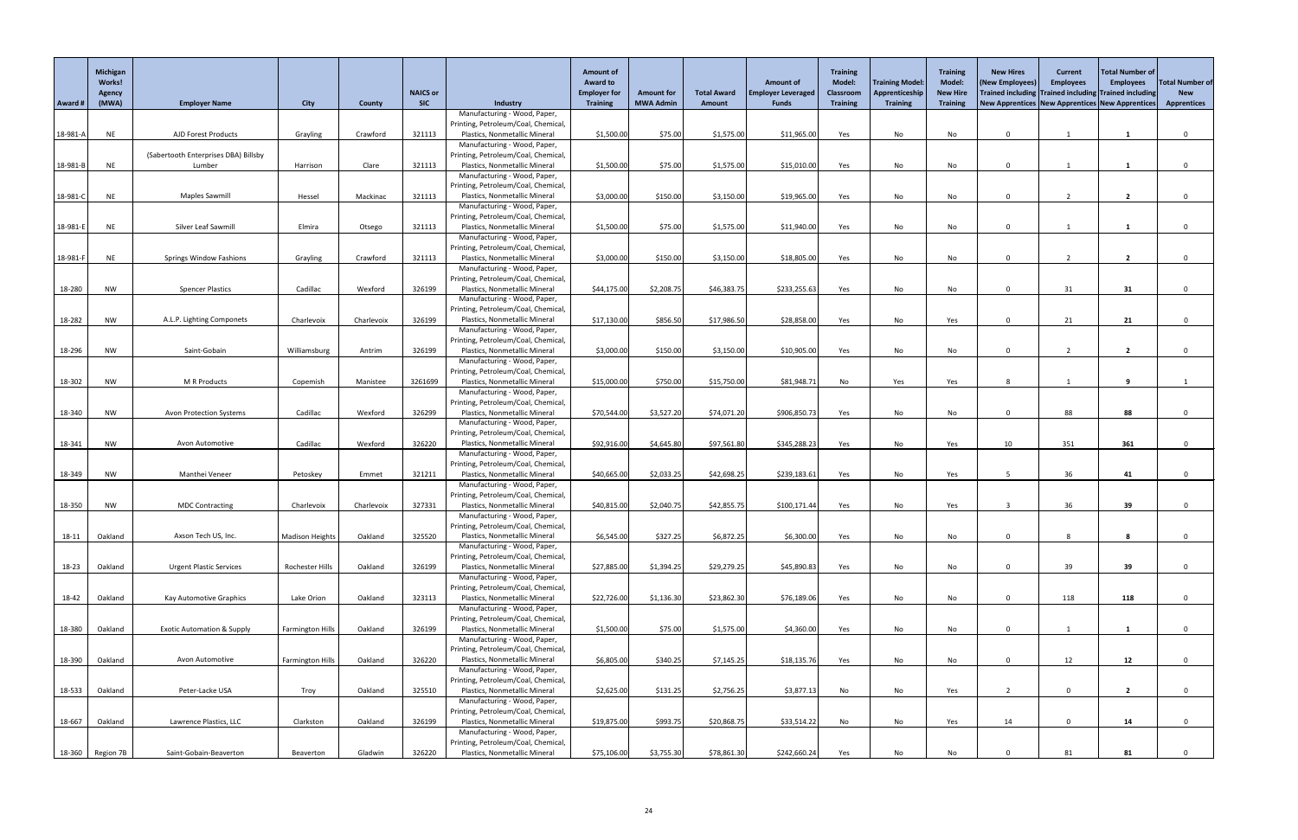|                     | Michigan<br><b>Works!</b><br><b>Agency</b> |                                       |                         |               | <b>NAICS or</b>                                               |                                                                      | <b>Amount of</b><br><b>Award to</b><br><b>Employer for</b> | <b>Amount for</b> | <b>Total Award</b> | <b>Amount of</b><br><b>Employer Leveraged</b> | <b>Training</b><br><b>Model:</b><br>Classroom | <b>Training Model:</b><br>Apprenticeship | <b>Training</b><br>Model:<br><b>New Hire</b> | <b>New Hires</b><br>(New Employees) | <b>Current</b><br><b>Employees</b> | Total Number of<br><b>Employees</b><br>Trained including Trained including Trained including | <b>Total Number of</b><br><b>New</b> |
|---------------------|--------------------------------------------|---------------------------------------|-------------------------|---------------|---------------------------------------------------------------|----------------------------------------------------------------------|------------------------------------------------------------|-------------------|--------------------|-----------------------------------------------|-----------------------------------------------|------------------------------------------|----------------------------------------------|-------------------------------------|------------------------------------|----------------------------------------------------------------------------------------------|--------------------------------------|
| Award #             | (MWA)                                      | <b>Employer Name</b>                  | <b>City</b>             | <b>County</b> | <b>SIC</b>                                                    | Industry<br>Manufacturing - Wood, Paper,                             | <b>Training</b>                                            | <b>MWA Admin</b>  | <b>Amount</b>      | <b>Funds</b>                                  | <b>Training</b>                               | <b>Training</b>                          | <b>Training</b>                              |                                     |                                    | New Apprentices New Apprentices New Apprentices                                              | <b>Apprentices</b>                   |
|                     |                                            |                                       |                         |               |                                                               | Printing, Petroleum/Coal, Chemical                                   |                                                            |                   |                    |                                               |                                               |                                          |                                              |                                     |                                    |                                                                                              |                                      |
| 18-981-A            | <b>NE</b>                                  | <b>AJD Forest Products</b>            | Grayling                | Crawford      | 321113                                                        | Plastics, Nonmetallic Mineral                                        | \$1,500.00                                                 | \$75.00           | \$1,575.00         | \$11,965.00                                   | Yes                                           | No                                       | <b>No</b>                                    | $\Omega$                            |                                    |                                                                                              |                                      |
|                     |                                            | (Sabertooth Enterprises DBA) Billsby  |                         |               |                                                               | Manufacturing - Wood, Paper,<br>Printing, Petroleum/Coal, Chemical   |                                                            |                   |                    |                                               |                                               |                                          |                                              |                                     |                                    |                                                                                              |                                      |
| 18-981-B            | <b>NE</b>                                  | Lumber                                | Harrison                | Clare         | 321113                                                        | Plastics, Nonmetallic Mineral                                        | \$1,500.00                                                 | \$75.00           | \$1,575.00         | \$15,010.00                                   | Yes                                           | No                                       | No                                           | $\Omega$                            |                                    |                                                                                              |                                      |
|                     |                                            |                                       |                         |               |                                                               | Manufacturing - Wood, Paper,                                         |                                                            |                   |                    |                                               |                                               |                                          |                                              |                                     |                                    |                                                                                              |                                      |
| 18-981-C            | <b>NE</b>                                  | Maples Sawmill                        | Hessel                  | Mackinac      | 321113                                                        | Printing, Petroleum/Coal, Chemical<br>Plastics, Nonmetallic Mineral  | \$3,000.00                                                 | \$150.00          | \$3,150.00         | \$19,965.00                                   | Yes                                           | No                                       | No                                           | $\Omega$                            |                                    | $\overline{2}$                                                                               |                                      |
|                     |                                            |                                       |                         |               |                                                               | Manufacturing - Wood, Paper,                                         |                                                            |                   |                    |                                               |                                               |                                          |                                              |                                     |                                    |                                                                                              |                                      |
|                     |                                            | Silver Leaf Sawmill                   |                         |               |                                                               | Printing, Petroleum/Coal, Chemical                                   |                                                            |                   |                    |                                               |                                               |                                          |                                              |                                     |                                    |                                                                                              |                                      |
| 18-981-E            | <b>NE</b>                                  |                                       | Elmira                  | Otsego        | 321113                                                        | Plastics, Nonmetallic Mineral<br>Manufacturing - Wood, Paper,        | \$1,500.00                                                 | \$75.00           | \$1,575.00         | \$11,940.00                                   | Yes                                           | No                                       | No                                           | $\Omega$                            |                                    |                                                                                              |                                      |
|                     |                                            |                                       |                         |               |                                                               | Printing, Petroleum/Coal, Chemical                                   |                                                            |                   |                    |                                               |                                               |                                          |                                              |                                     |                                    |                                                                                              |                                      |
| 18-981-F            | <b>NE</b>                                  | <b>Springs Window Fashions</b>        | Grayling                | Crawford      | 321113                                                        | Plastics, Nonmetallic Mineral                                        | \$3,000.00                                                 | \$150.00          | \$3,150.00         | \$18,805.00                                   | Yes                                           | No                                       | No                                           | $\Omega$                            |                                    | $\mathbf{z}$                                                                                 |                                      |
|                     |                                            |                                       |                         |               |                                                               | Manufacturing - Wood, Paper,<br>Printing, Petroleum/Coal, Chemical   |                                                            |                   |                    |                                               |                                               |                                          |                                              |                                     |                                    |                                                                                              |                                      |
| 18-280              | <b>NW</b>                                  | <b>Spencer Plastics</b>               | Cadillac                | Wexford       | 326199                                                        | Plastics, Nonmetallic Mineral                                        | \$44,175.00                                                | \$2,208.75        | \$46,383.75        | \$233,255.63                                  | Yes                                           | No                                       | No                                           | $\Omega$                            | 31                                 | 31                                                                                           |                                      |
|                     |                                            |                                       |                         |               |                                                               | Manufacturing - Wood, Paper,                                         |                                                            |                   |                    |                                               |                                               |                                          |                                              |                                     |                                    |                                                                                              |                                      |
| 18-282              | <b>NW</b>                                  | A.L.P. Lighting Componets             | Charlevoix              | Charlevoix    | 326199                                                        | Printing, Petroleum/Coal, Chemical,<br>Plastics, Nonmetallic Mineral | \$17,130.00                                                | \$856.50          | \$17,986.50        | \$28,858.00                                   | Yes                                           | No                                       | Yes                                          | $\mathbf{0}$                        | 21                                 | 21                                                                                           |                                      |
|                     |                                            |                                       |                         |               |                                                               | Manufacturing - Wood, Paper,                                         |                                                            |                   |                    |                                               |                                               |                                          |                                              |                                     |                                    |                                                                                              |                                      |
|                     |                                            | Saint-Gobain                          |                         | Antrim        | 326199                                                        | Printing, Petroleum/Coal, Chemical<br>Plastics, Nonmetallic Mineral  | \$3,000.00                                                 | \$150.00          | \$3,150.00         | \$10,905.00                                   |                                               |                                          |                                              |                                     |                                    |                                                                                              |                                      |
| 18-296              | <b>NW</b>                                  |                                       | Williamsburg            |               |                                                               | Manufacturing - Wood, Paper,                                         |                                                            |                   |                    |                                               | Yes                                           | No                                       | No                                           | $\mathbf{0}$                        | $\overline{2}$                     | $\overline{2}$                                                                               |                                      |
|                     |                                            |                                       |                         |               |                                                               | Printing, Petroleum/Coal, Chemical,                                  |                                                            |                   |                    |                                               |                                               |                                          |                                              |                                     |                                    |                                                                                              |                                      |
| $18-302$<br>NW      | M R Products                               | Copemish                              | Manistee                | 3261699       | Plastics, Nonmetallic Mineral<br>Manufacturing - Wood, Paper, | \$15,000.00                                                          | \$750.00                                                   | \$15,750.00       | \$81,948.71        | No                                            | Yes                                           | Yes                                      |                                              |                                     |                                    |                                                                                              |                                      |
|                     |                                            |                                       |                         |               | Printing, Petroleum/Coal, Chemical                            |                                                                      |                                                            |                   |                    |                                               |                                               |                                          |                                              |                                     |                                    |                                                                                              |                                      |
| 18-340<br><b>NW</b> |                                            | <b>Avon Protection Systems</b>        | Cadillac                | Wexford       | 326299                                                        | Plastics, Nonmetallic Mineral                                        | \$70,544.00                                                | \$3,527.20        | \$74,071.20        | \$906,850.73                                  | Yes                                           | No                                       | No                                           | $\Omega$                            | 88                                 | 88                                                                                           |                                      |
|                     |                                            |                                       |                         |               |                                                               | Manufacturing - Wood, Paper,<br>Printing, Petroleum/Coal, Chemical,  |                                                            |                   |                    |                                               |                                               |                                          |                                              |                                     |                                    |                                                                                              |                                      |
| 18-341              | <b>NW</b>                                  | Avon Automotive                       | Cadillac                | Wexford       | 326220                                                        | Plastics, Nonmetallic Mineral                                        | \$92,916.00                                                | \$4,645.80        | \$97,561.80        | \$345,288.23                                  | Yes                                           | No                                       | Yes                                          | 10                                  | 351                                | 361                                                                                          |                                      |
|                     |                                            |                                       |                         |               |                                                               | Manufacturing - Wood, Paper,                                         |                                                            |                   |                    |                                               |                                               |                                          |                                              |                                     |                                    |                                                                                              |                                      |
|                     | <b>NW</b>                                  | Manthei Veneer                        |                         |               | 321211                                                        | Printing, Petroleum/Coal, Chemical<br>Plastics, Nonmetallic Mineral  | \$40,665.00                                                | \$2,033.25        | \$42,698.25        | \$239,183.61                                  |                                               | No                                       |                                              |                                     |                                    |                                                                                              |                                      |
| 18-349              |                                            |                                       | Petoskey                | Emmet         |                                                               | Manufacturing - Wood, Paper,                                         |                                                            |                   |                    |                                               | Yes                                           |                                          | Yes                                          |                                     | 36                                 | 41                                                                                           |                                      |
|                     |                                            |                                       |                         |               |                                                               | Printing, Petroleum/Coal, Chemical,                                  |                                                            |                   |                    |                                               |                                               |                                          |                                              |                                     |                                    |                                                                                              |                                      |
| 18-350              | <b>NW</b>                                  | <b>MDC Contracting</b>                | Charlevoix              | Charlevoix    | 327331                                                        | Plastics, Nonmetallic Mineral<br>Manufacturing - Wood, Paper,        | \$40,815.00                                                | \$2,040.75        | \$42,855.75        | \$100,171.44                                  | Yes                                           | No                                       | Yes                                          | 3                                   | 36                                 | 39                                                                                           |                                      |
|                     |                                            |                                       |                         |               |                                                               | Printing, Petroleum/Coal, Chemical,                                  |                                                            |                   |                    |                                               |                                               |                                          |                                              |                                     |                                    |                                                                                              |                                      |
| 18-11               | Oakland                                    | Axson Tech US, Inc.                   | <b>Madison Heights</b>  | Oakland       | 325520                                                        | Plastics, Nonmetallic Mineral                                        | \$6,545.00                                                 | \$327.25          | \$6,872.25         | \$6,300.00                                    | Yes                                           | No                                       | No                                           | $\mathbf{0}$                        |                                    |                                                                                              |                                      |
|                     |                                            |                                       |                         |               |                                                               | Manufacturing - Wood, Paper,<br>Printing, Petroleum/Coal, Chemical,  |                                                            |                   |                    |                                               |                                               |                                          |                                              |                                     |                                    |                                                                                              |                                      |
| 18-23               | Oakland                                    | <b>Urgent Plastic Services</b>        | Rochester Hills         | Oakland       | 326199                                                        | Plastics, Nonmetallic Mineral                                        | \$27,885.00                                                | \$1,394.25        | \$29,279.25        | \$45,890.83                                   | Yes                                           | No                                       | No                                           | $\Omega$                            | 39                                 | 39                                                                                           |                                      |
|                     |                                            |                                       |                         |               |                                                               | Manufacturing - Wood, Paper,                                         |                                                            |                   |                    |                                               |                                               |                                          |                                              |                                     |                                    |                                                                                              |                                      |
| 18-42               | Oakland                                    | Kay Automotive Graphics               | Lake Orion              | Oakland       | 323113                                                        | Printing, Petroleum/Coal, Chemical<br>Plastics, Nonmetallic Mineral  | \$22,726.00                                                | \$1,136.30        | \$23,862.30        | \$76,189.06                                   | Yes                                           | No                                       | No                                           | $\Omega$                            | 118                                | 118                                                                                          |                                      |
|                     |                                            |                                       |                         |               |                                                               | Manufacturing - Wood, Paper,                                         |                                                            |                   |                    |                                               |                                               |                                          |                                              |                                     |                                    |                                                                                              |                                      |
|                     |                                            |                                       |                         |               |                                                               | Printing, Petroleum/Coal, Chemical                                   |                                                            |                   |                    |                                               |                                               |                                          |                                              |                                     |                                    |                                                                                              |                                      |
| 18-380              | Oakland                                    | <b>Exotic Automation &amp; Supply</b> | <b>Farmington Hills</b> | Oakland       | 326199                                                        | Plastics, Nonmetallic Mineral<br>Manufacturing - Wood, Paper,        | \$1,500.00                                                 | \$75.00           | \$1,575.00         | \$4,360.00                                    | Yes                                           | No                                       | No                                           | $\Omega$                            |                                    |                                                                                              |                                      |
|                     |                                            |                                       |                         |               |                                                               | Printing, Petroleum/Coal, Chemical,                                  |                                                            |                   |                    |                                               |                                               |                                          |                                              |                                     |                                    |                                                                                              |                                      |
| 18-390              | Oakland                                    | Avon Automotive                       | <b>Farmington Hills</b> | Oakland       | 326220                                                        | Plastics, Nonmetallic Mineral                                        | \$6,805.00                                                 | \$340.25          | \$7,145.25         | \$18,135.76                                   | Yes                                           | No                                       | No                                           | $\Omega$                            | 12                                 | 12                                                                                           |                                      |
|                     |                                            |                                       |                         |               |                                                               | Manufacturing - Wood, Paper,<br>Printing, Petroleum/Coal, Chemical   |                                                            |                   |                    |                                               |                                               |                                          |                                              |                                     |                                    |                                                                                              |                                      |
| 18-533              | Oakland                                    | Peter-Lacke USA                       | Troy                    | Oakland       | 325510                                                        | Plastics, Nonmetallic Mineral                                        | \$2,625.00                                                 | \$131.25          | \$2,756.25         | \$3,877.13                                    | No                                            | No                                       | Yes                                          |                                     | $\Omega$                           | $\overline{2}$                                                                               |                                      |
|                     |                                            |                                       |                         |               |                                                               | Manufacturing - Wood, Paper,                                         |                                                            |                   |                    |                                               |                                               |                                          |                                              |                                     |                                    |                                                                                              |                                      |
| 18-667              | Oakland                                    | Lawrence Plastics, LLC                | Clarkston               | Oakland       | 326199                                                        | Printing, Petroleum/Coal, Chemical,<br>Plastics, Nonmetallic Mineral | \$19,875.00                                                | \$993.75          | \$20,868.75        | \$33,514.22                                   | No                                            | No                                       | Yes                                          | 14                                  | $\mathbf 0$                        | 14                                                                                           |                                      |
|                     |                                            |                                       |                         |               |                                                               | Manufacturing - Wood, Paper,                                         |                                                            |                   |                    |                                               |                                               |                                          |                                              |                                     |                                    |                                                                                              |                                      |
|                     |                                            |                                       |                         |               |                                                               | Printing, Petroleum/Coal, Chemical,                                  |                                                            |                   |                    |                                               |                                               |                                          |                                              |                                     |                                    |                                                                                              |                                      |
|                     | 18-360 Region 7B                           | Saint-Gobain-Beaverton                | Beaverton               | Gladwin       | 326220                                                        | Plastics, Nonmetallic Mineral                                        | \$75,106.00                                                | \$3,755.30        | \$78,861.30        | \$242,660.24                                  | Yes                                           | No                                       | No                                           |                                     | 81                                 | 81                                                                                           |                                      |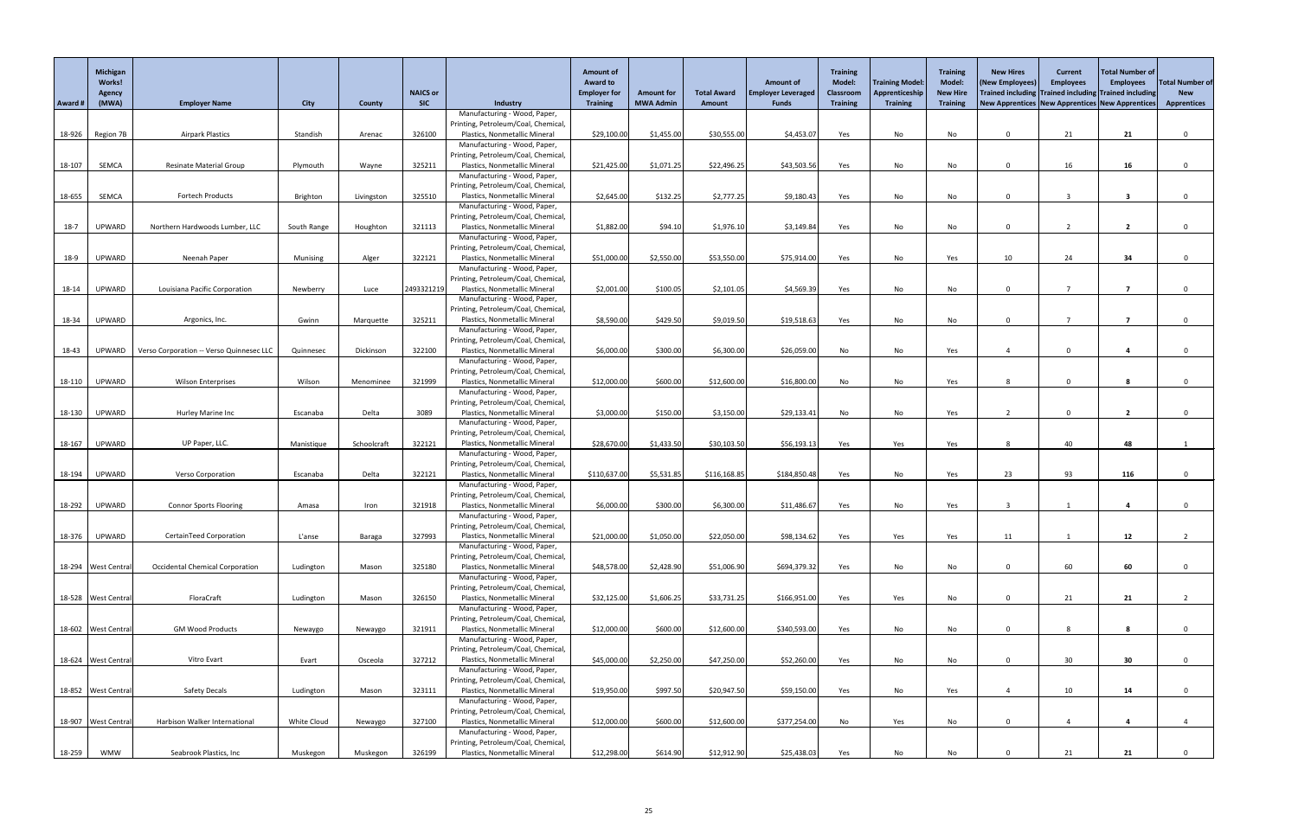|         | Michigan<br><b>Works!</b> |                                          |             |             |                 |                                                                     | <b>Amount of</b><br><b>Award to</b> |                   |                    | <b>Amount of</b>          | Training<br><b>Model:</b> | <b>Training Model:</b> | <b>Training</b><br><b>Model:</b> | <b>New Hires</b><br>(New Employees) | <b>Current</b><br><b>Employees</b> | Total Number of<br><b>Employees</b>                   | <b>Total Number of</b> |
|---------|---------------------------|------------------------------------------|-------------|-------------|-----------------|---------------------------------------------------------------------|-------------------------------------|-------------------|--------------------|---------------------------|---------------------------|------------------------|----------------------------------|-------------------------------------|------------------------------------|-------------------------------------------------------|------------------------|
|         | Agency                    |                                          |             |             | <b>NAICS or</b> |                                                                     | <b>Employer for</b>                 | <b>Amount for</b> | <b>Total Award</b> | <b>Employer Leveraged</b> | <b>Classroom</b>          | Apprenticeship         | <b>New Hire</b>                  |                                     |                                    | Trained including Trained including Trained including | <b>New</b>             |
| Award # | (MWA)                     | <b>Employer Name</b>                     | <b>City</b> | County      | <b>SIC</b>      | Industry<br>Manufacturing - Wood, Paper,                            | <b>Training</b>                     | <b>MWA Admin</b>  | Amount             | <b>Funds</b>              | Training                  | <b>Training</b>        | <b>Training</b>                  |                                     |                                    | New Apprentices New Apprentices New Apprentices       | <b>Apprentices</b>     |
|         |                           |                                          |             |             |                 | Printing, Petroleum/Coal, Chemical                                  |                                     |                   |                    |                           |                           |                        |                                  |                                     |                                    |                                                       |                        |
|         | 18-926 Region 7B          | <b>Airpark Plastics</b>                  | Standish    | Arenac      | 326100          | Plastics, Nonmetallic Mineral                                       | \$29,100.00                         | \$1,455.00        | \$30,555.00        | \$4,453.07                | Yes                       | No                     | No                               | $\Omega$                            | 21                                 | 21                                                    |                        |
|         |                           |                                          |             |             |                 | Manufacturing - Wood, Paper,<br>Printing, Petroleum/Coal, Chemical  |                                     |                   |                    |                           |                           |                        |                                  |                                     |                                    |                                                       |                        |
| 18-107  | SEMCA                     | <b>Resinate Material Group</b>           | Plymouth    | Wayne       | 325211          | Plastics, Nonmetallic Mineral                                       | \$21,425.00                         | \$1,071.25        | \$22,496.25        | \$43,503.56               | Yes                       | No                     | No                               | $\Omega$                            | 16                                 | 16                                                    |                        |
|         |                           |                                          |             |             |                 | Manufacturing - Wood, Paper,                                        |                                     |                   |                    |                           |                           |                        |                                  |                                     |                                    |                                                       |                        |
| 18-655  | SEMCA                     | <b>Fortech Products</b>                  | Brighton    | Livingston  | 325510          | Printing, Petroleum/Coal, Chemical<br>Plastics, Nonmetallic Mineral | \$2,645.00                          | \$132.25          | \$2,777.25         | \$9,180.43                | Yes                       | No                     | No                               | $\Omega$                            |                                    | -3                                                    |                        |
|         |                           |                                          |             |             |                 | Manufacturing - Wood, Paper,                                        |                                     |                   |                    |                           |                           |                        |                                  |                                     |                                    |                                                       |                        |
|         |                           |                                          |             |             |                 | Printing, Petroleum/Coal, Chemical                                  |                                     |                   |                    |                           |                           |                        |                                  |                                     |                                    |                                                       |                        |
| $18-7$  | UPWARD                    | Northern Hardwoods Lumber, LLC           | South Range | Houghton    | 321113          | Plastics, Nonmetallic Mineral<br>Manufacturing - Wood, Paper,       | \$1,882.00                          | \$94.10           | \$1,976.10         | \$3,149.84                | Yes                       | No                     | No                               | $\Omega$                            |                                    |                                                       |                        |
|         |                           |                                          |             |             |                 | Printing, Petroleum/Coal, Chemical                                  |                                     |                   |                    |                           |                           |                        |                                  |                                     |                                    |                                                       |                        |
| 18-9    | UPWARD                    | Neenah Paper                             | Munising    | Alger       | 322121          | Plastics, Nonmetallic Mineral                                       | \$51,000.00                         | \$2,550.00        | \$53,550.00        | \$75,914.00               | Yes                       | No                     | Yes                              | 10                                  | 24                                 | 34                                                    |                        |
|         |                           |                                          |             |             |                 | Manufacturing - Wood, Paper,                                        |                                     |                   |                    |                           |                           |                        |                                  |                                     |                                    |                                                       |                        |
| 18-14   | UPWARD                    | Louisiana Pacific Corporation            | Newberry    | Luce        | 2493321219      | Printing, Petroleum/Coal, Chemical<br>Plastics, Nonmetallic Mineral | \$2,001.00                          | \$100.05          | \$2,101.05         | \$4,569.39                | Yes                       | No                     | No                               | $\Omega$                            |                                    |                                                       |                        |
|         |                           |                                          |             |             |                 | Manufacturing - Wood, Paper,                                        |                                     |                   |                    |                           |                           |                        |                                  |                                     |                                    |                                                       |                        |
|         |                           |                                          |             |             |                 | Printing, Petroleum/Coal, Chemical                                  |                                     |                   |                    |                           |                           |                        |                                  |                                     |                                    |                                                       |                        |
| 18-34   | UPWARD                    | Argonics, Inc.                           | Gwinn       | Marquette   | 325211          | Plastics, Nonmetallic Mineral<br>Manufacturing - Wood, Paper,       | \$8,590.00                          | \$429.50          | \$9,019.50         | \$19,518.63               | Yes                       | No                     | No                               | $\Omega$                            |                                    |                                                       |                        |
|         |                           |                                          |             |             |                 | Printing, Petroleum/Coal, Chemical                                  |                                     |                   |                    |                           |                           |                        |                                  |                                     |                                    |                                                       |                        |
| 18-43   | UPWARD                    | Verso Corporation -- Verso Quinnesec LLC | Quinnesec   | Dickinson   | 322100          | Plastics, Nonmetallic Mineral                                       | \$6,000.00                          | \$300.00          | \$6,300.00         | \$26,059.00               | No                        | No                     | Yes                              | -4                                  | $\mathbf{0}$                       |                                                       |                        |
|         |                           |                                          |             |             |                 | Manufacturing - Wood, Paper,<br>Printing, Petroleum/Coal, Chemical, |                                     |                   |                    |                           |                           |                        |                                  |                                     |                                    |                                                       |                        |
|         | 18-110 UPWARD             | Wilson Enterprises                       | Wilson      | Menominee   | 321999          | Plastics, Nonmetallic Mineral                                       | \$12,000.00                         | \$600.00          | \$12,600.00        | \$16,800.00               | No.                       | No.                    | Yes                              | 8                                   | $\Omega$                           |                                                       |                        |
|         |                           |                                          |             |             |                 | Manufacturing - Wood, Paper,                                        |                                     |                   |                    |                           |                           |                        |                                  |                                     |                                    |                                                       |                        |
| 18-130  | <b>UPWARD</b>             | <b>Hurley Marine Inc</b>                 | Escanaba    | Delta       | 3089            | Printing, Petroleum/Coal, Chemical<br>Plastics, Nonmetallic Mineral | \$3,000.00                          | \$150.00          | \$3,150.00         | \$29,133.4                | No                        | No                     |                                  |                                     | $\Omega$                           | $\overline{\mathbf{z}}$                               |                        |
|         |                           |                                          |             |             |                 | Manufacturing - Wood, Paper,                                        |                                     |                   |                    |                           |                           |                        | Yes                              |                                     |                                    |                                                       |                        |
|         |                           |                                          |             |             |                 | Printing, Petroleum/Coal, Chemical                                  |                                     |                   |                    |                           |                           |                        |                                  |                                     |                                    |                                                       |                        |
| 18-167  | <b>UPWARD</b>             | UP Paper, LLC.                           | Manistique  | Schoolcraft | 322121          | Plastics, Nonmetallic Mineral<br>Manufacturing - Wood, Paper,       | \$28,670.00                         | \$1,433.50        | \$30,103.50        | \$56,193.13               | Yes                       | Yes                    | Yes                              | 8                                   | 40                                 | 48                                                    |                        |
|         |                           |                                          |             |             |                 | Printing, Petroleum/Coal, Chemical                                  |                                     |                   |                    |                           |                           |                        |                                  |                                     |                                    |                                                       |                        |
| 18-194  | <b>UPWARD</b>             | Verso Corporation                        | Escanaba    | Delta       | 322121          | Plastics, Nonmetallic Mineral                                       | \$110,637.00                        | \$5,531.85        | \$116,168.85       | \$184,850.48              | Yes                       | No                     | Yes                              | 23                                  | 93                                 | 116                                                   |                        |
|         |                           |                                          |             |             |                 | Manufacturing - Wood, Paper,<br>Printing, Petroleum/Coal, Chemical  |                                     |                   |                    |                           |                           |                        |                                  |                                     |                                    |                                                       |                        |
| 18-292  | UPWARD                    | <b>Connor Sports Flooring</b>            | Amasa       | Iron        | 321918          | Plastics, Nonmetallic Mineral                                       | \$6,000.00                          | \$300.00          | \$6,300.00         | \$11,486.67               | Yes                       | No                     | Yes                              |                                     |                                    |                                                       |                        |
|         |                           |                                          |             |             |                 | Manufacturing - Wood, Paper,                                        |                                     |                   |                    |                           |                           |                        |                                  |                                     |                                    |                                                       |                        |
|         |                           |                                          |             |             |                 | Printing, Petroleum/Coal, Chemical                                  |                                     |                   |                    |                           |                           |                        |                                  |                                     |                                    |                                                       |                        |
| 18-376  | <b>UPWARD</b>             | CertainTeed Corporation                  | L'anse      | Baraga      | 327993          | Plastics, Nonmetallic Mineral<br>Manufacturing - Wood, Paper,       | \$21,000.00                         | \$1,050.00        | \$22,050.00        | \$98,134.62               | Yes                       | Yes                    | Yes                              | 11                                  |                                    | 12                                                    |                        |
|         |                           |                                          |             |             |                 | Printing, Petroleum/Coal, Chemical                                  |                                     |                   |                    |                           |                           |                        |                                  |                                     |                                    |                                                       |                        |
|         | 18-294 West Central       | <b>Occidental Chemical Corporation</b>   | Ludington   | Mason       | 325180          | Plastics, Nonmetallic Mineral                                       | \$48,578.00                         | \$2,428.90        | \$51,006.90        | \$694,379.32              | Yes                       | No                     | No                               |                                     | 60                                 | 60                                                    |                        |
|         |                           |                                          |             |             |                 | Manufacturing - Wood, Paper,<br>Printing, Petroleum/Coal, Chemical  |                                     |                   |                    |                           |                           |                        |                                  |                                     |                                    |                                                       |                        |
|         | 18-528   West Central     | FloraCraft                               | Ludington   | Mason       | 326150          | Plastics, Nonmetallic Mineral                                       | \$32,125.00                         | \$1,606.25        | \$33,731.25        | \$166,951.00              | Yes                       | Yes                    | No                               | $\Omega$                            | 21                                 | 21                                                    |                        |
|         |                           |                                          |             |             |                 | Manufacturing - Wood, Paper,                                        |                                     |                   |                    |                           |                           |                        |                                  |                                     |                                    |                                                       |                        |
|         | 18-602   West Central     | <b>GM Wood Products</b>                  | Newaygo     | Newaygo     | 321911          | Printing, Petroleum/Coal, Chemical<br>Plastics, Nonmetallic Mineral | \$12,000.00                         | \$600.00          | \$12,600.00        | \$340,593.00              | Yes                       | No                     | No                               | $\Omega$                            |                                    |                                                       |                        |
|         |                           |                                          |             |             |                 | Manufacturing - Wood, Paper,                                        |                                     |                   |                    |                           |                           |                        |                                  |                                     |                                    |                                                       |                        |
|         |                           |                                          |             |             |                 | Printing, Petroleum/Coal, Chemical                                  |                                     |                   |                    |                           |                           |                        |                                  |                                     |                                    |                                                       |                        |
|         | 18-624 West Central       | Vitro Evart                              | Evart       | Osceola     | 327212          | Plastics, Nonmetallic Mineral<br>Manufacturing - Wood, Paper,       | \$45,000.00                         | \$2,250.00        | \$47,250.00        | \$52,260.00               | Yes                       | No                     | No                               | $\mathbf{0}$                        | 30 <sup>°</sup>                    | 30 <sub>o</sub>                                       |                        |
|         |                           |                                          |             |             |                 | Printing, Petroleum/Coal, Chemical                                  |                                     |                   |                    |                           |                           |                        |                                  |                                     |                                    |                                                       |                        |
|         | 18-852 West Central       | <b>Safety Decals</b>                     | Ludington   | Mason       | 323111          | Plastics, Nonmetallic Mineral                                       | \$19,950.00                         | \$997.50          | \$20,947.50        | \$59,150.00               | Yes                       | No                     | Yes                              |                                     | 10                                 | 14                                                    |                        |
|         |                           |                                          |             |             |                 | Manufacturing - Wood, Paper,<br>Printing, Petroleum/Coal, Chemical  |                                     |                   |                    |                           |                           |                        |                                  |                                     |                                    |                                                       |                        |
|         | 18-907 West Central       | Harbison Walker International            | White Cloud | Newaygo     | 327100          | Plastics, Nonmetallic Mineral                                       | \$12,000.00                         | \$600.00          | \$12,600.00        | \$377,254.00              | No                        | Yes                    | No                               | 0                                   |                                    | $\overline{a}$                                        |                        |
|         |                           |                                          |             |             |                 | Manufacturing - Wood, Paper,                                        |                                     |                   |                    |                           |                           |                        |                                  |                                     |                                    |                                                       |                        |
| 18-259  | <b>WMW</b>                | Seabrook Plastics, Inc                   | Muskegon    | Muskegon    | 326199          | Printing, Petroleum/Coal, Chemical<br>Plastics, Nonmetallic Mineral | \$12,298.00                         | \$614.90          | \$12,912.90        | \$25,438.03               | Yes                       | No                     | No                               |                                     | 21                                 | 21                                                    |                        |
|         |                           |                                          |             |             |                 |                                                                     |                                     |                   |                    |                           |                           |                        |                                  |                                     |                                    |                                                       |                        |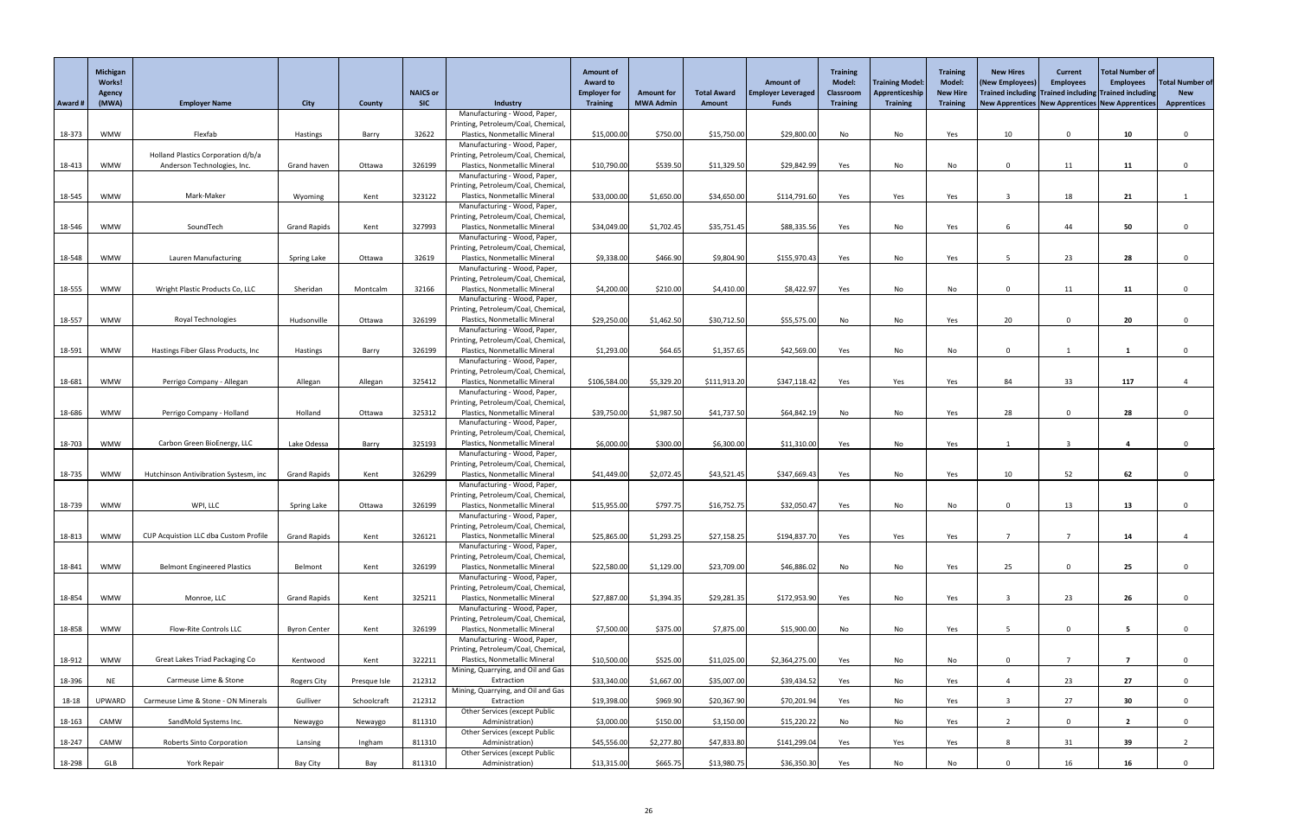|         | Michigan<br><b>Works!</b><br><b>Agency</b> |                                              |                     |               | <b>NAICS or</b> |                                                                      | <b>Amount of</b><br><b>Award to</b><br><b>Employer for</b> | <b>Amount for</b> | <b>Total Award</b> | <b>Amount of</b><br><b>Employer Leveraged</b> | <b>Training</b><br><b>Model:</b><br>Classroom | <b>Training Model:</b><br>Apprenticeship | <b>Training</b><br>Model:<br><b>New Hire</b> | <b>New Hires</b><br>(New Employees)             | <b>Current</b><br><b>Employees</b> | Total Number of<br><b>Employees</b><br>Trained including Trained including Trained including | <b>Total Number of</b><br><b>New</b> |
|---------|--------------------------------------------|----------------------------------------------|---------------------|---------------|-----------------|----------------------------------------------------------------------|------------------------------------------------------------|-------------------|--------------------|-----------------------------------------------|-----------------------------------------------|------------------------------------------|----------------------------------------------|-------------------------------------------------|------------------------------------|----------------------------------------------------------------------------------------------|--------------------------------------|
| Award # | (MWA)                                      | <b>Employer Name</b>                         | <b>City</b>         | <b>County</b> | <b>SIC</b>      | Industry                                                             | <b>Training</b>                                            | <b>MWA Admin</b>  | <b>Amount</b>      | <b>Funds</b>                                  | <b>Training</b>                               | <b>Training</b>                          | <b>Training</b>                              | New Apprentices New Apprentices New Apprentices |                                    |                                                                                              | <b>Apprentices</b>                   |
|         |                                            |                                              |                     |               |                 | Manufacturing - Wood, Paper,                                         |                                                            |                   |                    |                                               |                                               |                                          |                                              |                                                 |                                    |                                                                                              |                                      |
| 18-373  | <b>WMW</b>                                 | Flexfab                                      | Hastings            | Barry         | 32622           | Printing, Petroleum/Coal, Chemical<br>Plastics, Nonmetallic Mineral  | \$15,000.00                                                | \$750.00          | \$15,750.00        | \$29,800.00                                   | No                                            | No                                       | Yes                                          | 10                                              | $\overline{0}$                     | 10                                                                                           |                                      |
|         |                                            |                                              |                     |               |                 | Manufacturing - Wood, Paper,                                         |                                                            |                   |                    |                                               |                                               |                                          |                                              |                                                 |                                    |                                                                                              |                                      |
|         |                                            | Holland Plastics Corporation d/b/a           |                     |               |                 | Printing, Petroleum/Coal, Chemical                                   |                                                            |                   |                    |                                               |                                               |                                          |                                              |                                                 |                                    |                                                                                              |                                      |
| 18-413  | <b>WMW</b>                                 | Anderson Technologies, Inc.                  | Grand haven         | Ottawa        | 326199          | Plastics, Nonmetallic Mineral<br>Manufacturing - Wood, Paper,        | \$10,790.00                                                | \$539.50          | \$11,329.50        | \$29,842.99                                   | Yes                                           | No                                       | No                                           | $\Omega$                                        | 11                                 | 11                                                                                           |                                      |
|         |                                            |                                              |                     |               |                 | Printing, Petroleum/Coal, Chemical                                   |                                                            |                   |                    |                                               |                                               |                                          |                                              |                                                 |                                    |                                                                                              |                                      |
| 18-545  | <b>WMW</b>                                 | Mark-Maker                                   | Wyoming             | Kent          | 323122          | Plastics, Nonmetallic Mineral                                        | \$33,000.00                                                | \$1,650.00        | \$34,650.00        | \$114,791.60                                  | Yes                                           | Yes                                      | Yes                                          |                                                 | 18                                 | 21                                                                                           |                                      |
|         |                                            |                                              |                     |               |                 | Manufacturing - Wood, Paper,<br>Printing, Petroleum/Coal, Chemical   |                                                            |                   |                    |                                               |                                               |                                          |                                              |                                                 |                                    |                                                                                              |                                      |
| 18-546  | <b>WMW</b>                                 | SoundTech                                    | <b>Grand Rapids</b> | Kent          | 327993          | Plastics, Nonmetallic Mineral                                        | \$34,049.00                                                | \$1,702.45        | \$35,751.45        | \$88,335.56                                   | Yes                                           | No                                       | Yes                                          |                                                 | 44                                 | 50                                                                                           |                                      |
|         |                                            |                                              |                     |               |                 | Manufacturing - Wood, Paper,                                         |                                                            |                   |                    |                                               |                                               |                                          |                                              |                                                 |                                    |                                                                                              |                                      |
| 18-548  | <b>WMW</b>                                 | <b>Lauren Manufacturing</b>                  | <b>Spring Lake</b>  | Ottawa        | 32619           | Printing, Petroleum/Coal, Chemical<br>Plastics, Nonmetallic Mineral  | \$9,338.00                                                 | \$466.90          | \$9,804.90         | \$155,970.43                                  | Yes                                           | No                                       | Yes                                          |                                                 | 23                                 | 28                                                                                           |                                      |
|         |                                            |                                              |                     |               |                 | Manufacturing - Wood, Paper,                                         |                                                            |                   |                    |                                               |                                               |                                          |                                              |                                                 |                                    |                                                                                              |                                      |
|         |                                            |                                              |                     |               |                 | Printing, Petroleum/Coal, Chemical                                   |                                                            |                   |                    |                                               |                                               |                                          |                                              |                                                 |                                    |                                                                                              |                                      |
| 18-555  | <b>WMW</b>                                 | Wright Plastic Products Co, LLC              | Sheridan            | Montcalm      | 32166           | Plastics, Nonmetallic Mineral<br>Manufacturing - Wood, Paper,        | \$4,200.00                                                 | \$210.00          | \$4,410.00         | \$8,422.97                                    | Yes                                           | No                                       | No                                           | $\Omega$                                        | 11                                 | 11                                                                                           |                                      |
|         |                                            |                                              |                     |               |                 | Printing, Petroleum/Coal, Chemical,                                  |                                                            |                   |                    |                                               |                                               |                                          |                                              |                                                 |                                    |                                                                                              |                                      |
| 18-557  | <b>WMW</b>                                 | Royal Technologies                           | Hudsonville         | Ottawa        | 326199          | Plastics, Nonmetallic Mineral                                        | \$29,250.00                                                | \$1,462.50        | \$30,712.50        | \$55,575.00                                   | No                                            | No                                       | Yes                                          | 20                                              | $\Omega$                           | 20                                                                                           |                                      |
|         |                                            |                                              |                     |               |                 | Manufacturing - Wood, Paper,<br>Printing, Petroleum/Coal, Chemical   |                                                            |                   |                    |                                               |                                               |                                          |                                              |                                                 |                                    |                                                                                              |                                      |
| 18-591  | <b>WMW</b>                                 | Hastings Fiber Glass Products, Inc.          | Hastings            | Barry         | 326199          | Plastics, Nonmetallic Mineral                                        | \$1,293.00                                                 | \$64.65           | \$1,357.65         | \$42,569.00                                   | Yes                                           | No                                       | No                                           | $\Omega$                                        |                                    |                                                                                              |                                      |
|         |                                            |                                              |                     |               |                 | Manufacturing - Wood, Paper,                                         |                                                            |                   |                    |                                               |                                               |                                          |                                              |                                                 |                                    |                                                                                              |                                      |
| 18-681  | WMW                                        | Perrigo Company - Allegan                    | Allegan             | Allegan       | 325412          | Printing, Petroleum/Coal, Chemical,<br>Plastics, Nonmetallic Mineral | \$106,584.00                                               | \$5,329.20        | \$111,913.20       | \$347,118.42                                  | Yes                                           | Yes                                      | Yes                                          | 84                                              | 33                                 | 117                                                                                          |                                      |
|         |                                            |                                              |                     |               |                 | Manufacturing - Wood, Paper,                                         |                                                            |                   |                    |                                               |                                               |                                          |                                              |                                                 |                                    |                                                                                              |                                      |
|         |                                            |                                              |                     |               |                 | Printing, Petroleum/Coal, Chemical                                   |                                                            |                   |                    |                                               |                                               |                                          |                                              |                                                 |                                    |                                                                                              |                                      |
| 18-686  | <b>WMW</b>                                 | Perrigo Company - Holland                    | Holland             | Ottawa        | 325312          | Plastics, Nonmetallic Mineral<br>Manufacturing - Wood, Paper,        | \$39,750.00                                                | \$1,987.50        | \$41,737.50        | \$64,842.19                                   | No                                            | No                                       | Yes                                          | 28                                              | $\Omega$                           | 28                                                                                           |                                      |
|         |                                            |                                              |                     |               |                 | Printing, Petroleum/Coal, Chemical,                                  |                                                            |                   |                    |                                               |                                               |                                          |                                              |                                                 |                                    |                                                                                              |                                      |
| 18-703  | <b>WMW</b>                                 | Carbon Green BioEnergy, LLC                  | Lake Odessa         | Barry         | 325193          | Plastics, Nonmetallic Mineral                                        | \$6,000.00                                                 | \$300.00          | \$6,300.00         | \$11,310.00                                   | Yes                                           | No                                       | Yes                                          |                                                 |                                    |                                                                                              |                                      |
|         |                                            |                                              |                     |               |                 | Manufacturing - Wood, Paper,<br>Printing, Petroleum/Coal, Chemical   |                                                            |                   |                    |                                               |                                               |                                          |                                              |                                                 |                                    |                                                                                              |                                      |
| 18-735  | <b>WMW</b>                                 | Hutchinson Antivibration Systesm, inc        | <b>Grand Rapids</b> | Kent          | 326299          | Plastics, Nonmetallic Mineral                                        | \$41,449.00                                                | \$2,072.45        | \$43,521.45        | \$347,669.43                                  | Yes                                           | No                                       | Yes                                          | 10                                              | 52                                 | 62                                                                                           |                                      |
|         |                                            |                                              |                     |               |                 | Manufacturing - Wood, Paper,                                         |                                                            |                   |                    |                                               |                                               |                                          |                                              |                                                 |                                    |                                                                                              |                                      |
| 18-739  | <b>WMW</b>                                 | WPI, LLC                                     | <b>Spring Lake</b>  | Ottawa        | 326199          | Printing, Petroleum/Coal, Chemical,<br>Plastics, Nonmetallic Mineral | \$15,955.00                                                | \$797.75          | \$16,752.75        | \$32,050.47                                   | Yes                                           | No                                       | No                                           | $\Omega$                                        | 13                                 | 13                                                                                           |                                      |
|         |                                            |                                              |                     |               |                 | Manufacturing - Wood, Paper,                                         |                                                            |                   |                    |                                               |                                               |                                          |                                              |                                                 |                                    |                                                                                              |                                      |
| 18-813  | <b>WMW</b>                                 | <b>CUP Acquistion LLC dba Custom Profile</b> | <b>Grand Rapids</b> | Kent          | 326121          | Printing, Petroleum/Coal, Chemical<br>Plastics, Nonmetallic Mineral  | \$25,865.00                                                | \$1,293.25        | \$27,158.25        | \$194,837.70                                  | Yes                                           | Yes                                      |                                              |                                                 |                                    | 14                                                                                           |                                      |
|         |                                            |                                              |                     |               |                 | Manufacturing - Wood, Paper,                                         |                                                            |                   |                    |                                               |                                               |                                          | Yes                                          |                                                 |                                    |                                                                                              |                                      |
|         |                                            |                                              |                     |               |                 | Printing, Petroleum/Coal, Chemical,                                  |                                                            |                   |                    |                                               |                                               |                                          |                                              |                                                 |                                    |                                                                                              |                                      |
| 18-841  | <b>WMW</b>                                 | <b>Belmont Engineered Plastics</b>           | Belmont             | Kent          | 326199          | Plastics, Nonmetallic Mineral<br>Manufacturing - Wood, Paper,        | \$22,580.00                                                | \$1,129.00        | \$23,709.00        | \$46,886.02                                   | No                                            | No                                       | Yes                                          | 25                                              |                                    | 25                                                                                           |                                      |
|         |                                            |                                              |                     |               |                 | Printing, Petroleum/Coal, Chemical                                   |                                                            |                   |                    |                                               |                                               |                                          |                                              |                                                 |                                    |                                                                                              |                                      |
| 18-854  | <b>WMW</b>                                 | Monroe, LLC                                  | <b>Grand Rapids</b> | Kent          | 325211          | Plastics, Nonmetallic Mineral                                        | \$27,887.00                                                | \$1,394.35        | \$29,281.35        | \$172,953.90                                  | Yes                                           | No                                       | Yes                                          |                                                 | 23                                 | 26                                                                                           |                                      |
|         |                                            |                                              |                     |               |                 | Manufacturing - Wood, Paper,<br>Printing, Petroleum/Coal, Chemical   |                                                            |                   |                    |                                               |                                               |                                          |                                              |                                                 |                                    |                                                                                              |                                      |
| 18-858  | <b>WMW</b>                                 | Flow-Rite Controls LLC                       | <b>Byron Center</b> | Kent          | 326199          | Plastics, Nonmetallic Mineral                                        | \$7,500.00                                                 | \$375.00          | \$7,875.00         | \$15,900.00                                   | No                                            | No                                       | Yes                                          |                                                 | $\Omega$                           |                                                                                              |                                      |
|         |                                            |                                              |                     |               |                 | Manufacturing - Wood, Paper,                                         |                                                            |                   |                    |                                               |                                               |                                          |                                              |                                                 |                                    |                                                                                              |                                      |
| 18-912  | <b>WMW</b>                                 | Great Lakes Triad Packaging Co               | Kentwood            | Kent          | 322211          | Printing, Petroleum/Coal, Chemical<br>Plastics, Nonmetallic Mineral  | \$10,500.00                                                | \$525.00          | \$11,025.00        | \$2,364,275.00                                | Yes                                           | No                                       | No                                           | $\Omega$                                        |                                    | 7                                                                                            |                                      |
|         |                                            |                                              |                     |               |                 | Mining, Quarrying, and Oil and Gas                                   |                                                            |                   |                    |                                               |                                               |                                          |                                              |                                                 |                                    |                                                                                              |                                      |
| 18-396  | <b>NE</b>                                  | Carmeuse Lime & Stone                        | Rogers City         | Presque Isle  | 212312          | Extraction                                                           | \$33,340.00                                                | \$1,667.00        | \$35,007.00        | \$39,434.52                                   | Yes                                           | No                                       | Yes                                          |                                                 | 23                                 | 27                                                                                           |                                      |
| 18-18   | <b>UPWARD</b>                              | Carmeuse Lime & Stone - ON Minerals          | Gulliver            | Schoolcraft   | 212312          | Mining, Quarrying, and Oil and Gas<br>Extraction                     | \$19,398.00                                                | \$969.90          | \$20,367.90        | \$70,201.94                                   | Yes                                           | No                                       | Yes                                          |                                                 | 27                                 | 30                                                                                           |                                      |
|         |                                            |                                              |                     |               |                 | Other Services (except Public                                        |                                                            |                   |                    |                                               |                                               |                                          |                                              |                                                 |                                    |                                                                                              |                                      |
| 18-163  | CAMW                                       | SandMold Systems Inc.                        | Newaygo             | Newaygo       | 811310          | Administration)                                                      | \$3,000.00                                                 | \$150.00          | \$3,150.00         | \$15,220.22                                   | No                                            | No                                       | Yes                                          | -2                                              | 0                                  | $\overline{2}$                                                                               |                                      |
| 18-247  | CAMW                                       | <b>Roberts Sinto Corporation</b>             | Lansing             | Ingham        | 811310          | <b>Other Services (except Public</b><br>Administration)              | \$45,556.00                                                | \$2,277.80        | \$47,833.80        | \$141,299.04                                  | Yes                                           | Yes                                      | Yes                                          | 8                                               | 31                                 | 39                                                                                           | $2^{\circ}$                          |
|         |                                            |                                              |                     |               |                 | <b>Other Services (except Public</b>                                 |                                                            |                   |                    |                                               |                                               |                                          |                                              |                                                 |                                    |                                                                                              |                                      |
| 18-298  | GLB                                        | York Repair                                  | Bay City            | Bay           | 811310          | Administration)                                                      | \$13,315.00                                                | \$665.75          | \$13,980.75        | \$36,350.30                                   | Yes                                           | No                                       | No                                           |                                                 | 16                                 | 16                                                                                           |                                      |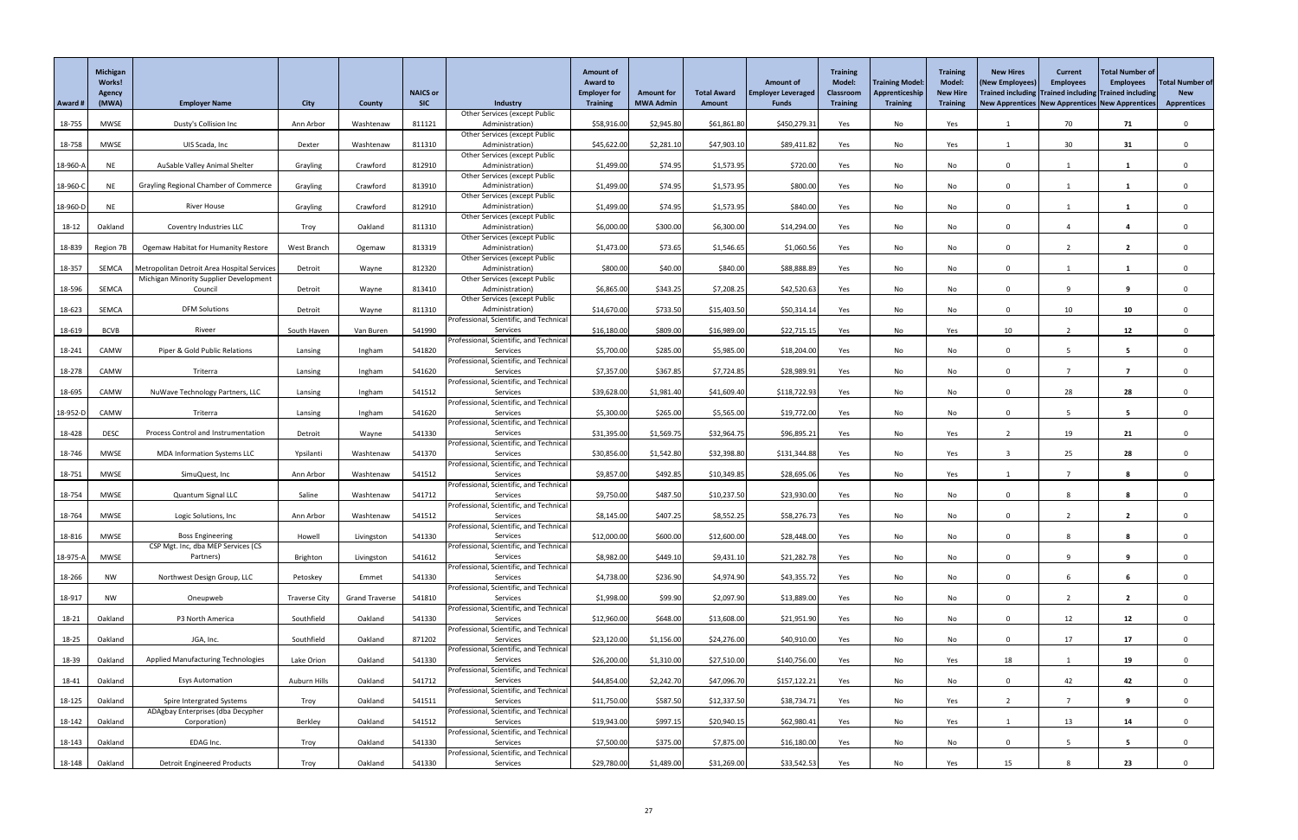|          | <b>Michigan</b><br><b>Works!</b><br><b>Agency</b> |                                                                                       |                      |                       | <b>NAICS or</b> |                                                         | <b>Amount of</b><br><b>Award to</b><br><b>Employer for</b> | <b>Amount for</b> | <b>Total Award</b> | <b>Amount of</b><br><b>Employer Leveraged</b> | <b>Training</b><br><b>Model:</b><br><b>Classroom</b> | <b>Training Model:</b><br>Apprenticeship | <b>Training</b><br>Model:<br><b>New Hire</b> | <b>New Hires</b><br>(New Employees)<br>Trained including Trained including Trained including | <b>Current</b><br><b>Employees</b> | <b>Total Number of</b><br><b>Employees</b> | <b>Total Number of</b><br><b>New</b> |
|----------|---------------------------------------------------|---------------------------------------------------------------------------------------|----------------------|-----------------------|-----------------|---------------------------------------------------------|------------------------------------------------------------|-------------------|--------------------|-----------------------------------------------|------------------------------------------------------|------------------------------------------|----------------------------------------------|----------------------------------------------------------------------------------------------|------------------------------------|--------------------------------------------|--------------------------------------|
| Award #  | (MWA)                                             | <b>Employer Name</b>                                                                  | <b>City</b>          | <b>County</b>         | <b>SIC</b>      | Industry<br>Other Services (except Public               | <b>Training</b>                                            | <b>MWA Admin</b>  | <b>Amount</b>      | <b>Funds</b>                                  | <b>Training</b>                                      | <b>Training</b>                          | <b>Training</b>                              | New Apprentices New Apprentices New Apprentices                                              |                                    |                                            | <b>Apprentices</b>                   |
| 18-755   | <b>MWSE</b>                                       | Dusty's Collision Inc                                                                 | Ann Arbor            | Washtenaw             | 811121          | Administration)                                         | \$58,916.00                                                | \$2,945.80        | \$61,861.80        | \$450,279.31                                  | Yes                                                  | No                                       | Yes                                          |                                                                                              | 70                                 | 71                                         | $\mathbf 0$                          |
| 18-758   | MWSE                                              | UIS Scada, Inc                                                                        | Dexter               | Washtenaw             | 811310          | <b>Other Services (except Public</b><br>Administration) | \$45,622.00                                                | \$2,281.10        | \$47,903.10        | \$89,411.82                                   | Yes                                                  | No                                       | Yes                                          |                                                                                              | 30 <sup>°</sup>                    | 31                                         | $\mathbf{0}$                         |
|          |                                                   |                                                                                       |                      |                       |                 | <b>Other Services (except Public</b>                    |                                                            |                   |                    |                                               |                                                      |                                          |                                              |                                                                                              |                                    |                                            |                                      |
| 18-960-/ | <b>NE</b>                                         | AuSable Valley Animal Shelter                                                         | Grayling             | Crawford              | 812910          | Administration)<br><b>Other Services (except Public</b> | \$1,499.00                                                 | \$74.95           | \$1,573.95         | \$720.00                                      | Yes                                                  | No                                       | No                                           | $\Omega$                                                                                     |                                    | -1                                         | $\Omega$                             |
| 18-960-  | <b>NE</b>                                         | <b>Grayling Regional Chamber of Commerce</b>                                          | Grayling             | Crawford              | 813910          | Administration)                                         | \$1,499.00                                                 | \$74.95           | \$1,573.95         | \$800.00                                      | Yes                                                  | No                                       | No                                           | $\mathbf{0}$                                                                                 |                                    | -1                                         | $\Omega$                             |
| 18-960-1 | <b>NE</b>                                         | <b>River House</b>                                                                    | Grayling             | Crawford              | 812910          | <b>Other Services (except Public</b><br>Administration) | \$1,499.00                                                 | \$74.95           | \$1,573.95         | \$840.00                                      | Yes                                                  | No                                       | No                                           | $\Omega$                                                                                     |                                    |                                            | $\Omega$                             |
|          |                                                   |                                                                                       |                      |                       |                 | <b>Other Services (except Public</b>                    |                                                            |                   |                    |                                               |                                                      |                                          |                                              |                                                                                              |                                    |                                            |                                      |
| 18-12    | Oakland                                           | Coventry Industries LLC                                                               | Troy                 | Oakland               | 811310          | Administration)                                         | \$6,000.00                                                 | \$300.00          | \$6,300.00         | \$14,294.00                                   | Yes                                                  | No                                       | No                                           | $\Omega$                                                                                     |                                    |                                            | $\mathbf{0}$                         |
| 18-839   | Region 7B                                         | <b>Ogemaw Habitat for Humanity Restore</b>                                            | West Branch          | Ogemaw                | 813319          | <b>Other Services (except Public</b><br>Administration) | \$1,473.00                                                 | \$73.65           | \$1,546.65         | \$1,060.56                                    | Yes                                                  | No                                       | No                                           | $\Omega$                                                                                     | $\overline{2}$                     | $\overline{2}$                             | $\Omega$                             |
|          |                                                   |                                                                                       |                      |                       |                 | <b>Other Services (except Public</b>                    |                                                            |                   |                    |                                               |                                                      |                                          |                                              |                                                                                              |                                    |                                            |                                      |
| 18-357   | SEMCA                                             | Metropolitan Detroit Area Hospital Services<br>Michigan Minority Supplier Development | Detroit              | Wayne                 | 812320          | Administration)<br><b>Other Services (except Public</b> | \$800.00                                                   | \$40.00           | \$840.00           | \$88,888.89                                   | Yes                                                  | No                                       | No                                           | $\mathbf{0}$                                                                                 |                                    | -1                                         | $\mathbf{0}$                         |
| 18-596   | SEMCA                                             | Council                                                                               | Detroit              | Wayne                 | 813410          | Administration)                                         | \$6,865.00                                                 | \$343.25          | \$7,208.25         | \$42,520.63                                   | Yes                                                  | No                                       | No                                           | $\Omega$                                                                                     | $\Omega$                           | 9                                          | $\Omega$                             |
| 18-623   | SEMCA                                             | <b>DFM Solutions</b>                                                                  | Detroit              | Wayne                 | 811310          | <b>Other Services (except Public</b><br>Administration) | \$14,670.00                                                | \$733.50          | \$15,403.50        | \$50,314.14                                   | Yes                                                  | No                                       | No                                           | $\Omega$                                                                                     | 10 <sup>°</sup>                    | 10                                         | $\Omega$                             |
|          |                                                   |                                                                                       |                      |                       |                 | Professional, Scientific, and Technica                  |                                                            |                   |                    |                                               |                                                      |                                          |                                              |                                                                                              |                                    |                                            |                                      |
| 18-619   | <b>BCVB</b>                                       | Riveer                                                                                | South Haven          | Van Buren             | 541990          | Services<br>Professional, Scientific, and Technica      | \$16,180.00                                                | \$809.00          | \$16,989.00        | \$22,715.15                                   | Yes                                                  | No                                       | Yes                                          | 10                                                                                           |                                    | 12                                         | 0                                    |
| 18-241   | CAMW                                              | Piper & Gold Public Relations                                                         | Lansing              | Ingham                | 541820          | Services                                                | \$5,700.00                                                 | \$285.00          | \$5,985.00         | \$18,204.00                                   | Yes                                                  | No                                       | No                                           | $\mathbf{0}$                                                                                 |                                    | 5                                          | $\Omega$                             |
|          | CAMW                                              |                                                                                       |                      |                       |                 | Professional, Scientific, and Technica                  |                                                            |                   |                    |                                               |                                                      |                                          |                                              | $\Omega$                                                                                     |                                    |                                            |                                      |
| 18-278   |                                                   | Triterra                                                                              | Lansing              | Ingham                | 541620          | Services<br>Professional, Scientific, and Technical     | \$7,357.00                                                 | \$367.85          | \$7,724.85         | \$28,989.91                                   | Yes                                                  | No                                       | No                                           |                                                                                              |                                    |                                            |                                      |
| 18-695   | CAMW                                              | NuWave Technology Partners, LLC                                                       | Lansing              | Ingham                | 541512          | Services                                                | \$39,628.00                                                | \$1,981.40        | \$41,609.40        | \$118,722.93                                  | Yes                                                  | No                                       | No                                           | $\Omega$                                                                                     | 28                                 | 28                                         | $\mathbf{0}$                         |
| 18-952-D | CAMW                                              | Triterra                                                                              | Lansing              | Ingham                | 541620          | Professional, Scientific, and Technica<br>Services      | \$5,300.00                                                 | \$265.00          | \$5,565.00         | \$19,772.00                                   | Yes                                                  | No                                       | No                                           | $\Omega$                                                                                     |                                    | 5                                          |                                      |
|          |                                                   |                                                                                       |                      |                       |                 | Professional, Scientific, and Technica                  |                                                            |                   |                    |                                               |                                                      |                                          |                                              |                                                                                              |                                    |                                            |                                      |
| 18-428   | <b>DESC</b>                                       | <b>Process Control and Instrumentation</b>                                            | Detroit              | Wayne                 | 541330          | Services<br>Professional, Scientific, and Technica      | \$31,395.00                                                | \$1,569.75        | \$32,964.75        | \$96,895.21                                   | Yes                                                  | No                                       | Yes                                          |                                                                                              | 19                                 | 21                                         | $\Omega$                             |
| 18-746   | <b>MWSE</b>                                       | <b>MDA Information Systems LLC</b>                                                    | Ypsilanti            | Washtenaw             | 541370          | Services                                                | \$30,856.00                                                | \$1,542.80        | \$32,398.80        | \$131,344.88                                  | Yes                                                  | No                                       | Yes                                          |                                                                                              | 25                                 | 28                                         |                                      |
| 18-751   | <b>MWSE</b>                                       | SimuQuest, Inc                                                                        | Ann Arbor            | Washtenaw             | 541512          | Professional, Scientific, and Technica<br>Services      | \$9,857.00                                                 | \$492.85          | \$10,349.85        | \$28,695.06                                   | Yes                                                  | No                                       | Yes                                          |                                                                                              |                                    | 8                                          |                                      |
|          |                                                   |                                                                                       |                      |                       |                 | Professional, Scientific, and Technica                  |                                                            |                   |                    |                                               |                                                      |                                          |                                              |                                                                                              |                                    |                                            |                                      |
| 18-754   | <b>MWSE</b>                                       | Quantum Signal LLC                                                                    | Saline               | Washtenaw             | 541712          | Services<br>Professional, Scientific, and Technica      | \$9,750.00                                                 | \$487.50          | \$10,237.50        | \$23,930.00                                   | Yes                                                  | No                                       | No                                           | $\Omega$                                                                                     |                                    |                                            |                                      |
| 18-764   | <b>MWSE</b>                                       | Logic Solutions, Inc                                                                  | Ann Arbor            | Washtenaw             | 541512          | Services                                                | \$8,145.00                                                 | \$407.25          | \$8,552.25         | \$58,276.73                                   | Yes                                                  | No                                       | No                                           | $\Omega$                                                                                     |                                    | $\mathbf{2}$                               |                                      |
| 18-816   | MWSE                                              | <b>Boss Engineering</b>                                                               | Howell               | Livingston            | 541330          | Professional, Scientific, and Technica<br>Services      | \$12,000.00                                                | \$600.00          | \$12,600.00        | \$28,448.00                                   | Yes                                                  | No                                       | No                                           | $\Omega$                                                                                     |                                    | 8                                          |                                      |
|          |                                                   | CSP Mgt. Inc, dba MEP Services (CS                                                    |                      |                       |                 | Professional, Scientific, and Technica                  |                                                            |                   |                    |                                               |                                                      |                                          |                                              |                                                                                              |                                    |                                            |                                      |
| 18-975-/ | <b>MWSE</b>                                       | Partners)                                                                             | Brighton             | Livingston            | 541612          | Services<br>Professional, Scientific, and Technica      | \$8,982.00                                                 | \$449.10          | \$9,431.10         | \$21,282.78                                   | Yes                                                  | No                                       | No                                           | $\Omega$                                                                                     |                                    | 9                                          | $\Omega$                             |
| 18-266   | <b>NW</b>                                         | Northwest Design Group, LLC                                                           | Petoskey             | Emmet                 | 541330          | Services                                                | \$4,738.00                                                 | \$236.90          | \$4,974.90         | \$43,355.72                                   | Yes                                                  | No                                       | No                                           | $\Omega$                                                                                     |                                    |                                            |                                      |
| 18-917   |                                                   |                                                                                       |                      |                       | 541810          | Professional, Scientific, and Technica<br>Services      | \$1,998.00                                                 | \$99.90           | \$2,097.90         | \$13,889.00                                   |                                                      | No                                       |                                              | $\Omega$                                                                                     |                                    | $\overline{2}$                             | $\Omega$                             |
|          | <b>NW</b>                                         | Oneupweb                                                                              | <b>Traverse City</b> | <b>Grand Traverse</b> |                 | Professional, Scientific, and Technica                  |                                                            |                   |                    |                                               | Yes                                                  |                                          | No                                           |                                                                                              |                                    |                                            |                                      |
| 18-21    | Oakland                                           | P3 North America                                                                      | Southfield           | Oakland               | 541330          | Services                                                | \$12,960.00                                                | \$648.00          | \$13,608.00        | \$21,951.90                                   | Yes                                                  | No                                       | No                                           | $\Omega$                                                                                     | 12                                 | 12                                         |                                      |
| 18-25    | Oakland                                           | JGA, Inc.                                                                             | Southfield           | Oakland               | 871202          | Professional, Scientific, and Technica<br>Services      | \$23,120.00                                                | \$1,156.00        | \$24,276.00        | \$40,910.00                                   | Yes                                                  | No                                       | No                                           | $\Omega$                                                                                     | 17                                 | 17                                         | $\Omega$                             |
|          |                                                   |                                                                                       |                      |                       |                 | Professional, Scientific, and Technica                  |                                                            |                   |                    |                                               |                                                      |                                          |                                              |                                                                                              |                                    |                                            |                                      |
| 18-39    | Oakland                                           | <b>Applied Manufacturing Technologies</b>                                             | Lake Orion           | Oakland               | 541330          | Services<br>Professional, Scientific, and Technica      | \$26,200.00                                                | \$1,310.00        | \$27,510.00        | \$140,756.00                                  | Yes                                                  | No                                       | Yes                                          | 18                                                                                           |                                    | 19                                         | $\Omega$                             |
| 18-41    | Oakland                                           | <b>Esys Automation</b>                                                                | Auburn Hills         | Oakland               | 541712          | Services                                                | \$44,854.00                                                | \$2,242.70        | \$47,096.70        | \$157,122.21                                  | Yes                                                  | No                                       | No                                           | $\Omega$                                                                                     | 42                                 | 42                                         |                                      |
| $18-125$ | Oakland                                           | Spire Intergrated Systems                                                             | Troy                 | Oakland               | 541511          | Professional, Scientific, and Technica<br>Services      | \$11,750.00                                                | \$587.50          | \$12,337.50        | \$38,734.71                                   | Yes                                                  | No                                       | Yes                                          |                                                                                              |                                    |                                            |                                      |
|          |                                                   | ADAgbay Enterprises (dba Decypher                                                     |                      |                       |                 | Professional, Scientific, and Technica                  |                                                            |                   |                    |                                               |                                                      |                                          |                                              |                                                                                              |                                    |                                            |                                      |
| 18-142   | Oakland                                           | Corporation)                                                                          | Berkley              | Oakland               | 541512          | Services<br>Professional, Scientific, and Technica      | \$19,943.00                                                | \$997.15          | \$20,940.15        | \$62,980.41                                   | Yes                                                  | No                                       | Yes                                          |                                                                                              | 13                                 | 14                                         | $\mathbf{0}$                         |
| 18-143   | Oakland                                           | EDAG Inc.                                                                             | Troy                 | Oakland               | 541330          | Services                                                | \$7,500.00                                                 | \$375.00          | \$7,875.00         | \$16,180.00                                   | Yes                                                  | No                                       | No                                           | $\Omega$                                                                                     | 5                                  | $5^{\circ}$                                | $\mathbf{0}$                         |
| $18-148$ | Oakland                                           | <b>Detroit Engineered Products</b>                                                    | Troy                 | Oakland               | 541330          | Professional, Scientific, and Technica<br>Services      | \$29,780.00                                                | \$1,489.00        | \$31,269.00        | \$33,542.53                                   | Yes                                                  | No                                       | Yes                                          | 15                                                                                           |                                    | 23                                         |                                      |
|          |                                                   |                                                                                       |                      |                       |                 |                                                         |                                                            |                   |                    |                                               |                                                      |                                          |                                              |                                                                                              |                                    |                                            |                                      |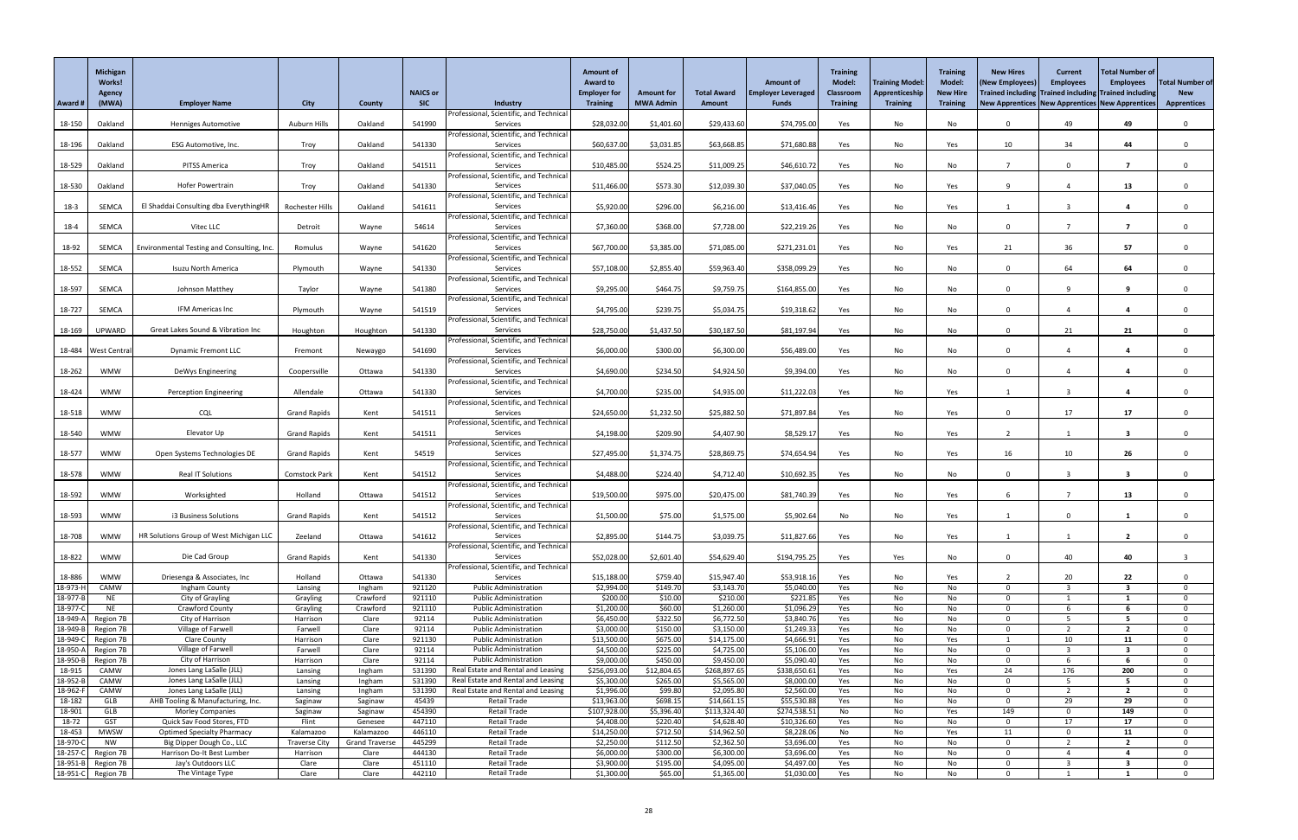|                      | <b>Michigan</b><br><b>Works!</b><br>Agency |                                                                |                                   |                                    | <b>NAICS or</b>  |                                                              | <b>Amount of</b><br><b>Award to</b><br><b>Employer for</b> | <b>Amount for</b>    | <b>Total Award</b>        | <b>Amount of</b><br><b>Employer Leveraged</b> | <b>Training</b><br><b>Model:</b><br><b>Classroom</b> | <b>Training Model</b><br>Apprenticeship | <b>Training</b><br><b>Model:</b><br><b>New Hire</b> | <b>New Hires</b><br>(New Employees<br>Trained including Trained including Trained including | <b>Current</b><br><b>Employees</b> | <b>Total Number of</b><br><b>Employees</b> | <b>Total Number of</b><br><b>New</b> |
|----------------------|--------------------------------------------|----------------------------------------------------------------|-----------------------------------|------------------------------------|------------------|--------------------------------------------------------------|------------------------------------------------------------|----------------------|---------------------------|-----------------------------------------------|------------------------------------------------------|-----------------------------------------|-----------------------------------------------------|---------------------------------------------------------------------------------------------|------------------------------------|--------------------------------------------|--------------------------------------|
| Award #              | (MWA)                                      | <b>Employer Name</b>                                           | <b>City</b>                       | <b>County</b>                      | <b>SIC</b>       | Industry<br>Professional, Scientific, and Technica           | <b>Training</b>                                            | <b>MWA Admin</b>     | <b>Amount</b>             | <b>Funds</b>                                  | <b>Training</b>                                      | <b>Training</b>                         | <b>Training</b>                                     | New Apprentices New Apprentices New Apprentices                                             |                                    |                                            | <b>Apprentices</b>                   |
| 18-150               | Oakland                                    | <b>Henniges Automotive</b>                                     | <b>Auburn Hills</b>               | Oakland                            | 541990           | Services                                                     | \$28,032.00                                                | \$1,401.60           | \$29,433.60               | \$74,795.00                                   | Yes                                                  | No                                      | No                                                  | $\Omega$                                                                                    | 49                                 | 49                                         | $\Omega$                             |
|                      |                                            |                                                                |                                   |                                    |                  | Professional, Scientific, and Technica                       |                                                            |                      |                           |                                               |                                                      |                                         |                                                     |                                                                                             |                                    |                                            |                                      |
| 18-196               | Oakland                                    | <b>ESG Automotive, Inc.</b>                                    | Troy                              | Oakland                            | 541330           | Services<br>Professional, Scientific, and Technica           | \$60,637.00                                                | \$3,031.85           | \$63,668.85               | \$71,680.88                                   | Yes                                                  | No                                      | Yes                                                 | 10                                                                                          | 34                                 | 44                                         |                                      |
| 18-529               | Oakland                                    | PITSS America                                                  | Troy                              | Oakland                            | 541511           | Services                                                     | \$10,485.00                                                | \$524.25             | \$11,009.25               | \$46,610.72                                   | Yes                                                  | No                                      | No                                                  |                                                                                             | $\Omega$                           | - 7                                        | $\Omega$                             |
|                      |                                            |                                                                |                                   |                                    |                  | Professional, Scientific, and Technica                       |                                                            |                      |                           |                                               |                                                      |                                         |                                                     |                                                                                             |                                    |                                            |                                      |
| 18-530               | Oakland                                    | Hofer Powertrain                                               | Troy                              | Oakland                            | 541330           | Services<br>Professional, Scientific, and Technica           | \$11,466.00                                                | \$573.30             | \$12,039.30               | \$37,040.05                                   | Yes                                                  | No                                      | Yes                                                 | - q                                                                                         |                                    | 13                                         | $\Omega$                             |
| $18-3$               | <b>SEMCA</b>                               | El Shaddai Consulting dba EverythingHR                         | <b>Rochester Hills</b>            | Oakland                            | 541611           | Services                                                     | \$5,920.00                                                 | \$296.00             | \$6,216.00                | \$13,416.46                                   | Yes                                                  | No                                      | Yes                                                 |                                                                                             |                                    |                                            |                                      |
|                      |                                            |                                                                |                                   |                                    |                  | Professional, Scientific, and Technica                       |                                                            |                      |                           |                                               |                                                      |                                         |                                                     |                                                                                             |                                    |                                            |                                      |
| $18 - 4$             | SEMCA                                      | Vitec LLC                                                      | Detroit                           | Wayne                              | 54614            | Services<br>Professional, Scientific, and Technica           | \$7,360.00                                                 | \$368.00             | \$7,728.00                | \$22,219.26                                   | Yes                                                  | No                                      | No                                                  | $\Omega$                                                                                    |                                    |                                            |                                      |
| 18-92                | SEMCA                                      | Environmental Testing and Consulting, Inc.                     | Romulus                           | Wayne                              | 541620           | Services                                                     | \$67,700.00                                                | \$3,385.00           | \$71,085.00               | \$271,231.01                                  | Yes                                                  | No                                      | Yes                                                 | 21                                                                                          | 36                                 | 57                                         | $\Omega$                             |
| 18-552               | SEMCA                                      | Isuzu North America                                            | Plymouth                          | Wayne                              | 541330           | Professional, Scientific, and Technica<br>Services           | \$57,108.00                                                | \$2,855.40           | \$59,963.40               | \$358,099.29                                  | Yes                                                  | No                                      | No                                                  | $\Omega$                                                                                    | 64                                 | 64                                         |                                      |
|                      |                                            |                                                                |                                   |                                    |                  | Professional, Scientific, and Technica                       |                                                            |                      |                           |                                               |                                                      |                                         |                                                     |                                                                                             |                                    |                                            |                                      |
| 18-597               | SEMCA                                      | Johnson Matthey                                                | Taylor                            | Wayne                              | 541380           | Services                                                     | \$9,295.00                                                 | \$464.75             | \$9,759.75                | \$164,855.00                                  | Yes                                                  | No                                      | No                                                  | $\Omega$                                                                                    | $\Omega$                           | 9                                          | $\Omega$                             |
| 18-727               | SEMCA                                      | IFM Americas Inc                                               | Plymouth                          | Wayne                              | 541519           | Professional, Scientific, and Technica<br>Services           | \$4,795.00                                                 | \$239.75             | \$5,034.75                | \$19,318.62                                   | Yes                                                  | No                                      | No                                                  | $\Omega$                                                                                    |                                    |                                            |                                      |
|                      |                                            |                                                                |                                   |                                    |                  | Professional, Scientific, and Technica                       |                                                            |                      |                           |                                               |                                                      |                                         |                                                     |                                                                                             |                                    |                                            |                                      |
| 18-169               | UPWARD                                     | Great Lakes Sound & Vibration Inc                              | Houghton                          | Houghton                           | 541330           | Services                                                     | \$28,750.00                                                | \$1,437.50           | \$30,187.50               | \$81,197.94                                   | Yes                                                  | No                                      | No                                                  | $\Omega$                                                                                    | 21                                 | 21                                         |                                      |
|                      | 18-484   West Central                      | <b>Dynamic Fremont LLC</b>                                     | Fremont                           | Newaygo                            | 541690           | Professional, Scientific, and Technica<br>Services           | \$6,000.00                                                 | \$300.00             | \$6,300.00                | \$56,489.00                                   | Yes                                                  | No                                      | No                                                  | $\Omega$                                                                                    |                                    | 4                                          | $\Omega$                             |
|                      |                                            |                                                                |                                   |                                    |                  | Professional, Scientific, and Technica                       |                                                            |                      |                           |                                               |                                                      |                                         |                                                     |                                                                                             |                                    |                                            |                                      |
| 18-262               | <b>WMW</b>                                 | DeWys Engineering                                              | Coopersville                      | Ottawa                             | 541330           | Services                                                     | \$4,690.00                                                 | \$234.50             | \$4,924.50                | \$9,394.00                                    | Yes                                                  | No                                      | No                                                  | $\Omega$                                                                                    |                                    |                                            |                                      |
| 18-424               | <b>WMW</b>                                 | <b>Perception Engineering</b>                                  | Allendale                         | Ottawa                             | 541330           | Professional, Scientific, and Technica<br>Services           | \$4,700.00                                                 | \$235.00             | \$4,935.00                | \$11,222.03                                   | Yes                                                  | No                                      | Yes                                                 |                                                                                             |                                    |                                            |                                      |
|                      |                                            |                                                                |                                   |                                    |                  | Professional, Scientific, and Technica                       |                                                            |                      |                           |                                               |                                                      |                                         |                                                     |                                                                                             |                                    |                                            |                                      |
| 18-518               | <b>WMW</b>                                 | <b>CQL</b>                                                     | <b>Grand Rapids</b>               | Kent                               | 541511           | Services<br>Professional, Scientific, and Technica           | \$24,650.00                                                | \$1,232.50           | \$25,882.50               | \$71,897.84                                   | Yes                                                  | No                                      | Yes                                                 | $\Omega$                                                                                    | 17                                 | 17                                         |                                      |
| 18-540               | <b>WMW</b>                                 | Elevator Up                                                    | <b>Grand Rapids</b>               | Kent                               | 541511           | Services                                                     | \$4,198.00                                                 | \$209.90             | \$4,407.90                | \$8,529.17                                    | Yes                                                  | No                                      | Yes                                                 |                                                                                             |                                    | 3                                          |                                      |
|                      |                                            |                                                                |                                   |                                    |                  | Professional, Scientific, and Technica                       |                                                            |                      |                           |                                               |                                                      |                                         |                                                     |                                                                                             |                                    |                                            |                                      |
| 18-577               | <b>WMW</b>                                 | Open Systems Technologies DE                                   | <b>Grand Rapids</b>               | Kent                               | 54519            | Services<br>Professional, Scientific, and Technica           | \$27,495.00                                                | \$1,374.75           | \$28,869.75               | \$74,654.94                                   | Yes                                                  | No                                      | Yes                                                 | 16                                                                                          | 10 <sup>°</sup>                    | 26                                         |                                      |
| 18-578               | <b>WMW</b>                                 | Real IT Solutions                                              | <b>Comstock Park</b>              | Kent                               | 541512           | Services                                                     | \$4,488.00                                                 | \$224.40             | \$4,712.40                | \$10,692.35                                   | Yes                                                  | No                                      | No                                                  | $\Omega$                                                                                    |                                    | 3                                          |                                      |
|                      |                                            |                                                                |                                   |                                    |                  | Professional, Scientific, and Technica                       |                                                            |                      |                           |                                               |                                                      |                                         |                                                     |                                                                                             |                                    |                                            |                                      |
| 18-592               | <b>WMW</b>                                 | Worksighted                                                    | Holland                           | Ottawa                             | 541512           | Services<br>Professional, Scientific, and Technica           | \$19,500.00                                                | \$975.00             | \$20,475.00               | \$81,740.39                                   | Yes                                                  | No                                      | Yes                                                 |                                                                                             |                                    | 13                                         |                                      |
| 18-593               | <b>WMW</b>                                 | i3 Business Solutions                                          | <b>Grand Rapids</b>               | Kent                               | 541512           | Services                                                     | \$1,500.00                                                 | \$75.00              | \$1,575.00                | \$5,902.64                                    | No                                                   | No                                      | Yes                                                 |                                                                                             | $\Omega$                           |                                            |                                      |
|                      | <b>WMW</b>                                 |                                                                | Zeeland                           |                                    | 541612           | Professional, Scientific, and Technica                       | \$2,895.00                                                 |                      |                           | \$11,827.66                                   |                                                      |                                         |                                                     |                                                                                             |                                    | -2                                         |                                      |
| 18-708               |                                            | HR Solutions Group of West Michigan LLC                        |                                   | Ottawa                             |                  | Services<br>Professional, Scientific, and Technica           |                                                            | \$144.75             | \$3,039.75                |                                               | Yes                                                  | No                                      | Yes                                                 |                                                                                             |                                    |                                            |                                      |
| 18-822               | <b>WMW</b>                                 | Die Cad Group                                                  | <b>Grand Rapids</b>               | Kent                               | 541330           | Services                                                     | \$52,028.00                                                | \$2,601.40           | \$54,629.40               | \$194,795.25                                  | Yes                                                  | Yes                                     | No                                                  | $\Omega$                                                                                    | 40                                 | 40                                         |                                      |
| 18-886               | <b>WMW</b>                                 | Driesenga & Associates, Inc                                    | Holland                           | Ottawa                             | 541330           | Professional, Scientific, and Technica<br>Services           | \$15,188.00                                                | \$759.40             | \$15,947.40               | \$53,918.16                                   | Yes                                                  | No                                      | Yes                                                 |                                                                                             | 20                                 | 22                                         |                                      |
| 18-973-              | CAMW                                       | Ingham County                                                  | Lansing                           | Ingham                             | 921120           | <b>Public Administration</b>                                 | \$2,994.00                                                 | \$149.70             | \$3,143.70                | \$5,040.00                                    | Yes                                                  | No                                      | No.                                                 | $\Omega$                                                                                    | $\mathbf{3}$                       | $\overline{\mathbf{3}}$                    | $\Omega$                             |
| 18-977-              | <b>NE</b>                                  | City of Grayling                                               | Grayling                          | Crawford                           | 921110           | <b>Public Administration</b>                                 | \$200.00                                                   | \$10.00              | \$210.00                  | \$221.85                                      | Yes                                                  | No                                      | No                                                  | $\Omega$                                                                                    |                                    |                                            | $\Omega$                             |
| 18-977-<br>18-949-   | <b>NE</b><br>Region 7B                     | Crawford County<br>City of Harrison                            | Grayling<br>Harrison              | Crawford<br>Clare                  | 921110<br>92114  | <b>Public Administration</b><br><b>Public Administration</b> | \$1,200.00<br>\$6,450.00                                   | \$60.00<br>\$322.50  | \$1,260.00<br>\$6,772.50  | \$1,096.29<br>\$3,840.76                      | Yes<br>Yes                                           | No<br>No                                | No<br>No                                            | $\Omega$<br>- 0                                                                             |                                    |                                            | $\Omega$                             |
| 18-949-1             | Region 7B                                  | Village of Farwell                                             | Farwell                           | Clare                              | 92114            | <b>Public Administration</b>                                 | \$3,000.00                                                 | \$150.00             | \$3,150.00                | \$1,249.33                                    | Yes                                                  | No                                      | No                                                  | $\Omega$                                                                                    | <u>າ</u>                           | $\mathbf{z}$                               | $\Omega$                             |
| 18-949-              | Region 7B                                  | <b>Clare County</b>                                            | Harrison                          | Clare                              | 921130           | <b>Public Administration</b>                                 | \$13,500.00                                                | \$675.00             | \$14,175.00               | \$4,666.91                                    | Yes                                                  | No                                      | Yes                                                 |                                                                                             | 10                                 | 11                                         | $\Omega$                             |
| 18-950-<br>18-950-   | Region 7B<br>Region 7B                     | Village of Farwell<br>City of Harrison                         | Farwell<br>Harrison               | Clare<br>Clare                     | 92114<br>92114   | <b>Public Administration</b><br><b>Public Administration</b> | \$4,500.00<br>\$9,000.00                                   | \$225.00<br>\$450.00 | \$4,725.00<br>\$9,450.00  | \$5,106.00<br>\$5,090.40                      | Yes<br>Yes                                           | No<br>No                                | No<br>No.                                           | $\Omega$<br>- 0                                                                             |                                    | 3                                          | $\Omega$                             |
| 18-915               | CAMW                                       | Jones Lang LaSalle (JLL)                                       | Lansing                           | Ingham                             | 531390           | Real Estate and Rental and Leasing                           | \$256,093.00                                               | \$12,804.65          | \$268,897.65              | \$338,650.61                                  | Yes                                                  | No                                      | Yes                                                 | 24                                                                                          | 176                                | 200                                        | $\Omega$                             |
| 18-952-              | CAMW                                       | Jones Lang LaSalle (JLL)                                       | Lansing                           | Ingham                             | 531390           | Real Estate and Rental and Leasing                           | \$5,300.00                                                 | \$265.00             | \$5,565.00                | \$8,000.00                                    | Yes                                                  | No                                      | No                                                  | $\Omega$                                                                                    | - 5                                | 5.                                         | $\Omega$                             |
| 18-962-<br>18-182    | CAMW<br>GLB                                | Jones Lang LaSalle (JLL)<br>AHB Tooling & Manufacturing, Inc.  | Lansing<br>Saginaw                | Ingham<br>Saginaw                  | 531390<br>45439  | Real Estate and Rental and Leasing<br>Retail Trade           | \$1,996.00<br>\$13,963.00                                  | \$99.80<br>\$698.15  | \$2,095.80<br>\$14,661.15 | \$2,560.00<br>\$55,530.88                     | Yes<br>Yes                                           | No<br>No                                | No<br>No.                                           | $\Omega$                                                                                    | $\overline{2}$<br>29               | $\overline{2}$<br>29                       | $\Omega$                             |
| 18-901               | GLB                                        | <b>Morley Companies</b>                                        | Saginaw                           | Saginaw                            | 454390           | <b>Retail Trade</b>                                          | \$107,928.00                                               | \$5,396.40           | \$113,324.40              | \$274,538.51                                  | No                                                   | No                                      | Yes                                                 | 149                                                                                         | $\Omega$                           | 149                                        |                                      |
| 18-72                | <b>GST</b>                                 | Quick Sav Food Stores, FTD                                     | Flint                             | Genesee                            | 447110           | <b>Retail Trade</b>                                          | \$4,408.00                                                 | \$220.40             | \$4,628.40                | \$10,326.60                                   | Yes                                                  | No                                      | No                                                  | $\Omega$                                                                                    | 17                                 | 17                                         | $\Omega$                             |
| 18-453<br>18-970-    | <b>MWSW</b><br><b>NW</b>                   | <b>Optimed Specialty Pharmacy</b><br>Big Dipper Dough Co., LLC | Kalamazoo<br><b>Traverse City</b> | Kalamazoo<br><b>Grand Traverse</b> | 446110<br>445299 | <b>Retail Trade</b><br><b>Retail Trade</b>                   | \$14,250.00<br>\$2,250.00                                  | \$712.50<br>\$112.50 | \$14,962.50<br>\$2,362.50 | \$8,228.06<br>\$3,696.00                      | No<br>Yes                                            | No<br>No                                | Yes<br>No                                           | 11<br>-0                                                                                    | $\overline{0}$                     | 11<br>$\overline{2}$                       | $\Omega$                             |
| 18-257-C             | Region 7B                                  | Harrison Do-It Best Lumber                                     | Harrison                          | Clare                              | 444130           | <b>Retail Trade</b>                                          | \$6,000.00                                                 | \$300.00             | \$6,300.00                | \$3,696.00                                    | Yes                                                  | No                                      | No.                                                 | $\Omega$                                                                                    |                                    |                                            |                                      |
| 18-951-F<br>18-951-C | Region 7B<br>Region 7B                     | Jay's Outdoors LLC<br>The Vintage Type                         | Clare<br>Clare                    | Clare<br>Clare                     | 451110<br>442110 | Retail Trade<br>Retail Trade                                 | \$3,900.00<br>\$1,300.00                                   | \$195.00<br>\$65.00  | \$4,095.00<br>\$1,365.00  | \$4,497.00<br>\$1,030.00                      | Yes<br>Yes                                           | No<br>No                                | No<br>No                                            | $\Omega$<br>$\mathbf 0$                                                                     |                                    | -3                                         | $\Omega$<br>$\mathbf{0}$             |
|                      |                                            |                                                                |                                   |                                    |                  |                                                              |                                                            |                      |                           |                                               |                                                      |                                         |                                                     |                                                                                             |                                    |                                            |                                      |